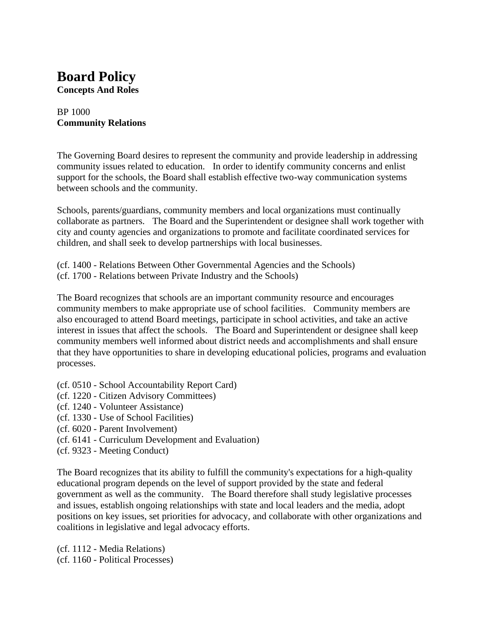## **Board Policy Concepts And Roles**

#### BP 1000 **Community Relations**

The Governing Board desires to represent the community and provide leadership in addressing community issues related to education. In order to identify community concerns and enlist support for the schools, the Board shall establish effective two-way communication systems between schools and the community.

Schools, parents/guardians, community members and local organizations must continually collaborate as partners. The Board and the Superintendent or designee shall work together with city and county agencies and organizations to promote and facilitate coordinated services for children, and shall seek to develop partnerships with local businesses.

(cf. 1400 - Relations Between Other Governmental Agencies and the Schools) (cf. 1700 - Relations between Private Industry and the Schools)

The Board recognizes that schools are an important community resource and encourages community members to make appropriate use of school facilities. Community members are also encouraged to attend Board meetings, participate in school activities, and take an active interest in issues that affect the schools. The Board and Superintendent or designee shall keep community members well informed about district needs and accomplishments and shall ensure that they have opportunities to share in developing educational policies, programs and evaluation processes.

- (cf. 0510 School Accountability Report Card)
- (cf. 1220 Citizen Advisory Committees)
- (cf. 1240 Volunteer Assistance)
- (cf. 1330 Use of School Facilities)
- (cf. 6020 Parent Involvement)
- (cf. 6141 Curriculum Development and Evaluation)
- (cf. 9323 Meeting Conduct)

The Board recognizes that its ability to fulfill the community's expectations for a high-quality educational program depends on the level of support provided by the state and federal government as well as the community. The Board therefore shall study legislative processes and issues, establish ongoing relationships with state and local leaders and the media, adopt positions on key issues, set priorities for advocacy, and collaborate with other organizations and coalitions in legislative and legal advocacy efforts.

(cf. 1112 - Media Relations) (cf. 1160 - Political Processes)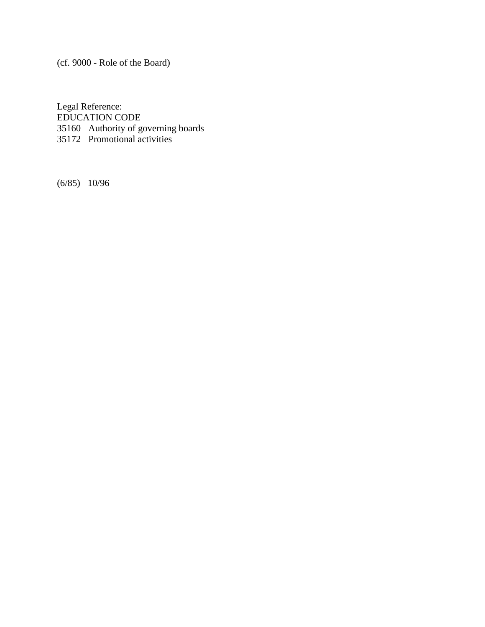(cf. 9000 - Role of the Board)

Legal Reference: EDUCATION CODE 35160 Authority of governing boards 35172 Promotional activities

(6/85) 10/96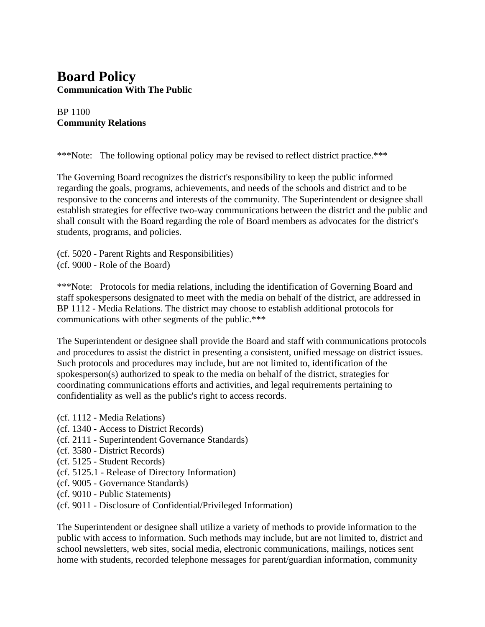## **Board Policy Communication With The Public**

#### BP 1100 **Community Relations**

\*\*\*Note: The following optional policy may be revised to reflect district practice.\*\*\*

The Governing Board recognizes the district's responsibility to keep the public informed regarding the goals, programs, achievements, and needs of the schools and district and to be responsive to the concerns and interests of the community. The Superintendent or designee shall establish strategies for effective two-way communications between the district and the public and shall consult with the Board regarding the role of Board members as advocates for the district's students, programs, and policies.

(cf. 5020 - Parent Rights and Responsibilities) (cf. 9000 - Role of the Board)

\*\*\*Note: Protocols for media relations, including the identification of Governing Board and staff spokespersons designated to meet with the media on behalf of the district, are addressed in BP 1112 - Media Relations. The district may choose to establish additional protocols for communications with other segments of the public.\*\*\*

The Superintendent or designee shall provide the Board and staff with communications protocols and procedures to assist the district in presenting a consistent, unified message on district issues. Such protocols and procedures may include, but are not limited to, identification of the spokesperson(s) authorized to speak to the media on behalf of the district, strategies for coordinating communications efforts and activities, and legal requirements pertaining to confidentiality as well as the public's right to access records.

- (cf. 1112 Media Relations)
- (cf. 1340 Access to District Records)
- (cf. 2111 Superintendent Governance Standards)
- (cf. 3580 District Records)
- (cf. 5125 Student Records)
- (cf. 5125.1 Release of Directory Information)
- (cf. 9005 Governance Standards)
- (cf. 9010 Public Statements)
- (cf. 9011 Disclosure of Confidential/Privileged Information)

The Superintendent or designee shall utilize a variety of methods to provide information to the public with access to information. Such methods may include, but are not limited to, district and school newsletters, web sites, social media, electronic communications, mailings, notices sent home with students, recorded telephone messages for parent/guardian information, community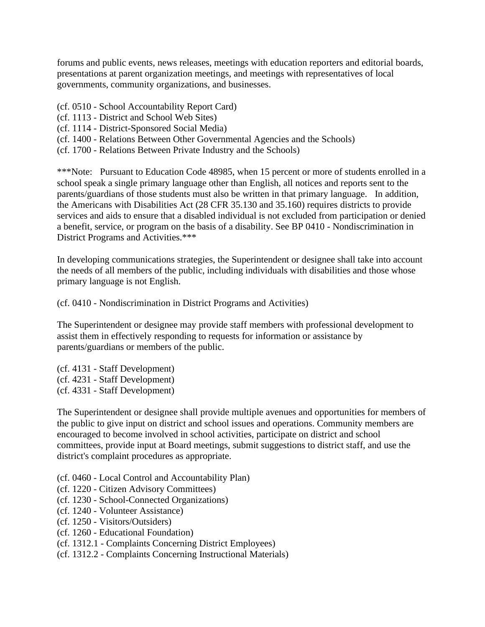forums and public events, news releases, meetings with education reporters and editorial boards, presentations at parent organization meetings, and meetings with representatives of local governments, community organizations, and businesses.

- (cf. 0510 School Accountability Report Card)
- (cf. 1113 District and School Web Sites)
- (cf. 1114 District-Sponsored Social Media)
- (cf. 1400 Relations Between Other Governmental Agencies and the Schools)
- (cf. 1700 Relations Between Private Industry and the Schools)

\*\*\*Note: Pursuant to Education Code 48985, when 15 percent or more of students enrolled in a school speak a single primary language other than English, all notices and reports sent to the parents/guardians of those students must also be written in that primary language. In addition, the Americans with Disabilities Act (28 CFR 35.130 and 35.160) requires districts to provide services and aids to ensure that a disabled individual is not excluded from participation or denied a benefit, service, or program on the basis of a disability. See BP 0410 - Nondiscrimination in District Programs and Activities.\*\*\*

In developing communications strategies, the Superintendent or designee shall take into account the needs of all members of the public, including individuals with disabilities and those whose primary language is not English.

(cf. 0410 - Nondiscrimination in District Programs and Activities)

The Superintendent or designee may provide staff members with professional development to assist them in effectively responding to requests for information or assistance by parents/guardians or members of the public.

- (cf. 4131 Staff Development) (cf. 4231 - Staff Development)
- (cf. 4331 Staff Development)

The Superintendent or designee shall provide multiple avenues and opportunities for members of the public to give input on district and school issues and operations. Community members are encouraged to become involved in school activities, participate on district and school committees, provide input at Board meetings, submit suggestions to district staff, and use the district's complaint procedures as appropriate.

- (cf. 0460 Local Control and Accountability Plan)
- (cf. 1220 Citizen Advisory Committees)
- (cf. 1230 School-Connected Organizations)
- (cf. 1240 Volunteer Assistance)
- (cf. 1250 Visitors/Outsiders)
- (cf. 1260 Educational Foundation)
- (cf. 1312.1 Complaints Concerning District Employees)
- (cf. 1312.2 Complaints Concerning Instructional Materials)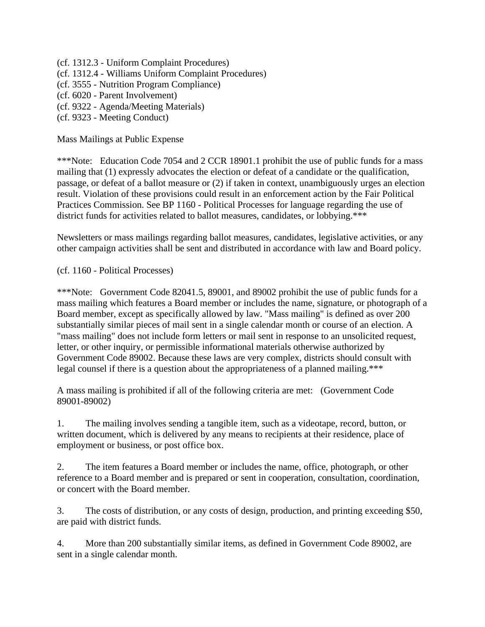- (cf. 1312.3 Uniform Complaint Procedures)
- (cf. 1312.4 Williams Uniform Complaint Procedures)
- (cf. 3555 Nutrition Program Compliance)
- (cf. 6020 Parent Involvement)
- (cf. 9322 Agenda/Meeting Materials)
- (cf. 9323 Meeting Conduct)

Mass Mailings at Public Expense

\*\*\*Note: Education Code 7054 and 2 CCR 18901.1 prohibit the use of public funds for a mass mailing that (1) expressly advocates the election or defeat of a candidate or the qualification, passage, or defeat of a ballot measure or (2) if taken in context, unambiguously urges an election result. Violation of these provisions could result in an enforcement action by the Fair Political Practices Commission. See BP 1160 - Political Processes for language regarding the use of district funds for activities related to ballot measures, candidates, or lobbying.\*\*\*

Newsletters or mass mailings regarding ballot measures, candidates, legislative activities, or any other campaign activities shall be sent and distributed in accordance with law and Board policy.

(cf. 1160 - Political Processes)

\*\*\*Note: Government Code 82041.5, 89001, and 89002 prohibit the use of public funds for a mass mailing which features a Board member or includes the name, signature, or photograph of a Board member, except as specifically allowed by law. "Mass mailing" is defined as over 200 substantially similar pieces of mail sent in a single calendar month or course of an election. A "mass mailing" does not include form letters or mail sent in response to an unsolicited request, letter, or other inquiry, or permissible informational materials otherwise authorized by Government Code 89002. Because these laws are very complex, districts should consult with legal counsel if there is a question about the appropriateness of a planned mailing.\*\*\*

A mass mailing is prohibited if all of the following criteria are met: (Government Code 89001-89002)

1. The mailing involves sending a tangible item, such as a videotape, record, button, or written document, which is delivered by any means to recipients at their residence, place of employment or business, or post office box.

2. The item features a Board member or includes the name, office, photograph, or other reference to a Board member and is prepared or sent in cooperation, consultation, coordination, or concert with the Board member.

3. The costs of distribution, or any costs of design, production, and printing exceeding \$50, are paid with district funds.

4. More than 200 substantially similar items, as defined in Government Code 89002, are sent in a single calendar month.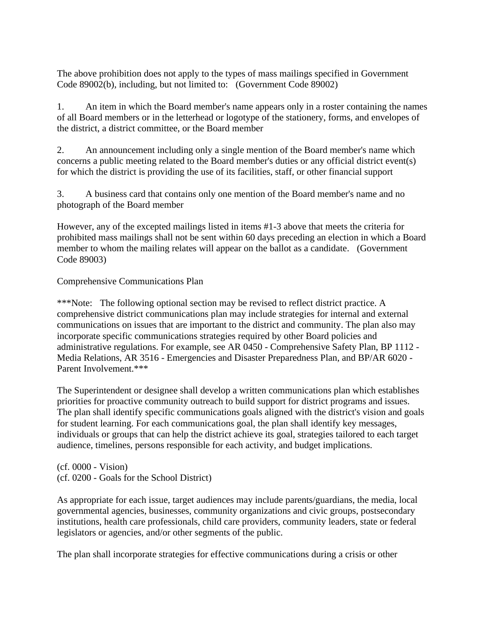The above prohibition does not apply to the types of mass mailings specified in Government Code 89002(b), including, but not limited to: (Government Code 89002)

1. An item in which the Board member's name appears only in a roster containing the names of all Board members or in the letterhead or logotype of the stationery, forms, and envelopes of the district, a district committee, or the Board member

2. An announcement including only a single mention of the Board member's name which concerns a public meeting related to the Board member's duties or any official district event(s) for which the district is providing the use of its facilities, staff, or other financial support

3. A business card that contains only one mention of the Board member's name and no photograph of the Board member

However, any of the excepted mailings listed in items #1-3 above that meets the criteria for prohibited mass mailings shall not be sent within 60 days preceding an election in which a Board member to whom the mailing relates will appear on the ballot as a candidate. (Government Code 89003)

#### Comprehensive Communications Plan

\*\*\*Note: The following optional section may be revised to reflect district practice. A comprehensive district communications plan may include strategies for internal and external communications on issues that are important to the district and community. The plan also may incorporate specific communications strategies required by other Board policies and administrative regulations. For example, see AR 0450 - Comprehensive Safety Plan, BP 1112 - Media Relations, AR 3516 - Emergencies and Disaster Preparedness Plan, and BP/AR 6020 - Parent Involvement.\*\*\*

The Superintendent or designee shall develop a written communications plan which establishes priorities for proactive community outreach to build support for district programs and issues. The plan shall identify specific communications goals aligned with the district's vision and goals for student learning. For each communications goal, the plan shall identify key messages, individuals or groups that can help the district achieve its goal, strategies tailored to each target audience, timelines, persons responsible for each activity, and budget implications.

(cf. 0000 - Vision) (cf. 0200 - Goals for the School District)

As appropriate for each issue, target audiences may include parents/guardians, the media, local governmental agencies, businesses, community organizations and civic groups, postsecondary institutions, health care professionals, child care providers, community leaders, state or federal legislators or agencies, and/or other segments of the public.

The plan shall incorporate strategies for effective communications during a crisis or other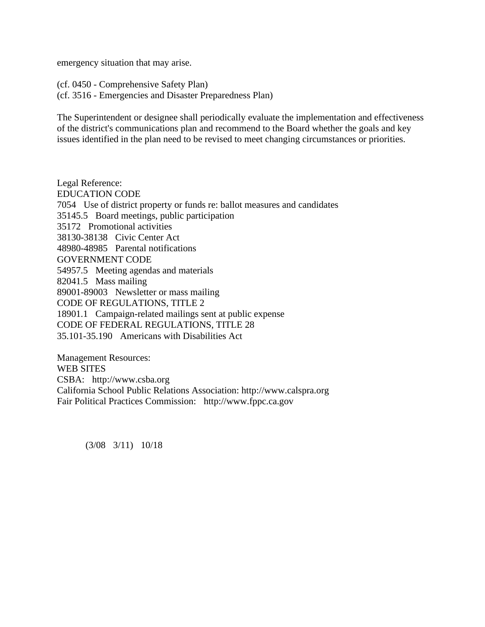emergency situation that may arise.

(cf. 0450 - Comprehensive Safety Plan) (cf. 3516 - Emergencies and Disaster Preparedness Plan)

The Superintendent or designee shall periodically evaluate the implementation and effectiveness of the district's communications plan and recommend to the Board whether the goals and key issues identified in the plan need to be revised to meet changing circumstances or priorities.

Legal Reference: EDUCATION CODE 7054 Use of district property or funds re: ballot measures and candidates 35145.5 Board meetings, public participation 35172 Promotional activities 38130-38138 Civic Center Act 48980-48985 Parental notifications GOVERNMENT CODE 54957.5 Meeting agendas and materials 82041.5 Mass mailing 89001-89003 Newsletter or mass mailing CODE OF REGULATIONS, TITLE 2 18901.1 Campaign-related mailings sent at public expense CODE OF FEDERAL REGULATIONS, TITLE 28 35.101-35.190 Americans with Disabilities Act

Management Resources: WEB SITES CSBA: http://www.csba.org California School Public Relations Association: http://www.calspra.org Fair Political Practices Commission: http://www.fppc.ca.gov

(3/08 3/11) 10/18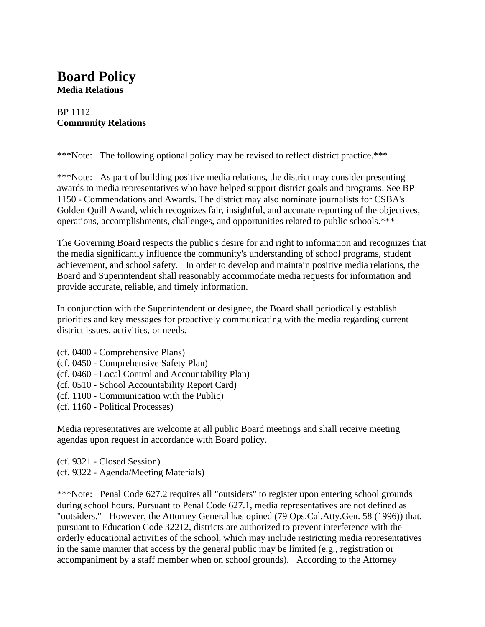### **Board Policy Media Relations**

#### BP 1112 **Community Relations**

\*\*\*Note: The following optional policy may be revised to reflect district practice.\*\*\*

\*\*\*Note: As part of building positive media relations, the district may consider presenting awards to media representatives who have helped support district goals and programs. See BP 1150 - Commendations and Awards. The district may also nominate journalists for CSBA's Golden Quill Award, which recognizes fair, insightful, and accurate reporting of the objectives, operations, accomplishments, challenges, and opportunities related to public schools.\*\*\*

The Governing Board respects the public's desire for and right to information and recognizes that the media significantly influence the community's understanding of school programs, student achievement, and school safety. In order to develop and maintain positive media relations, the Board and Superintendent shall reasonably accommodate media requests for information and provide accurate, reliable, and timely information.

In conjunction with the Superintendent or designee, the Board shall periodically establish priorities and key messages for proactively communicating with the media regarding current district issues, activities, or needs.

- (cf. 0400 Comprehensive Plans)
- (cf. 0450 Comprehensive Safety Plan)
- (cf. 0460 Local Control and Accountability Plan)
- (cf. 0510 School Accountability Report Card)
- (cf. 1100 Communication with the Public)
- (cf. 1160 Political Processes)

Media representatives are welcome at all public Board meetings and shall receive meeting agendas upon request in accordance with Board policy.

(cf. 9321 - Closed Session) (cf. 9322 - Agenda/Meeting Materials)

\*\*\*Note: Penal Code 627.2 requires all "outsiders" to register upon entering school grounds during school hours. Pursuant to Penal Code 627.1, media representatives are not defined as "outsiders." However, the Attorney General has opined (79 Ops.Cal.Atty.Gen. 58 (1996)) that, pursuant to Education Code 32212, districts are authorized to prevent interference with the orderly educational activities of the school, which may include restricting media representatives in the same manner that access by the general public may be limited (e.g., registration or accompaniment by a staff member when on school grounds). According to the Attorney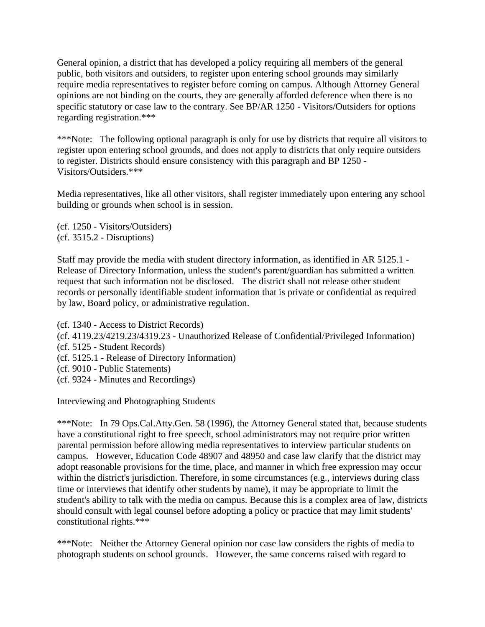General opinion, a district that has developed a policy requiring all members of the general public, both visitors and outsiders, to register upon entering school grounds may similarly require media representatives to register before coming on campus. Although Attorney General opinions are not binding on the courts, they are generally afforded deference when there is no specific statutory or case law to the contrary. See BP/AR 1250 - Visitors/Outsiders for options regarding registration.\*\*\*

\*\*\*Note: The following optional paragraph is only for use by districts that require all visitors to register upon entering school grounds, and does not apply to districts that only require outsiders to register. Districts should ensure consistency with this paragraph and BP 1250 - Visitors/Outsiders.\*\*\*

Media representatives, like all other visitors, shall register immediately upon entering any school building or grounds when school is in session.

(cf. 1250 - Visitors/Outsiders) (cf. 3515.2 - Disruptions)

Staff may provide the media with student directory information, as identified in AR 5125.1 - Release of Directory Information, unless the student's parent/guardian has submitted a written request that such information not be disclosed. The district shall not release other student records or personally identifiable student information that is private or confidential as required by law, Board policy, or administrative regulation.

(cf. 1340 - Access to District Records)

- (cf. 4119.23/4219.23/4319.23 Unauthorized Release of Confidential/Privileged Information)
- (cf. 5125 Student Records)
- (cf. 5125.1 Release of Directory Information)
- (cf. 9010 Public Statements)
- (cf. 9324 Minutes and Recordings)

Interviewing and Photographing Students

\*\*\*Note: In 79 Ops.Cal.Atty.Gen. 58 (1996), the Attorney General stated that, because students have a constitutional right to free speech, school administrators may not require prior written parental permission before allowing media representatives to interview particular students on campus. However, Education Code 48907 and 48950 and case law clarify that the district may adopt reasonable provisions for the time, place, and manner in which free expression may occur within the district's jurisdiction. Therefore, in some circumstances (e.g., interviews during class time or interviews that identify other students by name), it may be appropriate to limit the student's ability to talk with the media on campus. Because this is a complex area of law, districts should consult with legal counsel before adopting a policy or practice that may limit students' constitutional rights.\*\*\*

\*\*\*Note: Neither the Attorney General opinion nor case law considers the rights of media to photograph students on school grounds. However, the same concerns raised with regard to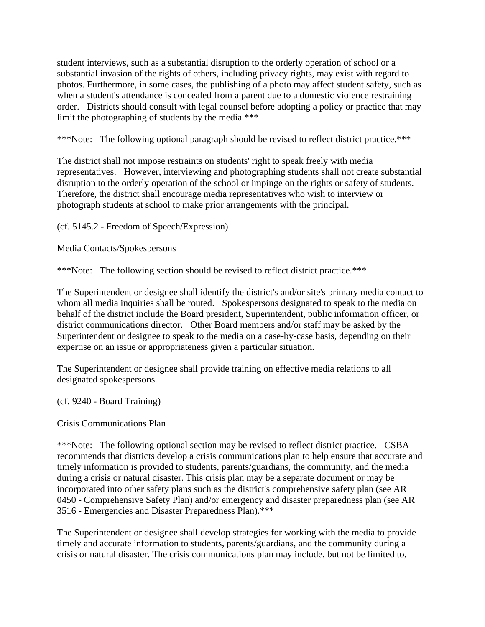student interviews, such as a substantial disruption to the orderly operation of school or a substantial invasion of the rights of others, including privacy rights, may exist with regard to photos. Furthermore, in some cases, the publishing of a photo may affect student safety, such as when a student's attendance is concealed from a parent due to a domestic violence restraining order. Districts should consult with legal counsel before adopting a policy or practice that may limit the photographing of students by the media.\*\*\*

\*\*\*Note: The following optional paragraph should be revised to reflect district practice.\*\*\*

The district shall not impose restraints on students' right to speak freely with media representatives. However, interviewing and photographing students shall not create substantial disruption to the orderly operation of the school or impinge on the rights or safety of students. Therefore, the district shall encourage media representatives who wish to interview or photograph students at school to make prior arrangements with the principal.

(cf. 5145.2 - Freedom of Speech/Expression)

Media Contacts/Spokespersons

\*\*\*Note: The following section should be revised to reflect district practice.\*\*\*

The Superintendent or designee shall identify the district's and/or site's primary media contact to whom all media inquiries shall be routed. Spokespersons designated to speak to the media on behalf of the district include the Board president, Superintendent, public information officer, or district communications director. Other Board members and/or staff may be asked by the Superintendent or designee to speak to the media on a case-by-case basis, depending on their expertise on an issue or appropriateness given a particular situation.

The Superintendent or designee shall provide training on effective media relations to all designated spokespersons.

(cf. 9240 - Board Training)

Crisis Communications Plan

\*\*\*Note: The following optional section may be revised to reflect district practice. CSBA recommends that districts develop a crisis communications plan to help ensure that accurate and timely information is provided to students, parents/guardians, the community, and the media during a crisis or natural disaster. This crisis plan may be a separate document or may be incorporated into other safety plans such as the district's comprehensive safety plan (see AR 0450 - Comprehensive Safety Plan) and/or emergency and disaster preparedness plan (see AR 3516 - Emergencies and Disaster Preparedness Plan).\*\*\*

The Superintendent or designee shall develop strategies for working with the media to provide timely and accurate information to students, parents/guardians, and the community during a crisis or natural disaster. The crisis communications plan may include, but not be limited to,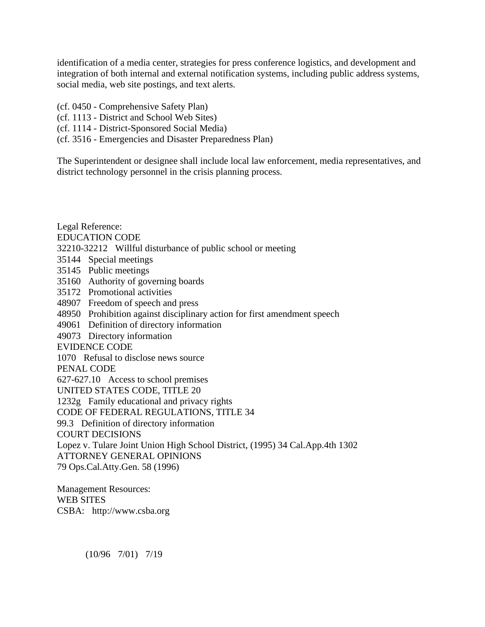identification of a media center, strategies for press conference logistics, and development and integration of both internal and external notification systems, including public address systems, social media, web site postings, and text alerts.

- (cf. 0450 Comprehensive Safety Plan)
- (cf. 1113 District and School Web Sites)
- (cf. 1114 District-Sponsored Social Media)
- (cf. 3516 Emergencies and Disaster Preparedness Plan)

The Superintendent or designee shall include local law enforcement, media representatives, and district technology personnel in the crisis planning process.

Legal Reference: EDUCATION CODE 32210-32212 Willful disturbance of public school or meeting 35144 Special meetings 35145 Public meetings 35160 Authority of governing boards 35172 Promotional activities 48907 Freedom of speech and press 48950 Prohibition against disciplinary action for first amendment speech 49061 Definition of directory information 49073 Directory information EVIDENCE CODE 1070 Refusal to disclose news source PENAL CODE 627-627.10 Access to school premises UNITED STATES CODE, TITLE 20 1232g Family educational and privacy rights CODE OF FEDERAL REGULATIONS, TITLE 34 99.3 Definition of directory information COURT DECISIONS Lopez v. Tulare Joint Union High School District, (1995) 34 Cal.App.4th 1302 ATTORNEY GENERAL OPINIONS 79 Ops.Cal.Atty.Gen. 58 (1996)

Management Resources: WEB SITES CSBA: http://www.csba.org

(10/96 7/01) 7/19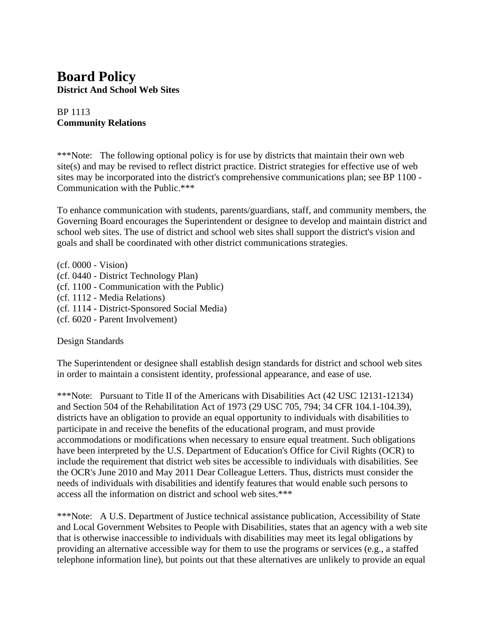## **Board Policy District And School Web Sites**

#### BP 1113 **Community Relations**

\*\*\*Note: The following optional policy is for use by districts that maintain their own web site(s) and may be revised to reflect district practice. District strategies for effective use of web sites may be incorporated into the district's comprehensive communications plan; see BP 1100 - Communication with the Public.\*\*\*

To enhance communication with students, parents/guardians, staff, and community members, the Governing Board encourages the Superintendent or designee to develop and maintain district and school web sites. The use of district and school web sites shall support the district's vision and goals and shall be coordinated with other district communications strategies.

(cf. 0000 - Vision) (cf. 0440 - District Technology Plan) (cf. 1100 - Communication with the Public) (cf. 1112 - Media Relations) (cf. 1114 - District-Sponsored Social Media) (cf. 6020 - Parent Involvement)

#### Design Standards

The Superintendent or designee shall establish design standards for district and school web sites in order to maintain a consistent identity, professional appearance, and ease of use.

\*\*\*Note: Pursuant to Title II of the Americans with Disabilities Act (42 USC 12131-12134) and Section 504 of the Rehabilitation Act of 1973 (29 USC 705, 794; 34 CFR 104.1-104.39), districts have an obligation to provide an equal opportunity to individuals with disabilities to participate in and receive the benefits of the educational program, and must provide accommodations or modifications when necessary to ensure equal treatment. Such obligations have been interpreted by the U.S. Department of Education's Office for Civil Rights (OCR) to include the requirement that district web sites be accessible to individuals with disabilities. See the OCR's June 2010 and May 2011 Dear Colleague Letters. Thus, districts must consider the needs of individuals with disabilities and identify features that would enable such persons to access all the information on district and school web sites.\*\*\*

\*\*\*Note: A U.S. Department of Justice technical assistance publication, Accessibility of State and Local Government Websites to People with Disabilities, states that an agency with a web site that is otherwise inaccessible to individuals with disabilities may meet its legal obligations by providing an alternative accessible way for them to use the programs or services (e.g., a staffed telephone information line), but points out that these alternatives are unlikely to provide an equal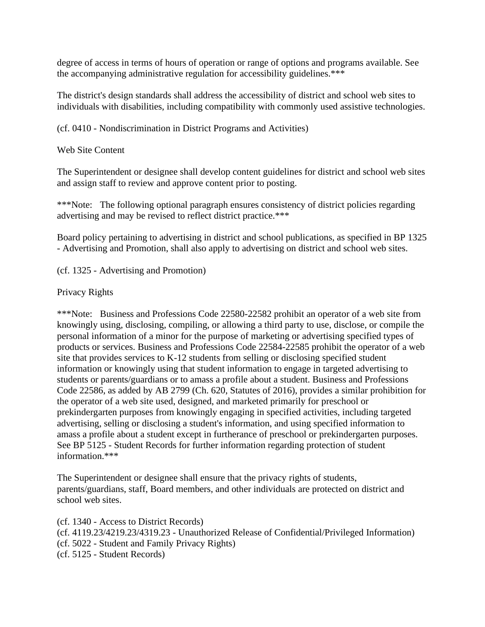degree of access in terms of hours of operation or range of options and programs available. See the accompanying administrative regulation for accessibility guidelines.\*\*\*

The district's design standards shall address the accessibility of district and school web sites to individuals with disabilities, including compatibility with commonly used assistive technologies.

(cf. 0410 - Nondiscrimination in District Programs and Activities)

Web Site Content

The Superintendent or designee shall develop content guidelines for district and school web sites and assign staff to review and approve content prior to posting.

\*\*\*Note: The following optional paragraph ensures consistency of district policies regarding advertising and may be revised to reflect district practice.\*\*\*

Board policy pertaining to advertising in district and school publications, as specified in BP 1325 - Advertising and Promotion, shall also apply to advertising on district and school web sites.

(cf. 1325 - Advertising and Promotion)

Privacy Rights

\*\*\*Note: Business and Professions Code 22580-22582 prohibit an operator of a web site from knowingly using, disclosing, compiling, or allowing a third party to use, disclose, or compile the personal information of a minor for the purpose of marketing or advertising specified types of products or services. Business and Professions Code 22584-22585 prohibit the operator of a web site that provides services to K-12 students from selling or disclosing specified student information or knowingly using that student information to engage in targeted advertising to students or parents/guardians or to amass a profile about a student. Business and Professions Code 22586, as added by AB 2799 (Ch. 620, Statutes of 2016), provides a similar prohibition for the operator of a web site used, designed, and marketed primarily for preschool or prekindergarten purposes from knowingly engaging in specified activities, including targeted advertising, selling or disclosing a student's information, and using specified information to amass a profile about a student except in furtherance of preschool or prekindergarten purposes. See BP 5125 - Student Records for further information regarding protection of student information.\*\*\*

The Superintendent or designee shall ensure that the privacy rights of students, parents/guardians, staff, Board members, and other individuals are protected on district and school web sites.

(cf. 1340 - Access to District Records) (cf. 4119.23/4219.23/4319.23 - Unauthorized Release of Confidential/Privileged Information) (cf. 5022 - Student and Family Privacy Rights) (cf. 5125 - Student Records)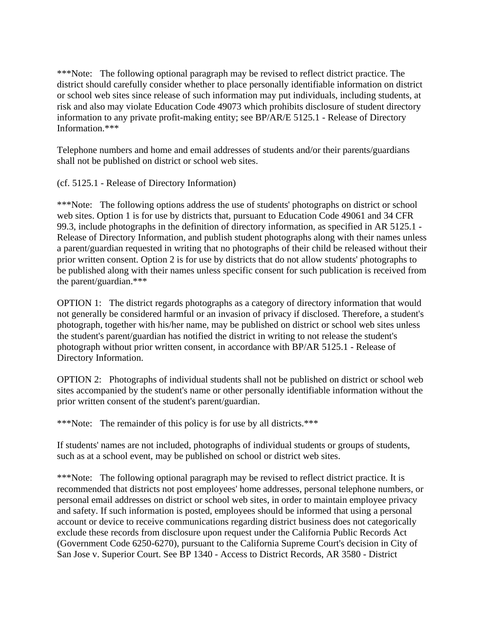\*\*\*Note: The following optional paragraph may be revised to reflect district practice. The district should carefully consider whether to place personally identifiable information on district or school web sites since release of such information may put individuals, including students, at risk and also may violate Education Code 49073 which prohibits disclosure of student directory information to any private profit-making entity; see BP/AR/E 5125.1 - Release of Directory Information.\*\*\*

Telephone numbers and home and email addresses of students and/or their parents/guardians shall not be published on district or school web sites.

(cf. 5125.1 - Release of Directory Information)

\*\*\*Note: The following options address the use of students' photographs on district or school web sites. Option 1 is for use by districts that, pursuant to Education Code 49061 and 34 CFR 99.3, include photographs in the definition of directory information, as specified in AR 5125.1 - Release of Directory Information, and publish student photographs along with their names unless a parent/guardian requested in writing that no photographs of their child be released without their prior written consent. Option 2 is for use by districts that do not allow students' photographs to be published along with their names unless specific consent for such publication is received from the parent/guardian.\*\*\*

OPTION 1: The district regards photographs as a category of directory information that would not generally be considered harmful or an invasion of privacy if disclosed. Therefore, a student's photograph, together with his/her name, may be published on district or school web sites unless the student's parent/guardian has notified the district in writing to not release the student's photograph without prior written consent, in accordance with BP/AR 5125.1 - Release of Directory Information.

OPTION 2: Photographs of individual students shall not be published on district or school web sites accompanied by the student's name or other personally identifiable information without the prior written consent of the student's parent/guardian.

\*\*\*Note: The remainder of this policy is for use by all districts.\*\*\*

If students' names are not included, photographs of individual students or groups of students, such as at a school event, may be published on school or district web sites.

\*\*\*Note: The following optional paragraph may be revised to reflect district practice. It is recommended that districts not post employees' home addresses, personal telephone numbers, or personal email addresses on district or school web sites, in order to maintain employee privacy and safety. If such information is posted, employees should be informed that using a personal account or device to receive communications regarding district business does not categorically exclude these records from disclosure upon request under the California Public Records Act (Government Code 6250-6270), pursuant to the California Supreme Court's decision in City of San Jose v. Superior Court. See BP 1340 - Access to District Records, AR 3580 - District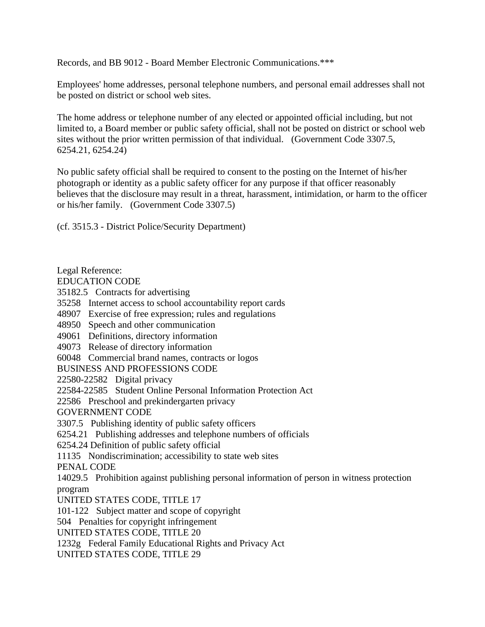Records, and BB 9012 - Board Member Electronic Communications.\*\*\*

Employees' home addresses, personal telephone numbers, and personal email addresses shall not be posted on district or school web sites.

The home address or telephone number of any elected or appointed official including, but not limited to, a Board member or public safety official, shall not be posted on district or school web sites without the prior written permission of that individual. (Government Code 3307.5, 6254.21, 6254.24)

No public safety official shall be required to consent to the posting on the Internet of his/her photograph or identity as a public safety officer for any purpose if that officer reasonably believes that the disclosure may result in a threat, harassment, intimidation, or harm to the officer or his/her family. (Government Code 3307.5)

(cf. 3515.3 - District Police/Security Department)

Legal Reference: EDUCATION CODE 35182.5 Contracts for advertising 35258 Internet access to school accountability report cards 48907 Exercise of free expression; rules and regulations 48950 Speech and other communication 49061 Definitions, directory information 49073 Release of directory information 60048 Commercial brand names, contracts or logos BUSINESS AND PROFESSIONS CODE 22580-22582 Digital privacy 22584-22585 Student Online Personal Information Protection Act 22586 Preschool and prekindergarten privacy GOVERNMENT CODE 3307.5 Publishing identity of public safety officers 6254.21 Publishing addresses and telephone numbers of officials 6254.24 Definition of public safety official 11135 Nondiscrimination; accessibility to state web sites PENAL CODE 14029.5 Prohibition against publishing personal information of person in witness protection program UNITED STATES CODE, TITLE 17 101-122 Subject matter and scope of copyright 504 Penalties for copyright infringement UNITED STATES CODE, TITLE 20 1232g Federal Family Educational Rights and Privacy Act UNITED STATES CODE, TITLE 29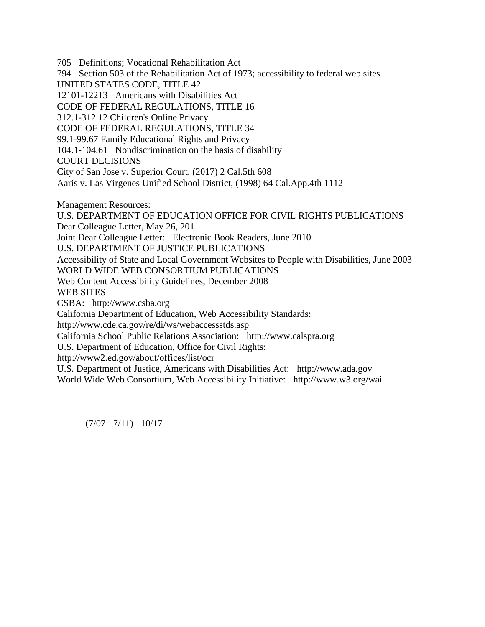705 Definitions; Vocational Rehabilitation Act 794 Section 503 of the Rehabilitation Act of 1973; accessibility to federal web sites UNITED STATES CODE, TITLE 42 12101-12213 Americans with Disabilities Act CODE OF FEDERAL REGULATIONS, TITLE 16 312.1-312.12 Children's Online Privacy CODE OF FEDERAL REGULATIONS, TITLE 34 99.1-99.67 Family Educational Rights and Privacy 104.1-104.61 Nondiscrimination on the basis of disability COURT DECISIONS City of San Jose v. Superior Court, (2017) 2 Cal.5th 608 Aaris v. Las Virgenes Unified School District, (1998) 64 Cal.App.4th 1112 Management Resources: U.S. DEPARTMENT OF EDUCATION OFFICE FOR CIVIL RIGHTS PUBLICATIONS Dear Colleague Letter, May 26, 2011 Joint Dear Colleague Letter: Electronic Book Readers, June 2010 U.S. DEPARTMENT OF JUSTICE PUBLICATIONS Accessibility of State and Local Government Websites to People with Disabilities, June 2003 WORLD WIDE WEB CONSORTIUM PUBLICATIONS Web Content Accessibility Guidelines, December 2008 WEB SITES CSBA: http://www.csba.org California Department of Education, Web Accessibility Standards: http://www.cde.ca.gov/re/di/ws/webaccessstds.asp California School Public Relations Association: http://www.calspra.org U.S. Department of Education, Office for Civil Rights: http://www2.ed.gov/about/offices/list/ocr U.S. Department of Justice, Americans with Disabilities Act: http://www.ada.gov World Wide Web Consortium, Web Accessibility Initiative: http://www.w3.org/wai

(7/07 7/11) 10/17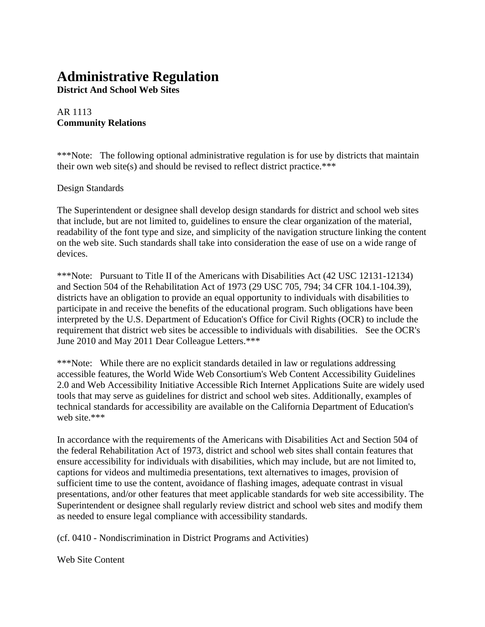## **Administrative Regulation**

**District And School Web Sites**

#### AR 1113 **Community Relations**

\*\*\*Note: The following optional administrative regulation is for use by districts that maintain their own web site(s) and should be revised to reflect district practice.\*\*\*

#### Design Standards

The Superintendent or designee shall develop design standards for district and school web sites that include, but are not limited to, guidelines to ensure the clear organization of the material, readability of the font type and size, and simplicity of the navigation structure linking the content on the web site. Such standards shall take into consideration the ease of use on a wide range of devices.

\*\*\*Note: Pursuant to Title II of the Americans with Disabilities Act (42 USC 12131-12134) and Section 504 of the Rehabilitation Act of 1973 (29 USC 705, 794; 34 CFR 104.1-104.39), districts have an obligation to provide an equal opportunity to individuals with disabilities to participate in and receive the benefits of the educational program. Such obligations have been interpreted by the U.S. Department of Education's Office for Civil Rights (OCR) to include the requirement that district web sites be accessible to individuals with disabilities. See the OCR's June 2010 and May 2011 Dear Colleague Letters.\*\*\*

\*\*\*Note: While there are no explicit standards detailed in law or regulations addressing accessible features, the World Wide Web Consortium's Web Content Accessibility Guidelines 2.0 and Web Accessibility Initiative Accessible Rich Internet Applications Suite are widely used tools that may serve as guidelines for district and school web sites. Additionally, examples of technical standards for accessibility are available on the California Department of Education's web site.\*\*\*

In accordance with the requirements of the Americans with Disabilities Act and Section 504 of the federal Rehabilitation Act of 1973, district and school web sites shall contain features that ensure accessibility for individuals with disabilities, which may include, but are not limited to, captions for videos and multimedia presentations, text alternatives to images, provision of sufficient time to use the content, avoidance of flashing images, adequate contrast in visual presentations, and/or other features that meet applicable standards for web site accessibility. The Superintendent or designee shall regularly review district and school web sites and modify them as needed to ensure legal compliance with accessibility standards.

(cf. 0410 - Nondiscrimination in District Programs and Activities)

Web Site Content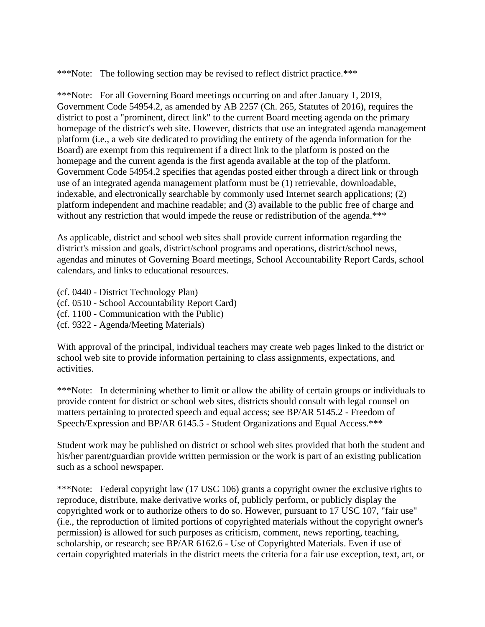\*\*\*Note: The following section may be revised to reflect district practice.\*\*\*

\*\*\*Note: For all Governing Board meetings occurring on and after January 1, 2019, Government Code 54954.2, as amended by AB 2257 (Ch. 265, Statutes of 2016), requires the district to post a "prominent, direct link" to the current Board meeting agenda on the primary homepage of the district's web site. However, districts that use an integrated agenda management platform (i.e., a web site dedicated to providing the entirety of the agenda information for the Board) are exempt from this requirement if a direct link to the platform is posted on the homepage and the current agenda is the first agenda available at the top of the platform. Government Code 54954.2 specifies that agendas posted either through a direct link or through use of an integrated agenda management platform must be (1) retrievable, downloadable, indexable, and electronically searchable by commonly used Internet search applications; (2) platform independent and machine readable; and (3) available to the public free of charge and without any restriction that would impede the reuse or redistribution of the agenda.\*\*\*

As applicable, district and school web sites shall provide current information regarding the district's mission and goals, district/school programs and operations, district/school news, agendas and minutes of Governing Board meetings, School Accountability Report Cards, school calendars, and links to educational resources.

- (cf. 0440 District Technology Plan)
- (cf. 0510 School Accountability Report Card)
- (cf. 1100 Communication with the Public)
- (cf. 9322 Agenda/Meeting Materials)

With approval of the principal, individual teachers may create web pages linked to the district or school web site to provide information pertaining to class assignments, expectations, and activities.

\*\*\*Note: In determining whether to limit or allow the ability of certain groups or individuals to provide content for district or school web sites, districts should consult with legal counsel on matters pertaining to protected speech and equal access; see BP/AR 5145.2 - Freedom of Speech/Expression and BP/AR 6145.5 - Student Organizations and Equal Access.\*\*\*

Student work may be published on district or school web sites provided that both the student and his/her parent/guardian provide written permission or the work is part of an existing publication such as a school newspaper.

\*\*\*Note: Federal copyright law (17 USC 106) grants a copyright owner the exclusive rights to reproduce, distribute, make derivative works of, publicly perform, or publicly display the copyrighted work or to authorize others to do so. However, pursuant to 17 USC 107, "fair use" (i.e., the reproduction of limited portions of copyrighted materials without the copyright owner's permission) is allowed for such purposes as criticism, comment, news reporting, teaching, scholarship, or research; see BP/AR 6162.6 - Use of Copyrighted Materials. Even if use of certain copyrighted materials in the district meets the criteria for a fair use exception, text, art, or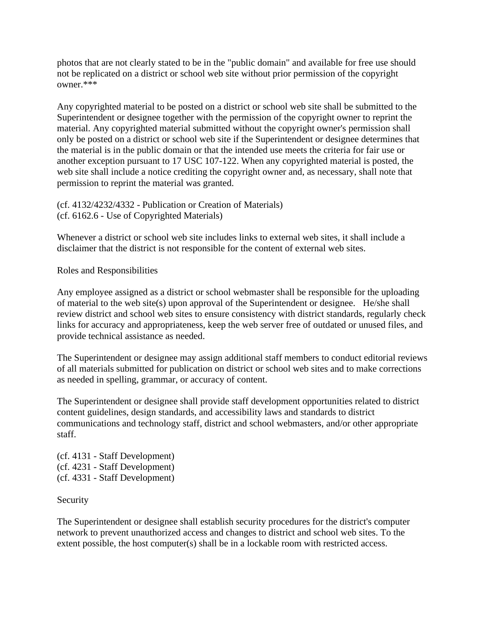photos that are not clearly stated to be in the "public domain" and available for free use should not be replicated on a district or school web site without prior permission of the copyright owner.\*\*\*

Any copyrighted material to be posted on a district or school web site shall be submitted to the Superintendent or designee together with the permission of the copyright owner to reprint the material. Any copyrighted material submitted without the copyright owner's permission shall only be posted on a district or school web site if the Superintendent or designee determines that the material is in the public domain or that the intended use meets the criteria for fair use or another exception pursuant to 17 USC 107-122. When any copyrighted material is posted, the web site shall include a notice crediting the copyright owner and, as necessary, shall note that permission to reprint the material was granted.

(cf. 4132/4232/4332 - Publication or Creation of Materials) (cf. 6162.6 - Use of Copyrighted Materials)

Whenever a district or school web site includes links to external web sites, it shall include a disclaimer that the district is not responsible for the content of external web sites.

Roles and Responsibilities

Any employee assigned as a district or school webmaster shall be responsible for the uploading of material to the web site(s) upon approval of the Superintendent or designee. He/she shall review district and school web sites to ensure consistency with district standards, regularly check links for accuracy and appropriateness, keep the web server free of outdated or unused files, and provide technical assistance as needed.

The Superintendent or designee may assign additional staff members to conduct editorial reviews of all materials submitted for publication on district or school web sites and to make corrections as needed in spelling, grammar, or accuracy of content.

The Superintendent or designee shall provide staff development opportunities related to district content guidelines, design standards, and accessibility laws and standards to district communications and technology staff, district and school webmasters, and/or other appropriate staff.

(cf. 4131 - Staff Development) (cf. 4231 - Staff Development) (cf. 4331 - Staff Development)

#### Security

The Superintendent or designee shall establish security procedures for the district's computer network to prevent unauthorized access and changes to district and school web sites. To the extent possible, the host computer(s) shall be in a lockable room with restricted access.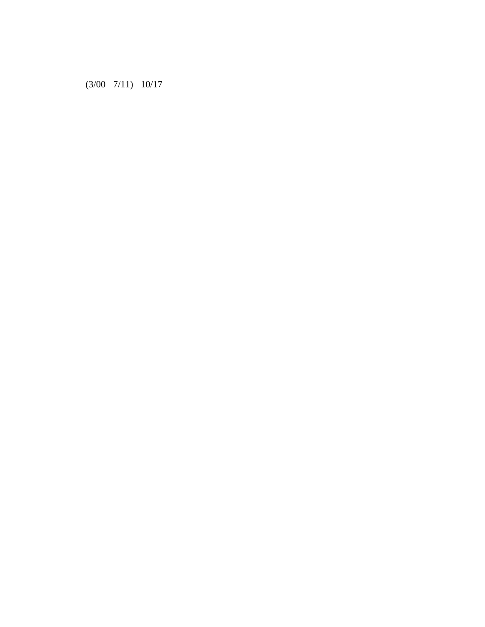(3/00 7/11) 10/17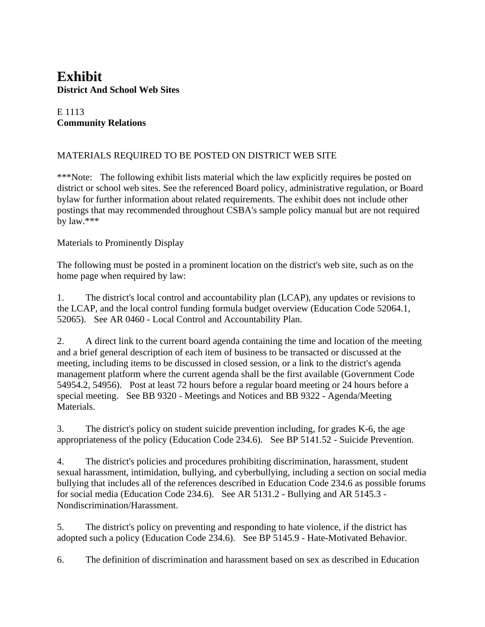## **Exhibit District And School Web Sites**

#### E 1113 **Community Relations**

#### MATERIALS REQUIRED TO BE POSTED ON DISTRICT WEB SITE

\*\*\*Note: The following exhibit lists material which the law explicitly requires be posted on district or school web sites. See the referenced Board policy, administrative regulation, or Board bylaw for further information about related requirements. The exhibit does not include other postings that may recommended throughout CSBA's sample policy manual but are not required by law.\*\*\*

#### Materials to Prominently Display

The following must be posted in a prominent location on the district's web site, such as on the home page when required by law:

1. The district's local control and accountability plan (LCAP), any updates or revisions to the LCAP, and the local control funding formula budget overview (Education Code 52064.1, 52065). See AR 0460 - Local Control and Accountability Plan.

2. A direct link to the current board agenda containing the time and location of the meeting and a brief general description of each item of business to be transacted or discussed at the meeting, including items to be discussed in closed session, or a link to the district's agenda management platform where the current agenda shall be the first available (Government Code 54954.2, 54956). Post at least 72 hours before a regular board meeting or 24 hours before a special meeting. See BB 9320 - Meetings and Notices and BB 9322 - Agenda/Meeting Materials.

3. The district's policy on student suicide prevention including, for grades K-6, the age appropriateness of the policy (Education Code 234.6). See BP 5141.52 - Suicide Prevention.

4. The district's policies and procedures prohibiting discrimination, harassment, student sexual harassment, intimidation, bullying, and cyberbullying, including a section on social media bullying that includes all of the references described in Education Code 234.6 as possible forums for social media (Education Code 234.6). See AR 5131.2 - Bullying and AR 5145.3 - Nondiscrimination/Harassment.

5. The district's policy on preventing and responding to hate violence, if the district has adopted such a policy (Education Code 234.6). See BP 5145.9 - Hate-Motivated Behavior.

6. The definition of discrimination and harassment based on sex as described in Education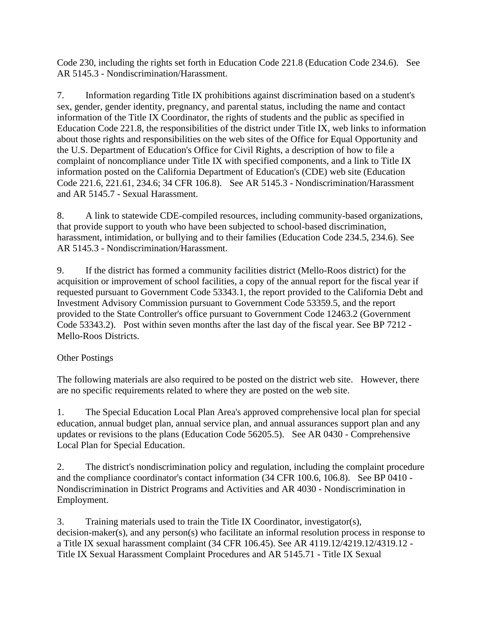Code 230, including the rights set forth in Education Code 221.8 (Education Code 234.6). See AR 5145.3 - Nondiscrimination/Harassment.

7. Information regarding Title IX prohibitions against discrimination based on a student's sex, gender, gender identity, pregnancy, and parental status, including the name and contact information of the Title IX Coordinator, the rights of students and the public as specified in Education Code 221.8, the responsibilities of the district under Title IX, web links to information about those rights and responsibilities on the web sites of the Office for Equal Opportunity and the U.S. Department of Education's Office for Civil Rights, a description of how to file a complaint of noncompliance under Title IX with specified components, and a link to Title IX information posted on the California Department of Education's (CDE) web site (Education Code 221.6, 221.61, 234.6; 34 CFR 106.8). See AR 5145.3 - Nondiscrimination/Harassment and AR 5145.7 - Sexual Harassment.

8. A link to statewide CDE-compiled resources, including community-based organizations, that provide support to youth who have been subjected to school-based discrimination, harassment, intimidation, or bullying and to their families (Education Code 234.5, 234.6). See AR 5145.3 - Nondiscrimination/Harassment.

9. If the district has formed a community facilities district (Mello-Roos district) for the acquisition or improvement of school facilities, a copy of the annual report for the fiscal year if requested pursuant to Government Code 53343.1, the report provided to the California Debt and Investment Advisory Commission pursuant to Government Code 53359.5, and the report provided to the State Controller's office pursuant to Government Code 12463.2 (Government Code 53343.2). Post within seven months after the last day of the fiscal year. See BP 7212 - Mello-Roos Districts.

#### Other Postings

The following materials are also required to be posted on the district web site. However, there are no specific requirements related to where they are posted on the web site.

1. The Special Education Local Plan Area's approved comprehensive local plan for special education, annual budget plan, annual service plan, and annual assurances support plan and any updates or revisions to the plans (Education Code 56205.5). See AR 0430 - Comprehensive Local Plan for Special Education.

2. The district's nondiscrimination policy and regulation, including the complaint procedure and the compliance coordinator's contact information (34 CFR 100.6, 106.8). See BP 0410 - Nondiscrimination in District Programs and Activities and AR 4030 - Nondiscrimination in Employment.

3. Training materials used to train the Title IX Coordinator, investigator(s), decision-maker(s), and any person(s) who facilitate an informal resolution process in response to a Title IX sexual harassment complaint (34 CFR 106.45). See AR 4119.12/4219.12/4319.12 - Title IX Sexual Harassment Complaint Procedures and AR 5145.71 - Title IX Sexual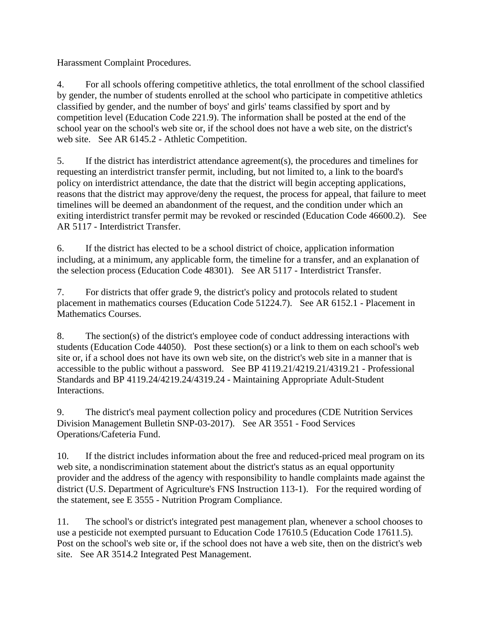Harassment Complaint Procedures.

4. For all schools offering competitive athletics, the total enrollment of the school classified by gender, the number of students enrolled at the school who participate in competitive athletics classified by gender, and the number of boys' and girls' teams classified by sport and by competition level (Education Code 221.9). The information shall be posted at the end of the school year on the school's web site or, if the school does not have a web site, on the district's web site. See AR 6145.2 - Athletic Competition.

5. If the district has interdistrict attendance agreement(s), the procedures and timelines for requesting an interdistrict transfer permit, including, but not limited to, a link to the board's policy on interdistrict attendance, the date that the district will begin accepting applications, reasons that the district may approve/deny the request, the process for appeal, that failure to meet timelines will be deemed an abandonment of the request, and the condition under which an exiting interdistrict transfer permit may be revoked or rescinded (Education Code 46600.2). See AR 5117 - Interdistrict Transfer.

6. If the district has elected to be a school district of choice, application information including, at a minimum, any applicable form, the timeline for a transfer, and an explanation of the selection process (Education Code 48301). See AR 5117 - Interdistrict Transfer.

7. For districts that offer grade 9, the district's policy and protocols related to student placement in mathematics courses (Education Code 51224.7). See AR 6152.1 - Placement in Mathematics Courses.

8. The section(s) of the district's employee code of conduct addressing interactions with students (Education Code 44050). Post these section(s) or a link to them on each school's web site or, if a school does not have its own web site, on the district's web site in a manner that is accessible to the public without a password. See BP 4119.21/4219.21/4319.21 - Professional Standards and BP 4119.24/4219.24/4319.24 - Maintaining Appropriate Adult-Student Interactions.

9. The district's meal payment collection policy and procedures (CDE Nutrition Services Division Management Bulletin SNP-03-2017). See AR 3551 - Food Services Operations/Cafeteria Fund.

10. If the district includes information about the free and reduced-priced meal program on its web site, a nondiscrimination statement about the district's status as an equal opportunity provider and the address of the agency with responsibility to handle complaints made against the district (U.S. Department of Agriculture's FNS Instruction 113-1). For the required wording of the statement, see E 3555 - Nutrition Program Compliance.

11. The school's or district's integrated pest management plan, whenever a school chooses to use a pesticide not exempted pursuant to Education Code 17610.5 (Education Code 17611.5). Post on the school's web site or, if the school does not have a web site, then on the district's web site. See AR 3514.2 Integrated Pest Management.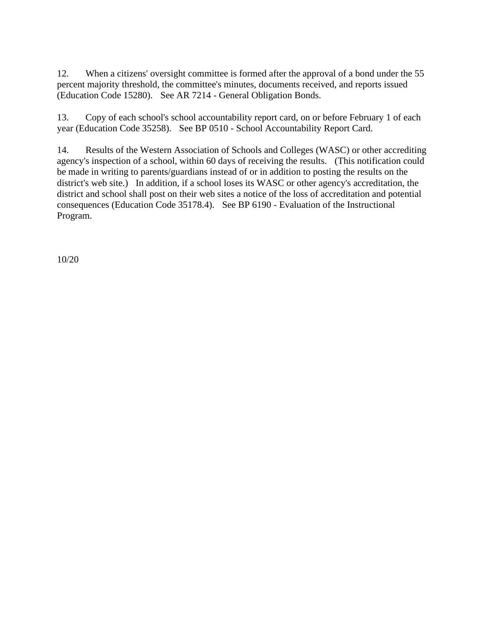12. When a citizens' oversight committee is formed after the approval of a bond under the 55 percent majority threshold, the committee's minutes, documents received, and reports issued (Education Code 15280). See AR 7214 - General Obligation Bonds.

13. Copy of each school's school accountability report card, on or before February 1 of each year (Education Code 35258). See BP 0510 - School Accountability Report Card.

14. Results of the Western Association of Schools and Colleges (WASC) or other accrediting agency's inspection of a school, within 60 days of receiving the results. (This notification could be made in writing to parents/guardians instead of or in addition to posting the results on the district's web site.) In addition, if a school loses its WASC or other agency's accreditation, the district and school shall post on their web sites a notice of the loss of accreditation and potential consequences (Education Code 35178.4). See BP 6190 - Evaluation of the Instructional Program.

10/20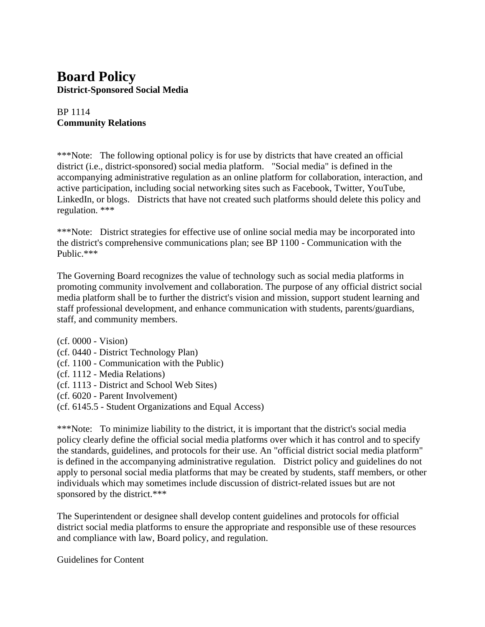## **Board Policy District-Sponsored Social Media**

#### BP 1114 **Community Relations**

\*\*\*Note: The following optional policy is for use by districts that have created an official district (i.e., district-sponsored) social media platform. "Social media" is defined in the accompanying administrative regulation as an online platform for collaboration, interaction, and active participation, including social networking sites such as Facebook, Twitter, YouTube, LinkedIn, or blogs. Districts that have not created such platforms should delete this policy and regulation. \*\*\*

\*\*\*Note: District strategies for effective use of online social media may be incorporated into the district's comprehensive communications plan; see BP 1100 - Communication with the Public.\*\*\*

The Governing Board recognizes the value of technology such as social media platforms in promoting community involvement and collaboration. The purpose of any official district social media platform shall be to further the district's vision and mission, support student learning and staff professional development, and enhance communication with students, parents/guardians, staff, and community members.

(cf. 0000 - Vision)

- (cf. 0440 District Technology Plan)
- (cf. 1100 Communication with the Public)
- (cf. 1112 Media Relations)
- (cf. 1113 District and School Web Sites)
- (cf. 6020 Parent Involvement)
- (cf. 6145.5 Student Organizations and Equal Access)

\*\*\*Note: To minimize liability to the district, it is important that the district's social media policy clearly define the official social media platforms over which it has control and to specify the standards, guidelines, and protocols for their use. An "official district social media platform" is defined in the accompanying administrative regulation. District policy and guidelines do not apply to personal social media platforms that may be created by students, staff members, or other individuals which may sometimes include discussion of district-related issues but are not sponsored by the district.\*\*\*

The Superintendent or designee shall develop content guidelines and protocols for official district social media platforms to ensure the appropriate and responsible use of these resources and compliance with law, Board policy, and regulation.

Guidelines for Content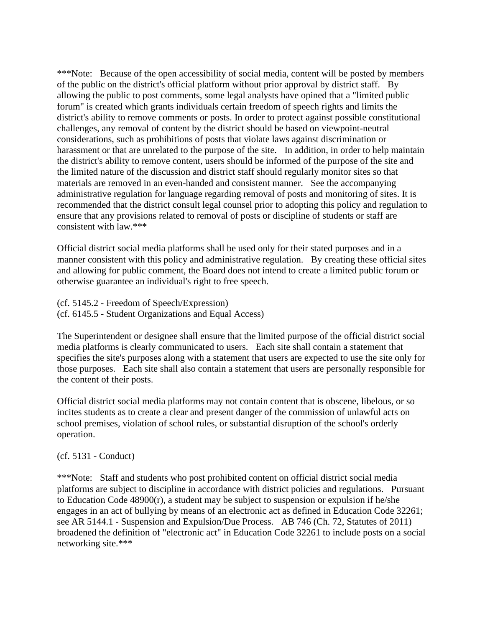\*\*\*Note: Because of the open accessibility of social media, content will be posted by members of the public on the district's official platform without prior approval by district staff. By allowing the public to post comments, some legal analysts have opined that a "limited public forum" is created which grants individuals certain freedom of speech rights and limits the district's ability to remove comments or posts. In order to protect against possible constitutional challenges, any removal of content by the district should be based on viewpoint-neutral considerations, such as prohibitions of posts that violate laws against discrimination or harassment or that are unrelated to the purpose of the site. In addition, in order to help maintain the district's ability to remove content, users should be informed of the purpose of the site and the limited nature of the discussion and district staff should regularly monitor sites so that materials are removed in an even-handed and consistent manner. See the accompanying administrative regulation for language regarding removal of posts and monitoring of sites. It is recommended that the district consult legal counsel prior to adopting this policy and regulation to ensure that any provisions related to removal of posts or discipline of students or staff are consistent with law.\*\*\*

Official district social media platforms shall be used only for their stated purposes and in a manner consistent with this policy and administrative regulation. By creating these official sites and allowing for public comment, the Board does not intend to create a limited public forum or otherwise guarantee an individual's right to free speech.

(cf. 5145.2 - Freedom of Speech/Expression) (cf. 6145.5 - Student Organizations and Equal Access)

The Superintendent or designee shall ensure that the limited purpose of the official district social media platforms is clearly communicated to users. Each site shall contain a statement that specifies the site's purposes along with a statement that users are expected to use the site only for those purposes. Each site shall also contain a statement that users are personally responsible for the content of their posts.

Official district social media platforms may not contain content that is obscene, libelous, or so incites students as to create a clear and present danger of the commission of unlawful acts on school premises, violation of school rules, or substantial disruption of the school's orderly operation.

#### (cf. 5131 - Conduct)

\*\*\*Note: Staff and students who post prohibited content on official district social media platforms are subject to discipline in accordance with district policies and regulations. Pursuant to Education Code 48900(r), a student may be subject to suspension or expulsion if he/she engages in an act of bullying by means of an electronic act as defined in Education Code 32261; see AR 5144.1 - Suspension and Expulsion/Due Process. AB 746 (Ch. 72, Statutes of 2011) broadened the definition of "electronic act" in Education Code 32261 to include posts on a social networking site.\*\*\*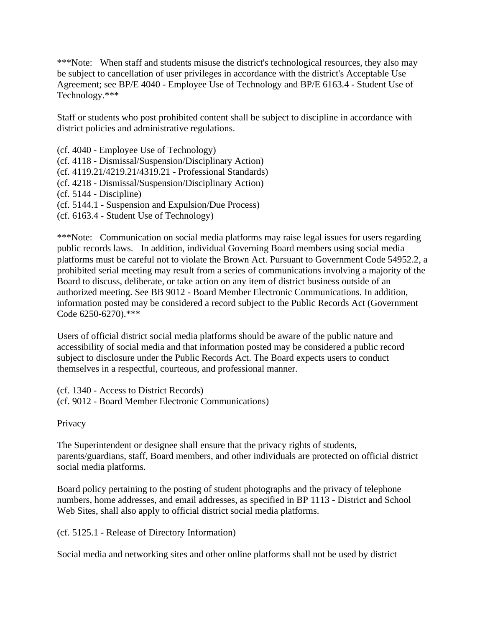\*\*\*Note: When staff and students misuse the district's technological resources, they also may be subject to cancellation of user privileges in accordance with the district's Acceptable Use Agreement; see BP/E 4040 - Employee Use of Technology and BP/E 6163.4 - Student Use of Technology.\*\*\*

Staff or students who post prohibited content shall be subject to discipline in accordance with district policies and administrative regulations.

(cf. 4040 - Employee Use of Technology) (cf. 4118 - Dismissal/Suspension/Disciplinary Action) (cf. 4119.21/4219.21/4319.21 - Professional Standards) (cf. 4218 - Dismissal/Suspension/Disciplinary Action) (cf. 5144 - Discipline) (cf. 5144.1 - Suspension and Expulsion/Due Process)

(cf. 6163.4 - Student Use of Technology)

\*\*\*Note: Communication on social media platforms may raise legal issues for users regarding public records laws. In addition, individual Governing Board members using social media platforms must be careful not to violate the Brown Act. Pursuant to Government Code 54952.2, a prohibited serial meeting may result from a series of communications involving a majority of the Board to discuss, deliberate, or take action on any item of district business outside of an authorized meeting. See BB 9012 - Board Member Electronic Communications. In addition, information posted may be considered a record subject to the Public Records Act (Government Code 6250-6270).\*\*\*

Users of official district social media platforms should be aware of the public nature and accessibility of social media and that information posted may be considered a public record subject to disclosure under the Public Records Act. The Board expects users to conduct themselves in a respectful, courteous, and professional manner.

(cf. 1340 - Access to District Records) (cf. 9012 - Board Member Electronic Communications)

**Privacy** 

The Superintendent or designee shall ensure that the privacy rights of students, parents/guardians, staff, Board members, and other individuals are protected on official district social media platforms.

Board policy pertaining to the posting of student photographs and the privacy of telephone numbers, home addresses, and email addresses, as specified in BP 1113 - District and School Web Sites, shall also apply to official district social media platforms.

(cf. 5125.1 - Release of Directory Information)

Social media and networking sites and other online platforms shall not be used by district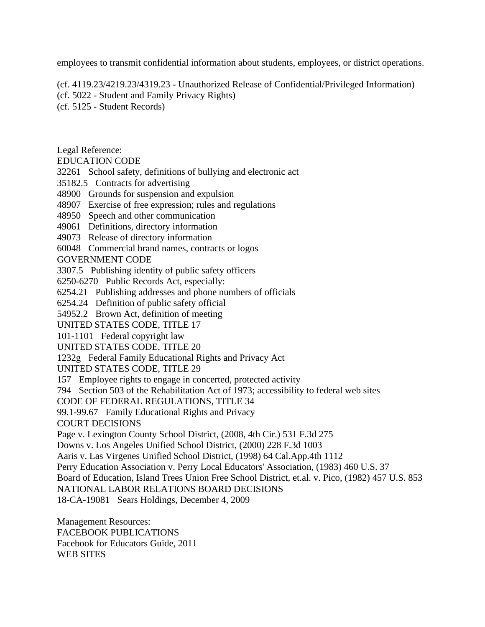employees to transmit confidential information about students, employees, or district operations.

(cf. 4119.23/4219.23/4319.23 - Unauthorized Release of Confidential/Privileged Information)

(cf. 5022 - Student and Family Privacy Rights)

(cf. 5125 - Student Records)

Legal Reference:

EDUCATION CODE

32261 School safety, definitions of bullying and electronic act

35182.5 Contracts for advertising

48900 Grounds for suspension and expulsion

48907 Exercise of free expression; rules and regulations

48950 Speech and other communication

49061 Definitions, directory information

49073 Release of directory information

60048 Commercial brand names, contracts or logos

GOVERNMENT CODE

3307.5 Publishing identity of public safety officers

6250-6270 Public Records Act, especially:

6254.21 Publishing addresses and phone numbers of officials

6254.24 Definition of public safety official

54952.2 Brown Act, definition of meeting

UNITED STATES CODE, TITLE 17

101-1101 Federal copyright law

UNITED STATES CODE, TITLE 20

1232g Federal Family Educational Rights and Privacy Act

UNITED STATES CODE, TITLE 29

157 Employee rights to engage in concerted, protected activity

794 Section 503 of the Rehabilitation Act of 1973; accessibility to federal web sites

CODE OF FEDERAL REGULATIONS, TITLE 34

99.1-99.67 Family Educational Rights and Privacy

COURT DECISIONS

Page v. Lexington County School District, (2008, 4th Cir.) 531 F.3d 275

Downs v. Los Angeles Unified School District, (2000) 228 F.3d 1003

Aaris v. Las Virgenes Unified School District, (1998) 64 Cal.App.4th 1112

Perry Education Association v. Perry Local Educators' Association, (1983) 460 U.S. 37

Board of Education, Island Trees Union Free School District, et.al. v. Pico, (1982) 457 U.S. 853

NATIONAL LABOR RELATIONS BOARD DECISIONS

18-CA-19081 Sears Holdings, December 4, 2009

Management Resources: FACEBOOK PUBLICATIONS Facebook for Educators Guide, 2011 WEB SITES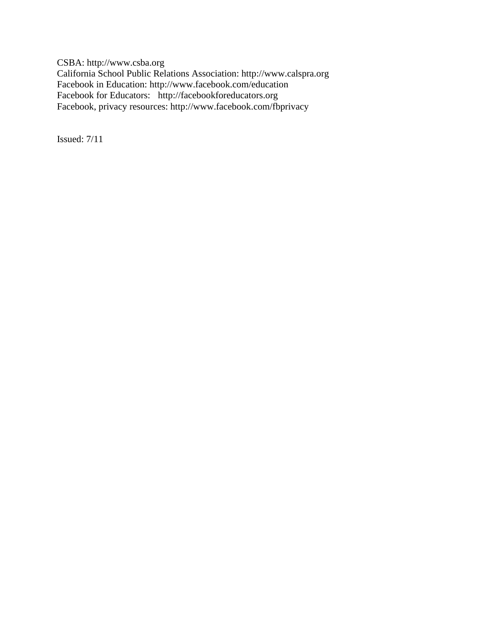CSBA: http://www.csba.org California School Public Relations Association: http://www.calspra.org Facebook in Education: http://www.facebook.com/education Facebook for Educators: http://facebookforeducators.org Facebook, privacy resources: http://www.facebook.com/fbprivacy

Issued: 7/11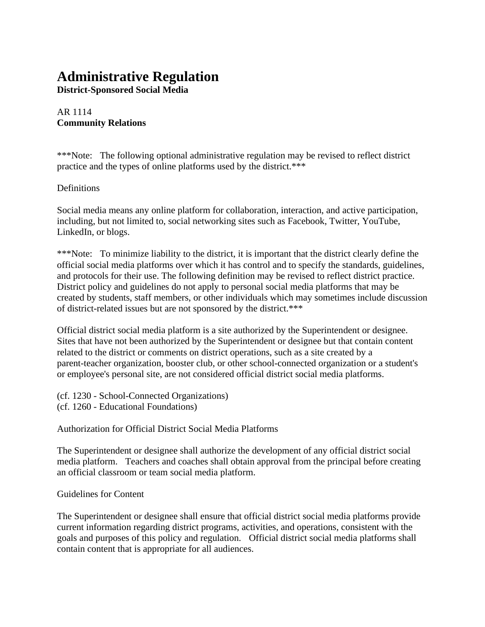# **Administrative Regulation**

**District-Sponsored Social Media**

#### AR 1114 **Community Relations**

\*\*\*Note: The following optional administrative regulation may be revised to reflect district practice and the types of online platforms used by the district.\*\*\*

#### **Definitions**

Social media means any online platform for collaboration, interaction, and active participation, including, but not limited to, social networking sites such as Facebook, Twitter, YouTube, LinkedIn, or blogs.

\*\*\*Note: To minimize liability to the district, it is important that the district clearly define the official social media platforms over which it has control and to specify the standards, guidelines, and protocols for their use. The following definition may be revised to reflect district practice. District policy and guidelines do not apply to personal social media platforms that may be created by students, staff members, or other individuals which may sometimes include discussion of district-related issues but are not sponsored by the district.\*\*\*

Official district social media platform is a site authorized by the Superintendent or designee. Sites that have not been authorized by the Superintendent or designee but that contain content related to the district or comments on district operations, such as a site created by a parent-teacher organization, booster club, or other school-connected organization or a student's or employee's personal site, are not considered official district social media platforms.

(cf. 1230 - School-Connected Organizations)

(cf. 1260 - Educational Foundations)

Authorization for Official District Social Media Platforms

The Superintendent or designee shall authorize the development of any official district social media platform. Teachers and coaches shall obtain approval from the principal before creating an official classroom or team social media platform.

#### Guidelines for Content

The Superintendent or designee shall ensure that official district social media platforms provide current information regarding district programs, activities, and operations, consistent with the goals and purposes of this policy and regulation. Official district social media platforms shall contain content that is appropriate for all audiences.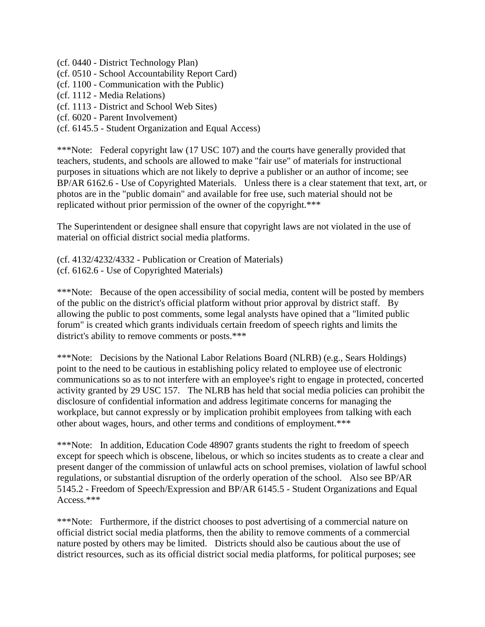(cf. 0440 - District Technology Plan)

- (cf. 0510 School Accountability Report Card)
- (cf. 1100 Communication with the Public)
- (cf. 1112 Media Relations)
- (cf. 1113 District and School Web Sites)
- (cf. 6020 Parent Involvement)
- (cf. 6145.5 Student Organization and Equal Access)

\*\*\*Note: Federal copyright law (17 USC 107) and the courts have generally provided that teachers, students, and schools are allowed to make "fair use" of materials for instructional purposes in situations which are not likely to deprive a publisher or an author of income; see BP/AR 6162.6 - Use of Copyrighted Materials. Unless there is a clear statement that text, art, or photos are in the "public domain" and available for free use, such material should not be replicated without prior permission of the owner of the copyright.\*\*\*

The Superintendent or designee shall ensure that copyright laws are not violated in the use of material on official district social media platforms.

(cf. 4132/4232/4332 - Publication or Creation of Materials) (cf. 6162.6 - Use of Copyrighted Materials)

\*\*\*Note: Because of the open accessibility of social media, content will be posted by members of the public on the district's official platform without prior approval by district staff. By allowing the public to post comments, some legal analysts have opined that a "limited public forum" is created which grants individuals certain freedom of speech rights and limits the district's ability to remove comments or posts.\*\*\*

\*\*\*Note: Decisions by the National Labor Relations Board (NLRB) (e.g., Sears Holdings) point to the need to be cautious in establishing policy related to employee use of electronic communications so as to not interfere with an employee's right to engage in protected, concerted activity granted by 29 USC 157. The NLRB has held that social media policies can prohibit the disclosure of confidential information and address legitimate concerns for managing the workplace, but cannot expressly or by implication prohibit employees from talking with each other about wages, hours, and other terms and conditions of employment.\*\*\*

\*\*\*Note: In addition, Education Code 48907 grants students the right to freedom of speech except for speech which is obscene, libelous, or which so incites students as to create a clear and present danger of the commission of unlawful acts on school premises, violation of lawful school regulations, or substantial disruption of the orderly operation of the school. Also see BP/AR 5145.2 - Freedom of Speech/Expression and BP/AR 6145.5 - Student Organizations and Equal Access.\*\*\*

\*\*\*Note: Furthermore, if the district chooses to post advertising of a commercial nature on official district social media platforms, then the ability to remove comments of a commercial nature posted by others may be limited. Districts should also be cautious about the use of district resources, such as its official district social media platforms, for political purposes; see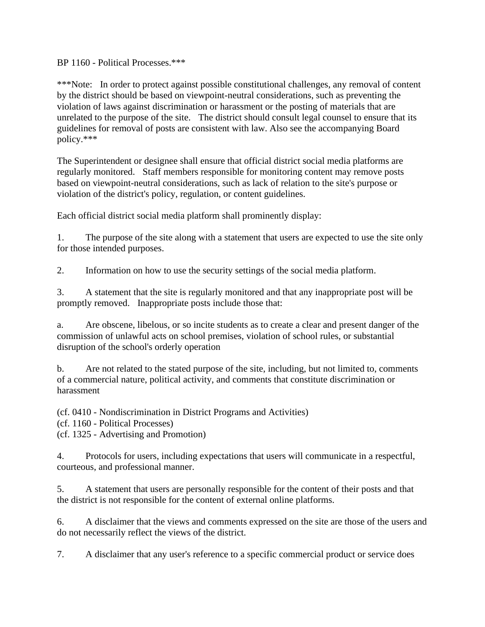BP 1160 - Political Processes.\*\*\*

\*\*\*Note: In order to protect against possible constitutional challenges, any removal of content by the district should be based on viewpoint-neutral considerations, such as preventing the violation of laws against discrimination or harassment or the posting of materials that are unrelated to the purpose of the site. The district should consult legal counsel to ensure that its guidelines for removal of posts are consistent with law. Also see the accompanying Board policy.\*\*\*

The Superintendent or designee shall ensure that official district social media platforms are regularly monitored. Staff members responsible for monitoring content may remove posts based on viewpoint-neutral considerations, such as lack of relation to the site's purpose or violation of the district's policy, regulation, or content guidelines.

Each official district social media platform shall prominently display:

1. The purpose of the site along with a statement that users are expected to use the site only for those intended purposes.

2. Information on how to use the security settings of the social media platform.

3. A statement that the site is regularly monitored and that any inappropriate post will be promptly removed. Inappropriate posts include those that:

a. Are obscene, libelous, or so incite students as to create a clear and present danger of the commission of unlawful acts on school premises, violation of school rules, or substantial disruption of the school's orderly operation

b. Are not related to the stated purpose of the site, including, but not limited to, comments of a commercial nature, political activity, and comments that constitute discrimination or harassment

(cf. 0410 - Nondiscrimination in District Programs and Activities)

(cf. 1160 - Political Processes)

(cf. 1325 - Advertising and Promotion)

4. Protocols for users, including expectations that users will communicate in a respectful, courteous, and professional manner.

5. A statement that users are personally responsible for the content of their posts and that the district is not responsible for the content of external online platforms.

6. A disclaimer that the views and comments expressed on the site are those of the users and do not necessarily reflect the views of the district.

7. A disclaimer that any user's reference to a specific commercial product or service does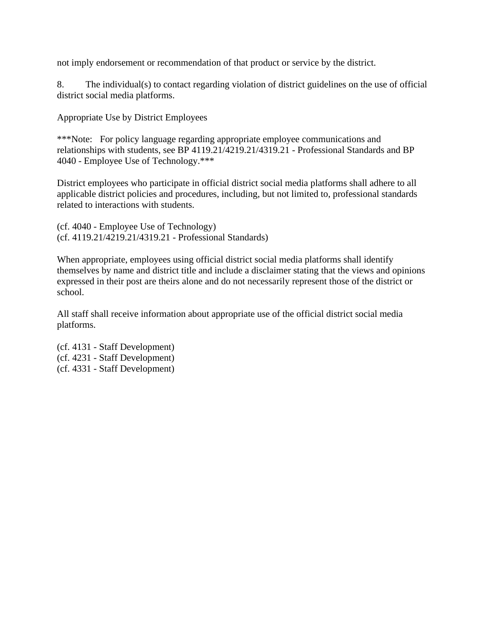not imply endorsement or recommendation of that product or service by the district.

8. The individual(s) to contact regarding violation of district guidelines on the use of official district social media platforms.

Appropriate Use by District Employees

\*\*\*Note: For policy language regarding appropriate employee communications and relationships with students, see BP 4119.21/4219.21/4319.21 - Professional Standards and BP 4040 - Employee Use of Technology.\*\*\*

District employees who participate in official district social media platforms shall adhere to all applicable district policies and procedures, including, but not limited to, professional standards related to interactions with students.

(cf. 4040 - Employee Use of Technology) (cf. 4119.21/4219.21/4319.21 - Professional Standards)

When appropriate, employees using official district social media platforms shall identify themselves by name and district title and include a disclaimer stating that the views and opinions expressed in their post are theirs alone and do not necessarily represent those of the district or school.

All staff shall receive information about appropriate use of the official district social media platforms.

(cf. 4131 - Staff Development) (cf. 4231 - Staff Development) (cf. 4331 - Staff Development)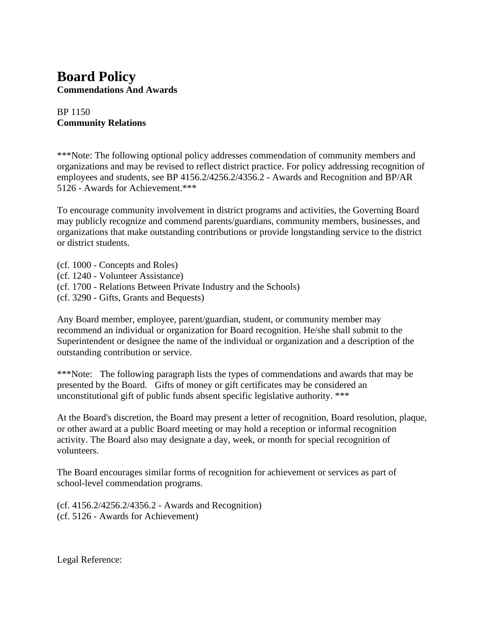## **Board Policy Commendations And Awards**

#### BP 1150 **Community Relations**

\*\*\*Note: The following optional policy addresses commendation of community members and organizations and may be revised to reflect district practice. For policy addressing recognition of employees and students, see BP 4156.2/4256.2/4356.2 - Awards and Recognition and BP/AR 5126 - Awards for Achievement.\*\*\*

To encourage community involvement in district programs and activities, the Governing Board may publicly recognize and commend parents/guardians, community members, businesses, and organizations that make outstanding contributions or provide longstanding service to the district or district students.

- (cf. 1000 Concepts and Roles)
- (cf. 1240 Volunteer Assistance)
- (cf. 1700 Relations Between Private Industry and the Schools)
- (cf. 3290 Gifts, Grants and Bequests)

Any Board member, employee, parent/guardian, student, or community member may recommend an individual or organization for Board recognition. He/she shall submit to the Superintendent or designee the name of the individual or organization and a description of the outstanding contribution or service.

\*\*\*Note: The following paragraph lists the types of commendations and awards that may be presented by the Board. Gifts of money or gift certificates may be considered an unconstitutional gift of public funds absent specific legislative authority. \*\*\*

At the Board's discretion, the Board may present a letter of recognition, Board resolution, plaque, or other award at a public Board meeting or may hold a reception or informal recognition activity. The Board also may designate a day, week, or month for special recognition of volunteers.

The Board encourages similar forms of recognition for achievement or services as part of school-level commendation programs.

(cf. 4156.2/4256.2/4356.2 - Awards and Recognition) (cf. 5126 - Awards for Achievement)

Legal Reference: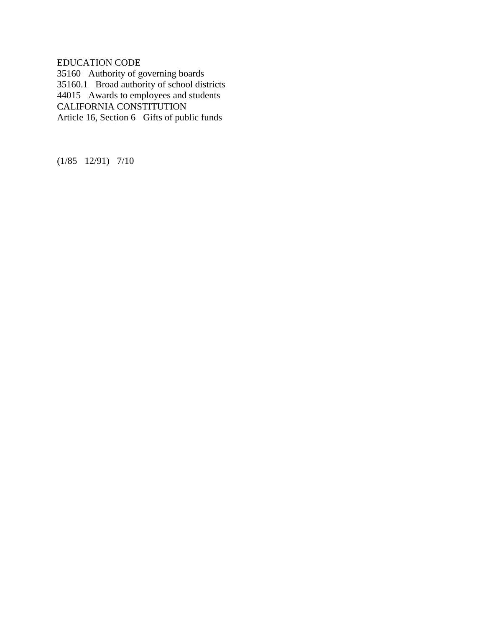EDUCATION CODE

35160 Authority of governing boards 35160.1 Broad authority of school districts 44015 Awards to employees and students CALIFORNIA CONSTITUTION Article 16, Section 6 Gifts of public funds

(1/85 12/91) 7/10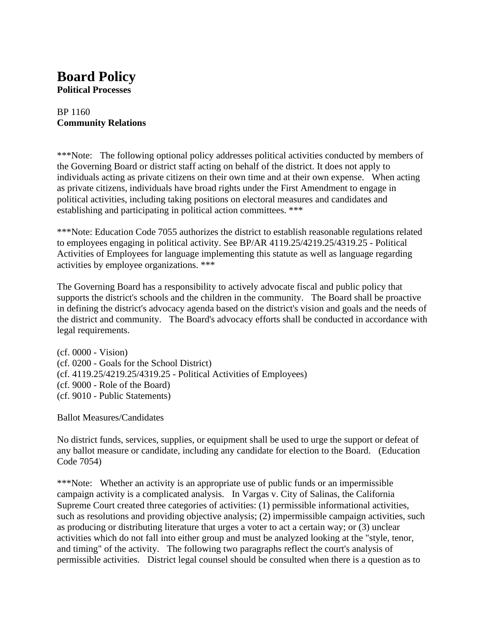# **Board Policy**

**Political Processes**

#### BP 1160 **Community Relations**

\*\*\*Note: The following optional policy addresses political activities conducted by members of the Governing Board or district staff acting on behalf of the district. It does not apply to individuals acting as private citizens on their own time and at their own expense. When acting as private citizens, individuals have broad rights under the First Amendment to engage in political activities, including taking positions on electoral measures and candidates and establishing and participating in political action committees. \*\*\*

\*\*\*Note: Education Code 7055 authorizes the district to establish reasonable regulations related to employees engaging in political activity. See BP/AR 4119.25/4219.25/4319.25 - Political Activities of Employees for language implementing this statute as well as language regarding activities by employee organizations. \*\*\*

The Governing Board has a responsibility to actively advocate fiscal and public policy that supports the district's schools and the children in the community. The Board shall be proactive in defining the district's advocacy agenda based on the district's vision and goals and the needs of the district and community. The Board's advocacy efforts shall be conducted in accordance with legal requirements.

(cf. 0000 - Vision) (cf. 0200 - Goals for the School District) (cf. 4119.25/4219.25/4319.25 - Political Activities of Employees) (cf. 9000 - Role of the Board) (cf. 9010 - Public Statements)

Ballot Measures/Candidates

No district funds, services, supplies, or equipment shall be used to urge the support or defeat of any ballot measure or candidate, including any candidate for election to the Board. (Education Code 7054)

\*\*\*Note: Whether an activity is an appropriate use of public funds or an impermissible campaign activity is a complicated analysis. In Vargas v. City of Salinas, the California Supreme Court created three categories of activities: (1) permissible informational activities, such as resolutions and providing objective analysis; (2) impermissible campaign activities, such as producing or distributing literature that urges a voter to act a certain way; or (3) unclear activities which do not fall into either group and must be analyzed looking at the "style, tenor, and timing" of the activity. The following two paragraphs reflect the court's analysis of permissible activities. District legal counsel should be consulted when there is a question as to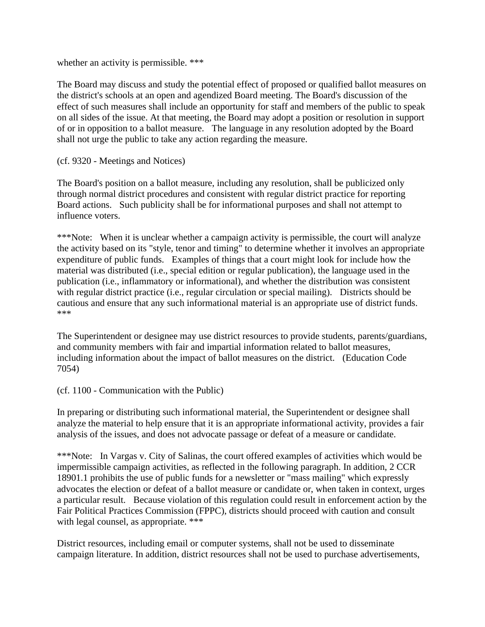whether an activity is permissible. \*\*\*

The Board may discuss and study the potential effect of proposed or qualified ballot measures on the district's schools at an open and agendized Board meeting. The Board's discussion of the effect of such measures shall include an opportunity for staff and members of the public to speak on all sides of the issue. At that meeting, the Board may adopt a position or resolution in support of or in opposition to a ballot measure. The language in any resolution adopted by the Board shall not urge the public to take any action regarding the measure.

(cf. 9320 - Meetings and Notices)

The Board's position on a ballot measure, including any resolution, shall be publicized only through normal district procedures and consistent with regular district practice for reporting Board actions. Such publicity shall be for informational purposes and shall not attempt to influence voters.

\*\*\*Note: When it is unclear whether a campaign activity is permissible, the court will analyze the activity based on its "style, tenor and timing" to determine whether it involves an appropriate expenditure of public funds. Examples of things that a court might look for include how the material was distributed (i.e., special edition or regular publication), the language used in the publication (i.e., inflammatory or informational), and whether the distribution was consistent with regular district practice (i.e., regular circulation or special mailing). Districts should be cautious and ensure that any such informational material is an appropriate use of district funds. \*\*\*

The Superintendent or designee may use district resources to provide students, parents/guardians, and community members with fair and impartial information related to ballot measures, including information about the impact of ballot measures on the district. (Education Code 7054)

(cf. 1100 - Communication with the Public)

In preparing or distributing such informational material, the Superintendent or designee shall analyze the material to help ensure that it is an appropriate informational activity, provides a fair analysis of the issues, and does not advocate passage or defeat of a measure or candidate.

\*\*\*Note: In Vargas v. City of Salinas, the court offered examples of activities which would be impermissible campaign activities, as reflected in the following paragraph. In addition, 2 CCR 18901.1 prohibits the use of public funds for a newsletter or "mass mailing" which expressly advocates the election or defeat of a ballot measure or candidate or, when taken in context, urges a particular result. Because violation of this regulation could result in enforcement action by the Fair Political Practices Commission (FPPC), districts should proceed with caution and consult with legal counsel, as appropriate. \*\*\*

District resources, including email or computer systems, shall not be used to disseminate campaign literature. In addition, district resources shall not be used to purchase advertisements,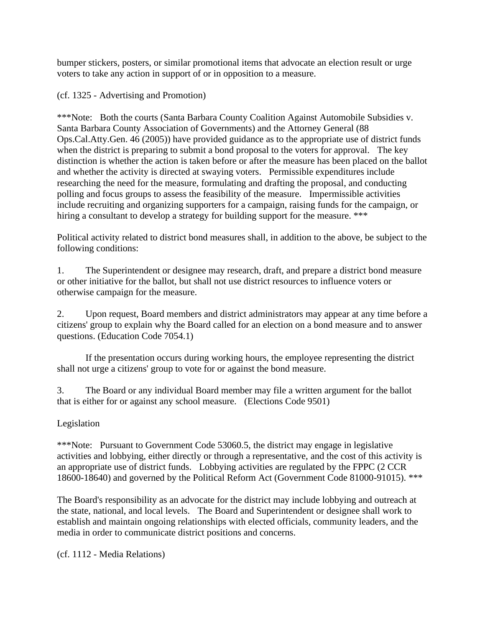bumper stickers, posters, or similar promotional items that advocate an election result or urge voters to take any action in support of or in opposition to a measure.

(cf. 1325 - Advertising and Promotion)

\*\*\*Note: Both the courts (Santa Barbara County Coalition Against Automobile Subsidies v. Santa Barbara County Association of Governments) and the Attorney General (88 Ops.Cal.Atty.Gen. 46 (2005)) have provided guidance as to the appropriate use of district funds when the district is preparing to submit a bond proposal to the voters for approval. The key distinction is whether the action is taken before or after the measure has been placed on the ballot and whether the activity is directed at swaying voters. Permissible expenditures include researching the need for the measure, formulating and drafting the proposal, and conducting polling and focus groups to assess the feasibility of the measure. Impermissible activities include recruiting and organizing supporters for a campaign, raising funds for the campaign, or hiring a consultant to develop a strategy for building support for the measure. \*\*\*

Political activity related to district bond measures shall, in addition to the above, be subject to the following conditions:

1. The Superintendent or designee may research, draft, and prepare a district bond measure or other initiative for the ballot, but shall not use district resources to influence voters or otherwise campaign for the measure.

2. Upon request, Board members and district administrators may appear at any time before a citizens' group to explain why the Board called for an election on a bond measure and to answer questions. (Education Code 7054.1)

If the presentation occurs during working hours, the employee representing the district shall not urge a citizens' group to vote for or against the bond measure.

3. The Board or any individual Board member may file a written argument for the ballot that is either for or against any school measure. (Elections Code 9501)

#### Legislation

\*\*\*Note: Pursuant to Government Code 53060.5, the district may engage in legislative activities and lobbying, either directly or through a representative, and the cost of this activity is an appropriate use of district funds. Lobbying activities are regulated by the FPPC (2 CCR 18600-18640) and governed by the Political Reform Act (Government Code 81000-91015). \*\*\*

The Board's responsibility as an advocate for the district may include lobbying and outreach at the state, national, and local levels. The Board and Superintendent or designee shall work to establish and maintain ongoing relationships with elected officials, community leaders, and the media in order to communicate district positions and concerns.

(cf. 1112 - Media Relations)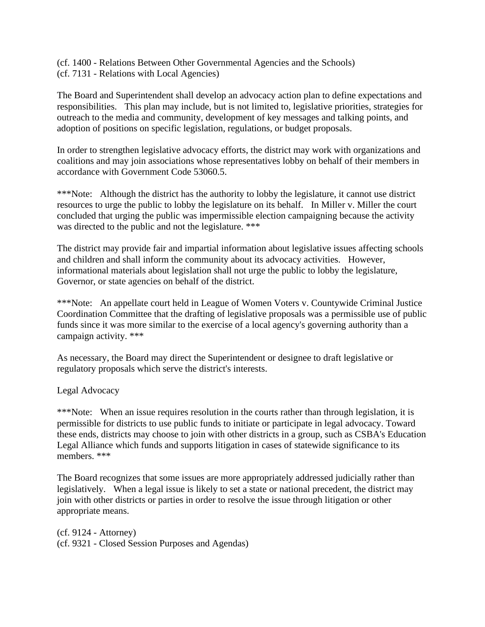(cf. 1400 - Relations Between Other Governmental Agencies and the Schools) (cf. 7131 - Relations with Local Agencies)

The Board and Superintendent shall develop an advocacy action plan to define expectations and responsibilities. This plan may include, but is not limited to, legislative priorities, strategies for outreach to the media and community, development of key messages and talking points, and adoption of positions on specific legislation, regulations, or budget proposals.

In order to strengthen legislative advocacy efforts, the district may work with organizations and coalitions and may join associations whose representatives lobby on behalf of their members in accordance with Government Code 53060.5.

\*\*\*Note: Although the district has the authority to lobby the legislature, it cannot use district resources to urge the public to lobby the legislature on its behalf. In Miller v. Miller the court concluded that urging the public was impermissible election campaigning because the activity was directed to the public and not the legislature. \*\*\*

The district may provide fair and impartial information about legislative issues affecting schools and children and shall inform the community about its advocacy activities. However, informational materials about legislation shall not urge the public to lobby the legislature, Governor, or state agencies on behalf of the district.

\*\*\*Note: An appellate court held in League of Women Voters v. Countywide Criminal Justice Coordination Committee that the drafting of legislative proposals was a permissible use of public funds since it was more similar to the exercise of a local agency's governing authority than a campaign activity. \*\*\*

As necessary, the Board may direct the Superintendent or designee to draft legislative or regulatory proposals which serve the district's interests.

Legal Advocacy

\*\*\*Note: When an issue requires resolution in the courts rather than through legislation, it is permissible for districts to use public funds to initiate or participate in legal advocacy. Toward these ends, districts may choose to join with other districts in a group, such as CSBA's Education Legal Alliance which funds and supports litigation in cases of statewide significance to its members. \*\*\*

The Board recognizes that some issues are more appropriately addressed judicially rather than legislatively. When a legal issue is likely to set a state or national precedent, the district may join with other districts or parties in order to resolve the issue through litigation or other appropriate means.

(cf. 9124 - Attorney) (cf. 9321 - Closed Session Purposes and Agendas)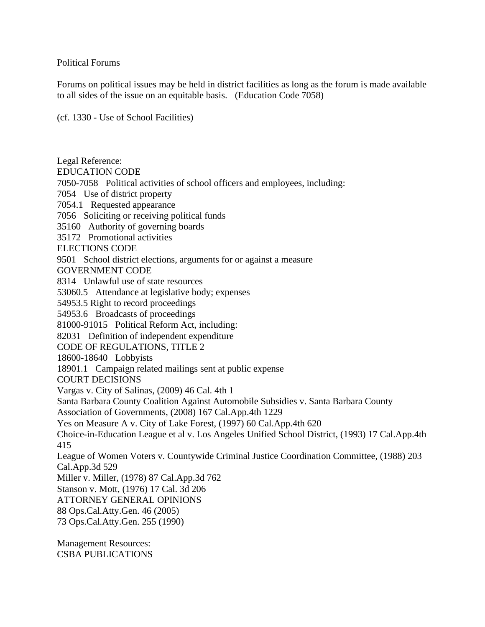#### Political Forums

Forums on political issues may be held in district facilities as long as the forum is made available to all sides of the issue on an equitable basis. (Education Code 7058)

(cf. 1330 - Use of School Facilities)

Legal Reference: EDUCATION CODE 7050-7058 Political activities of school officers and employees, including: 7054 Use of district property 7054.1 Requested appearance 7056 Soliciting or receiving political funds 35160 Authority of governing boards 35172 Promotional activities ELECTIONS CODE 9501 School district elections, arguments for or against a measure GOVERNMENT CODE 8314 Unlawful use of state resources 53060.5 Attendance at legislative body; expenses 54953.5 Right to record proceedings 54953.6 Broadcasts of proceedings 81000-91015 Political Reform Act, including: 82031 Definition of independent expenditure CODE OF REGULATIONS, TITLE 2 18600-18640 Lobbyists 18901.1 Campaign related mailings sent at public expense COURT DECISIONS Vargas v. City of Salinas, (2009) 46 Cal. 4th 1 Santa Barbara County Coalition Against Automobile Subsidies v. Santa Barbara County Association of Governments, (2008) 167 Cal.App.4th 1229 Yes on Measure A v. City of Lake Forest, (1997) 60 Cal.App.4th 620 Choice-in-Education League et al v. Los Angeles Unified School District, (1993) 17 Cal.App.4th 415 League of Women Voters v. Countywide Criminal Justice Coordination Committee, (1988) 203 Cal.App.3d 529 Miller v. Miller, (1978) 87 Cal.App.3d 762 Stanson v. Mott, (1976) 17 Cal. 3d 206 ATTORNEY GENERAL OPINIONS 88 Ops.Cal.Atty.Gen. 46 (2005) 73 Ops.Cal.Atty.Gen. 255 (1990)

Management Resources: CSBA PUBLICATIONS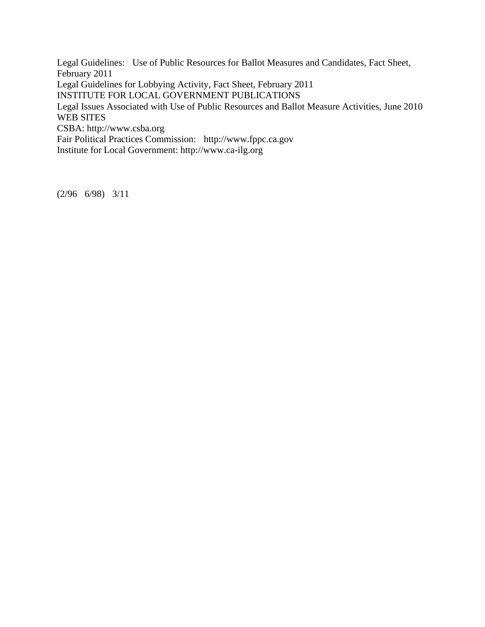Legal Guidelines: Use of Public Resources for Ballot Measures and Candidates, Fact Sheet, February 2011 Legal Guidelines for Lobbying Activity, Fact Sheet, February 2011 INSTITUTE FOR LOCAL GOVERNMENT PUBLICATIONS Legal Issues Associated with Use of Public Resources and Ballot Measure Activities, June 2010 WEB SITES CSBA: http://www.csba.org Fair Political Practices Commission: http://www.fppc.ca.gov Institute for Local Government: http://www.ca-ilg.org

(2/96 6/98) 3/11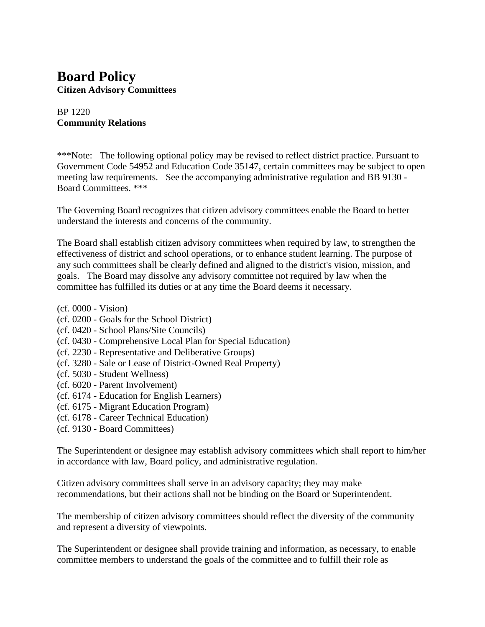### **Board Policy Citizen Advisory Committees**

#### BP 1220 **Community Relations**

\*\*\*Note: The following optional policy may be revised to reflect district practice. Pursuant to Government Code 54952 and Education Code 35147, certain committees may be subject to open meeting law requirements. See the accompanying administrative regulation and BB 9130 - Board Committees. \*\*\*

The Governing Board recognizes that citizen advisory committees enable the Board to better understand the interests and concerns of the community.

The Board shall establish citizen advisory committees when required by law, to strengthen the effectiveness of district and school operations, or to enhance student learning. The purpose of any such committees shall be clearly defined and aligned to the district's vision, mission, and goals. The Board may dissolve any advisory committee not required by law when the committee has fulfilled its duties or at any time the Board deems it necessary.

- (cf. 0000 Vision)
- (cf. 0200 Goals for the School District)
- (cf. 0420 School Plans/Site Councils)
- (cf. 0430 Comprehensive Local Plan for Special Education)
- (cf. 2230 Representative and Deliberative Groups)
- (cf. 3280 Sale or Lease of District-Owned Real Property)
- (cf. 5030 Student Wellness)
- (cf. 6020 Parent Involvement)
- (cf. 6174 Education for English Learners)
- (cf. 6175 Migrant Education Program)
- (cf. 6178 Career Technical Education)
- (cf. 9130 Board Committees)

The Superintendent or designee may establish advisory committees which shall report to him/her in accordance with law, Board policy, and administrative regulation.

Citizen advisory committees shall serve in an advisory capacity; they may make recommendations, but their actions shall not be binding on the Board or Superintendent.

The membership of citizen advisory committees should reflect the diversity of the community and represent a diversity of viewpoints.

The Superintendent or designee shall provide training and information, as necessary, to enable committee members to understand the goals of the committee and to fulfill their role as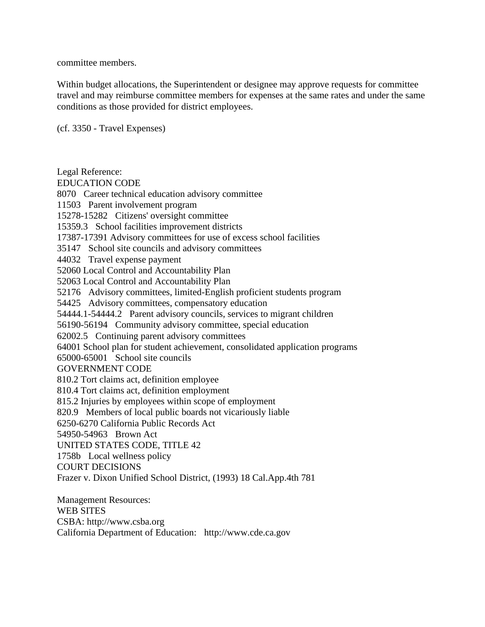committee members.

Within budget allocations, the Superintendent or designee may approve requests for committee travel and may reimburse committee members for expenses at the same rates and under the same conditions as those provided for district employees.

(cf. 3350 - Travel Expenses)

Legal Reference: EDUCATION CODE 8070 Career technical education advisory committee 11503 Parent involvement program 15278-15282 Citizens' oversight committee 15359.3 School facilities improvement districts 17387-17391 Advisory committees for use of excess school facilities 35147 School site councils and advisory committees 44032 Travel expense payment 52060 Local Control and Accountability Plan 52063 Local Control and Accountability Plan 52176 Advisory committees, limited-English proficient students program 54425 Advisory committees, compensatory education 54444.1-54444.2 Parent advisory councils, services to migrant children 56190-56194 Community advisory committee, special education 62002.5 Continuing parent advisory committees 64001 School plan for student achievement, consolidated application programs 65000-65001 School site councils GOVERNMENT CODE 810.2 Tort claims act, definition employee 810.4 Tort claims act, definition employment 815.2 Injuries by employees within scope of employment 820.9 Members of local public boards not vicariously liable 6250-6270 California Public Records Act 54950-54963 Brown Act UNITED STATES CODE, TITLE 42 1758b Local wellness policy COURT DECISIONS Frazer v. Dixon Unified School District, (1993) 18 Cal.App.4th 781 Management Resources:

WEB SITES CSBA: http://www.csba.org California Department of Education: http://www.cde.ca.gov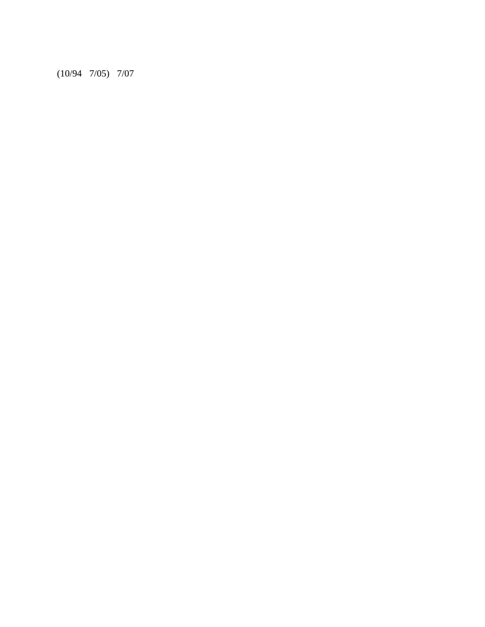(10/94 7/05) 7/07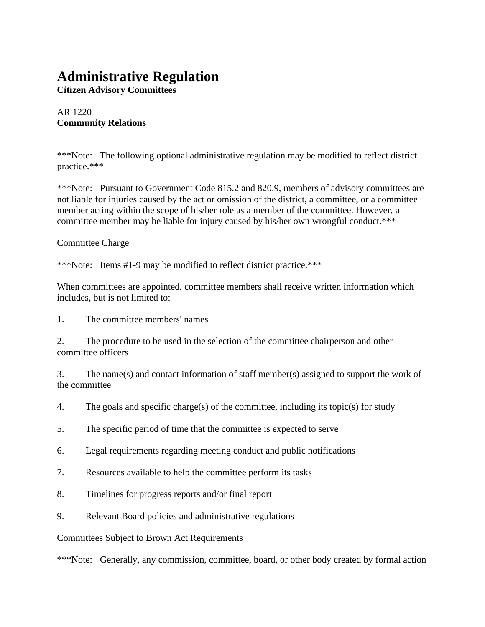### **Administrative Regulation**

**Citizen Advisory Committees**

AR 1220 **Community Relations**

\*\*\*Note: The following optional administrative regulation may be modified to reflect district practice.\*\*\*

\*\*\*Note: Pursuant to Government Code 815.2 and 820.9, members of advisory committees are not liable for injuries caused by the act or omission of the district, a committee, or a committee member acting within the scope of his/her role as a member of the committee. However, a committee member may be liable for injury caused by his/her own wrongful conduct.\*\*\*

Committee Charge

\*\*\*Note: Items #1-9 may be modified to reflect district practice.\*\*\*

When committees are appointed, committee members shall receive written information which includes, but is not limited to:

1. The committee members' names

2. The procedure to be used in the selection of the committee chairperson and other committee officers

3. The name(s) and contact information of staff member(s) assigned to support the work of the committee

4. The goals and specific charge(s) of the committee, including its topic(s) for study

5. The specific period of time that the committee is expected to serve

- 6. Legal requirements regarding meeting conduct and public notifications
- 7. Resources available to help the committee perform its tasks
- 8. Timelines for progress reports and/or final report
- 9. Relevant Board policies and administrative regulations

Committees Subject to Brown Act Requirements

\*\*\*Note: Generally, any commission, committee, board, or other body created by formal action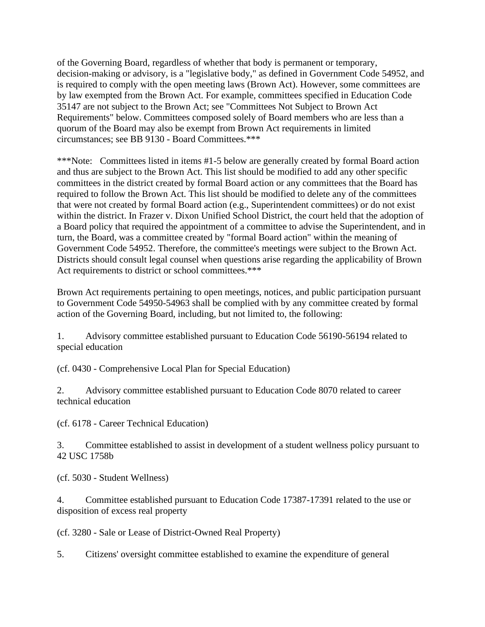of the Governing Board, regardless of whether that body is permanent or temporary, decision-making or advisory, is a "legislative body," as defined in Government Code 54952, and is required to comply with the open meeting laws (Brown Act). However, some committees are by law exempted from the Brown Act. For example, committees specified in Education Code 35147 are not subject to the Brown Act; see "Committees Not Subject to Brown Act Requirements" below. Committees composed solely of Board members who are less than a quorum of the Board may also be exempt from Brown Act requirements in limited circumstances; see BB 9130 - Board Committees.\*\*\*

\*\*\*Note: Committees listed in items #1-5 below are generally created by formal Board action and thus are subject to the Brown Act. This list should be modified to add any other specific committees in the district created by formal Board action or any committees that the Board has required to follow the Brown Act. This list should be modified to delete any of the committees that were not created by formal Board action (e.g., Superintendent committees) or do not exist within the district. In Frazer v. Dixon Unified School District, the court held that the adoption of a Board policy that required the appointment of a committee to advise the Superintendent, and in turn, the Board, was a committee created by "formal Board action" within the meaning of Government Code 54952. Therefore, the committee's meetings were subject to the Brown Act. Districts should consult legal counsel when questions arise regarding the applicability of Brown Act requirements to district or school committees.\*\*\*

Brown Act requirements pertaining to open meetings, notices, and public participation pursuant to Government Code 54950-54963 shall be complied with by any committee created by formal action of the Governing Board, including, but not limited to, the following:

1. Advisory committee established pursuant to Education Code 56190-56194 related to special education

(cf. 0430 - Comprehensive Local Plan for Special Education)

2. Advisory committee established pursuant to Education Code 8070 related to career technical education

(cf. 6178 - Career Technical Education)

3. Committee established to assist in development of a student wellness policy pursuant to 42 USC 1758b

(cf. 5030 - Student Wellness)

4. Committee established pursuant to Education Code 17387-17391 related to the use or disposition of excess real property

(cf. 3280 - Sale or Lease of District-Owned Real Property)

5. Citizens' oversight committee established to examine the expenditure of general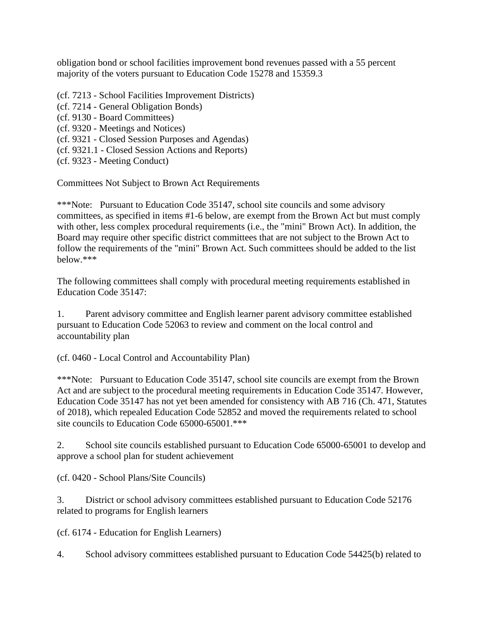obligation bond or school facilities improvement bond revenues passed with a 55 percent majority of the voters pursuant to Education Code 15278 and 15359.3

- (cf. 7213 School Facilities Improvement Districts)
- (cf. 7214 General Obligation Bonds)
- (cf. 9130 Board Committees)
- (cf. 9320 Meetings and Notices)
- (cf. 9321 Closed Session Purposes and Agendas)
- (cf. 9321.1 Closed Session Actions and Reports)
- (cf. 9323 Meeting Conduct)

Committees Not Subject to Brown Act Requirements

\*\*\*Note: Pursuant to Education Code 35147, school site councils and some advisory committees, as specified in items #1-6 below, are exempt from the Brown Act but must comply with other, less complex procedural requirements (i.e., the "mini" Brown Act). In addition, the Board may require other specific district committees that are not subject to the Brown Act to follow the requirements of the "mini" Brown Act. Such committees should be added to the list below.\*\*\*

The following committees shall comply with procedural meeting requirements established in Education Code 35147:

1. Parent advisory committee and English learner parent advisory committee established pursuant to Education Code 52063 to review and comment on the local control and accountability plan

(cf. 0460 - Local Control and Accountability Plan)

\*\*\*Note: Pursuant to Education Code 35147, school site councils are exempt from the Brown Act and are subject to the procedural meeting requirements in Education Code 35147. However, Education Code 35147 has not yet been amended for consistency with AB 716 (Ch. 471, Statutes of 2018), which repealed Education Code 52852 and moved the requirements related to school site councils to Education Code 65000-65001.\*\*\*

2. School site councils established pursuant to Education Code 65000-65001 to develop and approve a school plan for student achievement

(cf. 0420 - School Plans/Site Councils)

3. District or school advisory committees established pursuant to Education Code 52176 related to programs for English learners

(cf. 6174 - Education for English Learners)

4. School advisory committees established pursuant to Education Code 54425(b) related to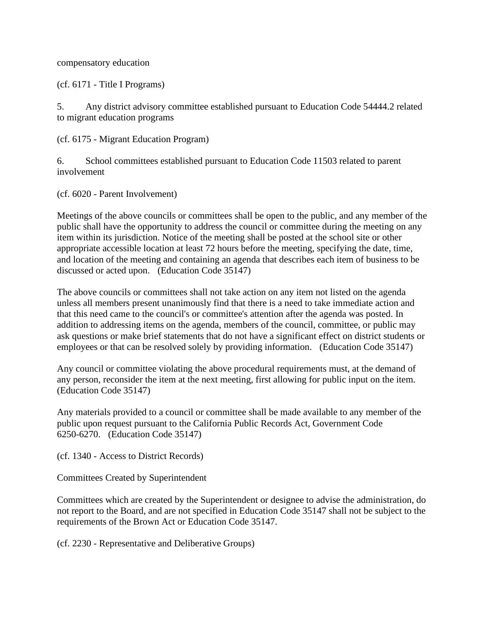compensatory education

(cf. 6171 - Title I Programs)

5. Any district advisory committee established pursuant to Education Code 54444.2 related to migrant education programs

(cf. 6175 - Migrant Education Program)

6. School committees established pursuant to Education Code 11503 related to parent involvement

(cf. 6020 - Parent Involvement)

Meetings of the above councils or committees shall be open to the public, and any member of the public shall have the opportunity to address the council or committee during the meeting on any item within its jurisdiction. Notice of the meeting shall be posted at the school site or other appropriate accessible location at least 72 hours before the meeting, specifying the date, time, and location of the meeting and containing an agenda that describes each item of business to be discussed or acted upon. (Education Code 35147)

The above councils or committees shall not take action on any item not listed on the agenda unless all members present unanimously find that there is a need to take immediate action and that this need came to the council's or committee's attention after the agenda was posted. In addition to addressing items on the agenda, members of the council, committee, or public may ask questions or make brief statements that do not have a significant effect on district students or employees or that can be resolved solely by providing information. (Education Code 35147)

Any council or committee violating the above procedural requirements must, at the demand of any person, reconsider the item at the next meeting, first allowing for public input on the item. (Education Code 35147)

Any materials provided to a council or committee shall be made available to any member of the public upon request pursuant to the California Public Records Act, Government Code 6250-6270. (Education Code 35147)

(cf. 1340 - Access to District Records)

Committees Created by Superintendent

Committees which are created by the Superintendent or designee to advise the administration, do not report to the Board, and are not specified in Education Code 35147 shall not be subject to the requirements of the Brown Act or Education Code 35147.

(cf. 2230 - Representative and Deliberative Groups)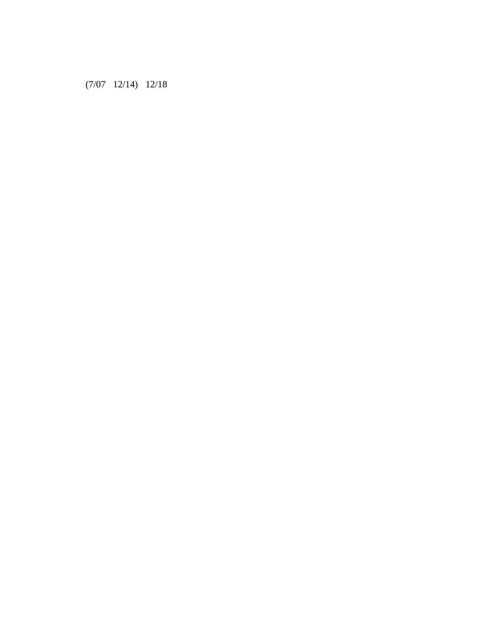(7/07 12/14) 12/18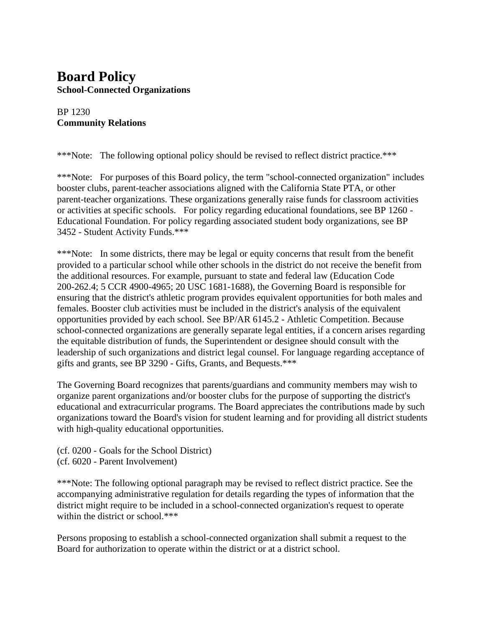### **Board Policy School-Connected Organizations**

#### BP 1230 **Community Relations**

\*\*\*Note: The following optional policy should be revised to reflect district practice.\*\*\*

\*\*\*Note: For purposes of this Board policy, the term "school-connected organization" includes booster clubs, parent-teacher associations aligned with the California State PTA, or other parent-teacher organizations. These organizations generally raise funds for classroom activities or activities at specific schools. For policy regarding educational foundations, see BP 1260 - Educational Foundation. For policy regarding associated student body organizations, see BP 3452 - Student Activity Funds.\*\*\*

\*\*\*Note: In some districts, there may be legal or equity concerns that result from the benefit provided to a particular school while other schools in the district do not receive the benefit from the additional resources. For example, pursuant to state and federal law (Education Code 200-262.4; 5 CCR 4900-4965; 20 USC 1681-1688), the Governing Board is responsible for ensuring that the district's athletic program provides equivalent opportunities for both males and females. Booster club activities must be included in the district's analysis of the equivalent opportunities provided by each school. See BP/AR 6145.2 - Athletic Competition. Because school-connected organizations are generally separate legal entities, if a concern arises regarding the equitable distribution of funds, the Superintendent or designee should consult with the leadership of such organizations and district legal counsel. For language regarding acceptance of gifts and grants, see BP 3290 - Gifts, Grants, and Bequests.\*\*\*

The Governing Board recognizes that parents/guardians and community members may wish to organize parent organizations and/or booster clubs for the purpose of supporting the district's educational and extracurricular programs. The Board appreciates the contributions made by such organizations toward the Board's vision for student learning and for providing all district students with high-quality educational opportunities.

(cf. 0200 - Goals for the School District) (cf. 6020 - Parent Involvement)

\*\*\*Note: The following optional paragraph may be revised to reflect district practice. See the accompanying administrative regulation for details regarding the types of information that the district might require to be included in a school-connected organization's request to operate within the district or school.\*\*\*

Persons proposing to establish a school-connected organization shall submit a request to the Board for authorization to operate within the district or at a district school.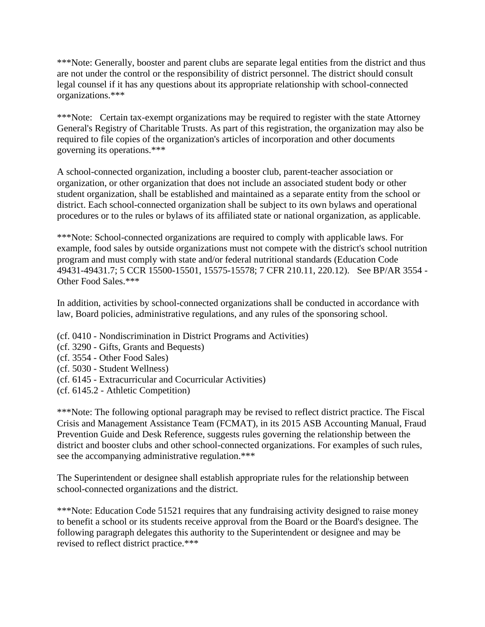\*\*\*Note: Generally, booster and parent clubs are separate legal entities from the district and thus are not under the control or the responsibility of district personnel. The district should consult legal counsel if it has any questions about its appropriate relationship with school-connected organizations.\*\*\*

\*\*\*Note: Certain tax-exempt organizations may be required to register with the state Attorney General's Registry of Charitable Trusts. As part of this registration, the organization may also be required to file copies of the organization's articles of incorporation and other documents governing its operations.\*\*\*

A school-connected organization, including a booster club, parent-teacher association or organization, or other organization that does not include an associated student body or other student organization, shall be established and maintained as a separate entity from the school or district. Each school-connected organization shall be subject to its own bylaws and operational procedures or to the rules or bylaws of its affiliated state or national organization, as applicable.

\*\*\*Note: School-connected organizations are required to comply with applicable laws. For example, food sales by outside organizations must not compete with the district's school nutrition program and must comply with state and/or federal nutritional standards (Education Code 49431-49431.7; 5 CCR 15500-15501, 15575-15578; 7 CFR 210.11, 220.12). See BP/AR 3554 - Other Food Sales.\*\*\*

In addition, activities by school-connected organizations shall be conducted in accordance with law, Board policies, administrative regulations, and any rules of the sponsoring school.

- (cf. 0410 Nondiscrimination in District Programs and Activities)
- (cf. 3290 Gifts, Grants and Bequests)
- (cf. 3554 Other Food Sales)
- (cf. 5030 Student Wellness)
- (cf. 6145 Extracurricular and Cocurricular Activities)
- (cf. 6145.2 Athletic Competition)

\*\*\*Note: The following optional paragraph may be revised to reflect district practice. The Fiscal Crisis and Management Assistance Team (FCMAT), in its 2015 ASB Accounting Manual, Fraud Prevention Guide and Desk Reference, suggests rules governing the relationship between the district and booster clubs and other school-connected organizations. For examples of such rules, see the accompanying administrative regulation.\*\*\*

The Superintendent or designee shall establish appropriate rules for the relationship between school-connected organizations and the district.

\*\*\*Note: Education Code 51521 requires that any fundraising activity designed to raise money to benefit a school or its students receive approval from the Board or the Board's designee. The following paragraph delegates this authority to the Superintendent or designee and may be revised to reflect district practice.\*\*\*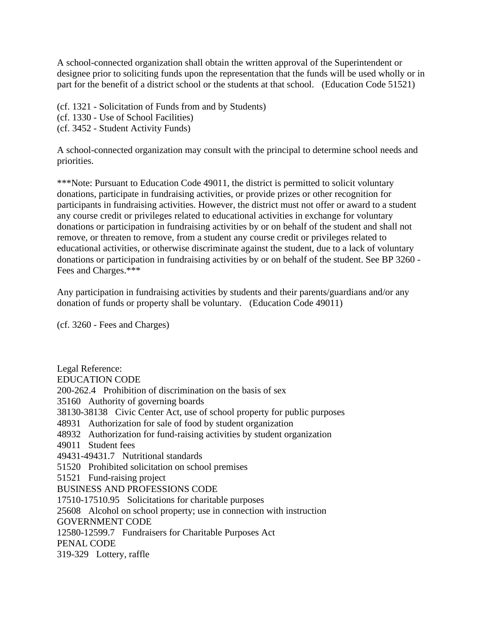A school-connected organization shall obtain the written approval of the Superintendent or designee prior to soliciting funds upon the representation that the funds will be used wholly or in part for the benefit of a district school or the students at that school. (Education Code 51521)

(cf. 1321 - Solicitation of Funds from and by Students)

(cf. 1330 - Use of School Facilities)

(cf. 3452 - Student Activity Funds)

A school-connected organization may consult with the principal to determine school needs and priorities.

\*\*\*Note: Pursuant to Education Code 49011, the district is permitted to solicit voluntary donations, participate in fundraising activities, or provide prizes or other recognition for participants in fundraising activities. However, the district must not offer or award to a student any course credit or privileges related to educational activities in exchange for voluntary donations or participation in fundraising activities by or on behalf of the student and shall not remove, or threaten to remove, from a student any course credit or privileges related to educational activities, or otherwise discriminate against the student, due to a lack of voluntary donations or participation in fundraising activities by or on behalf of the student. See BP 3260 - Fees and Charges.\*\*\*

Any participation in fundraising activities by students and their parents/guardians and/or any donation of funds or property shall be voluntary. (Education Code 49011)

(cf. 3260 - Fees and Charges)

Legal Reference: EDUCATION CODE 200-262.4 Prohibition of discrimination on the basis of sex 35160 Authority of governing boards 38130-38138 Civic Center Act, use of school property for public purposes 48931 Authorization for sale of food by student organization 48932 Authorization for fund-raising activities by student organization 49011 Student fees 49431-49431.7 Nutritional standards 51520 Prohibited solicitation on school premises 51521 Fund-raising project BUSINESS AND PROFESSIONS CODE 17510-17510.95 Solicitations for charitable purposes 25608 Alcohol on school property; use in connection with instruction GOVERNMENT CODE 12580-12599.7 Fundraisers for Charitable Purposes Act PENAL CODE 319-329 Lottery, raffle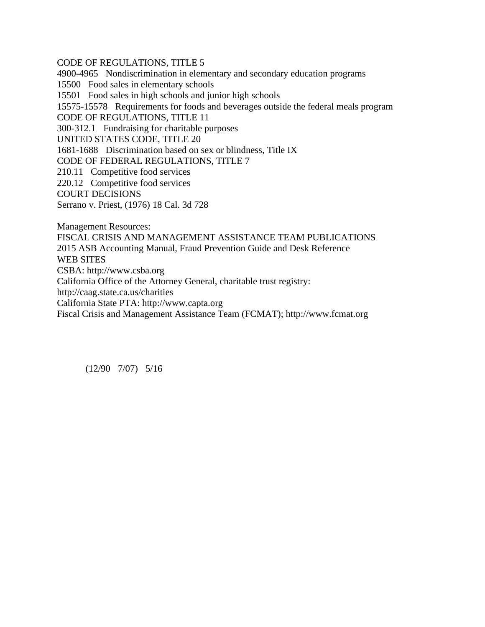CODE OF REGULATIONS, TITLE 5 4900-4965 Nondiscrimination in elementary and secondary education programs 15500 Food sales in elementary schools 15501 Food sales in high schools and junior high schools 15575-15578 Requirements for foods and beverages outside the federal meals program CODE OF REGULATIONS, TITLE 11 300-312.1 Fundraising for charitable purposes UNITED STATES CODE, TITLE 20 1681-1688 Discrimination based on sex or blindness, Title IX CODE OF FEDERAL REGULATIONS, TITLE 7 210.11 Competitive food services 220.12 Competitive food services COURT DECISIONS Serrano v. Priest, (1976) 18 Cal. 3d 728 Management Resources: FISCAL CRISIS AND MANAGEMENT ASSISTANCE TEAM PUBLICATIONS 2015 ASB Accounting Manual, Fraud Prevention Guide and Desk Reference WEB SITES

CSBA: http://www.csba.org

California Office of the Attorney General, charitable trust registry:

http://caag.state.ca.us/charities

California State PTA: http://www.capta.org

Fiscal Crisis and Management Assistance Team (FCMAT); http://www.fcmat.org

(12/90 7/07) 5/16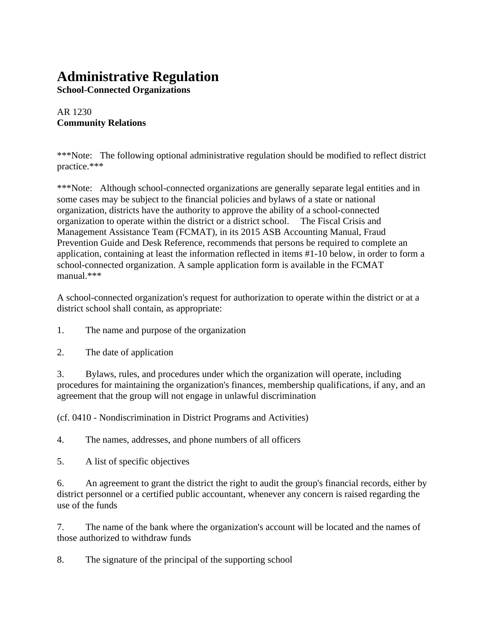## **Administrative Regulation**

**School-Connected Organizations**

AR 1230 **Community Relations**

\*\*\*Note: The following optional administrative regulation should be modified to reflect district practice.\*\*\*

\*\*\*Note: Although school-connected organizations are generally separate legal entities and in some cases may be subject to the financial policies and bylaws of a state or national organization, districts have the authority to approve the ability of a school-connected organization to operate within the district or a district school. The Fiscal Crisis and Management Assistance Team (FCMAT), in its 2015 ASB Accounting Manual, Fraud Prevention Guide and Desk Reference, recommends that persons be required to complete an application, containing at least the information reflected in items #1-10 below, in order to form a school-connected organization. A sample application form is available in the FCMAT manual.\*\*\*

A school-connected organization's request for authorization to operate within the district or at a district school shall contain, as appropriate:

- 1. The name and purpose of the organization
- 2. The date of application

3. Bylaws, rules, and procedures under which the organization will operate, including procedures for maintaining the organization's finances, membership qualifications, if any, and an agreement that the group will not engage in unlawful discrimination

(cf. 0410 - Nondiscrimination in District Programs and Activities)

4. The names, addresses, and phone numbers of all officers

5. A list of specific objectives

6. An agreement to grant the district the right to audit the group's financial records, either by district personnel or a certified public accountant, whenever any concern is raised regarding the use of the funds

7. The name of the bank where the organization's account will be located and the names of those authorized to withdraw funds

8. The signature of the principal of the supporting school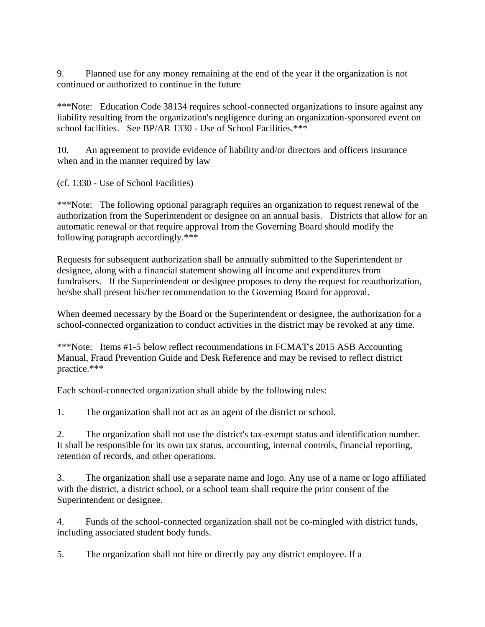9. Planned use for any money remaining at the end of the year if the organization is not continued or authorized to continue in the future

\*\*\*Note: Education Code 38134 requires school-connected organizations to insure against any liability resulting from the organization's negligence during an organization-sponsored event on school facilities. See BP/AR 1330 - Use of School Facilities.\*\*\*

10. An agreement to provide evidence of liability and/or directors and officers insurance when and in the manner required by law

(cf. 1330 - Use of School Facilities)

\*\*\*Note: The following optional paragraph requires an organization to request renewal of the authorization from the Superintendent or designee on an annual basis. Districts that allow for an automatic renewal or that require approval from the Governing Board should modify the following paragraph accordingly.\*\*\*

Requests for subsequent authorization shall be annually submitted to the Superintendent or designee, along with a financial statement showing all income and expenditures from fundraisers. If the Superintendent or designee proposes to deny the request for reauthorization, he/she shall present his/her recommendation to the Governing Board for approval.

When deemed necessary by the Board or the Superintendent or designee, the authorization for a school-connected organization to conduct activities in the district may be revoked at any time.

\*\*\*Note: Items #1-5 below reflect recommendations in FCMAT's 2015 ASB Accounting Manual, Fraud Prevention Guide and Desk Reference and may be revised to reflect district practice.\*\*\*

Each school-connected organization shall abide by the following rules:

1. The organization shall not act as an agent of the district or school.

2. The organization shall not use the district's tax-exempt status and identification number. It shall be responsible for its own tax status, accounting, internal controls, financial reporting, retention of records, and other operations.

3. The organization shall use a separate name and logo. Any use of a name or logo affiliated with the district, a district school, or a school team shall require the prior consent of the Superintendent or designee.

4. Funds of the school-connected organization shall not be co-mingled with district funds, including associated student body funds.

5. The organization shall not hire or directly pay any district employee. If a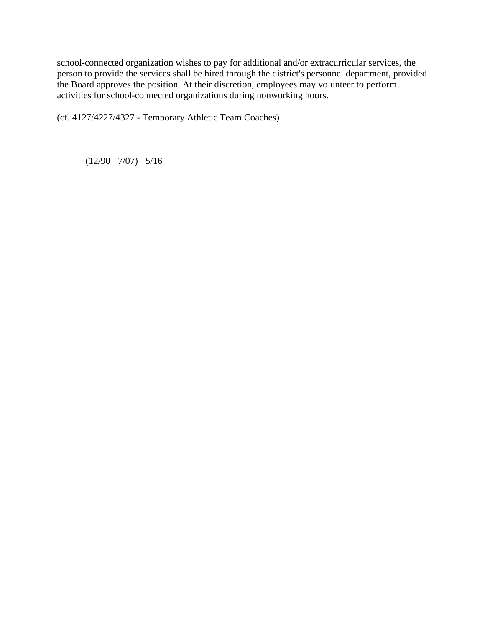school-connected organization wishes to pay for additional and/or extracurricular services, the person to provide the services shall be hired through the district's personnel department, provided the Board approves the position. At their discretion, employees may volunteer to perform activities for school-connected organizations during nonworking hours.

(cf. 4127/4227/4327 - Temporary Athletic Team Coaches)

(12/90 7/07) 5/16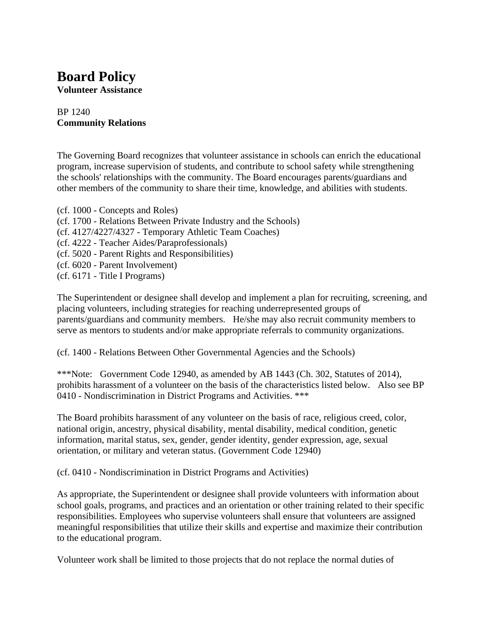# **Board Policy**

**Volunteer Assistance**

#### BP 1240 **Community Relations**

The Governing Board recognizes that volunteer assistance in schools can enrich the educational program, increase supervision of students, and contribute to school safety while strengthening the schools' relationships with the community. The Board encourages parents/guardians and other members of the community to share their time, knowledge, and abilities with students.

- (cf. 1000 Concepts and Roles)
- (cf. 1700 Relations Between Private Industry and the Schools)
- (cf. 4127/4227/4327 Temporary Athletic Team Coaches)
- (cf. 4222 Teacher Aides/Paraprofessionals)
- (cf. 5020 Parent Rights and Responsibilities)
- (cf. 6020 Parent Involvement)
- (cf. 6171 Title I Programs)

The Superintendent or designee shall develop and implement a plan for recruiting, screening, and placing volunteers, including strategies for reaching underrepresented groups of parents/guardians and community members. He/she may also recruit community members to serve as mentors to students and/or make appropriate referrals to community organizations.

(cf. 1400 - Relations Between Other Governmental Agencies and the Schools)

\*\*\*Note: Government Code 12940, as amended by AB 1443 (Ch. 302, Statutes of 2014), prohibits harassment of a volunteer on the basis of the characteristics listed below. Also see BP 0410 - Nondiscrimination in District Programs and Activities. \*\*\*

The Board prohibits harassment of any volunteer on the basis of race, religious creed, color, national origin, ancestry, physical disability, mental disability, medical condition, genetic information, marital status, sex, gender, gender identity, gender expression, age, sexual orientation, or military and veteran status. (Government Code 12940)

(cf. 0410 - Nondiscrimination in District Programs and Activities)

As appropriate, the Superintendent or designee shall provide volunteers with information about school goals, programs, and practices and an orientation or other training related to their specific responsibilities. Employees who supervise volunteers shall ensure that volunteers are assigned meaningful responsibilities that utilize their skills and expertise and maximize their contribution to the educational program.

Volunteer work shall be limited to those projects that do not replace the normal duties of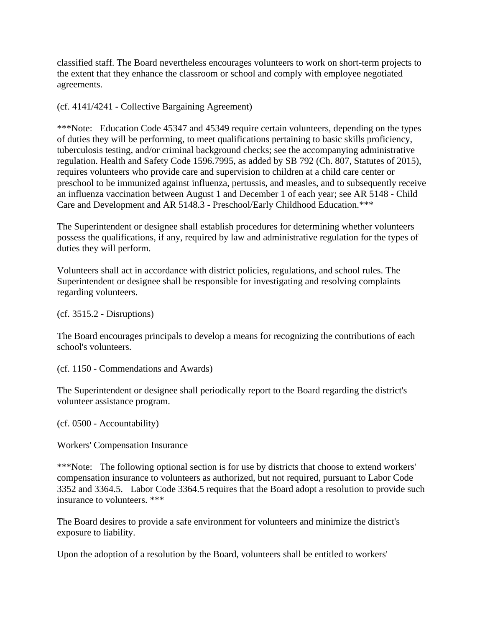classified staff. The Board nevertheless encourages volunteers to work on short-term projects to the extent that they enhance the classroom or school and comply with employee negotiated agreements.

(cf. 4141/4241 - Collective Bargaining Agreement)

\*\*\*Note: Education Code 45347 and 45349 require certain volunteers, depending on the types of duties they will be performing, to meet qualifications pertaining to basic skills proficiency, tuberculosis testing, and/or criminal background checks; see the accompanying administrative regulation. Health and Safety Code 1596.7995, as added by SB 792 (Ch. 807, Statutes of 2015), requires volunteers who provide care and supervision to children at a child care center or preschool to be immunized against influenza, pertussis, and measles, and to subsequently receive an influenza vaccination between August 1 and December 1 of each year; see AR 5148 - Child Care and Development and AR 5148.3 - Preschool/Early Childhood Education.\*\*\*

The Superintendent or designee shall establish procedures for determining whether volunteers possess the qualifications, if any, required by law and administrative regulation for the types of duties they will perform.

Volunteers shall act in accordance with district policies, regulations, and school rules. The Superintendent or designee shall be responsible for investigating and resolving complaints regarding volunteers.

(cf. 3515.2 - Disruptions)

The Board encourages principals to develop a means for recognizing the contributions of each school's volunteers.

(cf. 1150 - Commendations and Awards)

The Superintendent or designee shall periodically report to the Board regarding the district's volunteer assistance program.

(cf. 0500 - Accountability)

Workers' Compensation Insurance

\*\*\*Note: The following optional section is for use by districts that choose to extend workers' compensation insurance to volunteers as authorized, but not required, pursuant to Labor Code 3352 and 3364.5. Labor Code 3364.5 requires that the Board adopt a resolution to provide such insurance to volunteers. \*\*\*

The Board desires to provide a safe environment for volunteers and minimize the district's exposure to liability.

Upon the adoption of a resolution by the Board, volunteers shall be entitled to workers'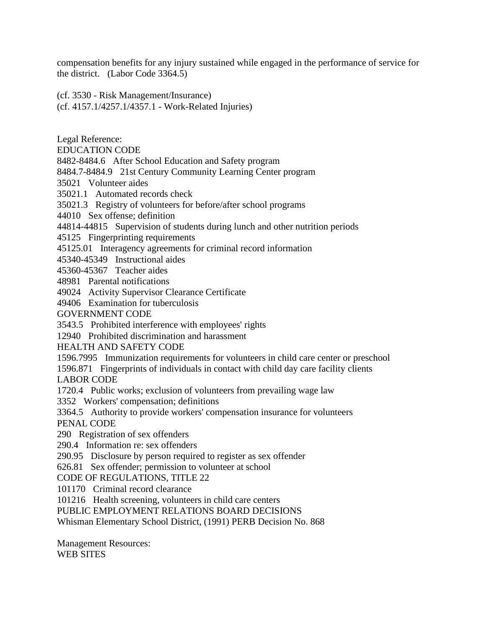compensation benefits for any injury sustained while engaged in the performance of service for the district. (Labor Code 3364.5)

(cf. 3530 - Risk Management/Insurance) (cf. 4157.1/4257.1/4357.1 - Work-Related Injuries)

Legal Reference:

EDUCATION CODE

8482-8484.6 After School Education and Safety program

8484.7-8484.9 21st Century Community Learning Center program

35021 Volunteer aides

35021.1 Automated records check

35021.3 Registry of volunteers for before/after school programs

44010 Sex offense; definition

44814-44815 Supervision of students during lunch and other nutrition periods

45125 Fingerprinting requirements

45125.01 Interagency agreements for criminal record information

45340-45349 Instructional aides

45360-45367 Teacher aides

48981 Parental notifications

49024 Activity Supervisor Clearance Certificate

49406 Examination for tuberculosis

GOVERNMENT CODE

3543.5 Prohibited interference with employees' rights

12940 Prohibited discrimination and harassment

HEALTH AND SAFETY CODE

1596.7995 Immunization requirements for volunteers in child care center or preschool

1596.871 Fingerprints of individuals in contact with child day care facility clients LABOR CODE

1720.4 Public works; exclusion of volunteers from prevailing wage law

3352 Workers' compensation; definitions

3364.5 Authority to provide workers' compensation insurance for volunteers PENAL CODE

290 Registration of sex offenders

290.4 Information re: sex offenders

290.95 Disclosure by person required to register as sex offender

626.81 Sex offender; permission to volunteer at school

CODE OF REGULATIONS, TITLE 22

101170 Criminal record clearance

101216 Health screening, volunteers in child care centers

PUBLIC EMPLOYMENT RELATIONS BOARD DECISIONS

Whisman Elementary School District, (1991) PERB Decision No. 868

Management Resources: WEB SITES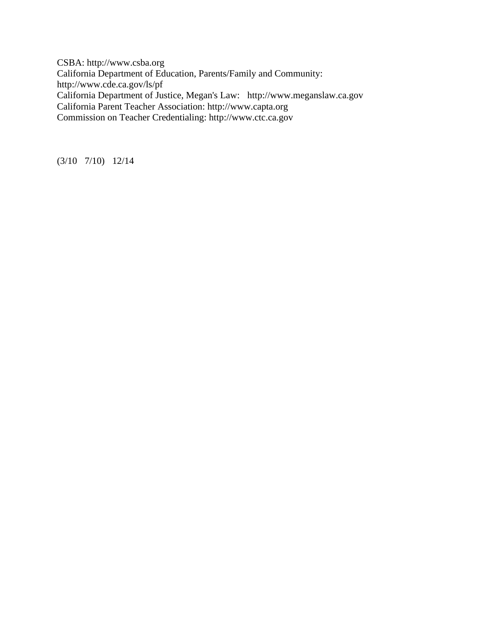CSBA: http://www.csba.org California Department of Education, Parents/Family and Community: http://www.cde.ca.gov/ls/pf California Department of Justice, Megan's Law: http://www.meganslaw.ca.gov California Parent Teacher Association: http://www.capta.org Commission on Teacher Credentialing: http://www.ctc.ca.gov

(3/10 7/10) 12/14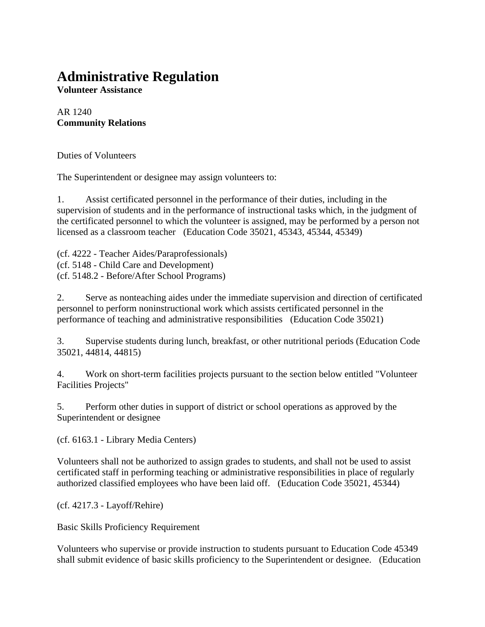### **Administrative Regulation**

**Volunteer Assistance**

AR 1240 **Community Relations**

Duties of Volunteers

The Superintendent or designee may assign volunteers to:

1. Assist certificated personnel in the performance of their duties, including in the supervision of students and in the performance of instructional tasks which, in the judgment of the certificated personnel to which the volunteer is assigned, may be performed by a person not licensed as a classroom teacher (Education Code 35021, 45343, 45344, 45349)

(cf. 4222 - Teacher Aides/Paraprofessionals) (cf. 5148 - Child Care and Development) (cf. 5148.2 - Before/After School Programs)

2. Serve as nonteaching aides under the immediate supervision and direction of certificated personnel to perform noninstructional work which assists certificated personnel in the performance of teaching and administrative responsibilities (Education Code 35021)

3. Supervise students during lunch, breakfast, or other nutritional periods (Education Code 35021, 44814, 44815)

4. Work on short-term facilities projects pursuant to the section below entitled "Volunteer Facilities Projects"

5. Perform other duties in support of district or school operations as approved by the Superintendent or designee

(cf. 6163.1 - Library Media Centers)

Volunteers shall not be authorized to assign grades to students, and shall not be used to assist certificated staff in performing teaching or administrative responsibilities in place of regularly authorized classified employees who have been laid off. (Education Code 35021, 45344)

(cf. 4217.3 - Layoff/Rehire)

Basic Skills Proficiency Requirement

Volunteers who supervise or provide instruction to students pursuant to Education Code 45349 shall submit evidence of basic skills proficiency to the Superintendent or designee. (Education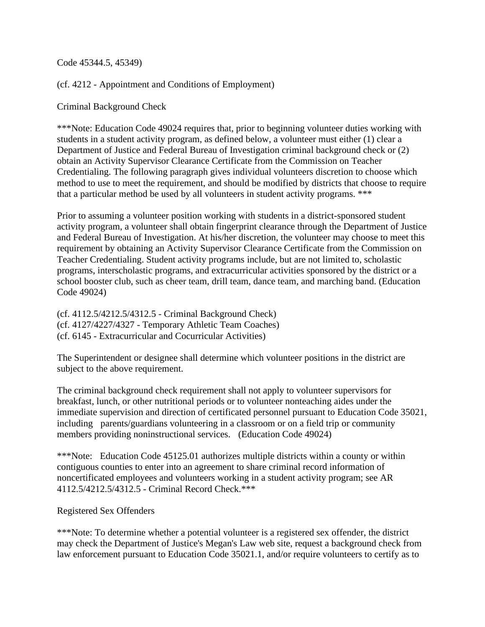Code 45344.5, 45349)

(cf. 4212 - Appointment and Conditions of Employment)

Criminal Background Check

\*\*\*Note: Education Code 49024 requires that, prior to beginning volunteer duties working with students in a student activity program, as defined below, a volunteer must either (1) clear a Department of Justice and Federal Bureau of Investigation criminal background check or (2) obtain an Activity Supervisor Clearance Certificate from the Commission on Teacher Credentialing. The following paragraph gives individual volunteers discretion to choose which method to use to meet the requirement, and should be modified by districts that choose to require that a particular method be used by all volunteers in student activity programs. \*\*\*

Prior to assuming a volunteer position working with students in a district-sponsored student activity program, a volunteer shall obtain fingerprint clearance through the Department of Justice and Federal Bureau of Investigation. At his/her discretion, the volunteer may choose to meet this requirement by obtaining an Activity Supervisor Clearance Certificate from the Commission on Teacher Credentialing. Student activity programs include, but are not limited to, scholastic programs, interscholastic programs, and extracurricular activities sponsored by the district or a school booster club, such as cheer team, drill team, dance team, and marching band. (Education Code 49024)

(cf. 4112.5/4212.5/4312.5 - Criminal Background Check) (cf. 4127/4227/4327 - Temporary Athletic Team Coaches) (cf. 6145 - Extracurricular and Cocurricular Activities)

The Superintendent or designee shall determine which volunteer positions in the district are subject to the above requirement.

The criminal background check requirement shall not apply to volunteer supervisors for breakfast, lunch, or other nutritional periods or to volunteer nonteaching aides under the immediate supervision and direction of certificated personnel pursuant to Education Code 35021, including parents/guardians volunteering in a classroom or on a field trip or community members providing noninstructional services. (Education Code 49024)

\*\*\*Note: Education Code 45125.01 authorizes multiple districts within a county or within contiguous counties to enter into an agreement to share criminal record information of noncertificated employees and volunteers working in a student activity program; see AR 4112.5/4212.5/4312.5 - Criminal Record Check.\*\*\*

#### Registered Sex Offenders

\*\*\*Note: To determine whether a potential volunteer is a registered sex offender, the district may check the Department of Justice's Megan's Law web site, request a background check from law enforcement pursuant to Education Code 35021.1, and/or require volunteers to certify as to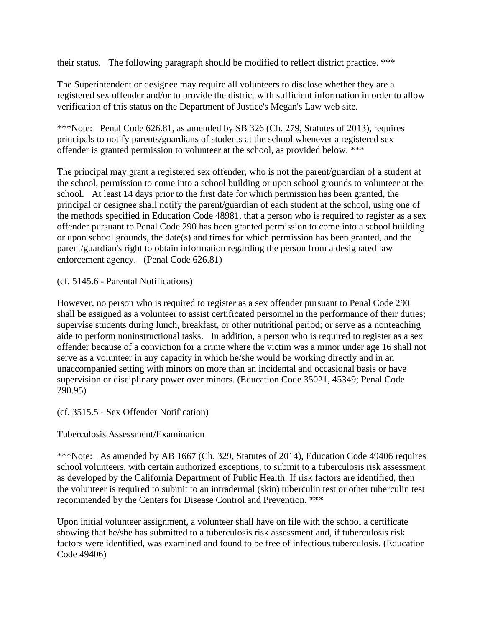their status. The following paragraph should be modified to reflect district practice. \*\*\*

The Superintendent or designee may require all volunteers to disclose whether they are a registered sex offender and/or to provide the district with sufficient information in order to allow verification of this status on the Department of Justice's Megan's Law web site.

\*\*\*Note: Penal Code 626.81, as amended by SB 326 (Ch. 279, Statutes of 2013), requires principals to notify parents/guardians of students at the school whenever a registered sex offender is granted permission to volunteer at the school, as provided below. \*\*\*

The principal may grant a registered sex offender, who is not the parent/guardian of a student at the school, permission to come into a school building or upon school grounds to volunteer at the school. At least 14 days prior to the first date for which permission has been granted, the principal or designee shall notify the parent/guardian of each student at the school, using one of the methods specified in Education Code 48981, that a person who is required to register as a sex offender pursuant to Penal Code 290 has been granted permission to come into a school building or upon school grounds, the date(s) and times for which permission has been granted, and the parent/guardian's right to obtain information regarding the person from a designated law enforcement agency. (Penal Code 626.81)

(cf. 5145.6 - Parental Notifications)

However, no person who is required to register as a sex offender pursuant to Penal Code 290 shall be assigned as a volunteer to assist certificated personnel in the performance of their duties; supervise students during lunch, breakfast, or other nutritional period; or serve as a nonteaching aide to perform noninstructional tasks. In addition, a person who is required to register as a sex offender because of a conviction for a crime where the victim was a minor under age 16 shall not serve as a volunteer in any capacity in which he/she would be working directly and in an unaccompanied setting with minors on more than an incidental and occasional basis or have supervision or disciplinary power over minors. (Education Code 35021, 45349; Penal Code 290.95)

(cf. 3515.5 - Sex Offender Notification)

#### Tuberculosis Assessment/Examination

\*\*\*Note: As amended by AB 1667 (Ch. 329, Statutes of 2014), Education Code 49406 requires school volunteers, with certain authorized exceptions, to submit to a tuberculosis risk assessment as developed by the California Department of Public Health. If risk factors are identified, then the volunteer is required to submit to an intradermal (skin) tuberculin test or other tuberculin test recommended by the Centers for Disease Control and Prevention. \*\*\*

Upon initial volunteer assignment, a volunteer shall have on file with the school a certificate showing that he/she has submitted to a tuberculosis risk assessment and, if tuberculosis risk factors were identified, was examined and found to be free of infectious tuberculosis. (Education Code 49406)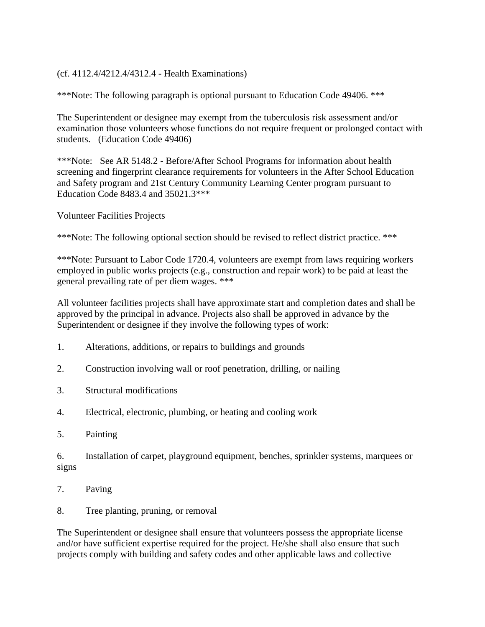#### (cf. 4112.4/4212.4/4312.4 - Health Examinations)

\*\*\*Note: The following paragraph is optional pursuant to Education Code 49406. \*\*\*

The Superintendent or designee may exempt from the tuberculosis risk assessment and/or examination those volunteers whose functions do not require frequent or prolonged contact with students. (Education Code 49406)

\*\*\*Note: See AR 5148.2 - Before/After School Programs for information about health screening and fingerprint clearance requirements for volunteers in the After School Education and Safety program and 21st Century Community Learning Center program pursuant to Education Code 8483.4 and 35021.3\*\*\*

Volunteer Facilities Projects

\*\*\*Note: The following optional section should be revised to reflect district practice. \*\*\*

\*\*\*Note: Pursuant to Labor Code 1720.4, volunteers are exempt from laws requiring workers employed in public works projects (e.g., construction and repair work) to be paid at least the general prevailing rate of per diem wages. \*\*\*

All volunteer facilities projects shall have approximate start and completion dates and shall be approved by the principal in advance. Projects also shall be approved in advance by the Superintendent or designee if they involve the following types of work:

- 1. Alterations, additions, or repairs to buildings and grounds
- 2. Construction involving wall or roof penetration, drilling, or nailing
- 3. Structural modifications
- 4. Electrical, electronic, plumbing, or heating and cooling work
- 5. Painting

6. Installation of carpet, playground equipment, benches, sprinkler systems, marquees or signs

- 7. Paving
- 8. Tree planting, pruning, or removal

The Superintendent or designee shall ensure that volunteers possess the appropriate license and/or have sufficient expertise required for the project. He/she shall also ensure that such projects comply with building and safety codes and other applicable laws and collective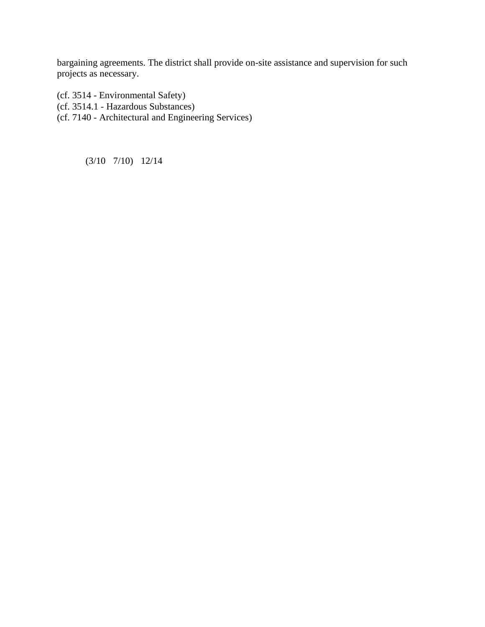bargaining agreements. The district shall provide on-site assistance and supervision for such projects as necessary.

(cf. 3514 - Environmental Safety)

(cf. 3514.1 - Hazardous Substances)

(cf. 7140 - Architectural and Engineering Services)

(3/10 7/10) 12/14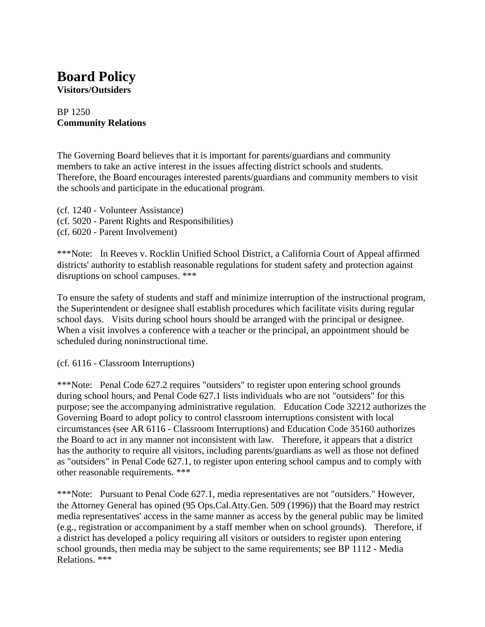# **Board Policy**

**Visitors/Outsiders**

#### BP 1250 **Community Relations**

The Governing Board believes that it is important for parents/guardians and community members to take an active interest in the issues affecting district schools and students. Therefore, the Board encourages interested parents/guardians and community members to visit the schools and participate in the educational program.

- (cf. 1240 Volunteer Assistance)
- (cf. 5020 Parent Rights and Responsibilities)
- (cf. 6020 Parent Involvement)

\*\*\*Note: In Reeves v. Rocklin Unified School District, a California Court of Appeal affirmed districts' authority to establish reasonable regulations for student safety and protection against disruptions on school campuses. \*\*\*

To ensure the safety of students and staff and minimize interruption of the instructional program, the Superintendent or designee shall establish procedures which facilitate visits during regular school days. Visits during school hours should be arranged with the principal or designee. When a visit involves a conference with a teacher or the principal, an appointment should be scheduled during noninstructional time.

(cf. 6116 - Classroom Interruptions)

\*\*\*Note: Penal Code 627.2 requires "outsiders" to register upon entering school grounds during school hours, and Penal Code 627.1 lists individuals who are not "outsiders" for this purpose; see the accompanying administrative regulation. Education Code 32212 authorizes the Governing Board to adopt policy to control classroom interruptions consistent with local circumstances (see AR 6116 - Classroom Interruptions) and Education Code 35160 authorizes the Board to act in any manner not inconsistent with law. Therefore, it appears that a district has the authority to require all visitors, including parents/guardians as well as those not defined as "outsiders" in Penal Code 627.1, to register upon entering school campus and to comply with other reasonable requirements. \*\*\*

\*\*\*Note: Pursuant to Penal Code 627.1, media representatives are not "outsiders." However, the Attorney General has opined (95 Ops.Cal.Atty.Gen. 509 (1996)) that the Board may restrict media representatives' access in the same manner as access by the general public may be limited (e.g., registration or accompaniment by a staff member when on school grounds). Therefore, if a district has developed a policy requiring all visitors or outsiders to register upon entering school grounds, then media may be subject to the same requirements; see BP 1112 - Media Relations. \*\*\*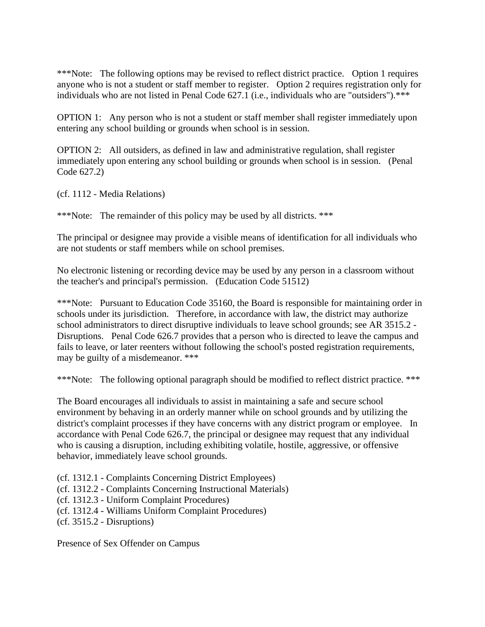\*\*\*Note: The following options may be revised to reflect district practice. Option 1 requires anyone who is not a student or staff member to register. Option 2 requires registration only for individuals who are not listed in Penal Code 627.1 (i.e., individuals who are "outsiders").\*\*\*

OPTION 1: Any person who is not a student or staff member shall register immediately upon entering any school building or grounds when school is in session.

OPTION 2: All outsiders, as defined in law and administrative regulation, shall register immediately upon entering any school building or grounds when school is in session. (Penal Code 627.2)

(cf. 1112 - Media Relations)

\*\*\*Note: The remainder of this policy may be used by all districts. \*\*\*

The principal or designee may provide a visible means of identification for all individuals who are not students or staff members while on school premises.

No electronic listening or recording device may be used by any person in a classroom without the teacher's and principal's permission. (Education Code 51512)

\*\*\*Note: Pursuant to Education Code 35160, the Board is responsible for maintaining order in schools under its jurisdiction. Therefore, in accordance with law, the district may authorize school administrators to direct disruptive individuals to leave school grounds; see AR 3515.2 - Disruptions. Penal Code 626.7 provides that a person who is directed to leave the campus and fails to leave, or later reenters without following the school's posted registration requirements, may be guilty of a misdemeanor. \*\*\*

\*\*\*Note: The following optional paragraph should be modified to reflect district practice. \*\*\*

The Board encourages all individuals to assist in maintaining a safe and secure school environment by behaving in an orderly manner while on school grounds and by utilizing the district's complaint processes if they have concerns with any district program or employee. In accordance with Penal Code 626.7, the principal or designee may request that any individual who is causing a disruption, including exhibiting volatile, hostile, aggressive, or offensive behavior, immediately leave school grounds.

(cf. 1312.1 - Complaints Concerning District Employees)

(cf. 1312.2 - Complaints Concerning Instructional Materials)

(cf. 1312.3 - Uniform Complaint Procedures)

(cf. 1312.4 - Williams Uniform Complaint Procedures)

(cf. 3515.2 - Disruptions)

Presence of Sex Offender on Campus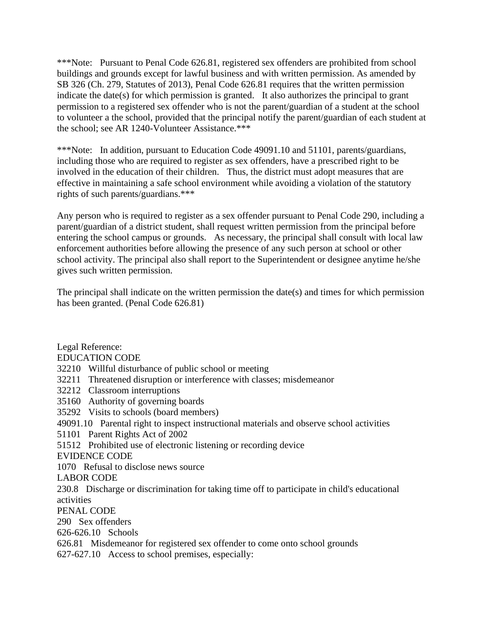\*\*\*Note: Pursuant to Penal Code 626.81, registered sex offenders are prohibited from school buildings and grounds except for lawful business and with written permission. As amended by SB 326 (Ch. 279, Statutes of 2013), Penal Code 626.81 requires that the written permission indicate the date(s) for which permission is granted. It also authorizes the principal to grant permission to a registered sex offender who is not the parent/guardian of a student at the school to volunteer a the school, provided that the principal notify the parent/guardian of each student at the school; see AR 1240-Volunteer Assistance.\*\*\*

\*\*\*Note: In addition, pursuant to Education Code 49091.10 and 51101, parents/guardians, including those who are required to register as sex offenders, have a prescribed right to be involved in the education of their children. Thus, the district must adopt measures that are effective in maintaining a safe school environment while avoiding a violation of the statutory rights of such parents/guardians.\*\*\*

Any person who is required to register as a sex offender pursuant to Penal Code 290, including a parent/guardian of a district student, shall request written permission from the principal before entering the school campus or grounds. As necessary, the principal shall consult with local law enforcement authorities before allowing the presence of any such person at school or other school activity. The principal also shall report to the Superintendent or designee anytime he/she gives such written permission.

The principal shall indicate on the written permission the date(s) and times for which permission has been granted. (Penal Code 626.81)

Legal Reference: EDUCATION CODE 32210 Willful disturbance of public school or meeting 32211 Threatened disruption or interference with classes; misdemeanor 32212 Classroom interruptions 35160 Authority of governing boards 35292 Visits to schools (board members) 49091.10 Parental right to inspect instructional materials and observe school activities 51101 Parent Rights Act of 2002 51512 Prohibited use of electronic listening or recording device EVIDENCE CODE 1070 Refusal to disclose news source LABOR CODE 230.8 Discharge or discrimination for taking time off to participate in child's educational activities PENAL CODE 290 Sex offenders 626-626.10 Schools 626.81 Misdemeanor for registered sex offender to come onto school grounds

627-627.10 Access to school premises, especially: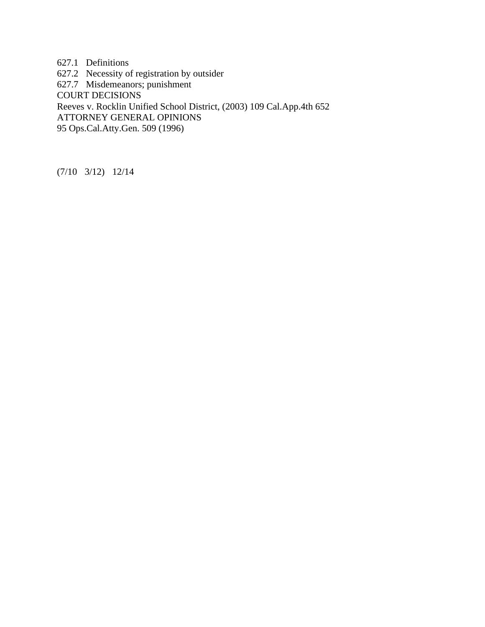627.1 Definitions 627.2 Necessity of registration by outsider 627.7 Misdemeanors; punishment COURT DECISIONS Reeves v. Rocklin Unified School District, (2003) 109 Cal.App.4th 652 ATTORNEY GENERAL OPINIONS 95 Ops.Cal.Atty.Gen. 509 (1996)

(7/10 3/12) 12/14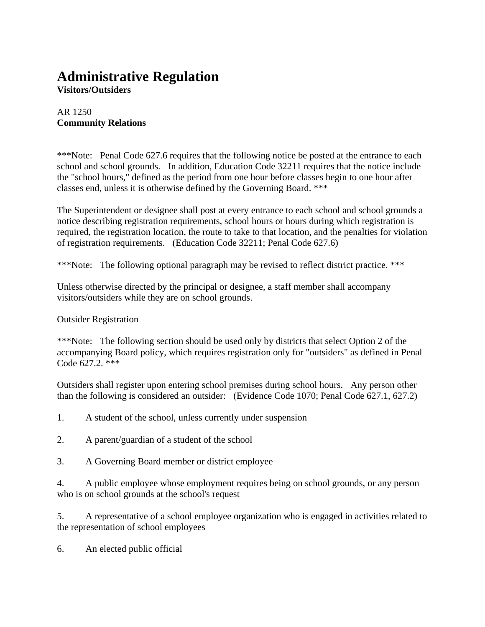### **Administrative Regulation**

**Visitors/Outsiders**

#### AR 1250 **Community Relations**

\*\*\*Note: Penal Code 627.6 requires that the following notice be posted at the entrance to each school and school grounds. In addition, Education Code 32211 requires that the notice include the "school hours," defined as the period from one hour before classes begin to one hour after classes end, unless it is otherwise defined by the Governing Board. \*\*\*

The Superintendent or designee shall post at every entrance to each school and school grounds a notice describing registration requirements, school hours or hours during which registration is required, the registration location, the route to take to that location, and the penalties for violation of registration requirements. (Education Code 32211; Penal Code 627.6)

\*\*\*Note: The following optional paragraph may be revised to reflect district practice. \*\*\*

Unless otherwise directed by the principal or designee, a staff member shall accompany visitors/outsiders while they are on school grounds.

#### Outsider Registration

\*\*\*Note: The following section should be used only by districts that select Option 2 of the accompanying Board policy, which requires registration only for "outsiders" as defined in Penal Code 627.2. \*\*\*

Outsiders shall register upon entering school premises during school hours. Any person other than the following is considered an outsider: (Evidence Code 1070; Penal Code 627.1, 627.2)

- 1. A student of the school, unless currently under suspension
- 2. A parent/guardian of a student of the school
- 3. A Governing Board member or district employee

4. A public employee whose employment requires being on school grounds, or any person who is on school grounds at the school's request

5. A representative of a school employee organization who is engaged in activities related to the representation of school employees

6. An elected public official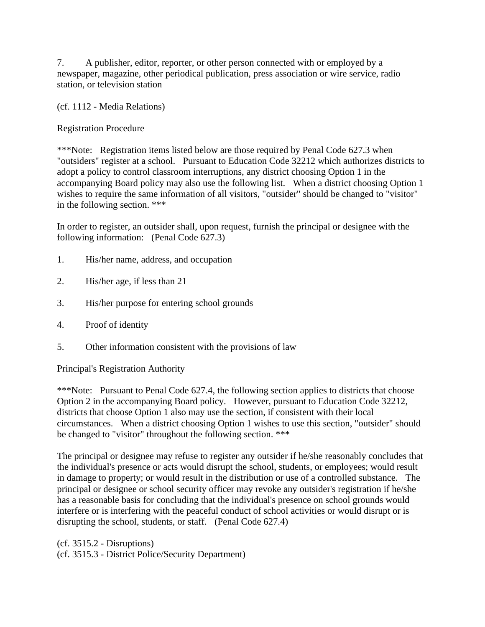7. A publisher, editor, reporter, or other person connected with or employed by a newspaper, magazine, other periodical publication, press association or wire service, radio station, or television station

(cf. 1112 - Media Relations)

#### Registration Procedure

\*\*\*Note: Registration items listed below are those required by Penal Code 627.3 when "outsiders" register at a school. Pursuant to Education Code 32212 which authorizes districts to adopt a policy to control classroom interruptions, any district choosing Option 1 in the accompanying Board policy may also use the following list. When a district choosing Option 1 wishes to require the same information of all visitors, "outsider" should be changed to "visitor" in the following section. \*\*\*

In order to register, an outsider shall, upon request, furnish the principal or designee with the following information: (Penal Code 627.3)

- 1. His/her name, address, and occupation
- 2. His/her age, if less than 21
- 3. His/her purpose for entering school grounds
- 4. Proof of identity
- 5. Other information consistent with the provisions of law

Principal's Registration Authority

\*\*\*Note: Pursuant to Penal Code 627.4, the following section applies to districts that choose Option 2 in the accompanying Board policy. However, pursuant to Education Code 32212, districts that choose Option 1 also may use the section, if consistent with their local circumstances. When a district choosing Option 1 wishes to use this section, "outsider" should be changed to "visitor" throughout the following section. \*\*\*

The principal or designee may refuse to register any outsider if he/she reasonably concludes that the individual's presence or acts would disrupt the school, students, or employees; would result in damage to property; or would result in the distribution or use of a controlled substance. The principal or designee or school security officer may revoke any outsider's registration if he/she has a reasonable basis for concluding that the individual's presence on school grounds would interfere or is interfering with the peaceful conduct of school activities or would disrupt or is disrupting the school, students, or staff. (Penal Code 627.4)

(cf. 3515.2 - Disruptions) (cf. 3515.3 - District Police/Security Department)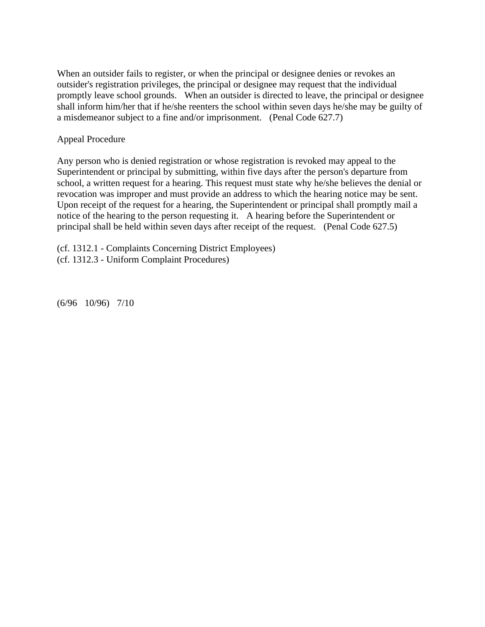When an outsider fails to register, or when the principal or designee denies or revokes an outsider's registration privileges, the principal or designee may request that the individual promptly leave school grounds. When an outsider is directed to leave, the principal or designee shall inform him/her that if he/she reenters the school within seven days he/she may be guilty of a misdemeanor subject to a fine and/or imprisonment. (Penal Code 627.7)

#### Appeal Procedure

Any person who is denied registration or whose registration is revoked may appeal to the Superintendent or principal by submitting, within five days after the person's departure from school, a written request for a hearing. This request must state why he/she believes the denial or revocation was improper and must provide an address to which the hearing notice may be sent. Upon receipt of the request for a hearing, the Superintendent or principal shall promptly mail a notice of the hearing to the person requesting it. A hearing before the Superintendent or principal shall be held within seven days after receipt of the request. (Penal Code 627.5)

(cf. 1312.1 - Complaints Concerning District Employees)

(cf. 1312.3 - Uniform Complaint Procedures)

(6/96 10/96) 7/10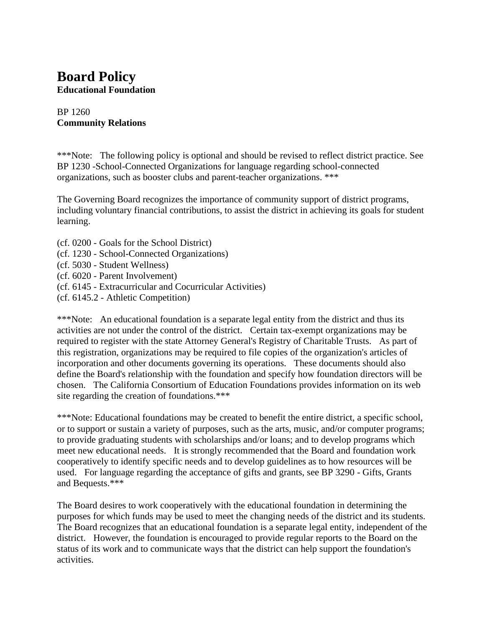# **Board Policy Educational Foundation**

# BP 1260 **Community Relations**

\*\*\*Note: The following policy is optional and should be revised to reflect district practice. See BP 1230 -School-Connected Organizations for language regarding school-connected organizations, such as booster clubs and parent-teacher organizations. \*\*\*

The Governing Board recognizes the importance of community support of district programs, including voluntary financial contributions, to assist the district in achieving its goals for student learning.

- (cf. 0200 Goals for the School District)
- (cf. 1230 School-Connected Organizations)
- (cf. 5030 Student Wellness)
- (cf. 6020 Parent Involvement)
- (cf. 6145 Extracurricular and Cocurricular Activities)
- (cf. 6145.2 Athletic Competition)

\*\*\*Note: An educational foundation is a separate legal entity from the district and thus its activities are not under the control of the district. Certain tax-exempt organizations may be required to register with the state Attorney General's Registry of Charitable Trusts. As part of this registration, organizations may be required to file copies of the organization's articles of incorporation and other documents governing its operations. These documents should also define the Board's relationship with the foundation and specify how foundation directors will be chosen. The California Consortium of Education Foundations provides information on its web site regarding the creation of foundations.\*\*\*

\*\*\*Note: Educational foundations may be created to benefit the entire district, a specific school, or to support or sustain a variety of purposes, such as the arts, music, and/or computer programs; to provide graduating students with scholarships and/or loans; and to develop programs which meet new educational needs. It is strongly recommended that the Board and foundation work cooperatively to identify specific needs and to develop guidelines as to how resources will be used. For language regarding the acceptance of gifts and grants, see BP 3290 - Gifts, Grants and Bequests.\*\*\*

The Board desires to work cooperatively with the educational foundation in determining the purposes for which funds may be used to meet the changing needs of the district and its students. The Board recognizes that an educational foundation is a separate legal entity, independent of the district. However, the foundation is encouraged to provide regular reports to the Board on the status of its work and to communicate ways that the district can help support the foundation's activities.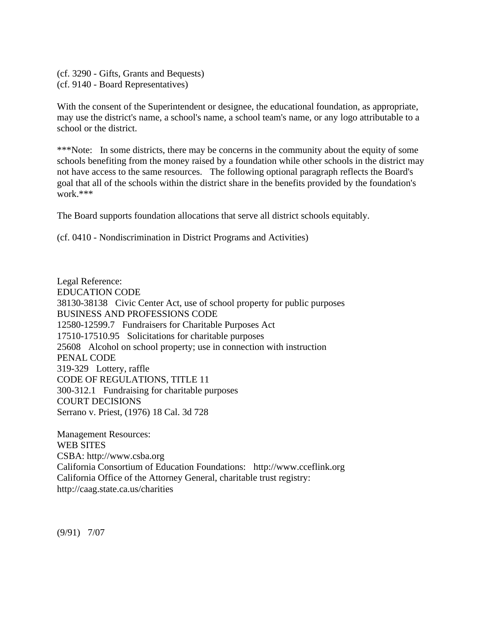(cf. 3290 - Gifts, Grants and Bequests) (cf. 9140 - Board Representatives)

With the consent of the Superintendent or designee, the educational foundation, as appropriate, may use the district's name, a school's name, a school team's name, or any logo attributable to a school or the district.

\*\*\*Note: In some districts, there may be concerns in the community about the equity of some schools benefiting from the money raised by a foundation while other schools in the district may not have access to the same resources. The following optional paragraph reflects the Board's goal that all of the schools within the district share in the benefits provided by the foundation's work.\*\*\*

The Board supports foundation allocations that serve all district schools equitably.

(cf. 0410 - Nondiscrimination in District Programs and Activities)

Legal Reference: EDUCATION CODE 38130-38138 Civic Center Act, use of school property for public purposes BUSINESS AND PROFESSIONS CODE 12580-12599.7 Fundraisers for Charitable Purposes Act 17510-17510.95 Solicitations for charitable purposes 25608 Alcohol on school property; use in connection with instruction PENAL CODE 319-329 Lottery, raffle CODE OF REGULATIONS, TITLE 11 300-312.1 Fundraising for charitable purposes COURT DECISIONS Serrano v. Priest, (1976) 18 Cal. 3d 728

Management Resources: WEB SITES CSBA: http://www.csba.org California Consortium of Education Foundations: http://www.cceflink.org California Office of the Attorney General, charitable trust registry: http://caag.state.ca.us/charities

(9/91) 7/07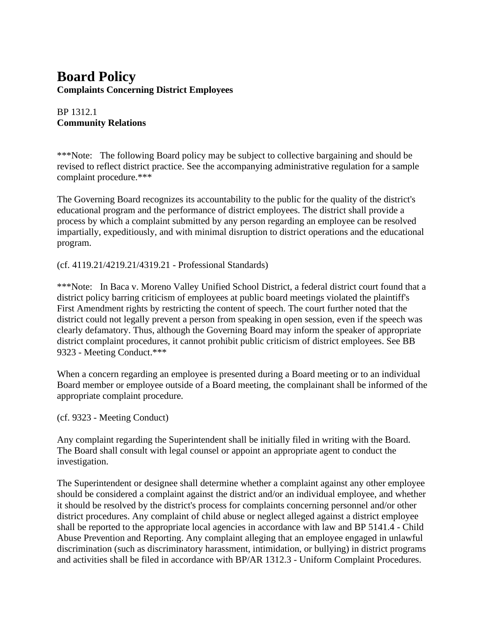# **Board Policy Complaints Concerning District Employees**

# BP 1312.1 **Community Relations**

\*\*\*Note: The following Board policy may be subject to collective bargaining and should be revised to reflect district practice. See the accompanying administrative regulation for a sample complaint procedure.\*\*\*

The Governing Board recognizes its accountability to the public for the quality of the district's educational program and the performance of district employees. The district shall provide a process by which a complaint submitted by any person regarding an employee can be resolved impartially, expeditiously, and with minimal disruption to district operations and the educational program.

(cf. 4119.21/4219.21/4319.21 - Professional Standards)

\*\*\*Note: In Baca v. Moreno Valley Unified School District, a federal district court found that a district policy barring criticism of employees at public board meetings violated the plaintiff's First Amendment rights by restricting the content of speech. The court further noted that the district could not legally prevent a person from speaking in open session, even if the speech was clearly defamatory. Thus, although the Governing Board may inform the speaker of appropriate district complaint procedures, it cannot prohibit public criticism of district employees. See BB 9323 - Meeting Conduct.\*\*\*

When a concern regarding an employee is presented during a Board meeting or to an individual Board member or employee outside of a Board meeting, the complainant shall be informed of the appropriate complaint procedure.

(cf. 9323 - Meeting Conduct)

Any complaint regarding the Superintendent shall be initially filed in writing with the Board. The Board shall consult with legal counsel or appoint an appropriate agent to conduct the investigation.

The Superintendent or designee shall determine whether a complaint against any other employee should be considered a complaint against the district and/or an individual employee, and whether it should be resolved by the district's process for complaints concerning personnel and/or other district procedures. Any complaint of child abuse or neglect alleged against a district employee shall be reported to the appropriate local agencies in accordance with law and BP 5141.4 - Child Abuse Prevention and Reporting. Any complaint alleging that an employee engaged in unlawful discrimination (such as discriminatory harassment, intimidation, or bullying) in district programs and activities shall be filed in accordance with BP/AR 1312.3 - Uniform Complaint Procedures.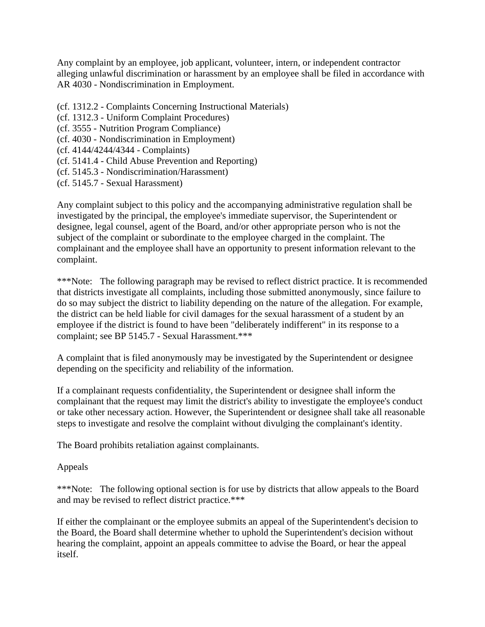Any complaint by an employee, job applicant, volunteer, intern, or independent contractor alleging unlawful discrimination or harassment by an employee shall be filed in accordance with AR 4030 - Nondiscrimination in Employment.

- (cf. 1312.2 Complaints Concerning Instructional Materials)
- (cf. 1312.3 Uniform Complaint Procedures)
- (cf. 3555 Nutrition Program Compliance)
- (cf. 4030 Nondiscrimination in Employment)
- (cf. 4144/4244/4344 Complaints)
- (cf. 5141.4 Child Abuse Prevention and Reporting)
- (cf. 5145.3 Nondiscrimination/Harassment)
- (cf. 5145.7 Sexual Harassment)

Any complaint subject to this policy and the accompanying administrative regulation shall be investigated by the principal, the employee's immediate supervisor, the Superintendent or designee, legal counsel, agent of the Board, and/or other appropriate person who is not the subject of the complaint or subordinate to the employee charged in the complaint. The complainant and the employee shall have an opportunity to present information relevant to the complaint.

\*\*\*Note: The following paragraph may be revised to reflect district practice. It is recommended that districts investigate all complaints, including those submitted anonymously, since failure to do so may subject the district to liability depending on the nature of the allegation. For example, the district can be held liable for civil damages for the sexual harassment of a student by an employee if the district is found to have been "deliberately indifferent" in its response to a complaint; see BP 5145.7 - Sexual Harassment.\*\*\*

A complaint that is filed anonymously may be investigated by the Superintendent or designee depending on the specificity and reliability of the information.

If a complainant requests confidentiality, the Superintendent or designee shall inform the complainant that the request may limit the district's ability to investigate the employee's conduct or take other necessary action. However, the Superintendent or designee shall take all reasonable steps to investigate and resolve the complaint without divulging the complainant's identity.

The Board prohibits retaliation against complainants.

#### Appeals

\*\*\*Note: The following optional section is for use by districts that allow appeals to the Board and may be revised to reflect district practice.\*\*\*

If either the complainant or the employee submits an appeal of the Superintendent's decision to the Board, the Board shall determine whether to uphold the Superintendent's decision without hearing the complaint, appoint an appeals committee to advise the Board, or hear the appeal itself.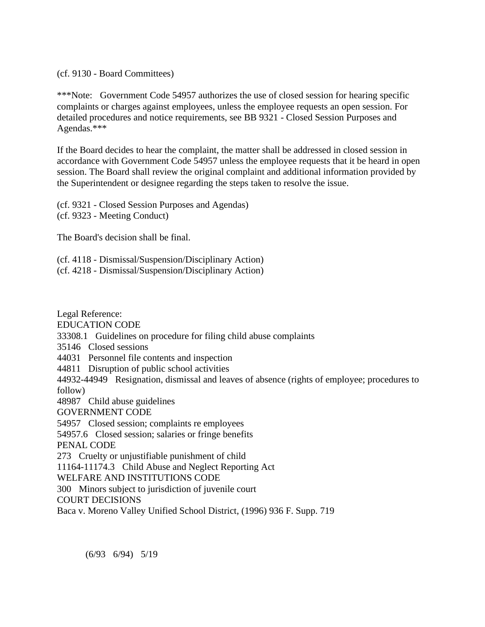(cf. 9130 - Board Committees)

\*\*\*Note: Government Code 54957 authorizes the use of closed session for hearing specific complaints or charges against employees, unless the employee requests an open session. For detailed procedures and notice requirements, see BB 9321 - Closed Session Purposes and Agendas.\*\*\*

If the Board decides to hear the complaint, the matter shall be addressed in closed session in accordance with Government Code 54957 unless the employee requests that it be heard in open session. The Board shall review the original complaint and additional information provided by the Superintendent or designee regarding the steps taken to resolve the issue.

(cf. 9321 - Closed Session Purposes and Agendas) (cf. 9323 - Meeting Conduct)

The Board's decision shall be final.

(cf. 4118 - Dismissal/Suspension/Disciplinary Action)

(cf. 4218 - Dismissal/Suspension/Disciplinary Action)

Legal Reference: EDUCATION CODE 33308.1 Guidelines on procedure for filing child abuse complaints 35146 Closed sessions 44031 Personnel file contents and inspection 44811 Disruption of public school activities 44932-44949 Resignation, dismissal and leaves of absence (rights of employee; procedures to follow) 48987 Child abuse guidelines GOVERNMENT CODE 54957 Closed session; complaints re employees 54957.6 Closed session; salaries or fringe benefits PENAL CODE 273 Cruelty or unjustifiable punishment of child 11164-11174.3 Child Abuse and Neglect Reporting Act WELFARE AND INSTITUTIONS CODE 300 Minors subject to jurisdiction of juvenile court COURT DECISIONS Baca v. Moreno Valley Unified School District, (1996) 936 F. Supp. 719

(6/93 6/94) 5/19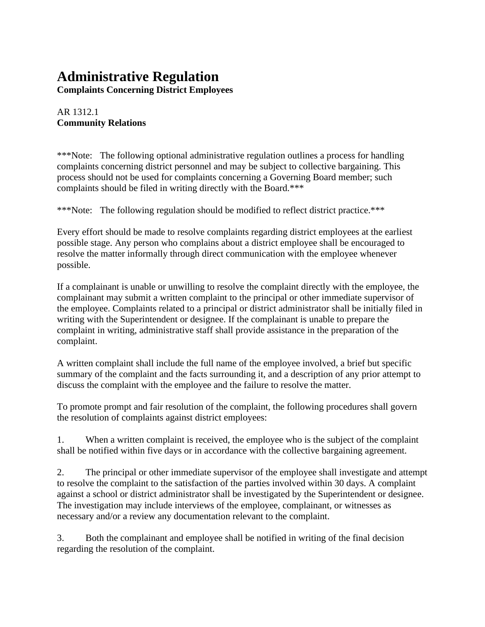# **Administrative Regulation**

**Complaints Concerning District Employees**

## AR 1312.1 **Community Relations**

\*\*\*Note: The following optional administrative regulation outlines a process for handling complaints concerning district personnel and may be subject to collective bargaining. This process should not be used for complaints concerning a Governing Board member; such complaints should be filed in writing directly with the Board.\*\*\*

\*\*\*Note: The following regulation should be modified to reflect district practice.\*\*\*

Every effort should be made to resolve complaints regarding district employees at the earliest possible stage. Any person who complains about a district employee shall be encouraged to resolve the matter informally through direct communication with the employee whenever possible.

If a complainant is unable or unwilling to resolve the complaint directly with the employee, the complainant may submit a written complaint to the principal or other immediate supervisor of the employee. Complaints related to a principal or district administrator shall be initially filed in writing with the Superintendent or designee. If the complainant is unable to prepare the complaint in writing, administrative staff shall provide assistance in the preparation of the complaint.

A written complaint shall include the full name of the employee involved, a brief but specific summary of the complaint and the facts surrounding it, and a description of any prior attempt to discuss the complaint with the employee and the failure to resolve the matter.

To promote prompt and fair resolution of the complaint, the following procedures shall govern the resolution of complaints against district employees:

1. When a written complaint is received, the employee who is the subject of the complaint shall be notified within five days or in accordance with the collective bargaining agreement.

2. The principal or other immediate supervisor of the employee shall investigate and attempt to resolve the complaint to the satisfaction of the parties involved within 30 days. A complaint against a school or district administrator shall be investigated by the Superintendent or designee. The investigation may include interviews of the employee, complainant, or witnesses as necessary and/or a review any documentation relevant to the complaint.

3. Both the complainant and employee shall be notified in writing of the final decision regarding the resolution of the complaint.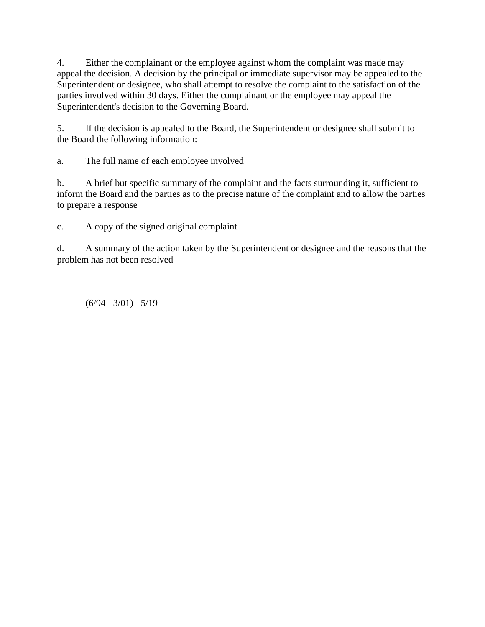4. Either the complainant or the employee against whom the complaint was made may appeal the decision. A decision by the principal or immediate supervisor may be appealed to the Superintendent or designee, who shall attempt to resolve the complaint to the satisfaction of the parties involved within 30 days. Either the complainant or the employee may appeal the Superintendent's decision to the Governing Board.

5. If the decision is appealed to the Board, the Superintendent or designee shall submit to the Board the following information:

a. The full name of each employee involved

b. A brief but specific summary of the complaint and the facts surrounding it, sufficient to inform the Board and the parties as to the precise nature of the complaint and to allow the parties to prepare a response

c. A copy of the signed original complaint

d. A summary of the action taken by the Superintendent or designee and the reasons that the problem has not been resolved

(6/94 3/01) 5/19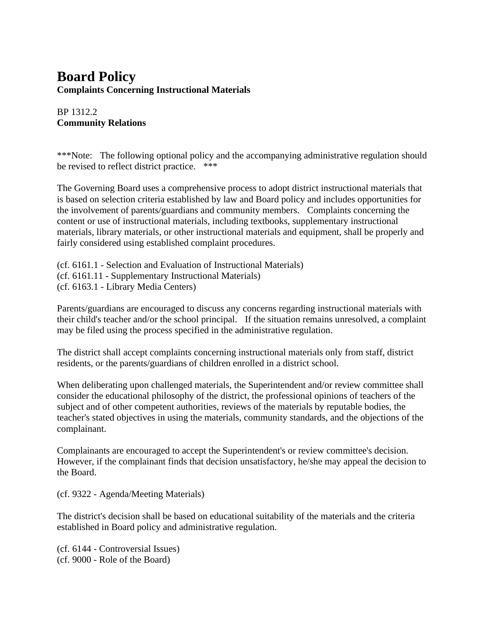# **Board Policy Complaints Concerning Instructional Materials**

### BP 1312.2 **Community Relations**

\*\*\*Note: The following optional policy and the accompanying administrative regulation should be revised to reflect district practice. \*\*\*

The Governing Board uses a comprehensive process to adopt district instructional materials that is based on selection criteria established by law and Board policy and includes opportunities for the involvement of parents/guardians and community members. Complaints concerning the content or use of instructional materials, including textbooks, supplementary instructional materials, library materials, or other instructional materials and equipment, shall be properly and fairly considered using established complaint procedures.

(cf. 6161.1 - Selection and Evaluation of Instructional Materials) (cf. 6161.11 - Supplementary Instructional Materials) (cf. 6163.1 - Library Media Centers)

Parents/guardians are encouraged to discuss any concerns regarding instructional materials with their child's teacher and/or the school principal. If the situation remains unresolved, a complaint may be filed using the process specified in the administrative regulation.

The district shall accept complaints concerning instructional materials only from staff, district residents, or the parents/guardians of children enrolled in a district school.

When deliberating upon challenged materials, the Superintendent and/or review committee shall consider the educational philosophy of the district, the professional opinions of teachers of the subject and of other competent authorities, reviews of the materials by reputable bodies, the teacher's stated objectives in using the materials, community standards, and the objections of the complainant.

Complainants are encouraged to accept the Superintendent's or review committee's decision. However, if the complainant finds that decision unsatisfactory, he/she may appeal the decision to the Board.

(cf. 9322 - Agenda/Meeting Materials)

The district's decision shall be based on educational suitability of the materials and the criteria established in Board policy and administrative regulation.

(cf. 6144 - Controversial Issues) (cf. 9000 - Role of the Board)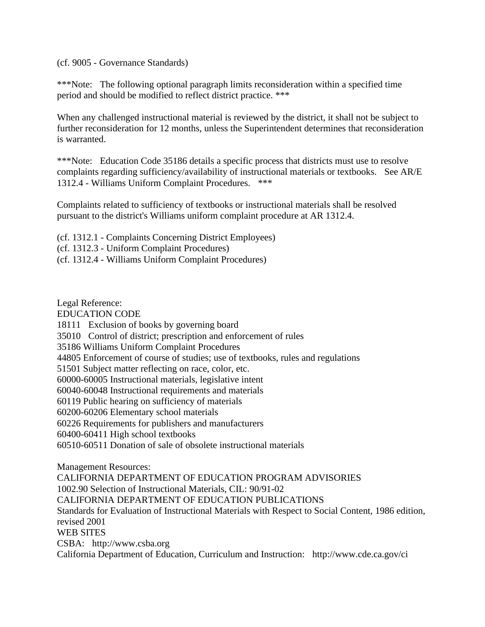(cf. 9005 - Governance Standards)

\*\*\*Note: The following optional paragraph limits reconsideration within a specified time period and should be modified to reflect district practice. \*\*\*

When any challenged instructional material is reviewed by the district, it shall not be subject to further reconsideration for 12 months, unless the Superintendent determines that reconsideration is warranted.

\*\*\*Note: Education Code 35186 details a specific process that districts must use to resolve complaints regarding sufficiency/availability of instructional materials or textbooks. See AR/E 1312.4 - Williams Uniform Complaint Procedures. \*\*\*

Complaints related to sufficiency of textbooks or instructional materials shall be resolved pursuant to the district's Williams uniform complaint procedure at AR 1312.4.

(cf. 1312.1 - Complaints Concerning District Employees)

(cf. 1312.3 - Uniform Complaint Procedures)

(cf. 1312.4 - Williams Uniform Complaint Procedures)

Legal Reference:

EDUCATION CODE

18111 Exclusion of books by governing board

35010 Control of district; prescription and enforcement of rules

35186 Williams Uniform Complaint Procedures

44805 Enforcement of course of studies; use of textbooks, rules and regulations

51501 Subject matter reflecting on race, color, etc.

60000-60005 Instructional materials, legislative intent

60040-60048 Instructional requirements and materials

60119 Public hearing on sufficiency of materials

60200-60206 Elementary school materials

60226 Requirements for publishers and manufacturers

60400-60411 High school textbooks

60510-60511 Donation of sale of obsolete instructional materials

Management Resources:

CALIFORNIA DEPARTMENT OF EDUCATION PROGRAM ADVISORIES

1002.90 Selection of Instructional Materials, CIL: 90/91-02

CALIFORNIA DEPARTMENT OF EDUCATION PUBLICATIONS

Standards for Evaluation of Instructional Materials with Respect to Social Content, 1986 edition, revised 2001 WEB SITES CSBA: http://www.csba.org

California Department of Education, Curriculum and Instruction: http://www.cde.ca.gov/ci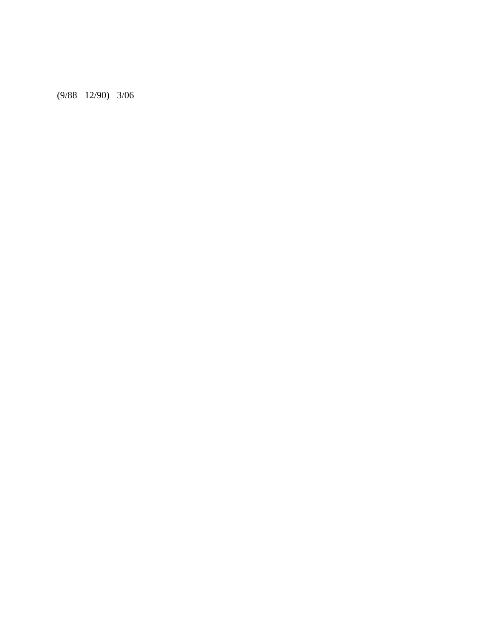(9/88 12/90) 3/06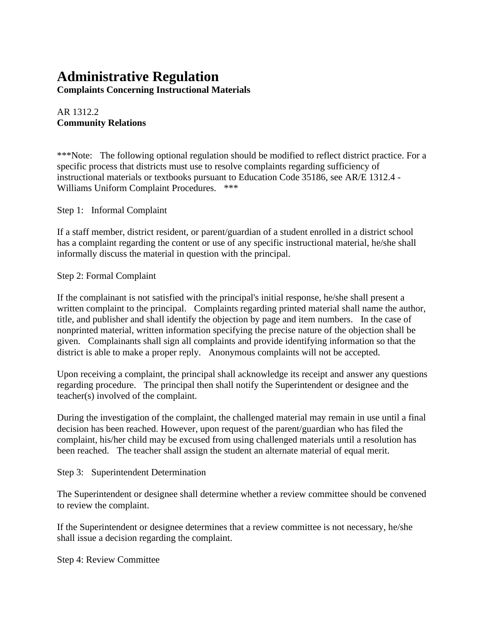# **Administrative Regulation**

**Complaints Concerning Instructional Materials**

## AR 1312.2 **Community Relations**

\*\*\*Note: The following optional regulation should be modified to reflect district practice. For a specific process that districts must use to resolve complaints regarding sufficiency of instructional materials or textbooks pursuant to Education Code 35186, see AR/E 1312.4 - Williams Uniform Complaint Procedures. \*\*\*

Step 1: Informal Complaint

If a staff member, district resident, or parent/guardian of a student enrolled in a district school has a complaint regarding the content or use of any specific instructional material, he/she shall informally discuss the material in question with the principal.

#### Step 2: Formal Complaint

If the complainant is not satisfied with the principal's initial response, he/she shall present a written complaint to the principal. Complaints regarding printed material shall name the author, title, and publisher and shall identify the objection by page and item numbers. In the case of nonprinted material, written information specifying the precise nature of the objection shall be given. Complainants shall sign all complaints and provide identifying information so that the district is able to make a proper reply. Anonymous complaints will not be accepted.

Upon receiving a complaint, the principal shall acknowledge its receipt and answer any questions regarding procedure. The principal then shall notify the Superintendent or designee and the teacher(s) involved of the complaint.

During the investigation of the complaint, the challenged material may remain in use until a final decision has been reached. However, upon request of the parent/guardian who has filed the complaint, his/her child may be excused from using challenged materials until a resolution has been reached. The teacher shall assign the student an alternate material of equal merit.

#### Step 3: Superintendent Determination

The Superintendent or designee shall determine whether a review committee should be convened to review the complaint.

If the Superintendent or designee determines that a review committee is not necessary, he/she shall issue a decision regarding the complaint.

Step 4: Review Committee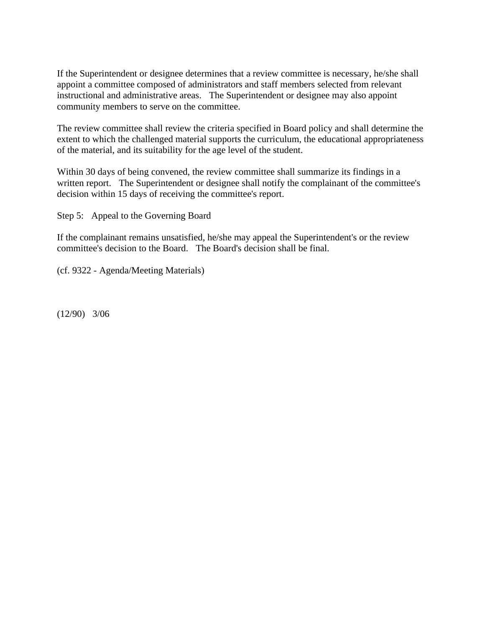If the Superintendent or designee determines that a review committee is necessary, he/she shall appoint a committee composed of administrators and staff members selected from relevant instructional and administrative areas. The Superintendent or designee may also appoint community members to serve on the committee.

The review committee shall review the criteria specified in Board policy and shall determine the extent to which the challenged material supports the curriculum, the educational appropriateness of the material, and its suitability for the age level of the student.

Within 30 days of being convened, the review committee shall summarize its findings in a written report. The Superintendent or designee shall notify the complainant of the committee's decision within 15 days of receiving the committee's report.

Step 5: Appeal to the Governing Board

If the complainant remains unsatisfied, he/she may appeal the Superintendent's or the review committee's decision to the Board. The Board's decision shall be final.

(cf. 9322 - Agenda/Meeting Materials)

(12/90) 3/06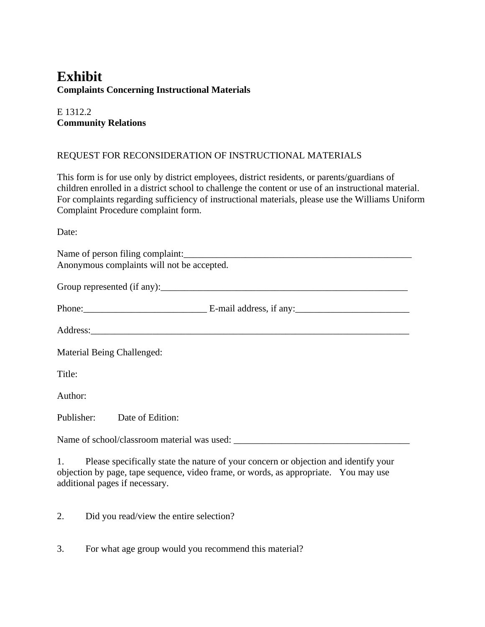# **Exhibit Complaints Concerning Instructional Materials**

# E 1312.2 **Community Relations**

#### REQUEST FOR RECONSIDERATION OF INSTRUCTIONAL MATERIALS

This form is for use only by district employees, district residents, or parents/guardians of children enrolled in a district school to challenge the content or use of an instructional material. For complaints regarding sufficiency of instructional materials, please use the Williams Uniform Complaint Procedure complaint form.

Date:

| Name of person filing complaint:<br>Anonymous complaints will not be accepted. |
|--------------------------------------------------------------------------------|
|                                                                                |
|                                                                                |
|                                                                                |
| Material Being Challenged:                                                     |
| Title:                                                                         |
| Author:                                                                        |
| Publisher: Date of Edition:                                                    |
| Name of school/classroom material was used:                                    |
|                                                                                |

1. Please specifically state the nature of your concern or objection and identify your objection by page, tape sequence, video frame, or words, as appropriate. You may use additional pages if necessary.

2. Did you read/view the entire selection?

3. For what age group would you recommend this material?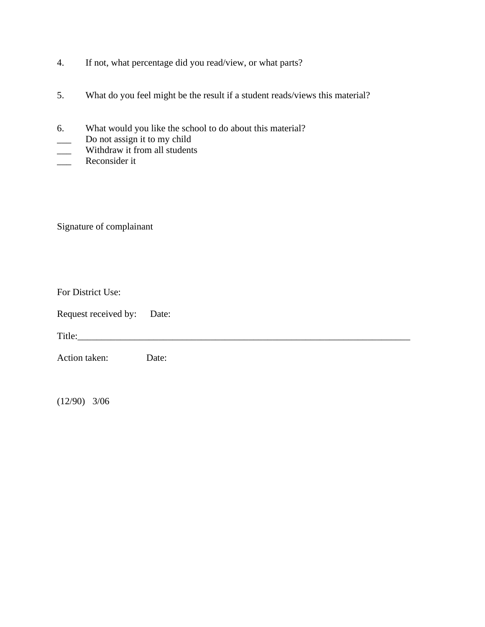- 4. If not, what percentage did you read/view, or what parts?
- 5. What do you feel might be the result if a student reads/views this material?
- 6. What would you like the school to do about this material?
- Do not assign it to my child
- Withdraw it from all students
- \_\_\_ Reconsider it

Signature of complainant

| For District Use: |  |
|-------------------|--|
|-------------------|--|

| Request received by: |  | Date: |
|----------------------|--|-------|
|----------------------|--|-------|

Title:

Action taken: Date:

(12/90) 3/06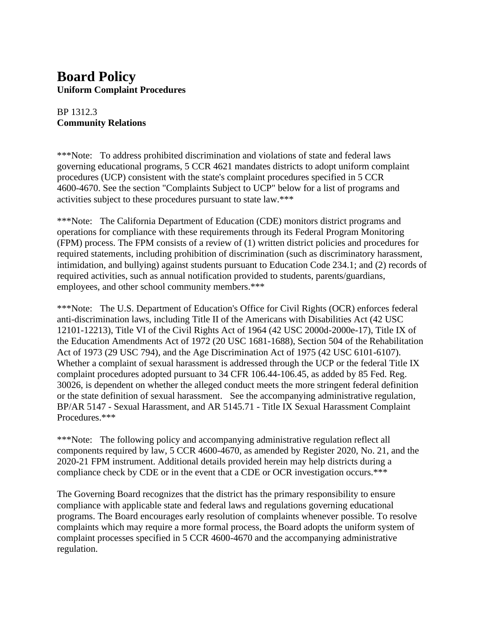# **Board Policy Uniform Complaint Procedures**

## BP 1312.3 **Community Relations**

\*\*\*Note: To address prohibited discrimination and violations of state and federal laws governing educational programs, 5 CCR 4621 mandates districts to adopt uniform complaint procedures (UCP) consistent with the state's complaint procedures specified in 5 CCR 4600-4670. See the section "Complaints Subject to UCP" below for a list of programs and activities subject to these procedures pursuant to state law.\*\*\*

\*\*\*Note: The California Department of Education (CDE) monitors district programs and operations for compliance with these requirements through its Federal Program Monitoring (FPM) process. The FPM consists of a review of (1) written district policies and procedures for required statements, including prohibition of discrimination (such as discriminatory harassment, intimidation, and bullying) against students pursuant to Education Code 234.1; and (2) records of required activities, such as annual notification provided to students, parents/guardians, employees, and other school community members.\*\*\*

\*\*\*Note: The U.S. Department of Education's Office for Civil Rights (OCR) enforces federal anti-discrimination laws, including Title II of the Americans with Disabilities Act (42 USC 12101-12213), Title VI of the Civil Rights Act of 1964 (42 USC 2000d-2000e-17), Title IX of the Education Amendments Act of 1972 (20 USC 1681-1688), Section 504 of the Rehabilitation Act of 1973 (29 USC 794), and the Age Discrimination Act of 1975 (42 USC 6101-6107). Whether a complaint of sexual harassment is addressed through the UCP or the federal Title IX complaint procedures adopted pursuant to 34 CFR 106.44-106.45, as added by 85 Fed. Reg. 30026, is dependent on whether the alleged conduct meets the more stringent federal definition or the state definition of sexual harassment. See the accompanying administrative regulation, BP/AR 5147 - Sexual Harassment, and AR 5145.71 - Title IX Sexual Harassment Complaint Procedures.\*\*\*

\*\*\*Note: The following policy and accompanying administrative regulation reflect all components required by law, 5 CCR 4600-4670, as amended by Register 2020, No. 21, and the 2020-21 FPM instrument. Additional details provided herein may help districts during a compliance check by CDE or in the event that a CDE or OCR investigation occurs.\*\*\*

The Governing Board recognizes that the district has the primary responsibility to ensure compliance with applicable state and federal laws and regulations governing educational programs. The Board encourages early resolution of complaints whenever possible. To resolve complaints which may require a more formal process, the Board adopts the uniform system of complaint processes specified in 5 CCR 4600-4670 and the accompanying administrative regulation.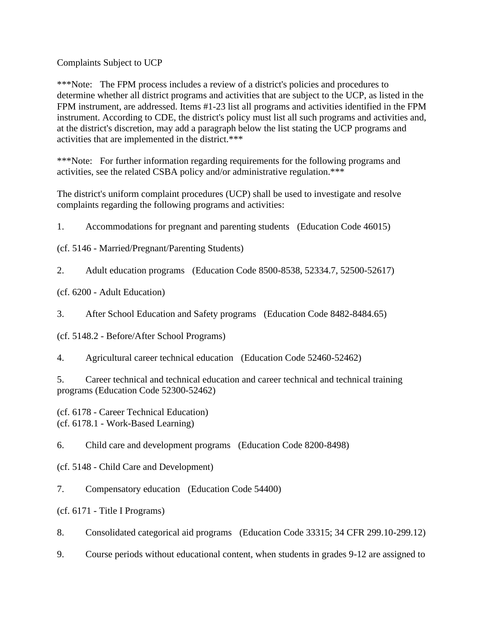Complaints Subject to UCP

\*\*\*Note: The FPM process includes a review of a district's policies and procedures to determine whether all district programs and activities that are subject to the UCP, as listed in the FPM instrument, are addressed. Items #1-23 list all programs and activities identified in the FPM instrument. According to CDE, the district's policy must list all such programs and activities and, at the district's discretion, may add a paragraph below the list stating the UCP programs and activities that are implemented in the district.\*\*\*

\*\*\*Note: For further information regarding requirements for the following programs and activities, see the related CSBA policy and/or administrative regulation.\*\*\*

The district's uniform complaint procedures (UCP) shall be used to investigate and resolve complaints regarding the following programs and activities:

1. Accommodations for pregnant and parenting students (Education Code 46015)

(cf. 5146 - Married/Pregnant/Parenting Students)

2. Adult education programs (Education Code 8500-8538, 52334.7, 52500-52617)

(cf. 6200 - Adult Education)

3. After School Education and Safety programs (Education Code 8482-8484.65)

(cf. 5148.2 - Before/After School Programs)

4. Agricultural career technical education (Education Code 52460-52462)

5. Career technical and technical education and career technical and technical training programs (Education Code 52300-52462)

(cf. 6178 - Career Technical Education) (cf. 6178.1 - Work-Based Learning)

6. Child care and development programs (Education Code 8200-8498)

(cf. 5148 - Child Care and Development)

7. Compensatory education (Education Code 54400)

(cf. 6171 - Title I Programs)

8. Consolidated categorical aid programs (Education Code 33315; 34 CFR 299.10-299.12)

9. Course periods without educational content, when students in grades 9-12 are assigned to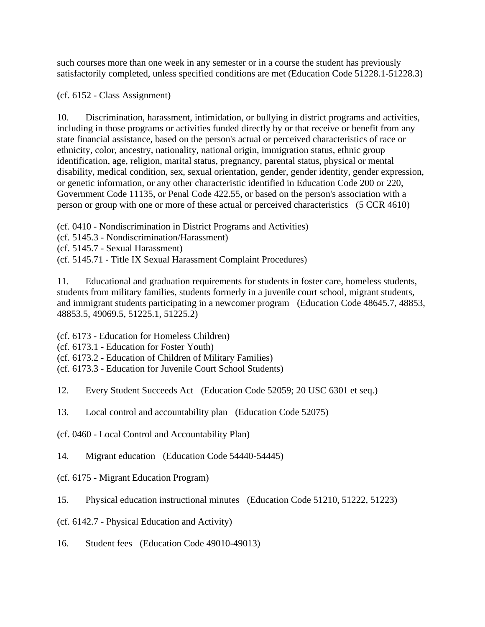such courses more than one week in any semester or in a course the student has previously satisfactorily completed, unless specified conditions are met (Education Code 51228.1-51228.3)

(cf. 6152 - Class Assignment)

10. Discrimination, harassment, intimidation, or bullying in district programs and activities, including in those programs or activities funded directly by or that receive or benefit from any state financial assistance, based on the person's actual or perceived characteristics of race or ethnicity, color, ancestry, nationality, national origin, immigration status, ethnic group identification, age, religion, marital status, pregnancy, parental status, physical or mental disability, medical condition, sex, sexual orientation, gender, gender identity, gender expression, or genetic information, or any other characteristic identified in Education Code 200 or 220, Government Code 11135, or Penal Code 422.55, or based on the person's association with a person or group with one or more of these actual or perceived characteristics (5 CCR 4610)

- (cf. 0410 Nondiscrimination in District Programs and Activities)
- (cf. 5145.3 Nondiscrimination/Harassment)
- (cf. 5145.7 Sexual Harassment)
- (cf. 5145.71 Title IX Sexual Harassment Complaint Procedures)

11. Educational and graduation requirements for students in foster care, homeless students, students from military families, students formerly in a juvenile court school, migrant students, and immigrant students participating in a newcomer program (Education Code 48645.7, 48853, 48853.5, 49069.5, 51225.1, 51225.2)

(cf. 6173 - Education for Homeless Children)

(cf. 6173.1 - Education for Foster Youth)

(cf. 6173.2 - Education of Children of Military Families)

- (cf. 6173.3 Education for Juvenile Court School Students)
- 12. Every Student Succeeds Act (Education Code 52059; 20 USC 6301 et seq.)
- 13. Local control and accountability plan (Education Code 52075)
- (cf. 0460 Local Control and Accountability Plan)
- 14. Migrant education (Education Code 54440-54445)
- (cf. 6175 Migrant Education Program)

15. Physical education instructional minutes (Education Code 51210, 51222, 51223)

- (cf. 6142.7 Physical Education and Activity)
- 16. Student fees (Education Code 49010-49013)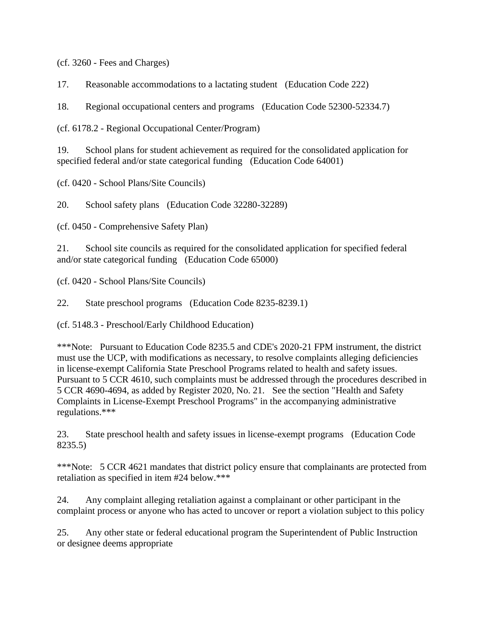(cf. 3260 - Fees and Charges)

17. Reasonable accommodations to a lactating student (Education Code 222)

18. Regional occupational centers and programs (Education Code 52300-52334.7)

(cf. 6178.2 - Regional Occupational Center/Program)

19. School plans for student achievement as required for the consolidated application for specified federal and/or state categorical funding (Education Code 64001)

(cf. 0420 - School Plans/Site Councils)

20. School safety plans (Education Code 32280-32289)

(cf. 0450 - Comprehensive Safety Plan)

21. School site councils as required for the consolidated application for specified federal and/or state categorical funding (Education Code 65000)

(cf. 0420 - School Plans/Site Councils)

22. State preschool programs (Education Code 8235-8239.1)

(cf. 5148.3 - Preschool/Early Childhood Education)

\*\*\*Note: Pursuant to Education Code 8235.5 and CDE's 2020-21 FPM instrument, the district must use the UCP, with modifications as necessary, to resolve complaints alleging deficiencies in license-exempt California State Preschool Programs related to health and safety issues. Pursuant to 5 CCR 4610, such complaints must be addressed through the procedures described in 5 CCR 4690-4694, as added by Register 2020, No. 21. See the section "Health and Safety Complaints in License-Exempt Preschool Programs" in the accompanying administrative regulations.\*\*\*

23. State preschool health and safety issues in license-exempt programs (Education Code 8235.5)

\*\*\*Note: 5 CCR 4621 mandates that district policy ensure that complainants are protected from retaliation as specified in item #24 below.\*\*\*

24. Any complaint alleging retaliation against a complainant or other participant in the complaint process or anyone who has acted to uncover or report a violation subject to this policy

25. Any other state or federal educational program the Superintendent of Public Instruction or designee deems appropriate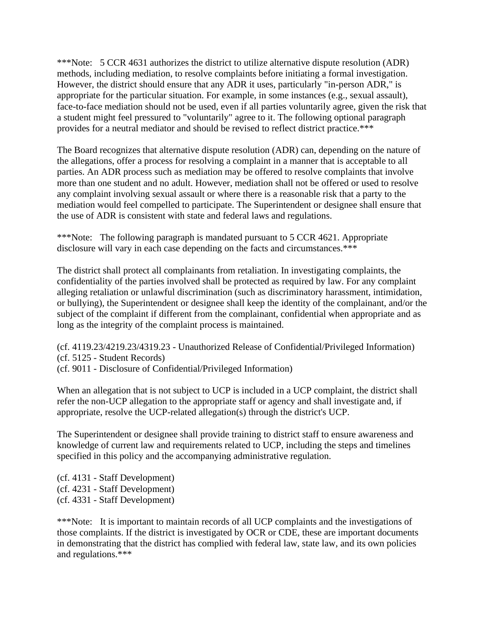\*\*\*Note: 5 CCR 4631 authorizes the district to utilize alternative dispute resolution (ADR) methods, including mediation, to resolve complaints before initiating a formal investigation. However, the district should ensure that any ADR it uses, particularly "in-person ADR," is appropriate for the particular situation. For example, in some instances (e.g., sexual assault), face-to-face mediation should not be used, even if all parties voluntarily agree, given the risk that a student might feel pressured to "voluntarily" agree to it. The following optional paragraph provides for a neutral mediator and should be revised to reflect district practice.\*\*\*

The Board recognizes that alternative dispute resolution (ADR) can, depending on the nature of the allegations, offer a process for resolving a complaint in a manner that is acceptable to all parties. An ADR process such as mediation may be offered to resolve complaints that involve more than one student and no adult. However, mediation shall not be offered or used to resolve any complaint involving sexual assault or where there is a reasonable risk that a party to the mediation would feel compelled to participate. The Superintendent or designee shall ensure that the use of ADR is consistent with state and federal laws and regulations.

\*\*\*Note: The following paragraph is mandated pursuant to 5 CCR 4621. Appropriate disclosure will vary in each case depending on the facts and circumstances.\*\*\*

The district shall protect all complainants from retaliation. In investigating complaints, the confidentiality of the parties involved shall be protected as required by law. For any complaint alleging retaliation or unlawful discrimination (such as discriminatory harassment, intimidation, or bullying), the Superintendent or designee shall keep the identity of the complainant, and/or the subject of the complaint if different from the complainant, confidential when appropriate and as long as the integrity of the complaint process is maintained.

(cf. 4119.23/4219.23/4319.23 - Unauthorized Release of Confidential/Privileged Information) (cf. 5125 - Student Records) (cf. 9011 - Disclosure of Confidential/Privileged Information)

When an allegation that is not subject to UCP is included in a UCP complaint, the district shall refer the non-UCP allegation to the appropriate staff or agency and shall investigate and, if appropriate, resolve the UCP-related allegation(s) through the district's UCP.

The Superintendent or designee shall provide training to district staff to ensure awareness and knowledge of current law and requirements related to UCP, including the steps and timelines specified in this policy and the accompanying administrative regulation.

(cf. 4131 - Staff Development) (cf. 4231 - Staff Development) (cf. 4331 - Staff Development)

\*\*\*Note: It is important to maintain records of all UCP complaints and the investigations of those complaints. If the district is investigated by OCR or CDE, these are important documents in demonstrating that the district has complied with federal law, state law, and its own policies and regulations.\*\*\*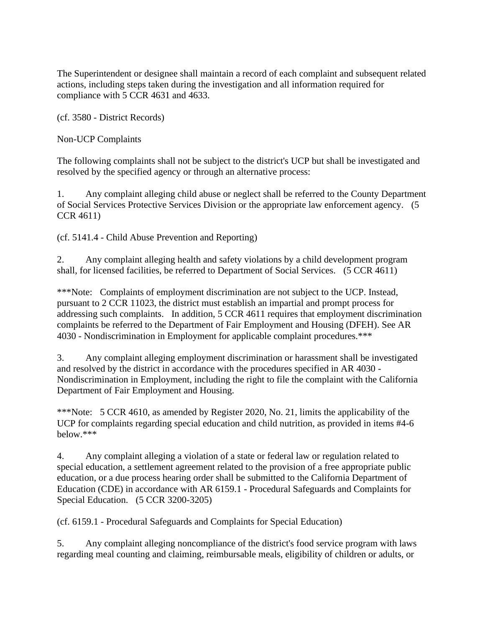The Superintendent or designee shall maintain a record of each complaint and subsequent related actions, including steps taken during the investigation and all information required for compliance with 5 CCR 4631 and 4633.

(cf. 3580 - District Records)

Non-UCP Complaints

The following complaints shall not be subject to the district's UCP but shall be investigated and resolved by the specified agency or through an alternative process:

1. Any complaint alleging child abuse or neglect shall be referred to the County Department of Social Services Protective Services Division or the appropriate law enforcement agency. (5 CCR 4611)

(cf. 5141.4 - Child Abuse Prevention and Reporting)

2. Any complaint alleging health and safety violations by a child development program shall, for licensed facilities, be referred to Department of Social Services. (5 CCR 4611)

\*\*\*Note: Complaints of employment discrimination are not subject to the UCP. Instead, pursuant to 2 CCR 11023, the district must establish an impartial and prompt process for addressing such complaints. In addition, 5 CCR 4611 requires that employment discrimination complaints be referred to the Department of Fair Employment and Housing (DFEH). See AR 4030 - Nondiscrimination in Employment for applicable complaint procedures.\*\*\*

3. Any complaint alleging employment discrimination or harassment shall be investigated and resolved by the district in accordance with the procedures specified in AR 4030 - Nondiscrimination in Employment, including the right to file the complaint with the California Department of Fair Employment and Housing.

\*\*\*Note: 5 CCR 4610, as amended by Register 2020, No. 21, limits the applicability of the UCP for complaints regarding special education and child nutrition, as provided in items #4-6 below.\*\*\*

4. Any complaint alleging a violation of a state or federal law or regulation related to special education, a settlement agreement related to the provision of a free appropriate public education, or a due process hearing order shall be submitted to the California Department of Education (CDE) in accordance with AR 6159.1 - Procedural Safeguards and Complaints for Special Education. (5 CCR 3200-3205)

(cf. 6159.1 - Procedural Safeguards and Complaints for Special Education)

5. Any complaint alleging noncompliance of the district's food service program with laws regarding meal counting and claiming, reimbursable meals, eligibility of children or adults, or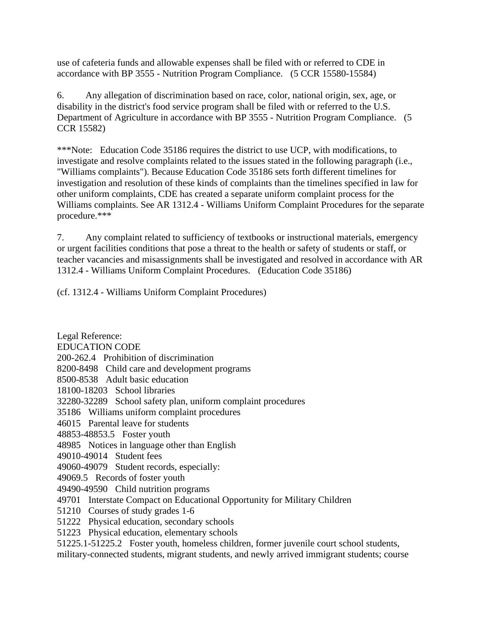use of cafeteria funds and allowable expenses shall be filed with or referred to CDE in accordance with BP 3555 - Nutrition Program Compliance. (5 CCR 15580-15584)

6. Any allegation of discrimination based on race, color, national origin, sex, age, or disability in the district's food service program shall be filed with or referred to the U.S. Department of Agriculture in accordance with BP 3555 - Nutrition Program Compliance. (5 CCR 15582)

\*\*\*Note: Education Code 35186 requires the district to use UCP, with modifications, to investigate and resolve complaints related to the issues stated in the following paragraph (i.e., "Williams complaints"). Because Education Code 35186 sets forth different timelines for investigation and resolution of these kinds of complaints than the timelines specified in law for other uniform complaints, CDE has created a separate uniform complaint process for the Williams complaints. See AR 1312.4 - Williams Uniform Complaint Procedures for the separate procedure.\*\*\*

7. Any complaint related to sufficiency of textbooks or instructional materials, emergency or urgent facilities conditions that pose a threat to the health or safety of students or staff, or teacher vacancies and misassignments shall be investigated and resolved in accordance with AR 1312.4 - Williams Uniform Complaint Procedures. (Education Code 35186)

(cf. 1312.4 - Williams Uniform Complaint Procedures)

Legal Reference: EDUCATION CODE 200-262.4 Prohibition of discrimination 8200-8498 Child care and development programs 8500-8538 Adult basic education 18100-18203 School libraries 32280-32289 School safety plan, uniform complaint procedures 35186 Williams uniform complaint procedures 46015 Parental leave for students 48853-48853.5 Foster youth 48985 Notices in language other than English 49010-49014 Student fees 49060-49079 Student records, especially: 49069.5 Records of foster youth 49490-49590 Child nutrition programs 49701 Interstate Compact on Educational Opportunity for Military Children 51210 Courses of study grades 1-6 51222 Physical education, secondary schools 51223 Physical education, elementary schools 51225.1-51225.2 Foster youth, homeless children, former juvenile court school students, military-connected students, migrant students, and newly arrived immigrant students; course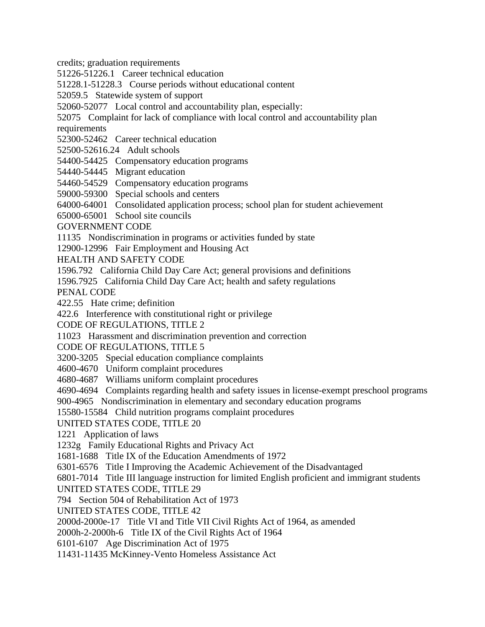credits; graduation requirements

51226-51226.1 Career technical education

51228.1-51228.3 Course periods without educational content

52059.5 Statewide system of support

52060-52077 Local control and accountability plan, especially:

52075 Complaint for lack of compliance with local control and accountability plan requirements

52300-52462 Career technical education

52500-52616.24 Adult schools

54400-54425 Compensatory education programs

54440-54445 Migrant education

54460-54529 Compensatory education programs

59000-59300 Special schools and centers

64000-64001 Consolidated application process; school plan for student achievement

65000-65001 School site councils

GOVERNMENT CODE

11135 Nondiscrimination in programs or activities funded by state

12900-12996 Fair Employment and Housing Act

HEALTH AND SAFETY CODE

1596.792 California Child Day Care Act; general provisions and definitions

1596.7925 California Child Day Care Act; health and safety regulations

PENAL CODE

422.55 Hate crime; definition

422.6 Interference with constitutional right or privilege

CODE OF REGULATIONS, TITLE 2

11023 Harassment and discrimination prevention and correction

CODE OF REGULATIONS, TITLE 5

3200-3205 Special education compliance complaints

4600-4670 Uniform complaint procedures

4680-4687 Williams uniform complaint procedures

4690-4694 Complaints regarding health and safety issues in license-exempt preschool programs

900-4965 Nondiscrimination in elementary and secondary education programs

15580-15584 Child nutrition programs complaint procedures

UNITED STATES CODE, TITLE 20

1221 Application of laws

1232g Family Educational Rights and Privacy Act

1681-1688 Title IX of the Education Amendments of 1972

6301-6576 Title I Improving the Academic Achievement of the Disadvantaged

6801-7014 Title III language instruction for limited English proficient and immigrant students

UNITED STATES CODE, TITLE 29

794 Section 504 of Rehabilitation Act of 1973

UNITED STATES CODE, TITLE 42

2000d-2000e-17 Title VI and Title VII Civil Rights Act of 1964, as amended

2000h-2-2000h-6 Title IX of the Civil Rights Act of 1964

6101-6107 Age Discrimination Act of 1975

11431-11435 McKinney-Vento Homeless Assistance Act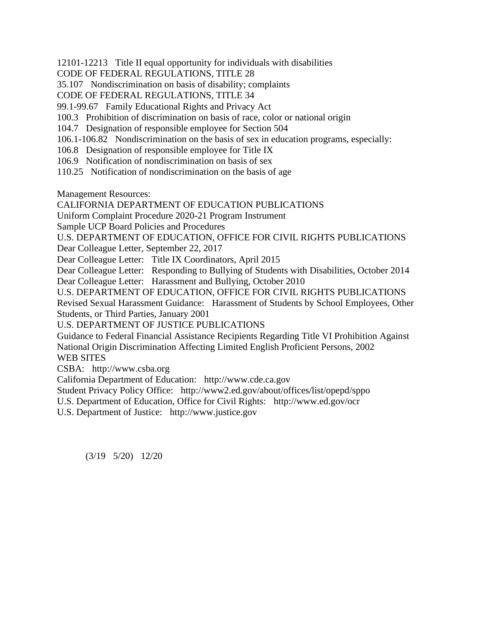12101-12213 Title II equal opportunity for individuals with disabilities

CODE OF FEDERAL REGULATIONS, TITLE 28

35.107 Nondiscrimination on basis of disability; complaints

CODE OF FEDERAL REGULATIONS, TITLE 34

99.1-99.67 Family Educational Rights and Privacy Act

100.3 Prohibition of discrimination on basis of race, color or national origin

104.7 Designation of responsible employee for Section 504

106.1-106.82 Nondiscrimination on the basis of sex in education programs, especially:

106.8 Designation of responsible employee for Title IX

106.9 Notification of nondiscrimination on basis of sex

110.25 Notification of nondiscrimination on the basis of age

Management Resources:

CALIFORNIA DEPARTMENT OF EDUCATION PUBLICATIONS

Uniform Complaint Procedure 2020-21 Program Instrument

Sample UCP Board Policies and Procedures

U.S. DEPARTMENT OF EDUCATION, OFFICE FOR CIVIL RIGHTS PUBLICATIONS

Dear Colleague Letter, September 22, 2017

Dear Colleague Letter: Title IX Coordinators, April 2015

Dear Colleague Letter: Responding to Bullying of Students with Disabilities, October 2014 Dear Colleague Letter: Harassment and Bullying, October 2010

U.S. DEPARTMENT OF EDUCATION, OFFICE FOR CIVIL RIGHTS PUBLICATIONS Revised Sexual Harassment Guidance: Harassment of Students by School Employees, Other Students, or Third Parties, January 2001

U.S. DEPARTMENT OF JUSTICE PUBLICATIONS

Guidance to Federal Financial Assistance Recipients Regarding Title VI Prohibition Against National Origin Discrimination Affecting Limited English Proficient Persons, 2002

WEB SITES

CSBA: http://www.csba.org

California Department of Education: http://www.cde.ca.gov

Student Privacy Policy Office: http://www2.ed.gov/about/offices/list/opepd/sppo

U.S. Department of Education, Office for Civil Rights: http://www.ed.gov/ocr

U.S. Department of Justice: http://www.justice.gov

(3/19 5/20) 12/20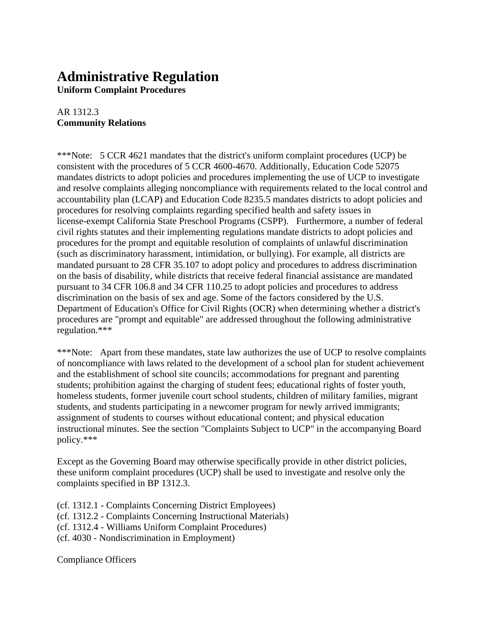# **Administrative Regulation**

**Uniform Complaint Procedures**

## AR 1312.3 **Community Relations**

\*\*\*Note: 5 CCR 4621 mandates that the district's uniform complaint procedures (UCP) be consistent with the procedures of 5 CCR 4600-4670. Additionally, Education Code 52075 mandates districts to adopt policies and procedures implementing the use of UCP to investigate and resolve complaints alleging noncompliance with requirements related to the local control and accountability plan (LCAP) and Education Code 8235.5 mandates districts to adopt policies and procedures for resolving complaints regarding specified health and safety issues in license-exempt California State Preschool Programs (CSPP). Furthermore, a number of federal civil rights statutes and their implementing regulations mandate districts to adopt policies and procedures for the prompt and equitable resolution of complaints of unlawful discrimination (such as discriminatory harassment, intimidation, or bullying). For example, all districts are mandated pursuant to 28 CFR 35.107 to adopt policy and procedures to address discrimination on the basis of disability, while districts that receive federal financial assistance are mandated pursuant to 34 CFR 106.8 and 34 CFR 110.25 to adopt policies and procedures to address discrimination on the basis of sex and age. Some of the factors considered by the U.S. Department of Education's Office for Civil Rights (OCR) when determining whether a district's procedures are "prompt and equitable" are addressed throughout the following administrative regulation.\*\*\*

\*\*\*Note: Apart from these mandates, state law authorizes the use of UCP to resolve complaints of noncompliance with laws related to the development of a school plan for student achievement and the establishment of school site councils; accommodations for pregnant and parenting students; prohibition against the charging of student fees; educational rights of foster youth, homeless students, former juvenile court school students, children of military families, migrant students, and students participating in a newcomer program for newly arrived immigrants; assignment of students to courses without educational content; and physical education instructional minutes. See the section "Complaints Subject to UCP" in the accompanying Board policy.\*\*\*

Except as the Governing Board may otherwise specifically provide in other district policies, these uniform complaint procedures (UCP) shall be used to investigate and resolve only the complaints specified in BP 1312.3.

(cf. 1312.1 - Complaints Concerning District Employees) (cf. 1312.2 - Complaints Concerning Instructional Materials) (cf. 1312.4 - Williams Uniform Complaint Procedures) (cf. 4030 - Nondiscrimination in Employment)

Compliance Officers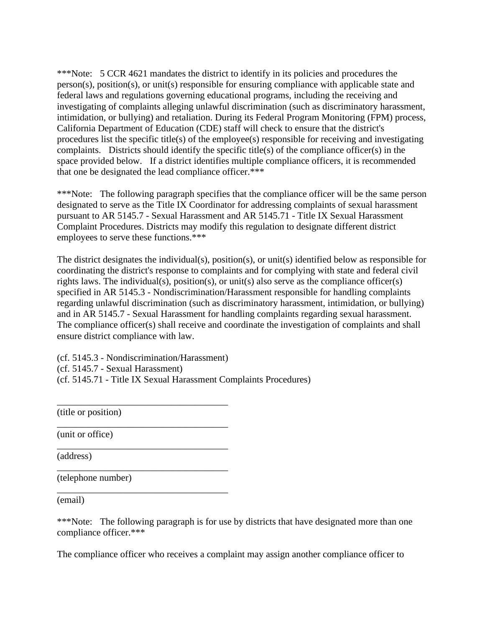\*\*\*Note: 5 CCR 4621 mandates the district to identify in its policies and procedures the person(s), position(s), or unit(s) responsible for ensuring compliance with applicable state and federal laws and regulations governing educational programs, including the receiving and investigating of complaints alleging unlawful discrimination (such as discriminatory harassment, intimidation, or bullying) and retaliation. During its Federal Program Monitoring (FPM) process, California Department of Education (CDE) staff will check to ensure that the district's procedures list the specific title(s) of the employee(s) responsible for receiving and investigating complaints. Districts should identify the specific title(s) of the compliance officer(s) in the space provided below. If a district identifies multiple compliance officers, it is recommended that one be designated the lead compliance officer.\*\*\*

\*\*\*Note: The following paragraph specifies that the compliance officer will be the same person designated to serve as the Title IX Coordinator for addressing complaints of sexual harassment pursuant to AR 5145.7 - Sexual Harassment and AR 5145.71 - Title IX Sexual Harassment Complaint Procedures. Districts may modify this regulation to designate different district employees to serve these functions.\*\*\*

The district designates the individual(s), position(s), or unit(s) identified below as responsible for coordinating the district's response to complaints and for complying with state and federal civil rights laws. The individual(s), position(s), or unit(s) also serve as the compliance officer(s) specified in AR 5145.3 - Nondiscrimination/Harassment responsible for handling complaints regarding unlawful discrimination (such as discriminatory harassment, intimidation, or bullying) and in AR 5145.7 - Sexual Harassment for handling complaints regarding sexual harassment. The compliance officer(s) shall receive and coordinate the investigation of complaints and shall ensure district compliance with law.

(cf. 5145.3 - Nondiscrimination/Harassment)

\_\_\_\_\_\_\_\_\_\_\_\_\_\_\_\_\_\_\_\_\_\_\_\_\_\_\_\_\_\_\_\_\_\_\_\_

\_\_\_\_\_\_\_\_\_\_\_\_\_\_\_\_\_\_\_\_\_\_\_\_\_\_\_\_\_\_\_\_\_\_\_\_

\_\_\_\_\_\_\_\_\_\_\_\_\_\_\_\_\_\_\_\_\_\_\_\_\_\_\_\_\_\_\_\_\_\_\_\_

\_\_\_\_\_\_\_\_\_\_\_\_\_\_\_\_\_\_\_\_\_\_\_\_\_\_\_\_\_\_\_\_\_\_\_\_

\_\_\_\_\_\_\_\_\_\_\_\_\_\_\_\_\_\_\_\_\_\_\_\_\_\_\_\_\_\_\_\_\_\_\_\_

(cf. 5145.7 - Sexual Harassment)

(cf. 5145.71 - Title IX Sexual Harassment Complaints Procedures)

(title or position)

(unit or office)

(address)

(telephone number)

(email)

\*\*\*Note: The following paragraph is for use by districts that have designated more than one compliance officer.\*\*\*

The compliance officer who receives a complaint may assign another compliance officer to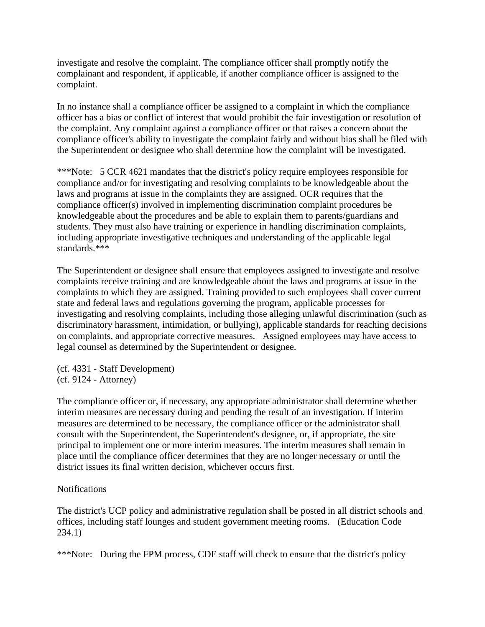investigate and resolve the complaint. The compliance officer shall promptly notify the complainant and respondent, if applicable, if another compliance officer is assigned to the complaint.

In no instance shall a compliance officer be assigned to a complaint in which the compliance officer has a bias or conflict of interest that would prohibit the fair investigation or resolution of the complaint. Any complaint against a compliance officer or that raises a concern about the compliance officer's ability to investigate the complaint fairly and without bias shall be filed with the Superintendent or designee who shall determine how the complaint will be investigated.

\*\*\*Note: 5 CCR 4621 mandates that the district's policy require employees responsible for compliance and/or for investigating and resolving complaints to be knowledgeable about the laws and programs at issue in the complaints they are assigned. OCR requires that the compliance officer(s) involved in implementing discrimination complaint procedures be knowledgeable about the procedures and be able to explain them to parents/guardians and students. They must also have training or experience in handling discrimination complaints, including appropriate investigative techniques and understanding of the applicable legal standards.\*\*\*

The Superintendent or designee shall ensure that employees assigned to investigate and resolve complaints receive training and are knowledgeable about the laws and programs at issue in the complaints to which they are assigned. Training provided to such employees shall cover current state and federal laws and regulations governing the program, applicable processes for investigating and resolving complaints, including those alleging unlawful discrimination (such as discriminatory harassment, intimidation, or bullying), applicable standards for reaching decisions on complaints, and appropriate corrective measures. Assigned employees may have access to legal counsel as determined by the Superintendent or designee.

(cf. 4331 - Staff Development) (cf. 9124 - Attorney)

The compliance officer or, if necessary, any appropriate administrator shall determine whether interim measures are necessary during and pending the result of an investigation. If interim measures are determined to be necessary, the compliance officer or the administrator shall consult with the Superintendent, the Superintendent's designee, or, if appropriate, the site principal to implement one or more interim measures. The interim measures shall remain in place until the compliance officer determines that they are no longer necessary or until the district issues its final written decision, whichever occurs first.

#### **Notifications**

The district's UCP policy and administrative regulation shall be posted in all district schools and offices, including staff lounges and student government meeting rooms. (Education Code 234.1)

\*\*\*Note: During the FPM process, CDE staff will check to ensure that the district's policy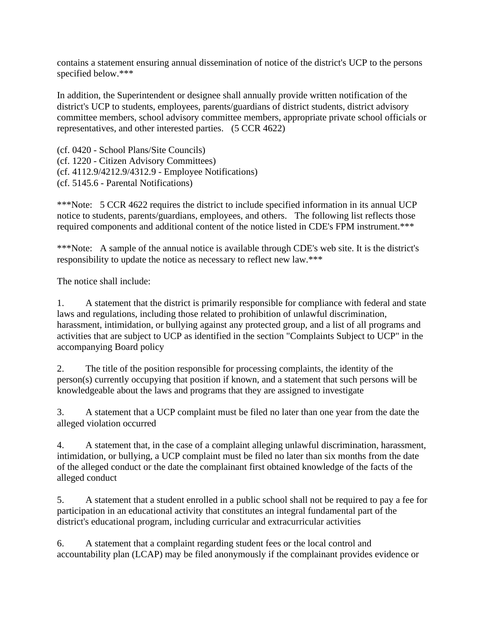contains a statement ensuring annual dissemination of notice of the district's UCP to the persons specified below.\*\*\*

In addition, the Superintendent or designee shall annually provide written notification of the district's UCP to students, employees, parents/guardians of district students, district advisory committee members, school advisory committee members, appropriate private school officials or representatives, and other interested parties. (5 CCR 4622)

(cf. 0420 - School Plans/Site Councils) (cf. 1220 - Citizen Advisory Committees) (cf. 4112.9/4212.9/4312.9 - Employee Notifications) (cf. 5145.6 - Parental Notifications)

\*\*\*Note: 5 CCR 4622 requires the district to include specified information in its annual UCP notice to students, parents/guardians, employees, and others. The following list reflects those required components and additional content of the notice listed in CDE's FPM instrument.\*\*\*

\*\*\*Note: A sample of the annual notice is available through CDE's web site. It is the district's responsibility to update the notice as necessary to reflect new law.\*\*\*

The notice shall include:

1. A statement that the district is primarily responsible for compliance with federal and state laws and regulations, including those related to prohibition of unlawful discrimination, harassment, intimidation, or bullying against any protected group, and a list of all programs and activities that are subject to UCP as identified in the section "Complaints Subject to UCP" in the accompanying Board policy

2. The title of the position responsible for processing complaints, the identity of the person(s) currently occupying that position if known, and a statement that such persons will be knowledgeable about the laws and programs that they are assigned to investigate

3. A statement that a UCP complaint must be filed no later than one year from the date the alleged violation occurred

4. A statement that, in the case of a complaint alleging unlawful discrimination, harassment, intimidation, or bullying, a UCP complaint must be filed no later than six months from the date of the alleged conduct or the date the complainant first obtained knowledge of the facts of the alleged conduct

5. A statement that a student enrolled in a public school shall not be required to pay a fee for participation in an educational activity that constitutes an integral fundamental part of the district's educational program, including curricular and extracurricular activities

6. A statement that a complaint regarding student fees or the local control and accountability plan (LCAP) may be filed anonymously if the complainant provides evidence or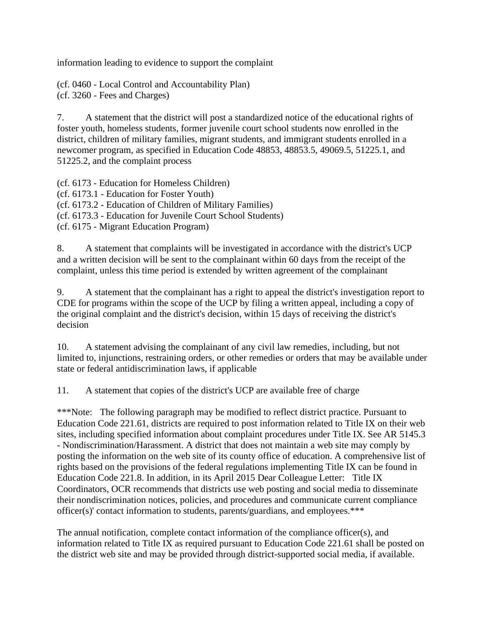information leading to evidence to support the complaint

(cf. 0460 - Local Control and Accountability Plan) (cf. 3260 - Fees and Charges)

7. A statement that the district will post a standardized notice of the educational rights of foster youth, homeless students, former juvenile court school students now enrolled in the district, children of military families, migrant students, and immigrant students enrolled in a newcomer program, as specified in Education Code 48853, 48853.5, 49069.5, 51225.1, and 51225.2, and the complaint process

(cf. 6173 - Education for Homeless Children) (cf. 6173.1 - Education for Foster Youth) (cf. 6173.2 - Education of Children of Military Families) (cf. 6173.3 - Education for Juvenile Court School Students) (cf. 6175 - Migrant Education Program)

8. A statement that complaints will be investigated in accordance with the district's UCP and a written decision will be sent to the complainant within 60 days from the receipt of the complaint, unless this time period is extended by written agreement of the complainant

9. A statement that the complainant has a right to appeal the district's investigation report to CDE for programs within the scope of the UCP by filing a written appeal, including a copy of the original complaint and the district's decision, within 15 days of receiving the district's decision

10. A statement advising the complainant of any civil law remedies, including, but not limited to, injunctions, restraining orders, or other remedies or orders that may be available under state or federal antidiscrimination laws, if applicable

11. A statement that copies of the district's UCP are available free of charge

\*\*\*Note: The following paragraph may be modified to reflect district practice. Pursuant to Education Code 221.61, districts are required to post information related to Title IX on their web sites, including specified information about complaint procedures under Title IX. See AR 5145.3 - Nondiscrimination/Harassment. A district that does not maintain a web site may comply by posting the information on the web site of its county office of education. A comprehensive list of rights based on the provisions of the federal regulations implementing Title IX can be found in Education Code 221.8. In addition, in its April 2015 Dear Colleague Letter: Title IX Coordinators, OCR recommends that districts use web posting and social media to disseminate their nondiscrimination notices, policies, and procedures and communicate current compliance officer(s)' contact information to students, parents/guardians, and employees.\*\*\*

The annual notification, complete contact information of the compliance officer(s), and information related to Title IX as required pursuant to Education Code 221.61 shall be posted on the district web site and may be provided through district-supported social media, if available.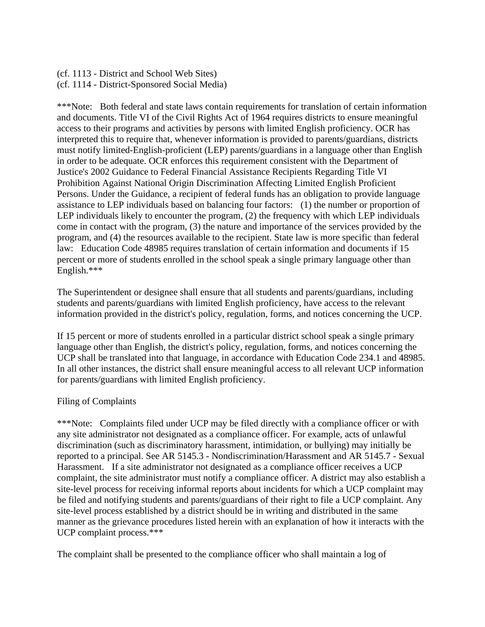(cf. 1113 - District and School Web Sites) (cf. 1114 - District-Sponsored Social Media)

\*\*\*Note: Both federal and state laws contain requirements for translation of certain information and documents. Title VI of the Civil Rights Act of 1964 requires districts to ensure meaningful access to their programs and activities by persons with limited English proficiency. OCR has interpreted this to require that, whenever information is provided to parents/guardians, districts must notify limited-English-proficient (LEP) parents/guardians in a language other than English in order to be adequate. OCR enforces this requirement consistent with the Department of Justice's 2002 Guidance to Federal Financial Assistance Recipients Regarding Title VI Prohibition Against National Origin Discrimination Affecting Limited English Proficient Persons. Under the Guidance, a recipient of federal funds has an obligation to provide language assistance to LEP individuals based on balancing four factors: (1) the number or proportion of LEP individuals likely to encounter the program, (2) the frequency with which LEP individuals come in contact with the program, (3) the nature and importance of the services provided by the program, and (4) the resources available to the recipient. State law is more specific than federal law: Education Code 48985 requires translation of certain information and documents if 15 percent or more of students enrolled in the school speak a single primary language other than English.\*\*\*

The Superintendent or designee shall ensure that all students and parents/guardians, including students and parents/guardians with limited English proficiency, have access to the relevant information provided in the district's policy, regulation, forms, and notices concerning the UCP.

If 15 percent or more of students enrolled in a particular district school speak a single primary language other than English, the district's policy, regulation, forms, and notices concerning the UCP shall be translated into that language, in accordance with Education Code 234.1 and 48985. In all other instances, the district shall ensure meaningful access to all relevant UCP information for parents/guardians with limited English proficiency.

#### Filing of Complaints

\*\*\*Note: Complaints filed under UCP may be filed directly with a compliance officer or with any site administrator not designated as a compliance officer. For example, acts of unlawful discrimination (such as discriminatory harassment, intimidation, or bullying) may initially be reported to a principal. See AR 5145.3 - Nondiscrimination/Harassment and AR 5145.7 - Sexual Harassment. If a site administrator not designated as a compliance officer receives a UCP complaint, the site administrator must notify a compliance officer. A district may also establish a site-level process for receiving informal reports about incidents for which a UCP complaint may be filed and notifying students and parents/guardians of their right to file a UCP complaint. Any site-level process established by a district should be in writing and distributed in the same manner as the grievance procedures listed herein with an explanation of how it interacts with the UCP complaint process.\*\*\*

The complaint shall be presented to the compliance officer who shall maintain a log of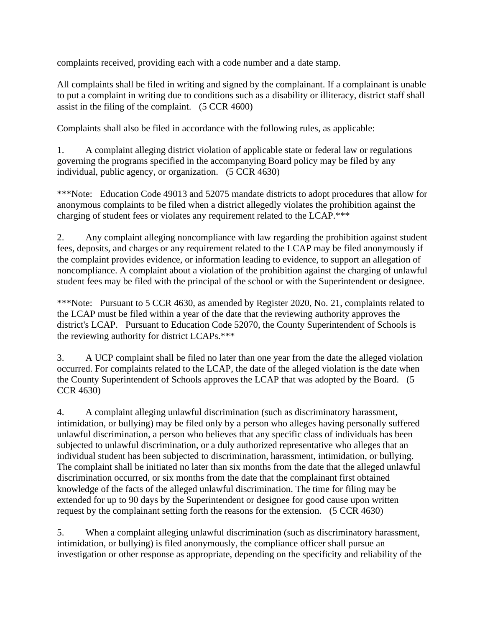complaints received, providing each with a code number and a date stamp.

All complaints shall be filed in writing and signed by the complainant. If a complainant is unable to put a complaint in writing due to conditions such as a disability or illiteracy, district staff shall assist in the filing of the complaint. (5 CCR 4600)

Complaints shall also be filed in accordance with the following rules, as applicable:

1. A complaint alleging district violation of applicable state or federal law or regulations governing the programs specified in the accompanying Board policy may be filed by any individual, public agency, or organization. (5 CCR 4630)

\*\*\*Note: Education Code 49013 and 52075 mandate districts to adopt procedures that allow for anonymous complaints to be filed when a district allegedly violates the prohibition against the charging of student fees or violates any requirement related to the LCAP.\*\*\*

2. Any complaint alleging noncompliance with law regarding the prohibition against student fees, deposits, and charges or any requirement related to the LCAP may be filed anonymously if the complaint provides evidence, or information leading to evidence, to support an allegation of noncompliance. A complaint about a violation of the prohibition against the charging of unlawful student fees may be filed with the principal of the school or with the Superintendent or designee.

\*\*\*Note: Pursuant to 5 CCR 4630, as amended by Register 2020, No. 21, complaints related to the LCAP must be filed within a year of the date that the reviewing authority approves the district's LCAP. Pursuant to Education Code 52070, the County Superintendent of Schools is the reviewing authority for district LCAPs.\*\*\*

3. A UCP complaint shall be filed no later than one year from the date the alleged violation occurred. For complaints related to the LCAP, the date of the alleged violation is the date when the County Superintendent of Schools approves the LCAP that was adopted by the Board. (5 CCR 4630)

4. A complaint alleging unlawful discrimination (such as discriminatory harassment, intimidation, or bullying) may be filed only by a person who alleges having personally suffered unlawful discrimination, a person who believes that any specific class of individuals has been subjected to unlawful discrimination, or a duly authorized representative who alleges that an individual student has been subjected to discrimination, harassment, intimidation, or bullying. The complaint shall be initiated no later than six months from the date that the alleged unlawful discrimination occurred, or six months from the date that the complainant first obtained knowledge of the facts of the alleged unlawful discrimination. The time for filing may be extended for up to 90 days by the Superintendent or designee for good cause upon written request by the complainant setting forth the reasons for the extension. (5 CCR 4630)

5. When a complaint alleging unlawful discrimination (such as discriminatory harassment, intimidation, or bullying) is filed anonymously, the compliance officer shall pursue an investigation or other response as appropriate, depending on the specificity and reliability of the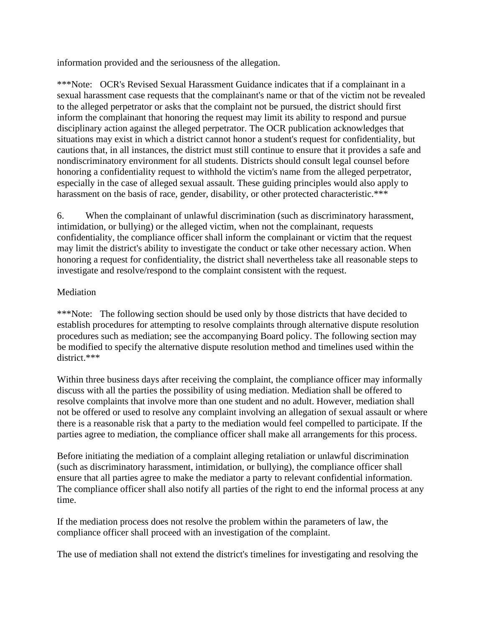information provided and the seriousness of the allegation.

\*\*\*Note: OCR's Revised Sexual Harassment Guidance indicates that if a complainant in a sexual harassment case requests that the complainant's name or that of the victim not be revealed to the alleged perpetrator or asks that the complaint not be pursued, the district should first inform the complainant that honoring the request may limit its ability to respond and pursue disciplinary action against the alleged perpetrator. The OCR publication acknowledges that situations may exist in which a district cannot honor a student's request for confidentiality, but cautions that, in all instances, the district must still continue to ensure that it provides a safe and nondiscriminatory environment for all students. Districts should consult legal counsel before honoring a confidentiality request to withhold the victim's name from the alleged perpetrator, especially in the case of alleged sexual assault. These guiding principles would also apply to harassment on the basis of race, gender, disability, or other protected characteristic.\*\*\*

6. When the complainant of unlawful discrimination (such as discriminatory harassment, intimidation, or bullying) or the alleged victim, when not the complainant, requests confidentiality, the compliance officer shall inform the complainant or victim that the request may limit the district's ability to investigate the conduct or take other necessary action. When honoring a request for confidentiality, the district shall nevertheless take all reasonable steps to investigate and resolve/respond to the complaint consistent with the request.

#### Mediation

\*\*\*Note: The following section should be used only by those districts that have decided to establish procedures for attempting to resolve complaints through alternative dispute resolution procedures such as mediation; see the accompanying Board policy. The following section may be modified to specify the alternative dispute resolution method and timelines used within the district.\*\*\*

Within three business days after receiving the complaint, the compliance officer may informally discuss with all the parties the possibility of using mediation. Mediation shall be offered to resolve complaints that involve more than one student and no adult. However, mediation shall not be offered or used to resolve any complaint involving an allegation of sexual assault or where there is a reasonable risk that a party to the mediation would feel compelled to participate. If the parties agree to mediation, the compliance officer shall make all arrangements for this process.

Before initiating the mediation of a complaint alleging retaliation or unlawful discrimination (such as discriminatory harassment, intimidation, or bullying), the compliance officer shall ensure that all parties agree to make the mediator a party to relevant confidential information. The compliance officer shall also notify all parties of the right to end the informal process at any time.

If the mediation process does not resolve the problem within the parameters of law, the compliance officer shall proceed with an investigation of the complaint.

The use of mediation shall not extend the district's timelines for investigating and resolving the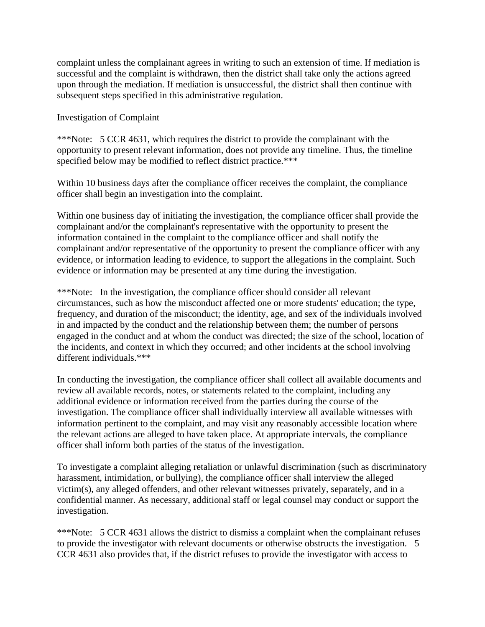complaint unless the complainant agrees in writing to such an extension of time. If mediation is successful and the complaint is withdrawn, then the district shall take only the actions agreed upon through the mediation. If mediation is unsuccessful, the district shall then continue with subsequent steps specified in this administrative regulation.

Investigation of Complaint

\*\*\*Note: 5 CCR 4631, which requires the district to provide the complainant with the opportunity to present relevant information, does not provide any timeline. Thus, the timeline specified below may be modified to reflect district practice.\*\*\*

Within 10 business days after the compliance officer receives the complaint, the compliance officer shall begin an investigation into the complaint.

Within one business day of initiating the investigation, the compliance officer shall provide the complainant and/or the complainant's representative with the opportunity to present the information contained in the complaint to the compliance officer and shall notify the complainant and/or representative of the opportunity to present the compliance officer with any evidence, or information leading to evidence, to support the allegations in the complaint. Such evidence or information may be presented at any time during the investigation.

\*\*\*Note: In the investigation, the compliance officer should consider all relevant circumstances, such as how the misconduct affected one or more students' education; the type, frequency, and duration of the misconduct; the identity, age, and sex of the individuals involved in and impacted by the conduct and the relationship between them; the number of persons engaged in the conduct and at whom the conduct was directed; the size of the school, location of the incidents, and context in which they occurred; and other incidents at the school involving different individuals.\*\*\*

In conducting the investigation, the compliance officer shall collect all available documents and review all available records, notes, or statements related to the complaint, including any additional evidence or information received from the parties during the course of the investigation. The compliance officer shall individually interview all available witnesses with information pertinent to the complaint, and may visit any reasonably accessible location where the relevant actions are alleged to have taken place. At appropriate intervals, the compliance officer shall inform both parties of the status of the investigation.

To investigate a complaint alleging retaliation or unlawful discrimination (such as discriminatory harassment, intimidation, or bullying), the compliance officer shall interview the alleged victim(s), any alleged offenders, and other relevant witnesses privately, separately, and in a confidential manner. As necessary, additional staff or legal counsel may conduct or support the investigation.

\*\*\*Note: 5 CCR 4631 allows the district to dismiss a complaint when the complainant refuses to provide the investigator with relevant documents or otherwise obstructs the investigation. 5 CCR 4631 also provides that, if the district refuses to provide the investigator with access to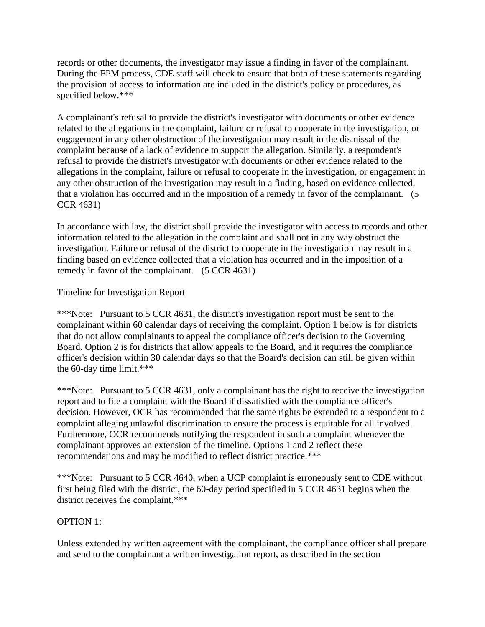records or other documents, the investigator may issue a finding in favor of the complainant. During the FPM process, CDE staff will check to ensure that both of these statements regarding the provision of access to information are included in the district's policy or procedures, as specified below.\*\*\*

A complainant's refusal to provide the district's investigator with documents or other evidence related to the allegations in the complaint, failure or refusal to cooperate in the investigation, or engagement in any other obstruction of the investigation may result in the dismissal of the complaint because of a lack of evidence to support the allegation. Similarly, a respondent's refusal to provide the district's investigator with documents or other evidence related to the allegations in the complaint, failure or refusal to cooperate in the investigation, or engagement in any other obstruction of the investigation may result in a finding, based on evidence collected, that a violation has occurred and in the imposition of a remedy in favor of the complainant. (5 CCR 4631)

In accordance with law, the district shall provide the investigator with access to records and other information related to the allegation in the complaint and shall not in any way obstruct the investigation. Failure or refusal of the district to cooperate in the investigation may result in a finding based on evidence collected that a violation has occurred and in the imposition of a remedy in favor of the complainant. (5 CCR 4631)

#### Timeline for Investigation Report

\*\*\*Note: Pursuant to 5 CCR 4631, the district's investigation report must be sent to the complainant within 60 calendar days of receiving the complaint. Option 1 below is for districts that do not allow complainants to appeal the compliance officer's decision to the Governing Board. Option 2 is for districts that allow appeals to the Board, and it requires the compliance officer's decision within 30 calendar days so that the Board's decision can still be given within the 60-day time limit.\*\*\*

\*\*\*Note: Pursuant to 5 CCR 4631, only a complainant has the right to receive the investigation report and to file a complaint with the Board if dissatisfied with the compliance officer's decision. However, OCR has recommended that the same rights be extended to a respondent to a complaint alleging unlawful discrimination to ensure the process is equitable for all involved. Furthermore, OCR recommends notifying the respondent in such a complaint whenever the complainant approves an extension of the timeline. Options 1 and 2 reflect these recommendations and may be modified to reflect district practice.\*\*\*

\*\*\*Note: Pursuant to 5 CCR 4640, when a UCP complaint is erroneously sent to CDE without first being filed with the district, the 60-day period specified in 5 CCR 4631 begins when the district receives the complaint.\*\*\*

#### OPTION 1:

Unless extended by written agreement with the complainant, the compliance officer shall prepare and send to the complainant a written investigation report, as described in the section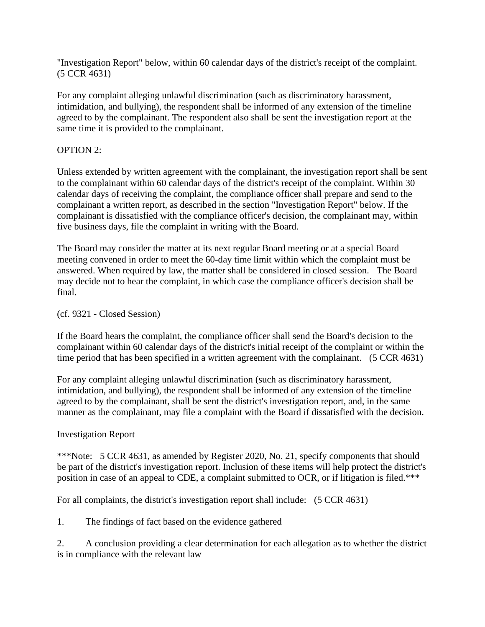"Investigation Report" below, within 60 calendar days of the district's receipt of the complaint. (5 CCR 4631)

For any complaint alleging unlawful discrimination (such as discriminatory harassment, intimidation, and bullying), the respondent shall be informed of any extension of the timeline agreed to by the complainant. The respondent also shall be sent the investigation report at the same time it is provided to the complainant.

### OPTION 2:

Unless extended by written agreement with the complainant, the investigation report shall be sent to the complainant within 60 calendar days of the district's receipt of the complaint. Within 30 calendar days of receiving the complaint, the compliance officer shall prepare and send to the complainant a written report, as described in the section "Investigation Report" below. If the complainant is dissatisfied with the compliance officer's decision, the complainant may, within five business days, file the complaint in writing with the Board.

The Board may consider the matter at its next regular Board meeting or at a special Board meeting convened in order to meet the 60-day time limit within which the complaint must be answered. When required by law, the matter shall be considered in closed session. The Board may decide not to hear the complaint, in which case the compliance officer's decision shall be final.

#### (cf. 9321 - Closed Session)

If the Board hears the complaint, the compliance officer shall send the Board's decision to the complainant within 60 calendar days of the district's initial receipt of the complaint or within the time period that has been specified in a written agreement with the complainant. (5 CCR 4631)

For any complaint alleging unlawful discrimination (such as discriminatory harassment, intimidation, and bullying), the respondent shall be informed of any extension of the timeline agreed to by the complainant, shall be sent the district's investigation report, and, in the same manner as the complainant, may file a complaint with the Board if dissatisfied with the decision.

#### Investigation Report

\*\*\*Note: 5 CCR 4631, as amended by Register 2020, No. 21, specify components that should be part of the district's investigation report. Inclusion of these items will help protect the district's position in case of an appeal to CDE, a complaint submitted to OCR, or if litigation is filed.\*\*\*

For all complaints, the district's investigation report shall include: (5 CCR 4631)

1. The findings of fact based on the evidence gathered

2. A conclusion providing a clear determination for each allegation as to whether the district is in compliance with the relevant law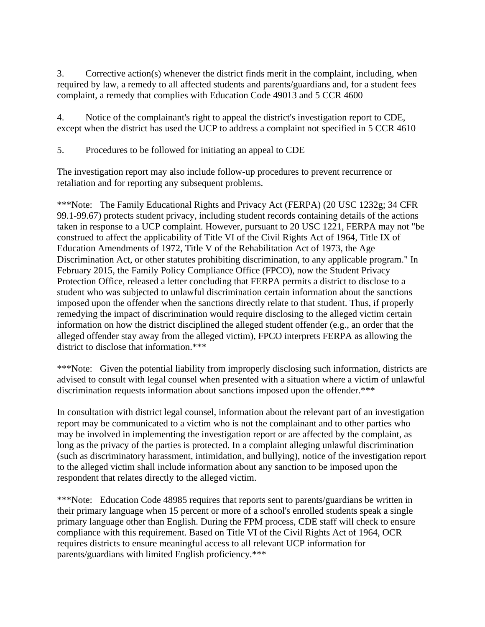3. Corrective action(s) whenever the district finds merit in the complaint, including, when required by law, a remedy to all affected students and parents/guardians and, for a student fees complaint, a remedy that complies with Education Code 49013 and 5 CCR 4600

4. Notice of the complainant's right to appeal the district's investigation report to CDE, except when the district has used the UCP to address a complaint not specified in 5 CCR 4610

5. Procedures to be followed for initiating an appeal to CDE

The investigation report may also include follow-up procedures to prevent recurrence or retaliation and for reporting any subsequent problems.

\*\*\*Note: The Family Educational Rights and Privacy Act (FERPA) (20 USC 1232g; 34 CFR 99.1-99.67) protects student privacy, including student records containing details of the actions taken in response to a UCP complaint. However, pursuant to 20 USC 1221, FERPA may not "be construed to affect the applicability of Title VI of the Civil Rights Act of 1964, Title IX of Education Amendments of 1972, Title V of the Rehabilitation Act of 1973, the Age Discrimination Act, or other statutes prohibiting discrimination, to any applicable program." In February 2015, the Family Policy Compliance Office (FPCO), now the Student Privacy Protection Office, released a letter concluding that FERPA permits a district to disclose to a student who was subjected to unlawful discrimination certain information about the sanctions imposed upon the offender when the sanctions directly relate to that student. Thus, if properly remedying the impact of discrimination would require disclosing to the alleged victim certain information on how the district disciplined the alleged student offender (e.g., an order that the alleged offender stay away from the alleged victim), FPCO interprets FERPA as allowing the district to disclose that information.\*\*\*

\*\*\*Note: Given the potential liability from improperly disclosing such information, districts are advised to consult with legal counsel when presented with a situation where a victim of unlawful discrimination requests information about sanctions imposed upon the offender.\*\*\*

In consultation with district legal counsel, information about the relevant part of an investigation report may be communicated to a victim who is not the complainant and to other parties who may be involved in implementing the investigation report or are affected by the complaint, as long as the privacy of the parties is protected. In a complaint alleging unlawful discrimination (such as discriminatory harassment, intimidation, and bullying), notice of the investigation report to the alleged victim shall include information about any sanction to be imposed upon the respondent that relates directly to the alleged victim.

\*\*\*Note: Education Code 48985 requires that reports sent to parents/guardians be written in their primary language when 15 percent or more of a school's enrolled students speak a single primary language other than English. During the FPM process, CDE staff will check to ensure compliance with this requirement. Based on Title VI of the Civil Rights Act of 1964, OCR requires districts to ensure meaningful access to all relevant UCP information for parents/guardians with limited English proficiency.\*\*\*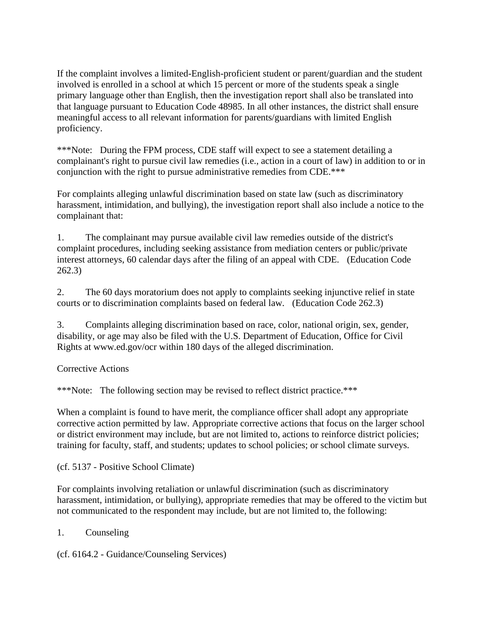If the complaint involves a limited-English-proficient student or parent/guardian and the student involved is enrolled in a school at which 15 percent or more of the students speak a single primary language other than English, then the investigation report shall also be translated into that language pursuant to Education Code 48985. In all other instances, the district shall ensure meaningful access to all relevant information for parents/guardians with limited English proficiency.

\*\*\*Note: During the FPM process, CDE staff will expect to see a statement detailing a complainant's right to pursue civil law remedies (i.e., action in a court of law) in addition to or in conjunction with the right to pursue administrative remedies from CDE.\*\*\*

For complaints alleging unlawful discrimination based on state law (such as discriminatory harassment, intimidation, and bullying), the investigation report shall also include a notice to the complainant that:

1. The complainant may pursue available civil law remedies outside of the district's complaint procedures, including seeking assistance from mediation centers or public/private interest attorneys, 60 calendar days after the filing of an appeal with CDE. (Education Code 262.3)

2. The 60 days moratorium does not apply to complaints seeking injunctive relief in state courts or to discrimination complaints based on federal law. (Education Code 262.3)

3. Complaints alleging discrimination based on race, color, national origin, sex, gender, disability, or age may also be filed with the U.S. Department of Education, Office for Civil Rights at www.ed.gov/ocr within 180 days of the alleged discrimination.

Corrective Actions

\*\*\*Note: The following section may be revised to reflect district practice.\*\*\*

When a complaint is found to have merit, the compliance officer shall adopt any appropriate corrective action permitted by law. Appropriate corrective actions that focus on the larger school or district environment may include, but are not limited to, actions to reinforce district policies; training for faculty, staff, and students; updates to school policies; or school climate surveys.

(cf. 5137 - Positive School Climate)

For complaints involving retaliation or unlawful discrimination (such as discriminatory harassment, intimidation, or bullying), appropriate remedies that may be offered to the victim but not communicated to the respondent may include, but are not limited to, the following:

1. Counseling

(cf. 6164.2 - Guidance/Counseling Services)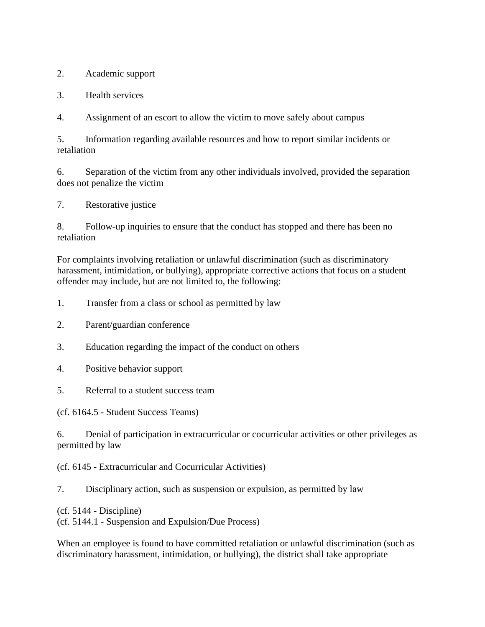2. Academic support

3. Health services

4. Assignment of an escort to allow the victim to move safely about campus

5. Information regarding available resources and how to report similar incidents or retaliation

6. Separation of the victim from any other individuals involved, provided the separation does not penalize the victim

7. Restorative justice

8. Follow-up inquiries to ensure that the conduct has stopped and there has been no retaliation

For complaints involving retaliation or unlawful discrimination (such as discriminatory harassment, intimidation, or bullying), appropriate corrective actions that focus on a student offender may include, but are not limited to, the following:

1. Transfer from a class or school as permitted by law

- 2. Parent/guardian conference
- 3. Education regarding the impact of the conduct on others
- 4. Positive behavior support
- 5. Referral to a student success team

(cf. 6164.5 - Student Success Teams)

6. Denial of participation in extracurricular or cocurricular activities or other privileges as permitted by law

(cf. 6145 - Extracurricular and Cocurricular Activities)

7. Disciplinary action, such as suspension or expulsion, as permitted by law

(cf. 5144 - Discipline)

(cf. 5144.1 - Suspension and Expulsion/Due Process)

When an employee is found to have committed retaliation or unlawful discrimination (such as discriminatory harassment, intimidation, or bullying), the district shall take appropriate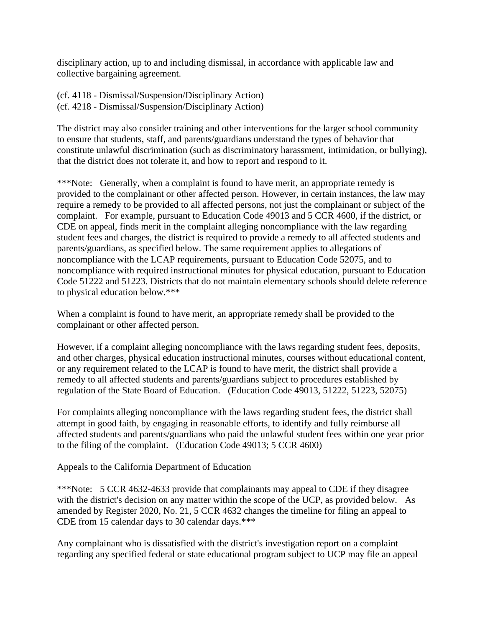disciplinary action, up to and including dismissal, in accordance with applicable law and collective bargaining agreement.

(cf. 4118 - Dismissal/Suspension/Disciplinary Action) (cf. 4218 - Dismissal/Suspension/Disciplinary Action)

The district may also consider training and other interventions for the larger school community to ensure that students, staff, and parents/guardians understand the types of behavior that constitute unlawful discrimination (such as discriminatory harassment, intimidation, or bullying), that the district does not tolerate it, and how to report and respond to it.

\*\*\*Note: Generally, when a complaint is found to have merit, an appropriate remedy is provided to the complainant or other affected person. However, in certain instances, the law may require a remedy to be provided to all affected persons, not just the complainant or subject of the complaint. For example, pursuant to Education Code 49013 and 5 CCR 4600, if the district, or CDE on appeal, finds merit in the complaint alleging noncompliance with the law regarding student fees and charges, the district is required to provide a remedy to all affected students and parents/guardians, as specified below. The same requirement applies to allegations of noncompliance with the LCAP requirements, pursuant to Education Code 52075, and to noncompliance with required instructional minutes for physical education, pursuant to Education Code 51222 and 51223. Districts that do not maintain elementary schools should delete reference to physical education below.\*\*\*

When a complaint is found to have merit, an appropriate remedy shall be provided to the complainant or other affected person.

However, if a complaint alleging noncompliance with the laws regarding student fees, deposits, and other charges, physical education instructional minutes, courses without educational content, or any requirement related to the LCAP is found to have merit, the district shall provide a remedy to all affected students and parents/guardians subject to procedures established by regulation of the State Board of Education. (Education Code 49013, 51222, 51223, 52075)

For complaints alleging noncompliance with the laws regarding student fees, the district shall attempt in good faith, by engaging in reasonable efforts, to identify and fully reimburse all affected students and parents/guardians who paid the unlawful student fees within one year prior to the filing of the complaint. (Education Code 49013; 5 CCR 4600)

Appeals to the California Department of Education

\*\*\*Note: 5 CCR 4632-4633 provide that complainants may appeal to CDE if they disagree with the district's decision on any matter within the scope of the UCP, as provided below. As amended by Register 2020, No. 21, 5 CCR 4632 changes the timeline for filing an appeal to CDE from 15 calendar days to 30 calendar days.\*\*\*

Any complainant who is dissatisfied with the district's investigation report on a complaint regarding any specified federal or state educational program subject to UCP may file an appeal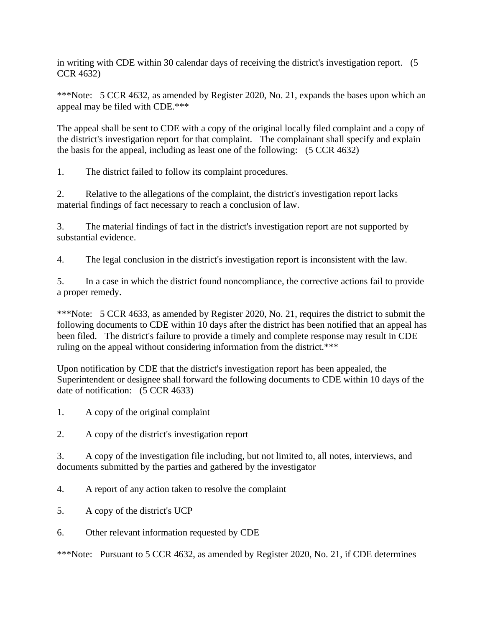in writing with CDE within 30 calendar days of receiving the district's investigation report. (5 CCR 4632)

\*\*\*Note: 5 CCR 4632, as amended by Register 2020, No. 21, expands the bases upon which an appeal may be filed with CDE.\*\*\*

The appeal shall be sent to CDE with a copy of the original locally filed complaint and a copy of the district's investigation report for that complaint. The complainant shall specify and explain the basis for the appeal, including as least one of the following: (5 CCR 4632)

1. The district failed to follow its complaint procedures.

2. Relative to the allegations of the complaint, the district's investigation report lacks material findings of fact necessary to reach a conclusion of law.

3. The material findings of fact in the district's investigation report are not supported by substantial evidence.

4. The legal conclusion in the district's investigation report is inconsistent with the law.

5. In a case in which the district found noncompliance, the corrective actions fail to provide a proper remedy.

\*\*\*Note: 5 CCR 4633, as amended by Register 2020, No. 21, requires the district to submit the following documents to CDE within 10 days after the district has been notified that an appeal has been filed. The district's failure to provide a timely and complete response may result in CDE ruling on the appeal without considering information from the district.\*\*\*

Upon notification by CDE that the district's investigation report has been appealed, the Superintendent or designee shall forward the following documents to CDE within 10 days of the date of notification: (5 CCR 4633)

- 1. A copy of the original complaint
- 2. A copy of the district's investigation report

3. A copy of the investigation file including, but not limited to, all notes, interviews, and documents submitted by the parties and gathered by the investigator

- 4. A report of any action taken to resolve the complaint
- 5. A copy of the district's UCP
- 6. Other relevant information requested by CDE

\*\*\*Note: Pursuant to 5 CCR 4632, as amended by Register 2020, No. 21, if CDE determines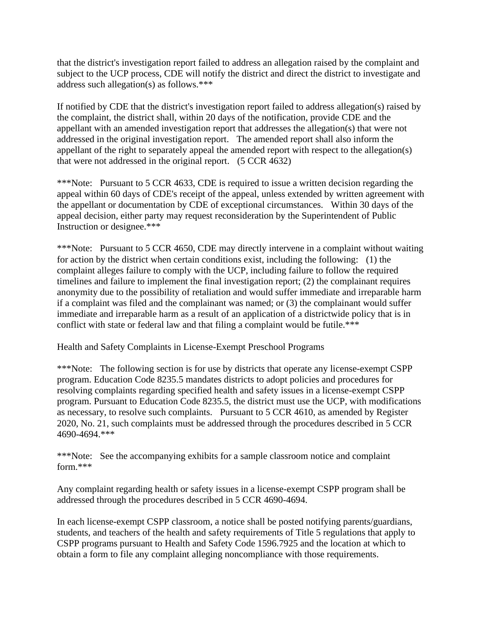that the district's investigation report failed to address an allegation raised by the complaint and subject to the UCP process, CDE will notify the district and direct the district to investigate and address such allegation(s) as follows.\*\*\*

If notified by CDE that the district's investigation report failed to address allegation(s) raised by the complaint, the district shall, within 20 days of the notification, provide CDE and the appellant with an amended investigation report that addresses the allegation(s) that were not addressed in the original investigation report. The amended report shall also inform the appellant of the right to separately appeal the amended report with respect to the allegation(s) that were not addressed in the original report. (5 CCR 4632)

\*\*\*Note: Pursuant to 5 CCR 4633, CDE is required to issue a written decision regarding the appeal within 60 days of CDE's receipt of the appeal, unless extended by written agreement with the appellant or documentation by CDE of exceptional circumstances. Within 30 days of the appeal decision, either party may request reconsideration by the Superintendent of Public Instruction or designee.\*\*\*

\*\*\*Note: Pursuant to 5 CCR 4650, CDE may directly intervene in a complaint without waiting for action by the district when certain conditions exist, including the following: (1) the complaint alleges failure to comply with the UCP, including failure to follow the required timelines and failure to implement the final investigation report; (2) the complainant requires anonymity due to the possibility of retaliation and would suffer immediate and irreparable harm if a complaint was filed and the complainant was named; or (3) the complainant would suffer immediate and irreparable harm as a result of an application of a districtwide policy that is in conflict with state or federal law and that filing a complaint would be futile.\*\*\*

Health and Safety Complaints in License-Exempt Preschool Programs

\*\*\*Note: The following section is for use by districts that operate any license-exempt CSPP program. Education Code 8235.5 mandates districts to adopt policies and procedures for resolving complaints regarding specified health and safety issues in a license-exempt CSPP program. Pursuant to Education Code 8235.5, the district must use the UCP, with modifications as necessary, to resolve such complaints. Pursuant to 5 CCR 4610, as amended by Register 2020, No. 21, such complaints must be addressed through the procedures described in 5 CCR 4690-4694.\*\*\*

\*\*\*Note: See the accompanying exhibits for a sample classroom notice and complaint form.\*\*\*

Any complaint regarding health or safety issues in a license-exempt CSPP program shall be addressed through the procedures described in 5 CCR 4690-4694.

In each license-exempt CSPP classroom, a notice shall be posted notifying parents/guardians, students, and teachers of the health and safety requirements of Title 5 regulations that apply to CSPP programs pursuant to Health and Safety Code 1596.7925 and the location at which to obtain a form to file any complaint alleging noncompliance with those requirements.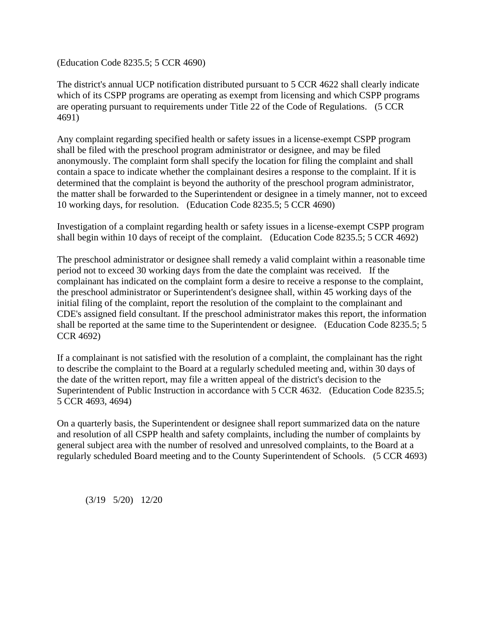(Education Code 8235.5; 5 CCR 4690)

The district's annual UCP notification distributed pursuant to 5 CCR 4622 shall clearly indicate which of its CSPP programs are operating as exempt from licensing and which CSPP programs are operating pursuant to requirements under Title 22 of the Code of Regulations. (5 CCR 4691)

Any complaint regarding specified health or safety issues in a license-exempt CSPP program shall be filed with the preschool program administrator or designee, and may be filed anonymously. The complaint form shall specify the location for filing the complaint and shall contain a space to indicate whether the complainant desires a response to the complaint. If it is determined that the complaint is beyond the authority of the preschool program administrator, the matter shall be forwarded to the Superintendent or designee in a timely manner, not to exceed 10 working days, for resolution. (Education Code 8235.5; 5 CCR 4690)

Investigation of a complaint regarding health or safety issues in a license-exempt CSPP program shall begin within 10 days of receipt of the complaint. (Education Code 8235.5; 5 CCR 4692)

The preschool administrator or designee shall remedy a valid complaint within a reasonable time period not to exceed 30 working days from the date the complaint was received. If the complainant has indicated on the complaint form a desire to receive a response to the complaint, the preschool administrator or Superintendent's designee shall, within 45 working days of the initial filing of the complaint, report the resolution of the complaint to the complainant and CDE's assigned field consultant. If the preschool administrator makes this report, the information shall be reported at the same time to the Superintendent or designee. (Education Code 8235.5; 5 CCR 4692)

If a complainant is not satisfied with the resolution of a complaint, the complainant has the right to describe the complaint to the Board at a regularly scheduled meeting and, within 30 days of the date of the written report, may file a written appeal of the district's decision to the Superintendent of Public Instruction in accordance with 5 CCR 4632. (Education Code 8235.5; 5 CCR 4693, 4694)

On a quarterly basis, the Superintendent or designee shall report summarized data on the nature and resolution of all CSPP health and safety complaints, including the number of complaints by general subject area with the number of resolved and unresolved complaints, to the Board at a regularly scheduled Board meeting and to the County Superintendent of Schools. (5 CCR 4693)

(3/19 5/20) 12/20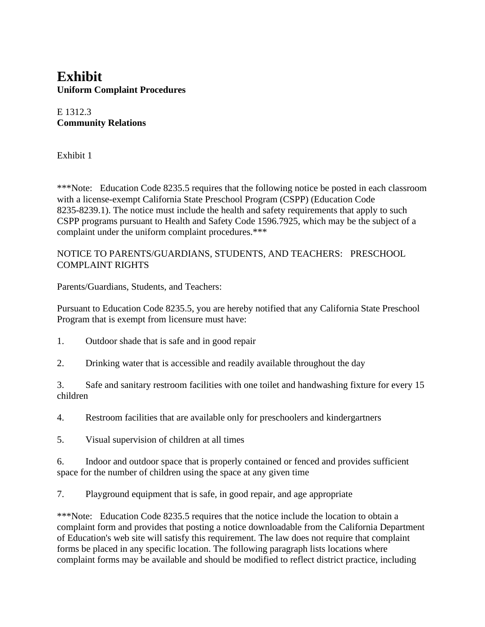### **Exhibit Uniform Complaint Procedures**

### E 1312.3 **Community Relations**

Exhibit 1

\*\*\*Note: Education Code 8235.5 requires that the following notice be posted in each classroom with a license-exempt California State Preschool Program (CSPP) (Education Code 8235-8239.1). The notice must include the health and safety requirements that apply to such CSPP programs pursuant to Health and Safety Code 1596.7925, which may be the subject of a complaint under the uniform complaint procedures.\*\*\*

### NOTICE TO PARENTS/GUARDIANS, STUDENTS, AND TEACHERS: PRESCHOOL COMPLAINT RIGHTS

Parents/Guardians, Students, and Teachers:

Pursuant to Education Code 8235.5, you are hereby notified that any California State Preschool Program that is exempt from licensure must have:

- 1. Outdoor shade that is safe and in good repair
- 2. Drinking water that is accessible and readily available throughout the day

3. Safe and sanitary restroom facilities with one toilet and handwashing fixture for every 15 children

4. Restroom facilities that are available only for preschoolers and kindergartners

5. Visual supervision of children at all times

6. Indoor and outdoor space that is properly contained or fenced and provides sufficient space for the number of children using the space at any given time

7. Playground equipment that is safe, in good repair, and age appropriate

\*\*\*Note: Education Code 8235.5 requires that the notice include the location to obtain a complaint form and provides that posting a notice downloadable from the California Department of Education's web site will satisfy this requirement. The law does not require that complaint forms be placed in any specific location. The following paragraph lists locations where complaint forms may be available and should be modified to reflect district practice, including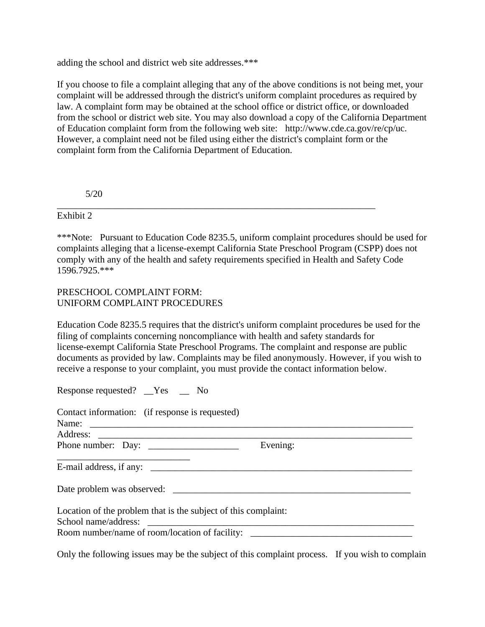adding the school and district web site addresses.\*\*\*

If you choose to file a complaint alleging that any of the above conditions is not being met, your complaint will be addressed through the district's uniform complaint procedures as required by law. A complaint form may be obtained at the school office or district office, or downloaded from the school or district web site. You may also download a copy of the California Department of Education complaint form from the following web site: http://www.cde.ca.gov/re/cp/uc. However, a complaint need not be filed using either the district's complaint form or the complaint form from the California Department of Education.

5/20

#### Exhibit 2

\*\*\*Note: Pursuant to Education Code 8235.5, uniform complaint procedures should be used for complaints alleging that a license-exempt California State Preschool Program (CSPP) does not comply with any of the health and safety requirements specified in Health and Safety Code 1596.7925.\*\*\*

\_\_\_\_\_\_\_\_\_\_\_\_\_\_\_\_\_\_\_\_\_\_\_\_\_\_\_\_\_\_\_\_\_\_\_\_\_\_\_\_\_\_\_\_\_\_\_\_\_\_\_\_\_\_\_\_\_\_\_\_\_\_\_\_\_\_\_

### PRESCHOOL COMPLAINT FORM: UNIFORM COMPLAINT PROCEDURES

Education Code 8235.5 requires that the district's uniform complaint procedures be used for the filing of complaints concerning noncompliance with health and safety standards for license-exempt California State Preschool Programs. The complaint and response are public documents as provided by law. Complaints may be filed anonymously. However, if you wish to receive a response to your complaint, you must provide the contact information below.

Response requested? \_\_Yes \_\_ No

| Contact information: (if response is requested)                |          |
|----------------------------------------------------------------|----------|
| Name: $\qquad \qquad$                                          |          |
|                                                                |          |
|                                                                | Evening: |
| E-mail address, if any:                                        |          |
| Date problem was observed:                                     |          |
| Location of the problem that is the subject of this complaint: |          |
|                                                                |          |
| Room number/name of room/location of facility:                 |          |

Only the following issues may be the subject of this complaint process. If you wish to complain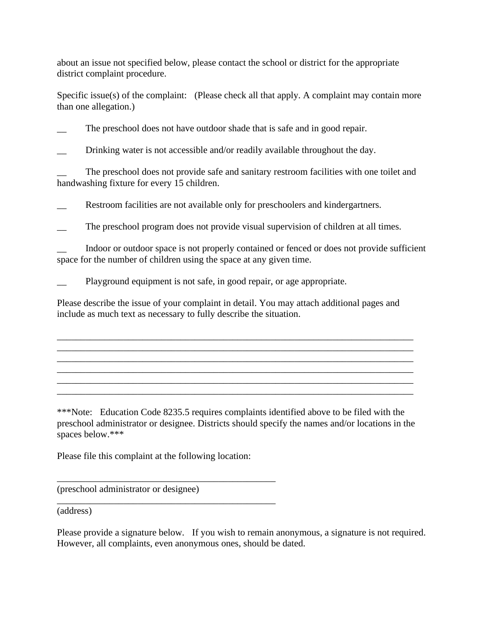about an issue not specified below, please contact the school or district for the appropriate district complaint procedure.

Specific issue(s) of the complaint: (Please check all that apply. A complaint may contain more than one allegation.)

The preschool does not have outdoor shade that is safe and in good repair.

Drinking water is not accessible and/or readily available throughout the day.

The preschool does not provide safe and sanitary restroom facilities with one toilet and handwashing fixture for every 15 children.

Restroom facilities are not available only for preschoolers and kindergartners.

The preschool program does not provide visual supervision of children at all times.

\_\_ Indoor or outdoor space is not properly contained or fenced or does not provide sufficient space for the number of children using the space at any given time.

Playground equipment is not safe, in good repair, or age appropriate.

Please describe the issue of your complaint in detail. You may attach additional pages and include as much text as necessary to fully describe the situation.

\_\_\_\_\_\_\_\_\_\_\_\_\_\_\_\_\_\_\_\_\_\_\_\_\_\_\_\_\_\_\_\_\_\_\_\_\_\_\_\_\_\_\_\_\_\_\_\_\_\_\_\_\_\_\_\_\_\_\_\_\_\_\_\_\_\_\_\_\_\_\_\_\_\_\_ \_\_\_\_\_\_\_\_\_\_\_\_\_\_\_\_\_\_\_\_\_\_\_\_\_\_\_\_\_\_\_\_\_\_\_\_\_\_\_\_\_\_\_\_\_\_\_\_\_\_\_\_\_\_\_\_\_\_\_\_\_\_\_\_\_\_\_\_\_\_\_\_\_\_\_ \_\_\_\_\_\_\_\_\_\_\_\_\_\_\_\_\_\_\_\_\_\_\_\_\_\_\_\_\_\_\_\_\_\_\_\_\_\_\_\_\_\_\_\_\_\_\_\_\_\_\_\_\_\_\_\_\_\_\_\_\_\_\_\_\_\_\_\_\_\_\_\_\_\_\_ \_\_\_\_\_\_\_\_\_\_\_\_\_\_\_\_\_\_\_\_\_\_\_\_\_\_\_\_\_\_\_\_\_\_\_\_\_\_\_\_\_\_\_\_\_\_\_\_\_\_\_\_\_\_\_\_\_\_\_\_\_\_\_\_\_\_\_\_\_\_\_\_\_\_\_ \_\_\_\_\_\_\_\_\_\_\_\_\_\_\_\_\_\_\_\_\_\_\_\_\_\_\_\_\_\_\_\_\_\_\_\_\_\_\_\_\_\_\_\_\_\_\_\_\_\_\_\_\_\_\_\_\_\_\_\_\_\_\_\_\_\_\_\_\_\_\_\_\_\_\_ \_\_\_\_\_\_\_\_\_\_\_\_\_\_\_\_\_\_\_\_\_\_\_\_\_\_\_\_\_\_\_\_\_\_\_\_\_\_\_\_\_\_\_\_\_\_\_\_\_\_\_\_\_\_\_\_\_\_\_\_\_\_\_\_\_\_\_\_\_\_\_\_\_\_\_

\*\*\*Note: Education Code 8235.5 requires complaints identified above to be filed with the preschool administrator or designee. Districts should specify the names and/or locations in the spaces below.\*\*\*

Please file this complaint at the following location:

\_\_\_\_\_\_\_\_\_\_\_\_\_\_\_\_\_\_\_\_\_\_\_\_\_\_\_\_\_\_\_\_\_\_\_\_\_\_\_\_\_\_\_\_\_\_

\_\_\_\_\_\_\_\_\_\_\_\_\_\_\_\_\_\_\_\_\_\_\_\_\_\_\_\_\_\_\_\_\_\_\_\_\_\_\_\_\_\_\_\_\_\_

(preschool administrator or designee)

(address)

Please provide a signature below. If you wish to remain anonymous, a signature is not required. However, all complaints, even anonymous ones, should be dated.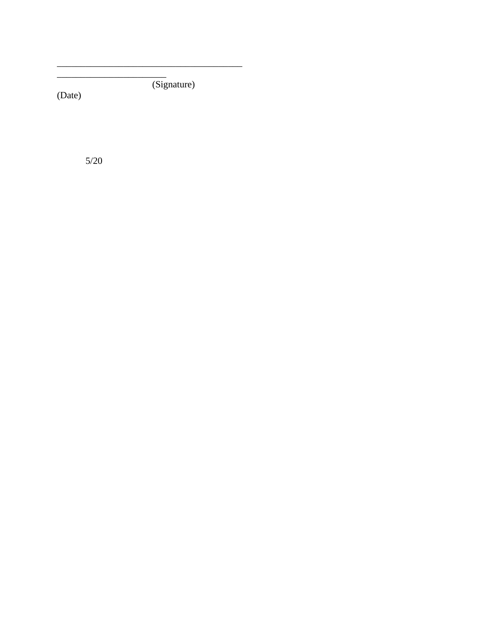(Signature)

(Date)

 $5/20$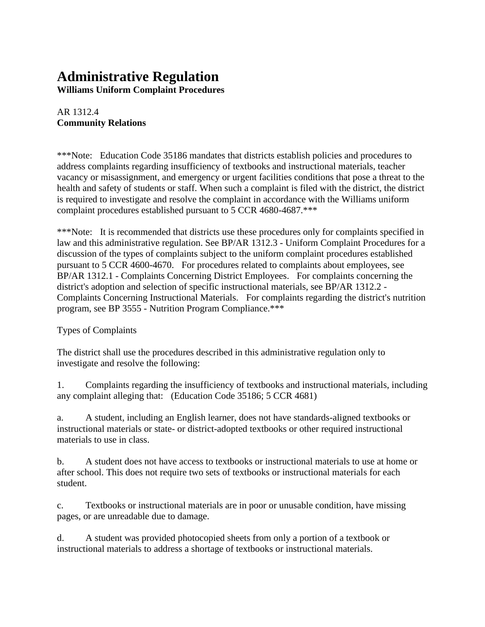# **Administrative Regulation**

**Williams Uniform Complaint Procedures**

### AR 1312.4 **Community Relations**

\*\*\*Note: Education Code 35186 mandates that districts establish policies and procedures to address complaints regarding insufficiency of textbooks and instructional materials, teacher vacancy or misassignment, and emergency or urgent facilities conditions that pose a threat to the health and safety of students or staff. When such a complaint is filed with the district, the district is required to investigate and resolve the complaint in accordance with the Williams uniform complaint procedures established pursuant to 5 CCR 4680-4687.\*\*\*

\*\*\*Note: It is recommended that districts use these procedures only for complaints specified in law and this administrative regulation. See BP/AR 1312.3 - Uniform Complaint Procedures for a discussion of the types of complaints subject to the uniform complaint procedures established pursuant to 5 CCR 4600-4670. For procedures related to complaints about employees, see BP/AR 1312.1 - Complaints Concerning District Employees. For complaints concerning the district's adoption and selection of specific instructional materials, see BP/AR 1312.2 - Complaints Concerning Instructional Materials. For complaints regarding the district's nutrition program, see BP 3555 - Nutrition Program Compliance.\*\*\*

### Types of Complaints

The district shall use the procedures described in this administrative regulation only to investigate and resolve the following:

1. Complaints regarding the insufficiency of textbooks and instructional materials, including any complaint alleging that: (Education Code 35186; 5 CCR 4681)

a. A student, including an English learner, does not have standards-aligned textbooks or instructional materials or state- or district-adopted textbooks or other required instructional materials to use in class.

b. A student does not have access to textbooks or instructional materials to use at home or after school. This does not require two sets of textbooks or instructional materials for each student.

c. Textbooks or instructional materials are in poor or unusable condition, have missing pages, or are unreadable due to damage.

d. A student was provided photocopied sheets from only a portion of a textbook or instructional materials to address a shortage of textbooks or instructional materials.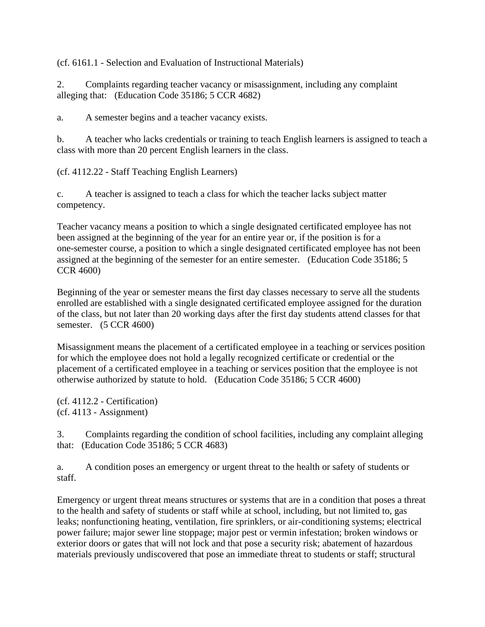(cf. 6161.1 - Selection and Evaluation of Instructional Materials)

2. Complaints regarding teacher vacancy or misassignment, including any complaint alleging that: (Education Code 35186; 5 CCR 4682)

a. A semester begins and a teacher vacancy exists.

b. A teacher who lacks credentials or training to teach English learners is assigned to teach a class with more than 20 percent English learners in the class.

(cf. 4112.22 - Staff Teaching English Learners)

c. A teacher is assigned to teach a class for which the teacher lacks subject matter competency.

Teacher vacancy means a position to which a single designated certificated employee has not been assigned at the beginning of the year for an entire year or, if the position is for a one-semester course, a position to which a single designated certificated employee has not been assigned at the beginning of the semester for an entire semester. (Education Code 35186; 5 CCR 4600)

Beginning of the year or semester means the first day classes necessary to serve all the students enrolled are established with a single designated certificated employee assigned for the duration of the class, but not later than 20 working days after the first day students attend classes for that semester. (5 CCR 4600)

Misassignment means the placement of a certificated employee in a teaching or services position for which the employee does not hold a legally recognized certificate or credential or the placement of a certificated employee in a teaching or services position that the employee is not otherwise authorized by statute to hold. (Education Code 35186; 5 CCR 4600)

(cf. 4112.2 - Certification) (cf. 4113 - Assignment)

3. Complaints regarding the condition of school facilities, including any complaint alleging that: (Education Code 35186; 5 CCR 4683)

a. A condition poses an emergency or urgent threat to the health or safety of students or staff.

Emergency or urgent threat means structures or systems that are in a condition that poses a threat to the health and safety of students or staff while at school, including, but not limited to, gas leaks; nonfunctioning heating, ventilation, fire sprinklers, or air-conditioning systems; electrical power failure; major sewer line stoppage; major pest or vermin infestation; broken windows or exterior doors or gates that will not lock and that pose a security risk; abatement of hazardous materials previously undiscovered that pose an immediate threat to students or staff; structural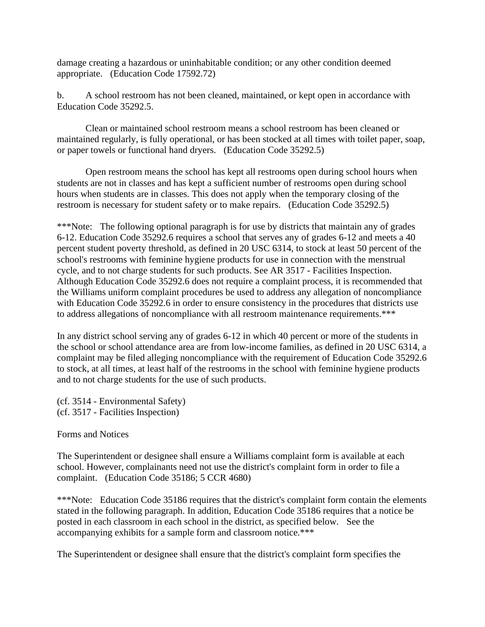damage creating a hazardous or uninhabitable condition; or any other condition deemed appropriate. (Education Code 17592.72)

b. A school restroom has not been cleaned, maintained, or kept open in accordance with Education Code 35292.5.

Clean or maintained school restroom means a school restroom has been cleaned or maintained regularly, is fully operational, or has been stocked at all times with toilet paper, soap, or paper towels or functional hand dryers. (Education Code 35292.5)

Open restroom means the school has kept all restrooms open during school hours when students are not in classes and has kept a sufficient number of restrooms open during school hours when students are in classes. This does not apply when the temporary closing of the restroom is necessary for student safety or to make repairs. (Education Code 35292.5)

\*\*\*Note: The following optional paragraph is for use by districts that maintain any of grades 6-12. Education Code 35292.6 requires a school that serves any of grades 6-12 and meets a 40 percent student poverty threshold, as defined in 20 USC 6314, to stock at least 50 percent of the school's restrooms with feminine hygiene products for use in connection with the menstrual cycle, and to not charge students for such products. See AR 3517 - Facilities Inspection. Although Education Code 35292.6 does not require a complaint process, it is recommended that the Williams uniform complaint procedures be used to address any allegation of noncompliance with Education Code 35292.6 in order to ensure consistency in the procedures that districts use to address allegations of noncompliance with all restroom maintenance requirements.\*\*\*

In any district school serving any of grades 6-12 in which 40 percent or more of the students in the school or school attendance area are from low-income families, as defined in 20 USC 6314, a complaint may be filed alleging noncompliance with the requirement of Education Code 35292.6 to stock, at all times, at least half of the restrooms in the school with feminine hygiene products and to not charge students for the use of such products.

(cf. 3514 - Environmental Safety) (cf. 3517 - Facilities Inspection)

Forms and Notices

The Superintendent or designee shall ensure a Williams complaint form is available at each school. However, complainants need not use the district's complaint form in order to file a complaint. (Education Code 35186; 5 CCR 4680)

\*\*\*Note: Education Code 35186 requires that the district's complaint form contain the elements stated in the following paragraph. In addition, Education Code 35186 requires that a notice be posted in each classroom in each school in the district, as specified below. See the accompanying exhibits for a sample form and classroom notice.\*\*\*

The Superintendent or designee shall ensure that the district's complaint form specifies the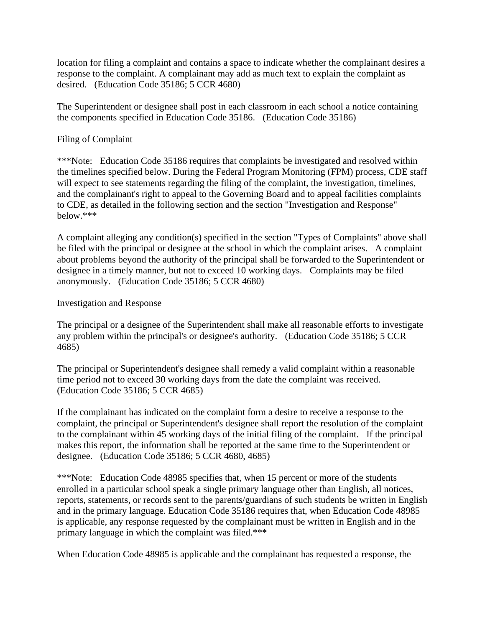location for filing a complaint and contains a space to indicate whether the complainant desires a response to the complaint. A complainant may add as much text to explain the complaint as desired. (Education Code 35186; 5 CCR 4680)

The Superintendent or designee shall post in each classroom in each school a notice containing the components specified in Education Code 35186. (Education Code 35186)

#### Filing of Complaint

\*\*\*Note: Education Code 35186 requires that complaints be investigated and resolved within the timelines specified below. During the Federal Program Monitoring (FPM) process, CDE staff will expect to see statements regarding the filing of the complaint, the investigation, timelines, and the complainant's right to appeal to the Governing Board and to appeal facilities complaints to CDE, as detailed in the following section and the section "Investigation and Response" below.\*\*\*

A complaint alleging any condition(s) specified in the section "Types of Complaints" above shall be filed with the principal or designee at the school in which the complaint arises. A complaint about problems beyond the authority of the principal shall be forwarded to the Superintendent or designee in a timely manner, but not to exceed 10 working days. Complaints may be filed anonymously. (Education Code 35186; 5 CCR 4680)

### Investigation and Response

The principal or a designee of the Superintendent shall make all reasonable efforts to investigate any problem within the principal's or designee's authority. (Education Code 35186; 5 CCR 4685)

The principal or Superintendent's designee shall remedy a valid complaint within a reasonable time period not to exceed 30 working days from the date the complaint was received. (Education Code 35186; 5 CCR 4685)

If the complainant has indicated on the complaint form a desire to receive a response to the complaint, the principal or Superintendent's designee shall report the resolution of the complaint to the complainant within 45 working days of the initial filing of the complaint. If the principal makes this report, the information shall be reported at the same time to the Superintendent or designee. (Education Code 35186; 5 CCR 4680, 4685)

\*\*\*Note: Education Code 48985 specifies that, when 15 percent or more of the students enrolled in a particular school speak a single primary language other than English, all notices, reports, statements, or records sent to the parents/guardians of such students be written in English and in the primary language. Education Code 35186 requires that, when Education Code 48985 is applicable, any response requested by the complainant must be written in English and in the primary language in which the complaint was filed.\*\*\*

When Education Code 48985 is applicable and the complainant has requested a response, the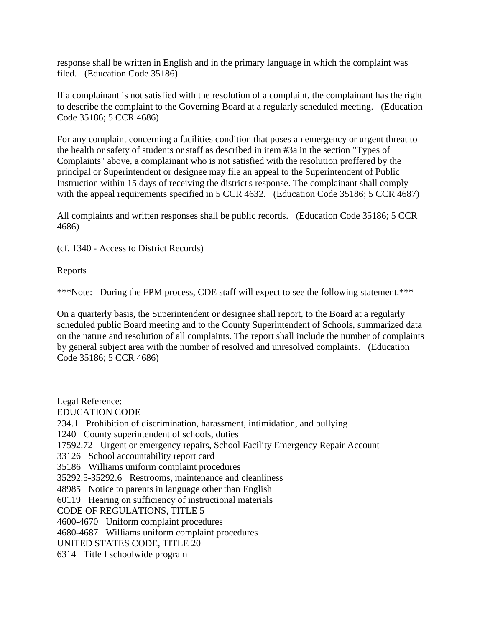response shall be written in English and in the primary language in which the complaint was filed. (Education Code 35186)

If a complainant is not satisfied with the resolution of a complaint, the complainant has the right to describe the complaint to the Governing Board at a regularly scheduled meeting. (Education Code 35186; 5 CCR 4686)

For any complaint concerning a facilities condition that poses an emergency or urgent threat to the health or safety of students or staff as described in item #3a in the section "Types of Complaints" above, a complainant who is not satisfied with the resolution proffered by the principal or Superintendent or designee may file an appeal to the Superintendent of Public Instruction within 15 days of receiving the district's response. The complainant shall comply with the appeal requirements specified in 5 CCR 4632. (Education Code 35186; 5 CCR 4687)

All complaints and written responses shall be public records. (Education Code 35186; 5 CCR 4686)

(cf. 1340 - Access to District Records)

Reports

\*\*\*Note: During the FPM process, CDE staff will expect to see the following statement.\*\*\*

On a quarterly basis, the Superintendent or designee shall report, to the Board at a regularly scheduled public Board meeting and to the County Superintendent of Schools, summarized data on the nature and resolution of all complaints. The report shall include the number of complaints by general subject area with the number of resolved and unresolved complaints. (Education Code 35186; 5 CCR 4686)

Legal Reference: EDUCATION CODE 234.1 Prohibition of discrimination, harassment, intimidation, and bullying 1240 County superintendent of schools, duties 17592.72 Urgent or emergency repairs, School Facility Emergency Repair Account 33126 School accountability report card 35186 Williams uniform complaint procedures 35292.5-35292.6 Restrooms, maintenance and cleanliness 48985 Notice to parents in language other than English 60119 Hearing on sufficiency of instructional materials CODE OF REGULATIONS, TITLE 5 4600-4670 Uniform complaint procedures 4680-4687 Williams uniform complaint procedures UNITED STATES CODE, TITLE 20 6314 Title I schoolwide program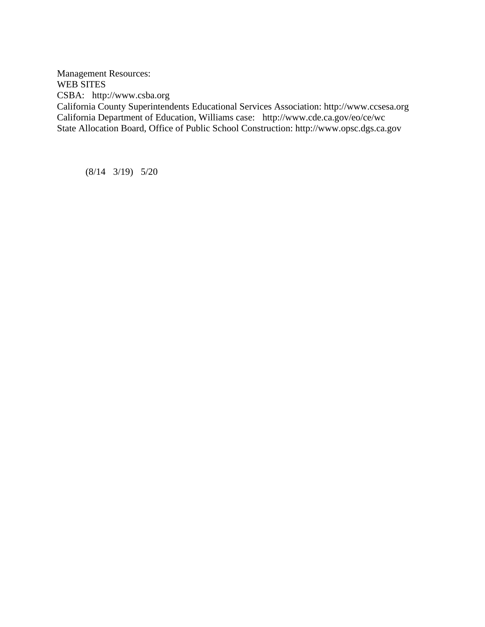Management Resources: WEB SITES CSBA: http://www.csba.org California County Superintendents Educational Services Association: http://www.ccsesa.org California Department of Education, Williams case: http://www.cde.ca.gov/eo/ce/wc State Allocation Board, Office of Public School Construction: http://www.opsc.dgs.ca.gov

(8/14 3/19) 5/20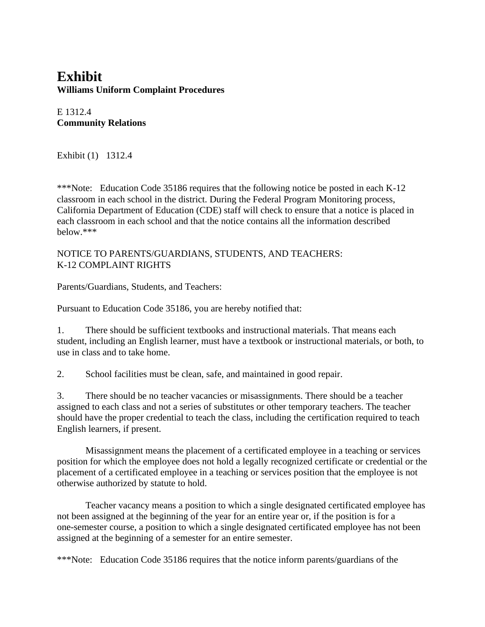### **Exhibit Williams Uniform Complaint Procedures**

E 1312.4 **Community Relations**

Exhibit (1) 1312.4

\*\*\*Note: Education Code 35186 requires that the following notice be posted in each K-12 classroom in each school in the district. During the Federal Program Monitoring process, California Department of Education (CDE) staff will check to ensure that a notice is placed in each classroom in each school and that the notice contains all the information described below.\*\*\*

### NOTICE TO PARENTS/GUARDIANS, STUDENTS, AND TEACHERS: K-12 COMPLAINT RIGHTS

Parents/Guardians, Students, and Teachers:

Pursuant to Education Code 35186, you are hereby notified that:

1. There should be sufficient textbooks and instructional materials. That means each student, including an English learner, must have a textbook or instructional materials, or both, to use in class and to take home.

2. School facilities must be clean, safe, and maintained in good repair.

3. There should be no teacher vacancies or misassignments. There should be a teacher assigned to each class and not a series of substitutes or other temporary teachers. The teacher should have the proper credential to teach the class, including the certification required to teach English learners, if present.

Misassignment means the placement of a certificated employee in a teaching or services position for which the employee does not hold a legally recognized certificate or credential or the placement of a certificated employee in a teaching or services position that the employee is not otherwise authorized by statute to hold.

Teacher vacancy means a position to which a single designated certificated employee has not been assigned at the beginning of the year for an entire year or, if the position is for a one-semester course, a position to which a single designated certificated employee has not been assigned at the beginning of a semester for an entire semester.

\*\*\*Note: Education Code 35186 requires that the notice inform parents/guardians of the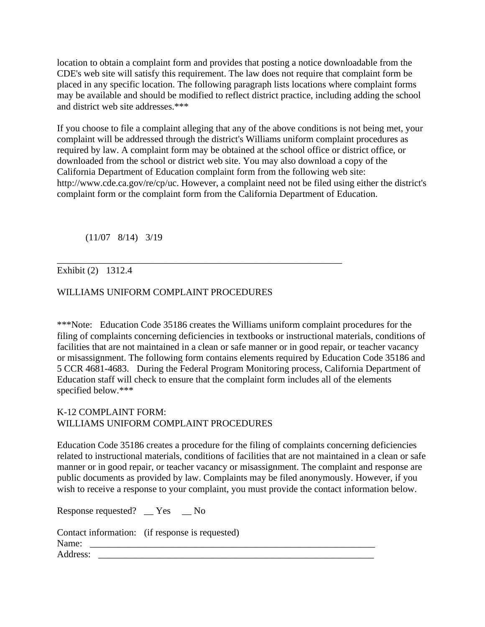location to obtain a complaint form and provides that posting a notice downloadable from the CDE's web site will satisfy this requirement. The law does not require that complaint form be placed in any specific location. The following paragraph lists locations where complaint forms may be available and should be modified to reflect district practice, including adding the school and district web site addresses.\*\*\*

If you choose to file a complaint alleging that any of the above conditions is not being met, your complaint will be addressed through the district's Williams uniform complaint procedures as required by law. A complaint form may be obtained at the school office or district office, or downloaded from the school or district web site. You may also download a copy of the California Department of Education complaint form from the following web site: http://www.cde.ca.gov/re/cp/uc. However, a complaint need not be filed using either the district's complaint form or the complaint form from the California Department of Education.

(11/07 8/14) 3/19

### Exhibit (2) 1312.4

### WILLIAMS UNIFORM COMPLAINT PROCEDURES

\_\_\_\_\_\_\_\_\_\_\_\_\_\_\_\_\_\_\_\_\_\_\_\_\_\_\_\_\_\_\_\_\_\_\_\_\_\_\_\_\_\_\_\_\_\_\_\_\_\_\_\_\_\_\_\_\_\_\_\_

\*\*\*Note: Education Code 35186 creates the Williams uniform complaint procedures for the filing of complaints concerning deficiencies in textbooks or instructional materials, conditions of facilities that are not maintained in a clean or safe manner or in good repair, or teacher vacancy or misassignment. The following form contains elements required by Education Code 35186 and 5 CCR 4681-4683. During the Federal Program Monitoring process, California Department of Education staff will check to ensure that the complaint form includes all of the elements specified below.\*\*\*

#### K-12 COMPLAINT FORM: WILLIAMS UNIFORM COMPLAINT PROCEDURES

Education Code 35186 creates a procedure for the filing of complaints concerning deficiencies related to instructional materials, conditions of facilities that are not maintained in a clean or safe manner or in good repair, or teacher vacancy or misassignment. The complaint and response are public documents as provided by law. Complaints may be filed anonymously. However, if you wish to receive a response to your complaint, you must provide the contact information below.

Response requested? \_\_ Yes \_\_ No

|          | Contact information: (if response is requested) |
|----------|-------------------------------------------------|
| Name:    |                                                 |
| Address: |                                                 |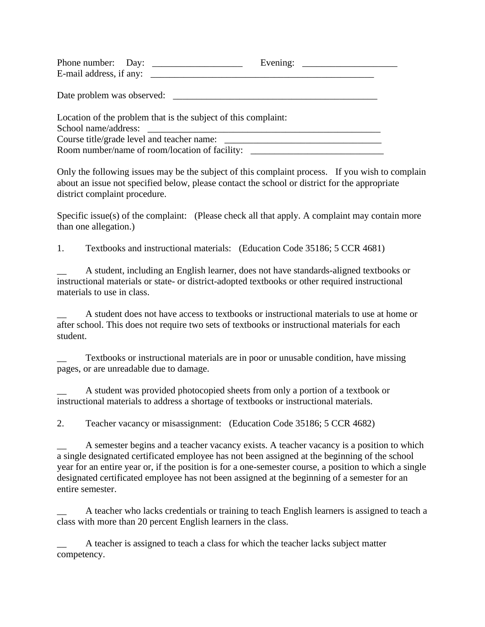|                                                                | Evening:                                   |
|----------------------------------------------------------------|--------------------------------------------|
| E-mail address, if any:                                        |                                            |
|                                                                | Date problem was observed:                 |
| Location of the problem that is the subject of this complaint: |                                            |
|                                                                |                                            |
|                                                                | Course title/grade level and teacher name: |
| Room number/name of room/location of facility:                 |                                            |

Only the following issues may be the subject of this complaint process. If you wish to complain about an issue not specified below, please contact the school or district for the appropriate district complaint procedure.

Specific issue(s) of the complaint: (Please check all that apply. A complaint may contain more than one allegation.)

1. Textbooks and instructional materials: (Education Code 35186; 5 CCR 4681)

A student, including an English learner, does not have standards-aligned textbooks or instructional materials or state- or district-adopted textbooks or other required instructional materials to use in class.

\_\_ A student does not have access to textbooks or instructional materials to use at home or after school. This does not require two sets of textbooks or instructional materials for each student.

Textbooks or instructional materials are in poor or unusable condition, have missing pages, or are unreadable due to damage.

A student was provided photocopied sheets from only a portion of a textbook or instructional materials to address a shortage of textbooks or instructional materials.

2. Teacher vacancy or misassignment: (Education Code 35186; 5 CCR 4682)

A semester begins and a teacher vacancy exists. A teacher vacancy is a position to which a single designated certificated employee has not been assigned at the beginning of the school year for an entire year or, if the position is for a one-semester course, a position to which a single designated certificated employee has not been assigned at the beginning of a semester for an entire semester.

A teacher who lacks credentials or training to teach English learners is assigned to teach a class with more than 20 percent English learners in the class.

A teacher is assigned to teach a class for which the teacher lacks subject matter competency.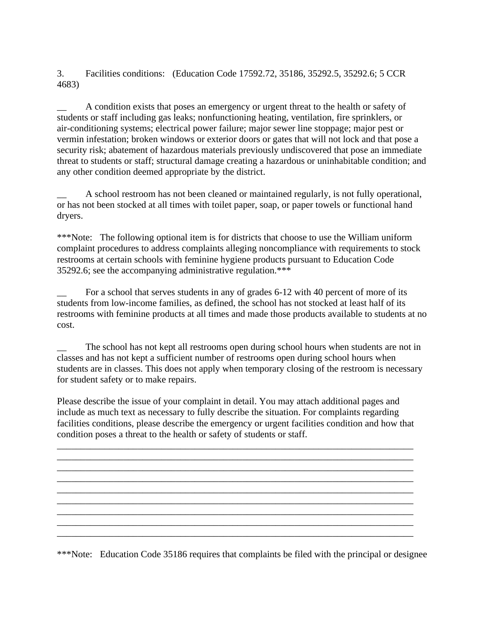3. Facilities conditions: (Education Code 17592.72, 35186, 35292.5, 35292.6; 5 CCR 4683)

\_\_ A condition exists that poses an emergency or urgent threat to the health or safety of students or staff including gas leaks; nonfunctioning heating, ventilation, fire sprinklers, or air-conditioning systems; electrical power failure; major sewer line stoppage; major pest or vermin infestation; broken windows or exterior doors or gates that will not lock and that pose a security risk; abatement of hazardous materials previously undiscovered that pose an immediate threat to students or staff; structural damage creating a hazardous or uninhabitable condition; and any other condition deemed appropriate by the district.

\_\_ A school restroom has not been cleaned or maintained regularly, is not fully operational, or has not been stocked at all times with toilet paper, soap, or paper towels or functional hand dryers.

\*\*\*Note: The following optional item is for districts that choose to use the William uniform complaint procedures to address complaints alleging noncompliance with requirements to stock restrooms at certain schools with feminine hygiene products pursuant to Education Code 35292.6; see the accompanying administrative regulation.\*\*\*

For a school that serves students in any of grades 6-12 with 40 percent of more of its students from low-income families, as defined, the school has not stocked at least half of its restrooms with feminine products at all times and made those products available to students at no cost.

The school has not kept all restrooms open during school hours when students are not in classes and has not kept a sufficient number of restrooms open during school hours when students are in classes. This does not apply when temporary closing of the restroom is necessary for student safety or to make repairs.

Please describe the issue of your complaint in detail. You may attach additional pages and include as much text as necessary to fully describe the situation. For complaints regarding facilities conditions, please describe the emergency or urgent facilities condition and how that condition poses a threat to the health or safety of students or staff.

\_\_\_\_\_\_\_\_\_\_\_\_\_\_\_\_\_\_\_\_\_\_\_\_\_\_\_\_\_\_\_\_\_\_\_\_\_\_\_\_\_\_\_\_\_\_\_\_\_\_\_\_\_\_\_\_\_\_\_\_\_\_\_\_\_\_\_\_\_\_\_\_\_\_\_ \_\_\_\_\_\_\_\_\_\_\_\_\_\_\_\_\_\_\_\_\_\_\_\_\_\_\_\_\_\_\_\_\_\_\_\_\_\_\_\_\_\_\_\_\_\_\_\_\_\_\_\_\_\_\_\_\_\_\_\_\_\_\_\_\_\_\_\_\_\_\_\_\_\_\_ \_\_\_\_\_\_\_\_\_\_\_\_\_\_\_\_\_\_\_\_\_\_\_\_\_\_\_\_\_\_\_\_\_\_\_\_\_\_\_\_\_\_\_\_\_\_\_\_\_\_\_\_\_\_\_\_\_\_\_\_\_\_\_\_\_\_\_\_\_\_\_\_\_\_\_ \_\_\_\_\_\_\_\_\_\_\_\_\_\_\_\_\_\_\_\_\_\_\_\_\_\_\_\_\_\_\_\_\_\_\_\_\_\_\_\_\_\_\_\_\_\_\_\_\_\_\_\_\_\_\_\_\_\_\_\_\_\_\_\_\_\_\_\_\_\_\_\_\_\_\_ \_\_\_\_\_\_\_\_\_\_\_\_\_\_\_\_\_\_\_\_\_\_\_\_\_\_\_\_\_\_\_\_\_\_\_\_\_\_\_\_\_\_\_\_\_\_\_\_\_\_\_\_\_\_\_\_\_\_\_\_\_\_\_\_\_\_\_\_\_\_\_\_\_\_\_ \_\_\_\_\_\_\_\_\_\_\_\_\_\_\_\_\_\_\_\_\_\_\_\_\_\_\_\_\_\_\_\_\_\_\_\_\_\_\_\_\_\_\_\_\_\_\_\_\_\_\_\_\_\_\_\_\_\_\_\_\_\_\_\_\_\_\_\_\_\_\_\_\_\_\_ \_\_\_\_\_\_\_\_\_\_\_\_\_\_\_\_\_\_\_\_\_\_\_\_\_\_\_\_\_\_\_\_\_\_\_\_\_\_\_\_\_\_\_\_\_\_\_\_\_\_\_\_\_\_\_\_\_\_\_\_\_\_\_\_\_\_\_\_\_\_\_\_\_\_\_

\*\*\*Note: Education Code 35186 requires that complaints be filed with the principal or designee

\_\_\_\_\_\_\_\_\_\_\_\_\_\_\_\_\_\_\_\_\_\_\_\_\_\_\_\_\_\_\_\_\_\_\_\_\_\_\_\_\_\_\_\_\_\_\_\_\_\_\_\_\_\_\_\_\_\_\_\_\_\_\_\_\_\_\_\_\_\_\_\_\_\_\_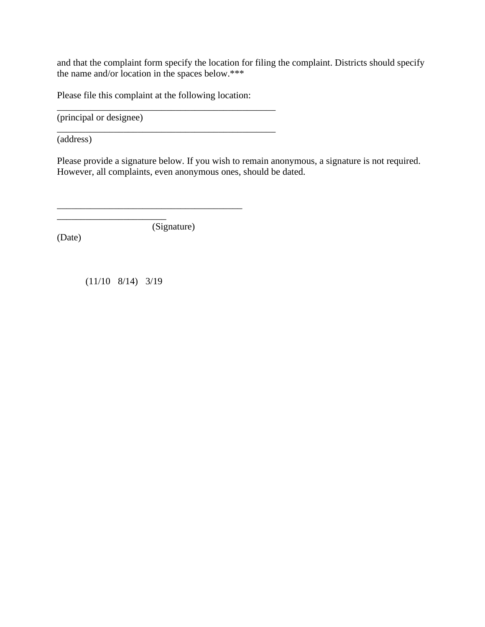and that the complaint form specify the location for filing the complaint. Districts should specify the name and/or location in the spaces below.\*\*\*

Please file this complaint at the following location:

\_\_\_\_\_\_\_\_\_\_\_\_\_\_\_\_\_\_\_\_\_\_\_\_\_\_\_\_\_\_\_\_\_\_\_\_\_\_\_\_\_\_\_\_\_\_

\_\_\_\_\_\_\_\_\_\_\_\_\_\_\_\_\_\_\_\_\_\_\_\_\_\_\_\_\_\_\_\_\_\_\_\_\_\_\_\_\_\_\_\_\_\_

(principal or designee)

(address)

Please provide a signature below. If you wish to remain anonymous, a signature is not required. However, all complaints, even anonymous ones, should be dated.

(Signature)

\_\_\_\_\_\_\_\_\_\_\_\_\_\_\_\_\_\_\_\_\_\_\_\_\_\_\_\_\_\_\_\_\_\_\_\_\_\_\_

(Date)

(11/10 8/14) 3/19

\_\_\_\_\_\_\_\_\_\_\_\_\_\_\_\_\_\_\_\_\_\_\_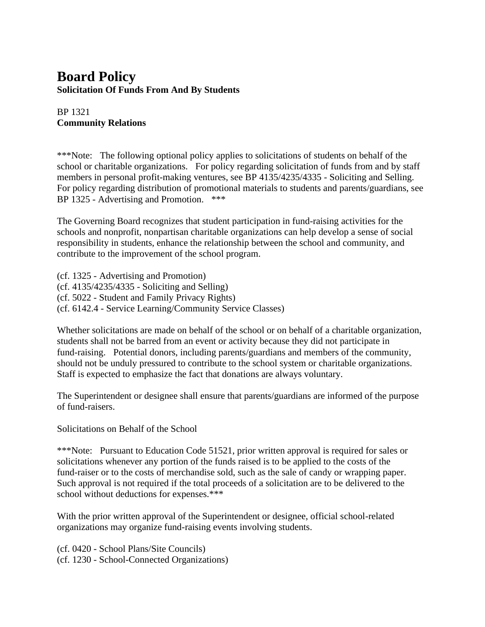### **Board Policy Solicitation Of Funds From And By Students**

### BP 1321 **Community Relations**

\*\*\*Note: The following optional policy applies to solicitations of students on behalf of the school or charitable organizations. For policy regarding solicitation of funds from and by staff members in personal profit-making ventures, see BP 4135/4235/4335 - Soliciting and Selling. For policy regarding distribution of promotional materials to students and parents/guardians, see BP 1325 - Advertising and Promotion. \*\*\*

The Governing Board recognizes that student participation in fund-raising activities for the schools and nonprofit, nonpartisan charitable organizations can help develop a sense of social responsibility in students, enhance the relationship between the school and community, and contribute to the improvement of the school program.

(cf. 1325 - Advertising and Promotion) (cf. 4135/4235/4335 - Soliciting and Selling) (cf. 5022 - Student and Family Privacy Rights) (cf. 6142.4 - Service Learning/Community Service Classes)

Whether solicitations are made on behalf of the school or on behalf of a charitable organization, students shall not be barred from an event or activity because they did not participate in fund-raising. Potential donors, including parents/guardians and members of the community, should not be unduly pressured to contribute to the school system or charitable organizations. Staff is expected to emphasize the fact that donations are always voluntary.

The Superintendent or designee shall ensure that parents/guardians are informed of the purpose of fund-raisers.

Solicitations on Behalf of the School

\*\*\*Note: Pursuant to Education Code 51521, prior written approval is required for sales or solicitations whenever any portion of the funds raised is to be applied to the costs of the fund-raiser or to the costs of merchandise sold, such as the sale of candy or wrapping paper. Such approval is not required if the total proceeds of a solicitation are to be delivered to the school without deductions for expenses.\*\*\*

With the prior written approval of the Superintendent or designee, official school-related organizations may organize fund-raising events involving students.

(cf. 0420 - School Plans/Site Councils) (cf. 1230 - School-Connected Organizations)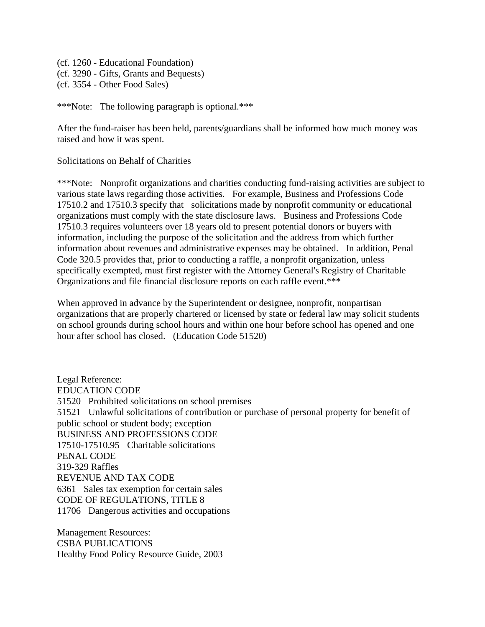(cf. 1260 - Educational Foundation) (cf. 3290 - Gifts, Grants and Bequests) (cf. 3554 - Other Food Sales)

\*\*\*Note: The following paragraph is optional.\*\*\*

After the fund-raiser has been held, parents/guardians shall be informed how much money was raised and how it was spent.

Solicitations on Behalf of Charities

\*\*\*Note: Nonprofit organizations and charities conducting fund-raising activities are subject to various state laws regarding those activities. For example, Business and Professions Code 17510.2 and 17510.3 specify that solicitations made by nonprofit community or educational organizations must comply with the state disclosure laws. Business and Professions Code 17510.3 requires volunteers over 18 years old to present potential donors or buyers with information, including the purpose of the solicitation and the address from which further information about revenues and administrative expenses may be obtained. In addition, Penal Code 320.5 provides that, prior to conducting a raffle, a nonprofit organization, unless specifically exempted, must first register with the Attorney General's Registry of Charitable Organizations and file financial disclosure reports on each raffle event.\*\*\*

When approved in advance by the Superintendent or designee, nonprofit, nonpartisan organizations that are properly chartered or licensed by state or federal law may solicit students on school grounds during school hours and within one hour before school has opened and one hour after school has closed. (Education Code 51520)

Legal Reference: EDUCATION CODE 51520 Prohibited solicitations on school premises 51521 Unlawful solicitations of contribution or purchase of personal property for benefit of public school or student body; exception BUSINESS AND PROFESSIONS CODE 17510-17510.95 Charitable solicitations PENAL CODE 319-329 Raffles REVENUE AND TAX CODE 6361 Sales tax exemption for certain sales CODE OF REGULATIONS, TITLE 8 11706 Dangerous activities and occupations

Management Resources: CSBA PUBLICATIONS Healthy Food Policy Resource Guide, 2003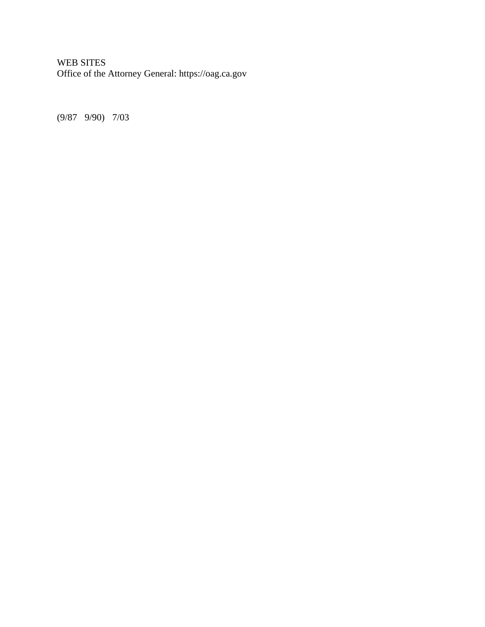### WEB SITES Office of the Attorney General: https://oag.ca.gov

(9/87 9/90) 7/03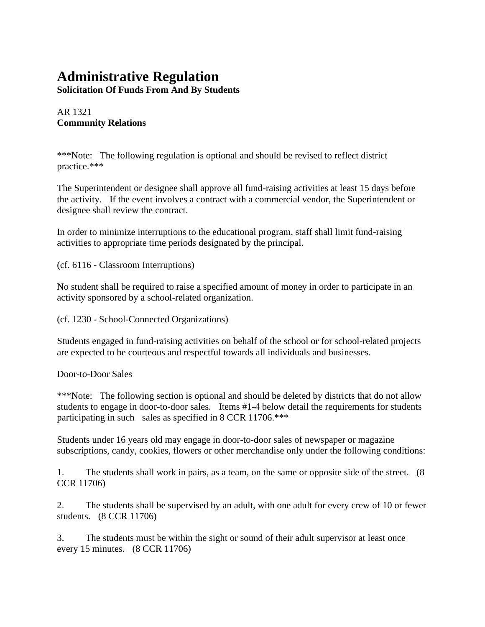## **Administrative Regulation**

**Solicitation Of Funds From And By Students**

### AR 1321 **Community Relations**

\*\*\*Note: The following regulation is optional and should be revised to reflect district practice.\*\*\*

The Superintendent or designee shall approve all fund-raising activities at least 15 days before the activity. If the event involves a contract with a commercial vendor, the Superintendent or designee shall review the contract.

In order to minimize interruptions to the educational program, staff shall limit fund-raising activities to appropriate time periods designated by the principal.

(cf. 6116 - Classroom Interruptions)

No student shall be required to raise a specified amount of money in order to participate in an activity sponsored by a school-related organization.

(cf. 1230 - School-Connected Organizations)

Students engaged in fund-raising activities on behalf of the school or for school-related projects are expected to be courteous and respectful towards all individuals and businesses.

Door-to-Door Sales

\*\*\*Note: The following section is optional and should be deleted by districts that do not allow students to engage in door-to-door sales. Items #1-4 below detail the requirements for students participating in such sales as specified in 8 CCR 11706.\*\*\*

Students under 16 years old may engage in door-to-door sales of newspaper or magazine subscriptions, candy, cookies, flowers or other merchandise only under the following conditions:

1. The students shall work in pairs, as a team, on the same or opposite side of the street. (8 CCR 11706)

2. The students shall be supervised by an adult, with one adult for every crew of 10 or fewer students. (8 CCR 11706)

3. The students must be within the sight or sound of their adult supervisor at least once every 15 minutes. (8 CCR 11706)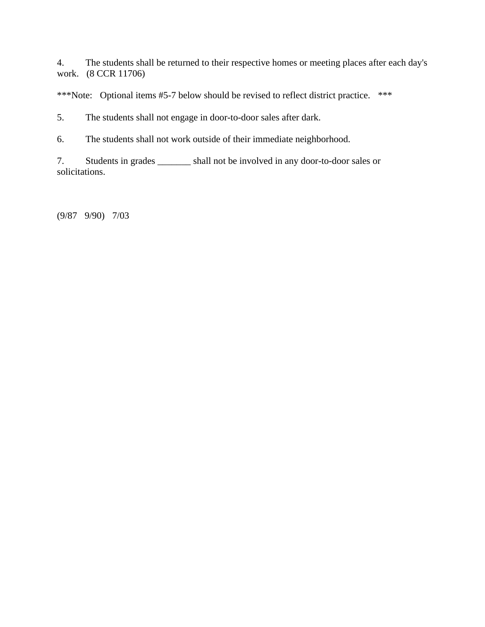4. The students shall be returned to their respective homes or meeting places after each day's work. (8 CCR 11706)

\*\*\*Note: Optional items #5-7 below should be revised to reflect district practice. \*\*\*

5. The students shall not engage in door-to-door sales after dark.

6. The students shall not work outside of their immediate neighborhood.

7. Students in grades \_\_\_\_\_\_\_ shall not be involved in any door-to-door sales or solicitations.

(9/87 9/90) 7/03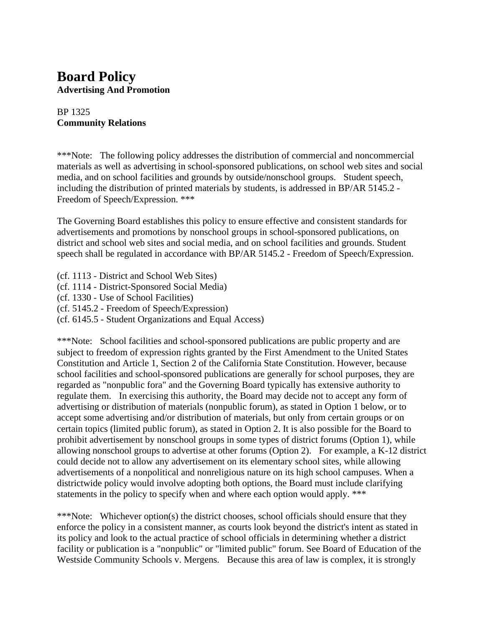### **Board Policy Advertising And Promotion**

### BP 1325 **Community Relations**

\*\*\*Note: The following policy addresses the distribution of commercial and noncommercial materials as well as advertising in school-sponsored publications, on school web sites and social media, and on school facilities and grounds by outside/nonschool groups. Student speech, including the distribution of printed materials by students, is addressed in BP/AR 5145.2 - Freedom of Speech/Expression. \*\*\*

The Governing Board establishes this policy to ensure effective and consistent standards for advertisements and promotions by nonschool groups in school-sponsored publications, on district and school web sites and social media, and on school facilities and grounds. Student speech shall be regulated in accordance with BP/AR 5145.2 - Freedom of Speech/Expression.

- (cf. 1113 District and School Web Sites)
- (cf. 1114 District-Sponsored Social Media)
- (cf. 1330 Use of School Facilities)
- (cf. 5145.2 Freedom of Speech/Expression)
- (cf. 6145.5 Student Organizations and Equal Access)

\*\*\*Note: School facilities and school-sponsored publications are public property and are subject to freedom of expression rights granted by the First Amendment to the United States Constitution and Article 1, Section 2 of the California State Constitution. However, because school facilities and school-sponsored publications are generally for school purposes, they are regarded as "nonpublic fora" and the Governing Board typically has extensive authority to regulate them. In exercising this authority, the Board may decide not to accept any form of advertising or distribution of materials (nonpublic forum), as stated in Option 1 below, or to accept some advertising and/or distribution of materials, but only from certain groups or on certain topics (limited public forum), as stated in Option 2. It is also possible for the Board to prohibit advertisement by nonschool groups in some types of district forums (Option 1), while allowing nonschool groups to advertise at other forums (Option 2). For example, a K-12 district could decide not to allow any advertisement on its elementary school sites, while allowing advertisements of a nonpolitical and nonreligious nature on its high school campuses. When a districtwide policy would involve adopting both options, the Board must include clarifying statements in the policy to specify when and where each option would apply. \*\*\*

\*\*\*Note: Whichever option(s) the district chooses, school officials should ensure that they enforce the policy in a consistent manner, as courts look beyond the district's intent as stated in its policy and look to the actual practice of school officials in determining whether a district facility or publication is a "nonpublic" or "limited public" forum. See Board of Education of the Westside Community Schools v. Mergens. Because this area of law is complex, it is strongly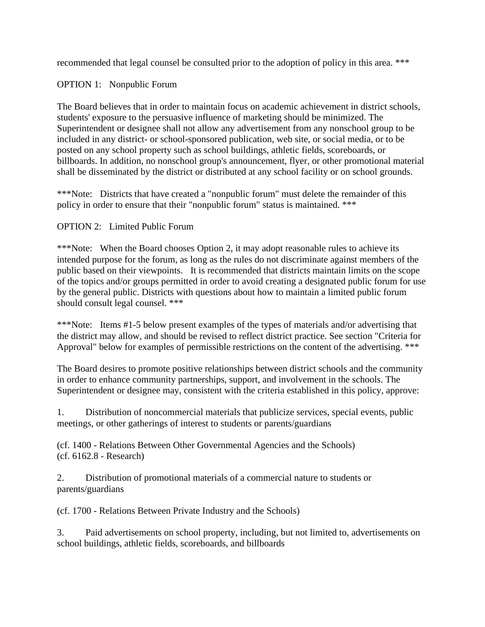recommended that legal counsel be consulted prior to the adoption of policy in this area. \*\*\*

### OPTION 1: Nonpublic Forum

The Board believes that in order to maintain focus on academic achievement in district schools, students' exposure to the persuasive influence of marketing should be minimized. The Superintendent or designee shall not allow any advertisement from any nonschool group to be included in any district- or school-sponsored publication, web site, or social media, or to be posted on any school property such as school buildings, athletic fields, scoreboards, or billboards. In addition, no nonschool group's announcement, flyer, or other promotional material shall be disseminated by the district or distributed at any school facility or on school grounds.

\*\*\*Note: Districts that have created a "nonpublic forum" must delete the remainder of this policy in order to ensure that their "nonpublic forum" status is maintained. \*\*\*

### OPTION 2: Limited Public Forum

\*\*\*Note: When the Board chooses Option 2, it may adopt reasonable rules to achieve its intended purpose for the forum, as long as the rules do not discriminate against members of the public based on their viewpoints. It is recommended that districts maintain limits on the scope of the topics and/or groups permitted in order to avoid creating a designated public forum for use by the general public. Districts with questions about how to maintain a limited public forum should consult legal counsel. \*\*\*

\*\*\*Note: Items #1-5 below present examples of the types of materials and/or advertising that the district may allow, and should be revised to reflect district practice. See section "Criteria for Approval" below for examples of permissible restrictions on the content of the advertising. \*\*\*

The Board desires to promote positive relationships between district schools and the community in order to enhance community partnerships, support, and involvement in the schools. The Superintendent or designee may, consistent with the criteria established in this policy, approve:

1. Distribution of noncommercial materials that publicize services, special events, public meetings, or other gatherings of interest to students or parents/guardians

(cf. 1400 - Relations Between Other Governmental Agencies and the Schools) (cf. 6162.8 - Research)

2. Distribution of promotional materials of a commercial nature to students or parents/guardians

(cf. 1700 - Relations Between Private Industry and the Schools)

3. Paid advertisements on school property, including, but not limited to, advertisements on school buildings, athletic fields, scoreboards, and billboards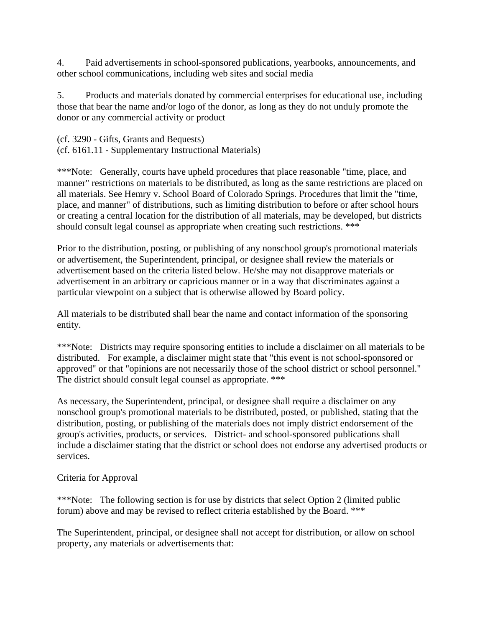4. Paid advertisements in school-sponsored publications, yearbooks, announcements, and other school communications, including web sites and social media

5. Products and materials donated by commercial enterprises for educational use, including those that bear the name and/or logo of the donor, as long as they do not unduly promote the donor or any commercial activity or product

(cf. 3290 - Gifts, Grants and Bequests) (cf. 6161.11 - Supplementary Instructional Materials)

\*\*\*Note: Generally, courts have upheld procedures that place reasonable "time, place, and manner" restrictions on materials to be distributed, as long as the same restrictions are placed on all materials. See Hemry v. School Board of Colorado Springs. Procedures that limit the "time, place, and manner" of distributions, such as limiting distribution to before or after school hours or creating a central location for the distribution of all materials, may be developed, but districts should consult legal counsel as appropriate when creating such restrictions. \*\*\*

Prior to the distribution, posting, or publishing of any nonschool group's promotional materials or advertisement, the Superintendent, principal, or designee shall review the materials or advertisement based on the criteria listed below. He/she may not disapprove materials or advertisement in an arbitrary or capricious manner or in a way that discriminates against a particular viewpoint on a subject that is otherwise allowed by Board policy.

All materials to be distributed shall bear the name and contact information of the sponsoring entity.

\*\*\*Note: Districts may require sponsoring entities to include a disclaimer on all materials to be distributed. For example, a disclaimer might state that "this event is not school-sponsored or approved" or that "opinions are not necessarily those of the school district or school personnel." The district should consult legal counsel as appropriate. \*\*\*

As necessary, the Superintendent, principal, or designee shall require a disclaimer on any nonschool group's promotional materials to be distributed, posted, or published, stating that the distribution, posting, or publishing of the materials does not imply district endorsement of the group's activities, products, or services. District- and school-sponsored publications shall include a disclaimer stating that the district or school does not endorse any advertised products or services.

### Criteria for Approval

\*\*\*Note: The following section is for use by districts that select Option 2 (limited public forum) above and may be revised to reflect criteria established by the Board. \*\*\*

The Superintendent, principal, or designee shall not accept for distribution, or allow on school property, any materials or advertisements that: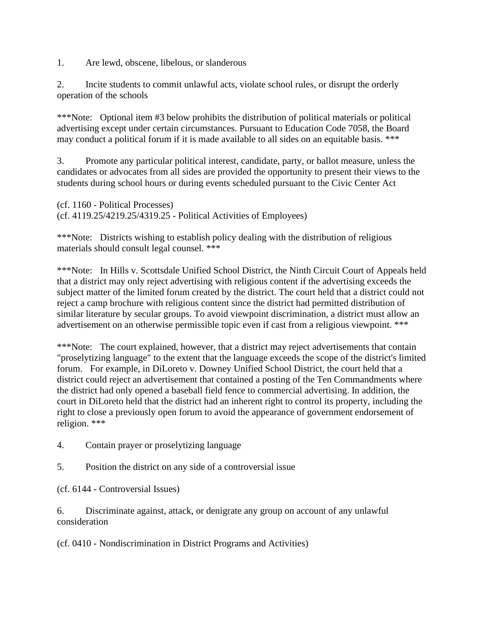1. Are lewd, obscene, libelous, or slanderous

2. Incite students to commit unlawful acts, violate school rules, or disrupt the orderly operation of the schools

\*\*\*Note: Optional item #3 below prohibits the distribution of political materials or political advertising except under certain circumstances. Pursuant to Education Code 7058, the Board may conduct a political forum if it is made available to all sides on an equitable basis. \*\*\*

3. Promote any particular political interest, candidate, party, or ballot measure, unless the candidates or advocates from all sides are provided the opportunity to present their views to the students during school hours or during events scheduled pursuant to the Civic Center Act

(cf. 1160 - Political Processes) (cf. 4119.25/4219.25/4319.25 - Political Activities of Employees)

\*\*\*Note: Districts wishing to establish policy dealing with the distribution of religious materials should consult legal counsel. \*\*\*

\*\*\*Note: In Hills v. Scottsdale Unified School District, the Ninth Circuit Court of Appeals held that a district may only reject advertising with religious content if the advertising exceeds the subject matter of the limited forum created by the district. The court held that a district could not reject a camp brochure with religious content since the district had permitted distribution of similar literature by secular groups. To avoid viewpoint discrimination, a district must allow an advertisement on an otherwise permissible topic even if cast from a religious viewpoint. \*\*\*

\*\*\*Note: The court explained, however, that a district may reject advertisements that contain "proselytizing language" to the extent that the language exceeds the scope of the district's limited forum. For example, in DiLoreto v. Downey Unified School District, the court held that a district could reject an advertisement that contained a posting of the Ten Commandments where the district had only opened a baseball field fence to commercial advertising. In addition, the court in DiLoreto held that the district had an inherent right to control its property, including the right to close a previously open forum to avoid the appearance of government endorsement of religion. \*\*\*

- 4. Contain prayer or proselytizing language
- 5. Position the district on any side of a controversial issue

(cf. 6144 - Controversial Issues)

6. Discriminate against, attack, or denigrate any group on account of any unlawful consideration

(cf. 0410 - Nondiscrimination in District Programs and Activities)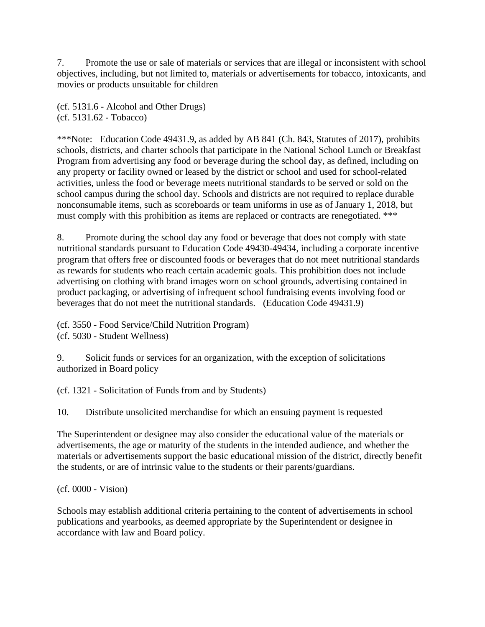7. Promote the use or sale of materials or services that are illegal or inconsistent with school objectives, including, but not limited to, materials or advertisements for tobacco, intoxicants, and movies or products unsuitable for children

(cf. 5131.6 - Alcohol and Other Drugs) (cf. 5131.62 - Tobacco)

\*\*\*Note: Education Code 49431.9, as added by AB 841 (Ch. 843, Statutes of 2017), prohibits schools, districts, and charter schools that participate in the National School Lunch or Breakfast Program from advertising any food or beverage during the school day, as defined, including on any property or facility owned or leased by the district or school and used for school-related activities, unless the food or beverage meets nutritional standards to be served or sold on the school campus during the school day. Schools and districts are not required to replace durable nonconsumable items, such as scoreboards or team uniforms in use as of January 1, 2018, but must comply with this prohibition as items are replaced or contracts are renegotiated. \*\*\*

8. Promote during the school day any food or beverage that does not comply with state nutritional standards pursuant to Education Code 49430-49434, including a corporate incentive program that offers free or discounted foods or beverages that do not meet nutritional standards as rewards for students who reach certain academic goals. This prohibition does not include advertising on clothing with brand images worn on school grounds, advertising contained in product packaging, or advertising of infrequent school fundraising events involving food or beverages that do not meet the nutritional standards. (Education Code 49431.9)

(cf. 3550 - Food Service/Child Nutrition Program)

(cf. 5030 - Student Wellness)

9. Solicit funds or services for an organization, with the exception of solicitations authorized in Board policy

(cf. 1321 - Solicitation of Funds from and by Students)

10. Distribute unsolicited merchandise for which an ensuing payment is requested

The Superintendent or designee may also consider the educational value of the materials or advertisements, the age or maturity of the students in the intended audience, and whether the materials or advertisements support the basic educational mission of the district, directly benefit the students, or are of intrinsic value to the students or their parents/guardians.

(cf. 0000 - Vision)

Schools may establish additional criteria pertaining to the content of advertisements in school publications and yearbooks, as deemed appropriate by the Superintendent or designee in accordance with law and Board policy.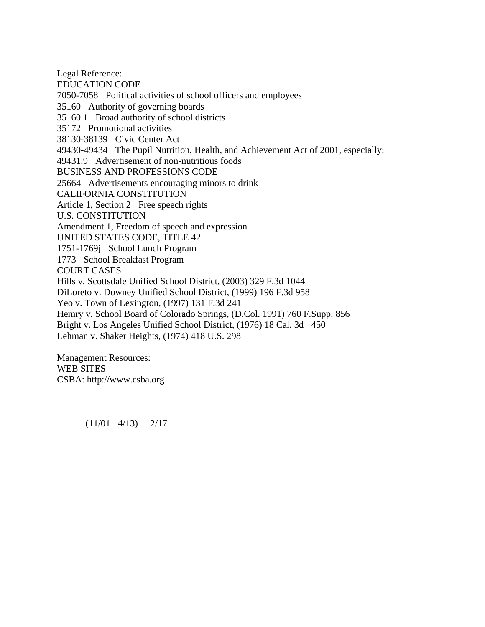Legal Reference: EDUCATION CODE 7050-7058 Political activities of school officers and employees 35160 Authority of governing boards 35160.1 Broad authority of school districts 35172 Promotional activities 38130-38139 Civic Center Act 49430-49434 The Pupil Nutrition, Health, and Achievement Act of 2001, especially: 49431.9 Advertisement of non-nutritious foods BUSINESS AND PROFESSIONS CODE 25664 Advertisements encouraging minors to drink CALIFORNIA CONSTITUTION Article 1, Section 2 Free speech rights U.S. CONSTITUTION Amendment 1, Freedom of speech and expression UNITED STATES CODE, TITLE 42 1751-1769j School Lunch Program 1773 School Breakfast Program COURT CASES Hills v. Scottsdale Unified School District, (2003) 329 F.3d 1044 DiLoreto v. Downey Unified School District, (1999) 196 F.3d 958 Yeo v. Town of Lexington, (1997) 131 F.3d 241 Hemry v. School Board of Colorado Springs, (D.Col. 1991) 760 F.Supp. 856 Bright v. Los Angeles Unified School District, (1976) 18 Cal. 3d 450 Lehman v. Shaker Heights, (1974) 418 U.S. 298

Management Resources: WEB SITES CSBA: http://www.csba.org

(11/01 4/13) 12/17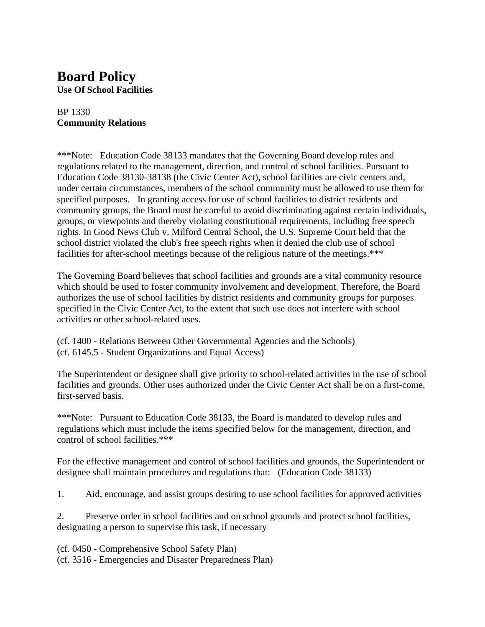# **Board Policy**

**Use Of School Facilities**

### BP 1330 **Community Relations**

\*\*\*Note: Education Code 38133 mandates that the Governing Board develop rules and regulations related to the management, direction, and control of school facilities. Pursuant to Education Code 38130-38138 (the Civic Center Act), school facilities are civic centers and, under certain circumstances, members of the school community must be allowed to use them for specified purposes. In granting access for use of school facilities to district residents and community groups, the Board must be careful to avoid discriminating against certain individuals, groups, or viewpoints and thereby violating constitutional requirements, including free speech rights. In Good News Club v. Milford Central School, the U.S. Supreme Court held that the school district violated the club's free speech rights when it denied the club use of school facilities for after-school meetings because of the religious nature of the meetings.\*\*\*

The Governing Board believes that school facilities and grounds are a vital community resource which should be used to foster community involvement and development. Therefore, the Board authorizes the use of school facilities by district residents and community groups for purposes specified in the Civic Center Act, to the extent that such use does not interfere with school activities or other school-related uses.

(cf. 1400 - Relations Between Other Governmental Agencies and the Schools) (cf. 6145.5 - Student Organizations and Equal Access)

The Superintendent or designee shall give priority to school-related activities in the use of school facilities and grounds. Other uses authorized under the Civic Center Act shall be on a first-come, first-served basis.

\*\*\*Note: Pursuant to Education Code 38133, the Board is mandated to develop rules and regulations which must include the items specified below for the management, direction, and control of school facilities.\*\*\*

For the effective management and control of school facilities and grounds, the Superintendent or designee shall maintain procedures and regulations that: (Education Code 38133)

1. Aid, encourage, and assist groups desiring to use school facilities for approved activities

2. Preserve order in school facilities and on school grounds and protect school facilities, designating a person to supervise this task, if necessary

(cf. 0450 - Comprehensive School Safety Plan)

(cf. 3516 - Emergencies and Disaster Preparedness Plan)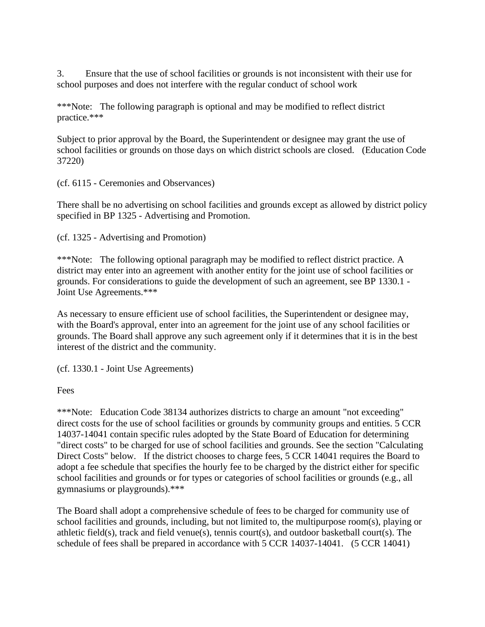3. Ensure that the use of school facilities or grounds is not inconsistent with their use for school purposes and does not interfere with the regular conduct of school work

\*\*\*Note: The following paragraph is optional and may be modified to reflect district practice.\*\*\*

Subject to prior approval by the Board, the Superintendent or designee may grant the use of school facilities or grounds on those days on which district schools are closed. (Education Code 37220)

(cf. 6115 - Ceremonies and Observances)

There shall be no advertising on school facilities and grounds except as allowed by district policy specified in BP 1325 - Advertising and Promotion.

(cf. 1325 - Advertising and Promotion)

\*\*\*Note: The following optional paragraph may be modified to reflect district practice. A district may enter into an agreement with another entity for the joint use of school facilities or grounds. For considerations to guide the development of such an agreement, see BP 1330.1 - Joint Use Agreements.\*\*\*

As necessary to ensure efficient use of school facilities, the Superintendent or designee may, with the Board's approval, enter into an agreement for the joint use of any school facilities or grounds. The Board shall approve any such agreement only if it determines that it is in the best interest of the district and the community.

(cf. 1330.1 - Joint Use Agreements)

**Fees** 

\*\*\*Note: Education Code 38134 authorizes districts to charge an amount "not exceeding" direct costs for the use of school facilities or grounds by community groups and entities. 5 CCR 14037-14041 contain specific rules adopted by the State Board of Education for determining "direct costs" to be charged for use of school facilities and grounds. See the section "Calculating Direct Costs" below. If the district chooses to charge fees, 5 CCR 14041 requires the Board to adopt a fee schedule that specifies the hourly fee to be charged by the district either for specific school facilities and grounds or for types or categories of school facilities or grounds (e.g., all gymnasiums or playgrounds).\*\*\*

The Board shall adopt a comprehensive schedule of fees to be charged for community use of school facilities and grounds, including, but not limited to, the multipurpose room(s), playing or athletic field(s), track and field venue(s), tennis court(s), and outdoor basketball court(s). The schedule of fees shall be prepared in accordance with 5 CCR 14037-14041. (5 CCR 14041)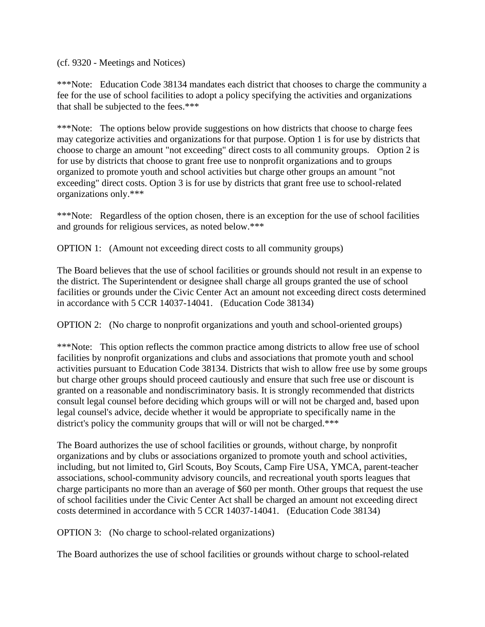(cf. 9320 - Meetings and Notices)

\*\*\*Note: Education Code 38134 mandates each district that chooses to charge the community a fee for the use of school facilities to adopt a policy specifying the activities and organizations that shall be subjected to the fees.\*\*\*

\*\*\*Note: The options below provide suggestions on how districts that choose to charge fees may categorize activities and organizations for that purpose. Option 1 is for use by districts that choose to charge an amount "not exceeding" direct costs to all community groups. Option 2 is for use by districts that choose to grant free use to nonprofit organizations and to groups organized to promote youth and school activities but charge other groups an amount "not exceeding" direct costs. Option 3 is for use by districts that grant free use to school-related organizations only.\*\*\*

\*\*\*Note: Regardless of the option chosen, there is an exception for the use of school facilities and grounds for religious services, as noted below.\*\*\*

OPTION 1: (Amount not exceeding direct costs to all community groups)

The Board believes that the use of school facilities or grounds should not result in an expense to the district. The Superintendent or designee shall charge all groups granted the use of school facilities or grounds under the Civic Center Act an amount not exceeding direct costs determined in accordance with 5 CCR 14037-14041. (Education Code 38134)

OPTION 2: (No charge to nonprofit organizations and youth and school-oriented groups)

\*\*\*Note: This option reflects the common practice among districts to allow free use of school facilities by nonprofit organizations and clubs and associations that promote youth and school activities pursuant to Education Code 38134. Districts that wish to allow free use by some groups but charge other groups should proceed cautiously and ensure that such free use or discount is granted on a reasonable and nondiscriminatory basis. It is strongly recommended that districts consult legal counsel before deciding which groups will or will not be charged and, based upon legal counsel's advice, decide whether it would be appropriate to specifically name in the district's policy the community groups that will or will not be charged.\*\*\*

The Board authorizes the use of school facilities or grounds, without charge, by nonprofit organizations and by clubs or associations organized to promote youth and school activities, including, but not limited to, Girl Scouts, Boy Scouts, Camp Fire USA, YMCA, parent-teacher associations, school-community advisory councils, and recreational youth sports leagues that charge participants no more than an average of \$60 per month. Other groups that request the use of school facilities under the Civic Center Act shall be charged an amount not exceeding direct costs determined in accordance with 5 CCR 14037-14041. (Education Code 38134)

OPTION 3: (No charge to school-related organizations)

The Board authorizes the use of school facilities or grounds without charge to school-related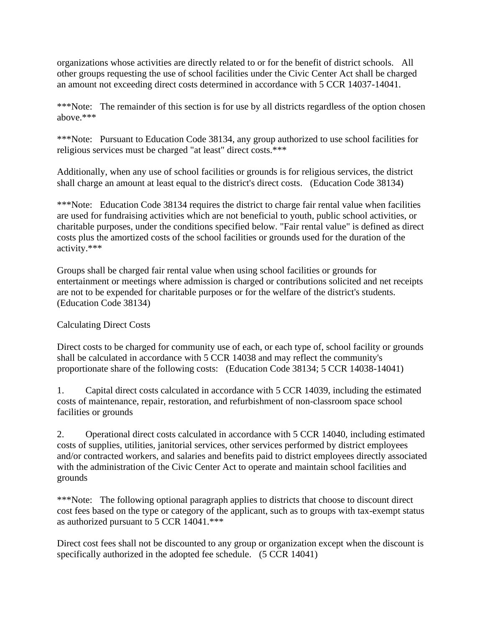organizations whose activities are directly related to or for the benefit of district schools. All other groups requesting the use of school facilities under the Civic Center Act shall be charged an amount not exceeding direct costs determined in accordance with 5 CCR 14037-14041.

\*\*\*Note: The remainder of this section is for use by all districts regardless of the option chosen above.\*\*\*

\*\*\*Note: Pursuant to Education Code 38134, any group authorized to use school facilities for religious services must be charged "at least" direct costs.\*\*\*

Additionally, when any use of school facilities or grounds is for religious services, the district shall charge an amount at least equal to the district's direct costs. (Education Code 38134)

\*\*\*Note: Education Code 38134 requires the district to charge fair rental value when facilities are used for fundraising activities which are not beneficial to youth, public school activities, or charitable purposes, under the conditions specified below. "Fair rental value" is defined as direct costs plus the amortized costs of the school facilities or grounds used for the duration of the activity.\*\*\*

Groups shall be charged fair rental value when using school facilities or grounds for entertainment or meetings where admission is charged or contributions solicited and net receipts are not to be expended for charitable purposes or for the welfare of the district's students. (Education Code 38134)

### Calculating Direct Costs

Direct costs to be charged for community use of each, or each type of, school facility or grounds shall be calculated in accordance with 5 CCR 14038 and may reflect the community's proportionate share of the following costs: (Education Code 38134; 5 CCR 14038-14041)

1. Capital direct costs calculated in accordance with 5 CCR 14039, including the estimated costs of maintenance, repair, restoration, and refurbishment of non-classroom space school facilities or grounds

2. Operational direct costs calculated in accordance with 5 CCR 14040, including estimated costs of supplies, utilities, janitorial services, other services performed by district employees and/or contracted workers, and salaries and benefits paid to district employees directly associated with the administration of the Civic Center Act to operate and maintain school facilities and grounds

\*\*\*Note: The following optional paragraph applies to districts that choose to discount direct cost fees based on the type or category of the applicant, such as to groups with tax-exempt status as authorized pursuant to 5 CCR 14041.\*\*\*

Direct cost fees shall not be discounted to any group or organization except when the discount is specifically authorized in the adopted fee schedule. (5 CCR 14041)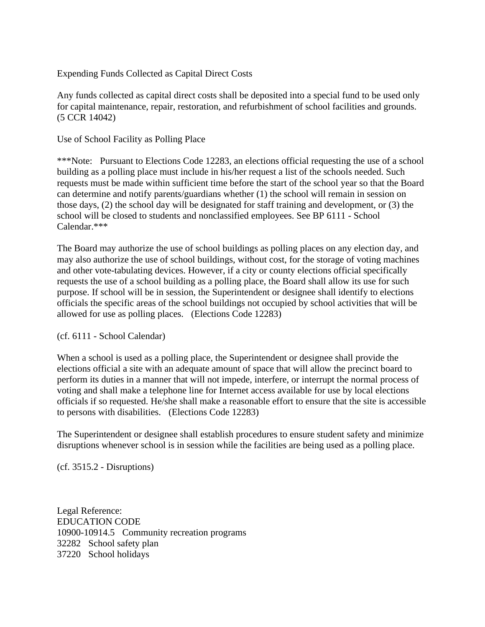#### Expending Funds Collected as Capital Direct Costs

Any funds collected as capital direct costs shall be deposited into a special fund to be used only for capital maintenance, repair, restoration, and refurbishment of school facilities and grounds. (5 CCR 14042)

Use of School Facility as Polling Place

\*\*\*Note: Pursuant to Elections Code 12283, an elections official requesting the use of a school building as a polling place must include in his/her request a list of the schools needed. Such requests must be made within sufficient time before the start of the school year so that the Board can determine and notify parents/guardians whether (1) the school will remain in session on those days, (2) the school day will be designated for staff training and development, or (3) the school will be closed to students and nonclassified employees. See BP 6111 - School Calendar.\*\*\*

The Board may authorize the use of school buildings as polling places on any election day, and may also authorize the use of school buildings, without cost, for the storage of voting machines and other vote-tabulating devices. However, if a city or county elections official specifically requests the use of a school building as a polling place, the Board shall allow its use for such purpose. If school will be in session, the Superintendent or designee shall identify to elections officials the specific areas of the school buildings not occupied by school activities that will be allowed for use as polling places. (Elections Code 12283)

(cf. 6111 - School Calendar)

When a school is used as a polling place, the Superintendent or designee shall provide the elections official a site with an adequate amount of space that will allow the precinct board to perform its duties in a manner that will not impede, interfere, or interrupt the normal process of voting and shall make a telephone line for Internet access available for use by local elections officials if so requested. He/she shall make a reasonable effort to ensure that the site is accessible to persons with disabilities. (Elections Code 12283)

The Superintendent or designee shall establish procedures to ensure student safety and minimize disruptions whenever school is in session while the facilities are being used as a polling place.

(cf. 3515.2 - Disruptions)

Legal Reference: EDUCATION CODE 10900-10914.5 Community recreation programs 32282 School safety plan 37220 School holidays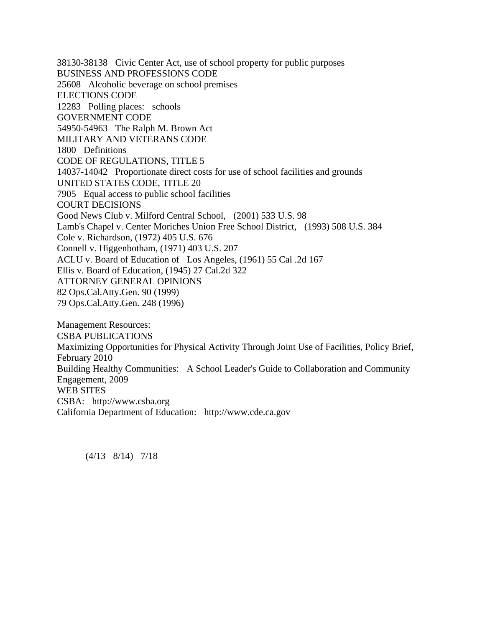38130-38138 Civic Center Act, use of school property for public purposes BUSINESS AND PROFESSIONS CODE 25608 Alcoholic beverage on school premises ELECTIONS CODE 12283 Polling places: schools GOVERNMENT CODE 54950-54963 The Ralph M. Brown Act MILITARY AND VETERANS CODE 1800 Definitions CODE OF REGULATIONS, TITLE 5 14037-14042 Proportionate direct costs for use of school facilities and grounds UNITED STATES CODE, TITLE 20 7905 Equal access to public school facilities COURT DECISIONS Good News Club v. Milford Central School, (2001) 533 U.S. 98 Lamb's Chapel v. Center Moriches Union Free School District, (1993) 508 U.S. 384 Cole v. Richardson, (1972) 405 U.S. 676 Connell v. Higgenbotham, (1971) 403 U.S. 207 ACLU v. Board of Education of Los Angeles, (1961) 55 Cal .2d 167 Ellis v. Board of Education, (1945) 27 Cal.2d 322 ATTORNEY GENERAL OPINIONS 82 Ops.Cal.Atty.Gen. 90 (1999) 79 Ops.Cal.Atty.Gen. 248 (1996)

Management Resources: CSBA PUBLICATIONS Maximizing Opportunities for Physical Activity Through Joint Use of Facilities, Policy Brief, February 2010 Building Healthy Communities: A School Leader's Guide to Collaboration and Community Engagement, 2009 WEB SITES CSBA: http://www.csba.org California Department of Education: http://www.cde.ca.gov

(4/13 8/14) 7/18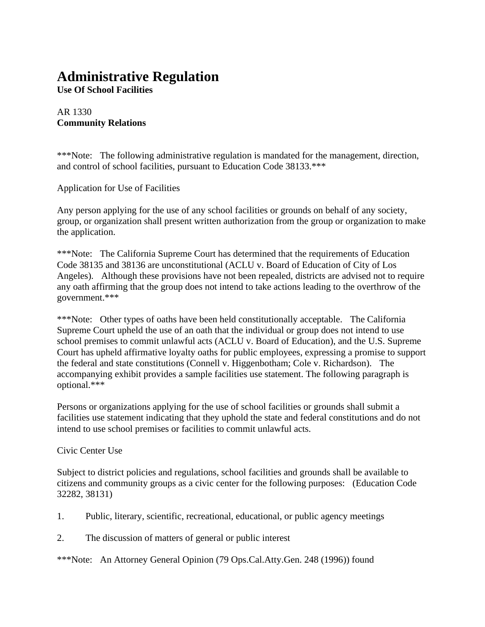# **Administrative Regulation**

**Use Of School Facilities**

#### AR 1330 **Community Relations**

\*\*\*Note: The following administrative regulation is mandated for the management, direction, and control of school facilities, pursuant to Education Code 38133.\*\*\*

Application for Use of Facilities

Any person applying for the use of any school facilities or grounds on behalf of any society, group, or organization shall present written authorization from the group or organization to make the application.

\*\*\*Note: The California Supreme Court has determined that the requirements of Education Code 38135 and 38136 are unconstitutional (ACLU v. Board of Education of City of Los Angeles). Although these provisions have not been repealed, districts are advised not to require any oath affirming that the group does not intend to take actions leading to the overthrow of the government.\*\*\*

\*\*\*Note: Other types of oaths have been held constitutionally acceptable. The California Supreme Court upheld the use of an oath that the individual or group does not intend to use school premises to commit unlawful acts (ACLU v. Board of Education), and the U.S. Supreme Court has upheld affirmative loyalty oaths for public employees, expressing a promise to support the federal and state constitutions (Connell v. Higgenbotham; Cole v. Richardson). The accompanying exhibit provides a sample facilities use statement. The following paragraph is optional.\*\*\*

Persons or organizations applying for the use of school facilities or grounds shall submit a facilities use statement indicating that they uphold the state and federal constitutions and do not intend to use school premises or facilities to commit unlawful acts.

#### Civic Center Use

Subject to district policies and regulations, school facilities and grounds shall be available to citizens and community groups as a civic center for the following purposes: (Education Code 32282, 38131)

- 1. Public, literary, scientific, recreational, educational, or public agency meetings
- 2. The discussion of matters of general or public interest

\*\*\*Note: An Attorney General Opinion (79 Ops.Cal.Atty.Gen. 248 (1996)) found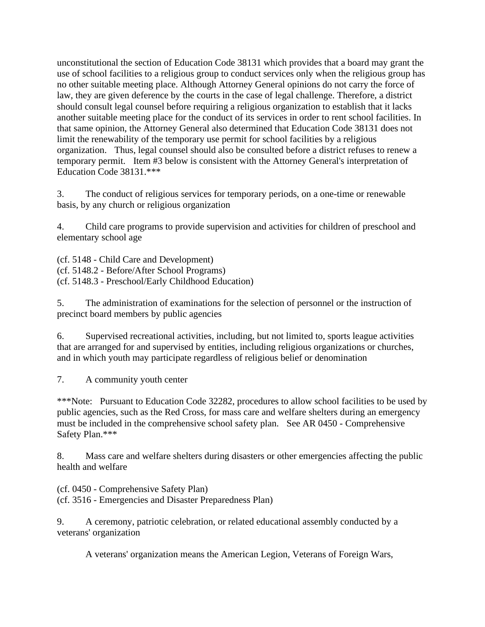unconstitutional the section of Education Code 38131 which provides that a board may grant the use of school facilities to a religious group to conduct services only when the religious group has no other suitable meeting place. Although Attorney General opinions do not carry the force of law, they are given deference by the courts in the case of legal challenge. Therefore, a district should consult legal counsel before requiring a religious organization to establish that it lacks another suitable meeting place for the conduct of its services in order to rent school facilities. In that same opinion, the Attorney General also determined that Education Code 38131 does not limit the renewability of the temporary use permit for school facilities by a religious organization. Thus, legal counsel should also be consulted before a district refuses to renew a temporary permit. Item #3 below is consistent with the Attorney General's interpretation of Education Code 38131.\*\*\*

3. The conduct of religious services for temporary periods, on a one-time or renewable basis, by any church or religious organization

4. Child care programs to provide supervision and activities for children of preschool and elementary school age

(cf. 5148 - Child Care and Development) (cf. 5148.2 - Before/After School Programs) (cf. 5148.3 - Preschool/Early Childhood Education)

5. The administration of examinations for the selection of personnel or the instruction of precinct board members by public agencies

6. Supervised recreational activities, including, but not limited to, sports league activities that are arranged for and supervised by entities, including religious organizations or churches, and in which youth may participate regardless of religious belief or denomination

7. A community youth center

\*\*\*Note: Pursuant to Education Code 32282, procedures to allow school facilities to be used by public agencies, such as the Red Cross, for mass care and welfare shelters during an emergency must be included in the comprehensive school safety plan. See AR 0450 - Comprehensive Safety Plan.\*\*\*

8. Mass care and welfare shelters during disasters or other emergencies affecting the public health and welfare

(cf. 0450 - Comprehensive Safety Plan) (cf. 3516 - Emergencies and Disaster Preparedness Plan)

9. A ceremony, patriotic celebration, or related educational assembly conducted by a veterans' organization

A veterans' organization means the American Legion, Veterans of Foreign Wars,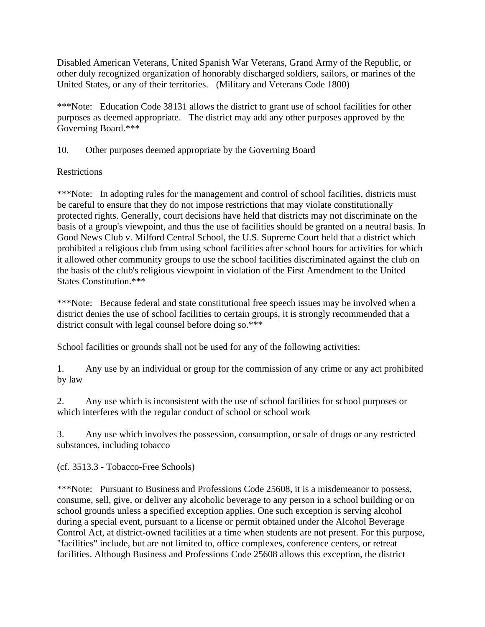Disabled American Veterans, United Spanish War Veterans, Grand Army of the Republic, or other duly recognized organization of honorably discharged soldiers, sailors, or marines of the United States, or any of their territories. (Military and Veterans Code 1800)

\*\*\*Note: Education Code 38131 allows the district to grant use of school facilities for other purposes as deemed appropriate. The district may add any other purposes approved by the Governing Board.\*\*\*

10. Other purposes deemed appropriate by the Governing Board

#### **Restrictions**

\*\*\*Note: In adopting rules for the management and control of school facilities, districts must be careful to ensure that they do not impose restrictions that may violate constitutionally protected rights. Generally, court decisions have held that districts may not discriminate on the basis of a group's viewpoint, and thus the use of facilities should be granted on a neutral basis. In Good News Club v. Milford Central School, the U.S. Supreme Court held that a district which prohibited a religious club from using school facilities after school hours for activities for which it allowed other community groups to use the school facilities discriminated against the club on the basis of the club's religious viewpoint in violation of the First Amendment to the United States Constitution.\*\*\*

\*\*\*Note: Because federal and state constitutional free speech issues may be involved when a district denies the use of school facilities to certain groups, it is strongly recommended that a district consult with legal counsel before doing so.\*\*\*

School facilities or grounds shall not be used for any of the following activities:

1. Any use by an individual or group for the commission of any crime or any act prohibited by law

2. Any use which is inconsistent with the use of school facilities for school purposes or which interferes with the regular conduct of school or school work

3. Any use which involves the possession, consumption, or sale of drugs or any restricted substances, including tobacco

(cf. 3513.3 - Tobacco-Free Schools)

\*\*\*Note: Pursuant to Business and Professions Code 25608, it is a misdemeanor to possess, consume, sell, give, or deliver any alcoholic beverage to any person in a school building or on school grounds unless a specified exception applies. One such exception is serving alcohol during a special event, pursuant to a license or permit obtained under the Alcohol Beverage Control Act, at district-owned facilities at a time when students are not present. For this purpose, "facilities" include, but are not limited to, office complexes, conference centers, or retreat facilities. Although Business and Professions Code 25608 allows this exception, the district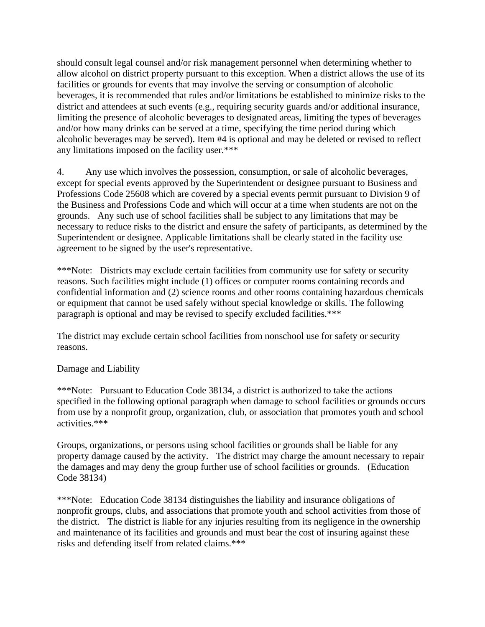should consult legal counsel and/or risk management personnel when determining whether to allow alcohol on district property pursuant to this exception. When a district allows the use of its facilities or grounds for events that may involve the serving or consumption of alcoholic beverages, it is recommended that rules and/or limitations be established to minimize risks to the district and attendees at such events (e.g., requiring security guards and/or additional insurance, limiting the presence of alcoholic beverages to designated areas, limiting the types of beverages and/or how many drinks can be served at a time, specifying the time period during which alcoholic beverages may be served). Item #4 is optional and may be deleted or revised to reflect any limitations imposed on the facility user.\*\*\*

4. Any use which involves the possession, consumption, or sale of alcoholic beverages, except for special events approved by the Superintendent or designee pursuant to Business and Professions Code 25608 which are covered by a special events permit pursuant to Division 9 of the Business and Professions Code and which will occur at a time when students are not on the grounds. Any such use of school facilities shall be subject to any limitations that may be necessary to reduce risks to the district and ensure the safety of participants, as determined by the Superintendent or designee. Applicable limitations shall be clearly stated in the facility use agreement to be signed by the user's representative.

\*\*\*Note: Districts may exclude certain facilities from community use for safety or security reasons. Such facilities might include (1) offices or computer rooms containing records and confidential information and (2) science rooms and other rooms containing hazardous chemicals or equipment that cannot be used safely without special knowledge or skills. The following paragraph is optional and may be revised to specify excluded facilities.\*\*\*

The district may exclude certain school facilities from nonschool use for safety or security reasons.

#### Damage and Liability

\*\*\*Note: Pursuant to Education Code 38134, a district is authorized to take the actions specified in the following optional paragraph when damage to school facilities or grounds occurs from use by a nonprofit group, organization, club, or association that promotes youth and school activities.\*\*\*

Groups, organizations, or persons using school facilities or grounds shall be liable for any property damage caused by the activity. The district may charge the amount necessary to repair the damages and may deny the group further use of school facilities or grounds. (Education Code 38134)

\*\*\*Note: Education Code 38134 distinguishes the liability and insurance obligations of nonprofit groups, clubs, and associations that promote youth and school activities from those of the district. The district is liable for any injuries resulting from its negligence in the ownership and maintenance of its facilities and grounds and must bear the cost of insuring against these risks and defending itself from related claims.\*\*\*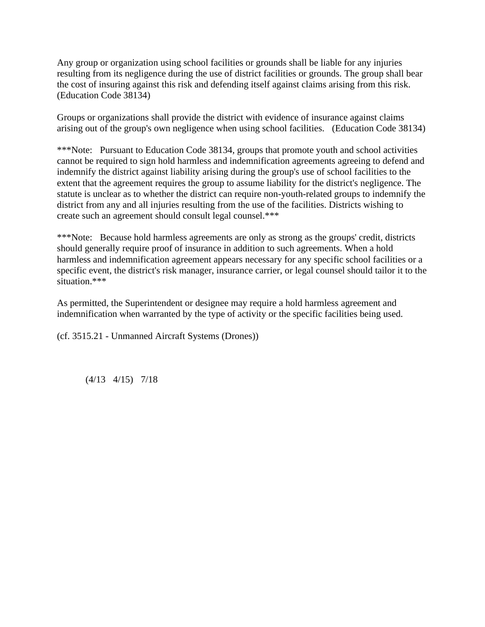Any group or organization using school facilities or grounds shall be liable for any injuries resulting from its negligence during the use of district facilities or grounds. The group shall bear the cost of insuring against this risk and defending itself against claims arising from this risk. (Education Code 38134)

Groups or organizations shall provide the district with evidence of insurance against claims arising out of the group's own negligence when using school facilities. (Education Code 38134)

\*\*\*Note: Pursuant to Education Code 38134, groups that promote youth and school activities cannot be required to sign hold harmless and indemnification agreements agreeing to defend and indemnify the district against liability arising during the group's use of school facilities to the extent that the agreement requires the group to assume liability for the district's negligence. The statute is unclear as to whether the district can require non-youth-related groups to indemnify the district from any and all injuries resulting from the use of the facilities. Districts wishing to create such an agreement should consult legal counsel.\*\*\*

\*\*\*Note: Because hold harmless agreements are only as strong as the groups' credit, districts should generally require proof of insurance in addition to such agreements. When a hold harmless and indemnification agreement appears necessary for any specific school facilities or a specific event, the district's risk manager, insurance carrier, or legal counsel should tailor it to the situation.\*\*\*

As permitted, the Superintendent or designee may require a hold harmless agreement and indemnification when warranted by the type of activity or the specific facilities being used.

(cf. 3515.21 - Unmanned Aircraft Systems (Drones))

(4/13 4/15) 7/18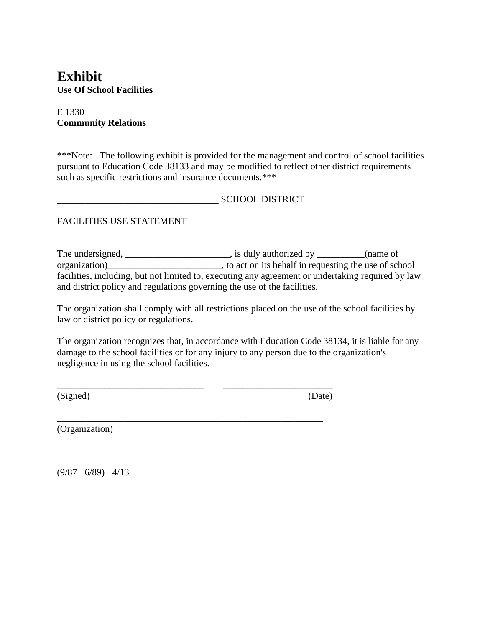## **Exhibit Use Of School Facilities**

#### E 1330 **Community Relations**

\*\*\*Note: The following exhibit is provided for the management and control of school facilities pursuant to Education Code 38133 and may be modified to reflect other district requirements such as specific restrictions and insurance documents.\*\*\*

\_\_\_\_\_\_\_\_\_\_\_\_\_\_\_\_\_\_\_\_\_\_\_\_\_\_\_\_\_\_\_\_\_\_ SCHOOL DISTRICT

#### FACILITIES USE STATEMENT

The undersigned, \_\_\_\_\_\_\_\_\_\_\_\_\_\_\_\_\_\_\_\_\_, is duly authorized by \_\_\_\_\_\_\_\_\_(name of organization)\_\_\_\_\_\_\_\_\_\_\_\_\_\_\_\_\_\_\_\_\_\_\_\_, to act on its behalf in requesting the use of school facilities, including, but not limited to, executing any agreement or undertaking required by law and district policy and regulations governing the use of the facilities.

The organization shall comply with all restrictions placed on the use of the school facilities by law or district policy or regulations.

The organization recognizes that, in accordance with Education Code 38134, it is liable for any damage to the school facilities or for any injury to any person due to the organization's negligence in using the school facilities.

\_\_\_\_\_\_\_\_\_\_\_\_\_\_\_\_\_\_\_\_\_\_\_\_\_\_\_\_\_\_\_ \_\_\_\_\_\_\_\_\_\_\_\_\_\_\_\_\_\_\_\_\_\_\_

\_\_\_\_\_\_\_\_\_\_\_\_\_\_\_\_\_\_\_\_\_\_\_\_\_\_\_\_\_\_\_\_\_\_\_\_\_\_\_\_\_\_\_\_\_\_\_\_\_\_\_\_\_\_\_\_

(Signed) (Date)

(Organization)

(9/87 6/89) 4/13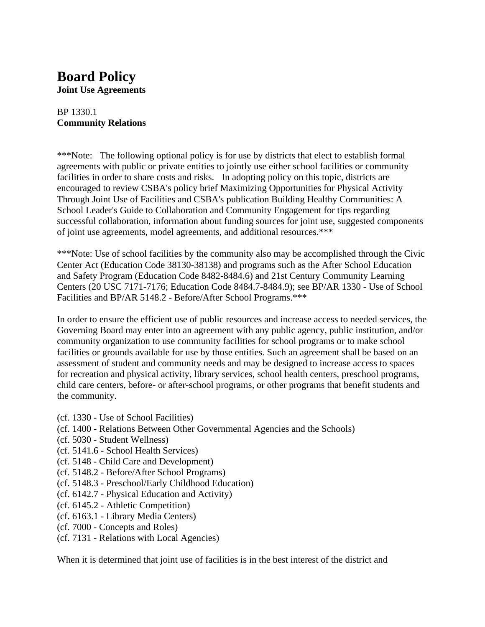# **Board Policy**

**Joint Use Agreements**

#### BP 1330.1 **Community Relations**

\*\*\*Note: The following optional policy is for use by districts that elect to establish formal agreements with public or private entities to jointly use either school facilities or community facilities in order to share costs and risks. In adopting policy on this topic, districts are encouraged to review CSBA's policy brief Maximizing Opportunities for Physical Activity Through Joint Use of Facilities and CSBA's publication Building Healthy Communities: A School Leader's Guide to Collaboration and Community Engagement for tips regarding successful collaboration, information about funding sources for joint use, suggested components of joint use agreements, model agreements, and additional resources.\*\*\*

\*\*\*Note: Use of school facilities by the community also may be accomplished through the Civic Center Act (Education Code 38130-38138) and programs such as the After School Education and Safety Program (Education Code 8482-8484.6) and 21st Century Community Learning Centers (20 USC 7171-7176; Education Code 8484.7-8484.9); see BP/AR 1330 - Use of School Facilities and BP/AR 5148.2 - Before/After School Programs.\*\*\*

In order to ensure the efficient use of public resources and increase access to needed services, the Governing Board may enter into an agreement with any public agency, public institution, and/or community organization to use community facilities for school programs or to make school facilities or grounds available for use by those entities. Such an agreement shall be based on an assessment of student and community needs and may be designed to increase access to spaces for recreation and physical activity, library services, school health centers, preschool programs, child care centers, before- or after-school programs, or other programs that benefit students and the community.

- (cf. 1330 Use of School Facilities)
- (cf. 1400 Relations Between Other Governmental Agencies and the Schools)
- (cf. 5030 Student Wellness)
- (cf. 5141.6 School Health Services)
- (cf. 5148 Child Care and Development)
- (cf. 5148.2 Before/After School Programs)
- (cf. 5148.3 Preschool/Early Childhood Education)
- (cf. 6142.7 Physical Education and Activity)
- (cf. 6145.2 Athletic Competition)
- (cf. 6163.1 Library Media Centers)
- (cf. 7000 Concepts and Roles)
- (cf. 7131 Relations with Local Agencies)

When it is determined that joint use of facilities is in the best interest of the district and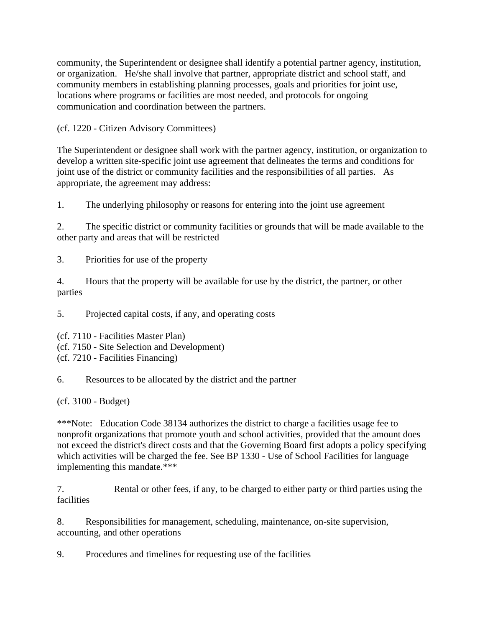community, the Superintendent or designee shall identify a potential partner agency, institution, or organization. He/she shall involve that partner, appropriate district and school staff, and community members in establishing planning processes, goals and priorities for joint use, locations where programs or facilities are most needed, and protocols for ongoing communication and coordination between the partners.

(cf. 1220 - Citizen Advisory Committees)

The Superintendent or designee shall work with the partner agency, institution, or organization to develop a written site-specific joint use agreement that delineates the terms and conditions for joint use of the district or community facilities and the responsibilities of all parties. As appropriate, the agreement may address:

1. The underlying philosophy or reasons for entering into the joint use agreement

2. The specific district or community facilities or grounds that will be made available to the other party and areas that will be restricted

3. Priorities for use of the property

4. Hours that the property will be available for use by the district, the partner, or other parties

5. Projected capital costs, if any, and operating costs

(cf. 7110 - Facilities Master Plan)

(cf. 7150 - Site Selection and Development)

(cf. 7210 - Facilities Financing)

6. Resources to be allocated by the district and the partner

(cf. 3100 - Budget)

\*\*\*Note: Education Code 38134 authorizes the district to charge a facilities usage fee to nonprofit organizations that promote youth and school activities, provided that the amount does not exceed the district's direct costs and that the Governing Board first adopts a policy specifying which activities will be charged the fee. See BP 1330 - Use of School Facilities for language implementing this mandate.\*\*\*

7. Rental or other fees, if any, to be charged to either party or third parties using the facilities

8. Responsibilities for management, scheduling, maintenance, on-site supervision, accounting, and other operations

9. Procedures and timelines for requesting use of the facilities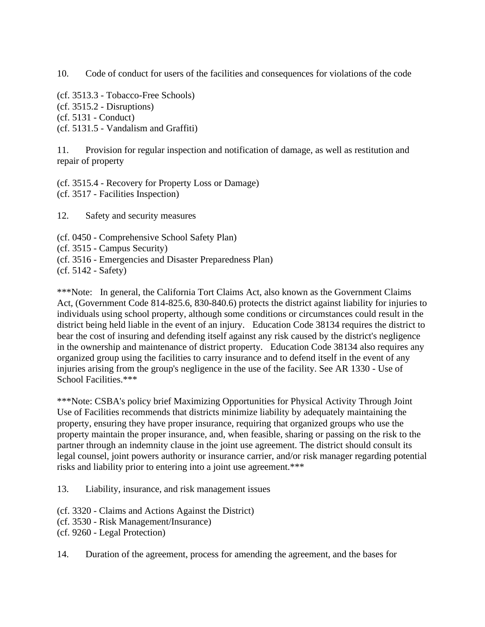10. Code of conduct for users of the facilities and consequences for violations of the code

(cf. 3513.3 - Tobacco-Free Schools) (cf. 3515.2 - Disruptions) (cf. 5131 - Conduct) (cf. 5131.5 - Vandalism and Graffiti)

11. Provision for regular inspection and notification of damage, as well as restitution and repair of property

(cf. 3515.4 - Recovery for Property Loss or Damage) (cf. 3517 - Facilities Inspection)

12. Safety and security measures

- (cf. 0450 Comprehensive School Safety Plan)
- (cf. 3515 Campus Security)
- (cf. 3516 Emergencies and Disaster Preparedness Plan)

(cf. 5142 - Safety)

\*\*\*Note: In general, the California Tort Claims Act, also known as the Government Claims Act, (Government Code 814-825.6, 830-840.6) protects the district against liability for injuries to individuals using school property, although some conditions or circumstances could result in the district being held liable in the event of an injury. Education Code 38134 requires the district to bear the cost of insuring and defending itself against any risk caused by the district's negligence in the ownership and maintenance of district property. Education Code 38134 also requires any organized group using the facilities to carry insurance and to defend itself in the event of any injuries arising from the group's negligence in the use of the facility. See AR 1330 - Use of School Facilities.\*\*\*

\*\*\*Note: CSBA's policy brief Maximizing Opportunities for Physical Activity Through Joint Use of Facilities recommends that districts minimize liability by adequately maintaining the property, ensuring they have proper insurance, requiring that organized groups who use the property maintain the proper insurance, and, when feasible, sharing or passing on the risk to the partner through an indemnity clause in the joint use agreement. The district should consult its legal counsel, joint powers authority or insurance carrier, and/or risk manager regarding potential risks and liability prior to entering into a joint use agreement.\*\*\*

13. Liability, insurance, and risk management issues

(cf. 3320 - Claims and Actions Against the District)

(cf. 3530 - Risk Management/Insurance)

(cf. 9260 - Legal Protection)

14. Duration of the agreement, process for amending the agreement, and the bases for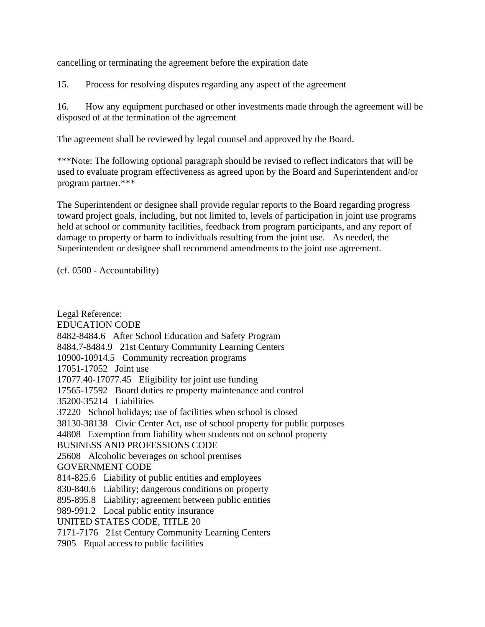cancelling or terminating the agreement before the expiration date

15. Process for resolving disputes regarding any aspect of the agreement

16. How any equipment purchased or other investments made through the agreement will be disposed of at the termination of the agreement

The agreement shall be reviewed by legal counsel and approved by the Board.

\*\*\*Note: The following optional paragraph should be revised to reflect indicators that will be used to evaluate program effectiveness as agreed upon by the Board and Superintendent and/or program partner.\*\*\*

The Superintendent or designee shall provide regular reports to the Board regarding progress toward project goals, including, but not limited to, levels of participation in joint use programs held at school or community facilities, feedback from program participants, and any report of damage to property or harm to individuals resulting from the joint use. As needed, the Superintendent or designee shall recommend amendments to the joint use agreement.

(cf. 0500 - Accountability)

Legal Reference: EDUCATION CODE 8482-8484.6 After School Education and Safety Program 8484.7-8484.9 21st Century Community Learning Centers 10900-10914.5 Community recreation programs 17051-17052 Joint use 17077.40-17077.45 Eligibility for joint use funding 17565-17592 Board duties re property maintenance and control 35200-35214 Liabilities 37220 School holidays; use of facilities when school is closed 38130-38138 Civic Center Act, use of school property for public purposes 44808 Exemption from liability when students not on school property BUSINESS AND PROFESSIONS CODE 25608 Alcoholic beverages on school premises GOVERNMENT CODE 814-825.6 Liability of public entities and employees 830-840.6 Liability; dangerous conditions on property 895-895.8 Liability; agreement between public entities 989-991.2 Local public entity insurance UNITED STATES CODE, TITLE 20 7171-7176 21st Century Community Learning Centers 7905 Equal access to public facilities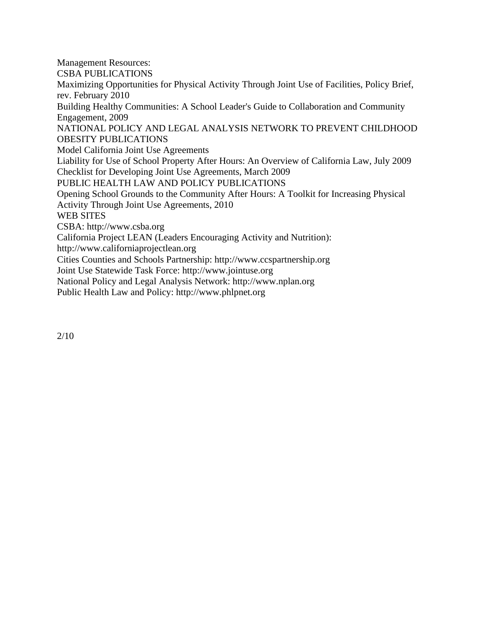Management Resources: CSBA PUBLICATIONS Maximizing Opportunities for Physical Activity Through Joint Use of Facilities, Policy Brief, rev. February 2010 Building Healthy Communities: A School Leader's Guide to Collaboration and Community Engagement, 2009 NATIONAL POLICY AND LEGAL ANALYSIS NETWORK TO PREVENT CHILDHOOD OBESITY PUBLICATIONS Model California Joint Use Agreements Liability for Use of School Property After Hours: An Overview of California Law, July 2009 Checklist for Developing Joint Use Agreements, March 2009 PUBLIC HEALTH LAW AND POLICY PUBLICATIONS Opening School Grounds to the Community After Hours: A Toolkit for Increasing Physical Activity Through Joint Use Agreements, 2010 WEB SITES CSBA: http://www.csba.org California Project LEAN (Leaders Encouraging Activity and Nutrition): http://www.californiaprojectlean.org Cities Counties and Schools Partnership: http://www.ccspartnership.org Joint Use Statewide Task Force: http://www.jointuse.org National Policy and Legal Analysis Network: http://www.nplan.org

Public Health Law and Policy: http://www.phlpnet.org

2/10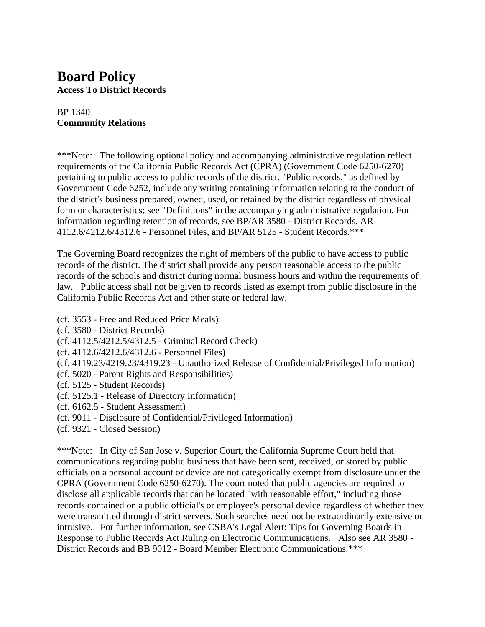### **Board Policy Access To District Records**

#### BP 1340 **Community Relations**

\*\*\*Note: The following optional policy and accompanying administrative regulation reflect requirements of the California Public Records Act (CPRA) (Government Code 6250-6270) pertaining to public access to public records of the district. "Public records," as defined by Government Code 6252, include any writing containing information relating to the conduct of the district's business prepared, owned, used, or retained by the district regardless of physical form or characteristics; see "Definitions" in the accompanying administrative regulation. For information regarding retention of records, see BP/AR 3580 - District Records, AR 4112.6/4212.6/4312.6 - Personnel Files, and BP/AR 5125 - Student Records.\*\*\*

The Governing Board recognizes the right of members of the public to have access to public records of the district. The district shall provide any person reasonable access to the public records of the schools and district during normal business hours and within the requirements of law. Public access shall not be given to records listed as exempt from public disclosure in the California Public Records Act and other state or federal law.

- (cf. 3553 Free and Reduced Price Meals)
- (cf. 3580 District Records)
- (cf. 4112.5/4212.5/4312.5 Criminal Record Check)
- (cf. 4112.6/4212.6/4312.6 Personnel Files)
- (cf. 4119.23/4219.23/4319.23 Unauthorized Release of Confidential/Privileged Information)
- (cf. 5020 Parent Rights and Responsibilities)
- (cf. 5125 Student Records)
- (cf. 5125.1 Release of Directory Information)
- (cf. 6162.5 Student Assessment)
- (cf. 9011 Disclosure of Confidential/Privileged Information)
- (cf. 9321 Closed Session)

\*\*\*Note: In City of San Jose v. Superior Court, the California Supreme Court held that communications regarding public business that have been sent, received, or stored by public officials on a personal account or device are not categorically exempt from disclosure under the CPRA (Government Code 6250-6270). The court noted that public agencies are required to disclose all applicable records that can be located "with reasonable effort," including those records contained on a public official's or employee's personal device regardless of whether they were transmitted through district servers. Such searches need not be extraordinarily extensive or intrusive. For further information, see CSBA's Legal Alert: Tips for Governing Boards in Response to Public Records Act Ruling on Electronic Communications. Also see AR 3580 - District Records and BB 9012 - Board Member Electronic Communications.\*\*\*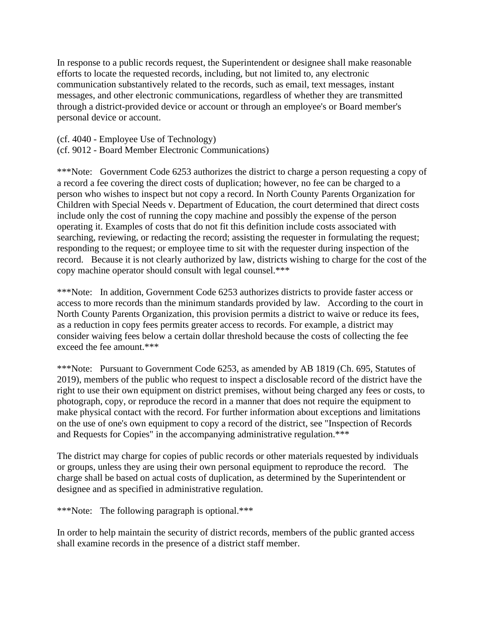In response to a public records request, the Superintendent or designee shall make reasonable efforts to locate the requested records, including, but not limited to, any electronic communication substantively related to the records, such as email, text messages, instant messages, and other electronic communications, regardless of whether they are transmitted through a district-provided device or account or through an employee's or Board member's personal device or account.

- (cf. 4040 Employee Use of Technology)
- (cf. 9012 Board Member Electronic Communications)

\*\*\*Note: Government Code 6253 authorizes the district to charge a person requesting a copy of a record a fee covering the direct costs of duplication; however, no fee can be charged to a person who wishes to inspect but not copy a record. In North County Parents Organization for Children with Special Needs v. Department of Education, the court determined that direct costs include only the cost of running the copy machine and possibly the expense of the person operating it. Examples of costs that do not fit this definition include costs associated with searching, reviewing, or redacting the record; assisting the requester in formulating the request; responding to the request; or employee time to sit with the requester during inspection of the record. Because it is not clearly authorized by law, districts wishing to charge for the cost of the copy machine operator should consult with legal counsel.\*\*\*

\*\*\*Note: In addition, Government Code 6253 authorizes districts to provide faster access or access to more records than the minimum standards provided by law. According to the court in North County Parents Organization, this provision permits a district to waive or reduce its fees, as a reduction in copy fees permits greater access to records. For example, a district may consider waiving fees below a certain dollar threshold because the costs of collecting the fee exceed the fee amount.\*\*\*

\*\*\*Note: Pursuant to Government Code 6253, as amended by AB 1819 (Ch. 695, Statutes of 2019), members of the public who request to inspect a disclosable record of the district have the right to use their own equipment on district premises, without being charged any fees or costs, to photograph, copy, or reproduce the record in a manner that does not require the equipment to make physical contact with the record. For further information about exceptions and limitations on the use of one's own equipment to copy a record of the district, see "Inspection of Records and Requests for Copies" in the accompanying administrative regulation.\*\*\*

The district may charge for copies of public records or other materials requested by individuals or groups, unless they are using their own personal equipment to reproduce the record. The charge shall be based on actual costs of duplication, as determined by the Superintendent or designee and as specified in administrative regulation.

\*\*\*Note: The following paragraph is optional.\*\*\*

In order to help maintain the security of district records, members of the public granted access shall examine records in the presence of a district staff member.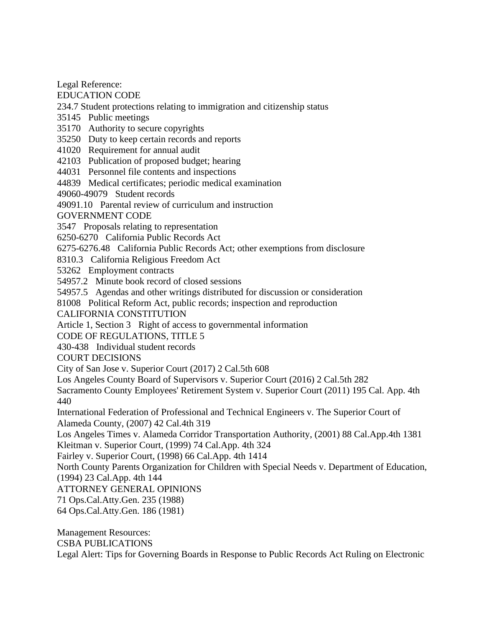Legal Reference:

EDUCATION CODE

234.7 Student protections relating to immigration and citizenship status

35145 Public meetings

35170 Authority to secure copyrights

35250 Duty to keep certain records and reports

41020 Requirement for annual audit

42103 Publication of proposed budget; hearing

44031 Personnel file contents and inspections

44839 Medical certificates; periodic medical examination

49060-49079 Student records

49091.10 Parental review of curriculum and instruction

GOVERNMENT CODE

3547 Proposals relating to representation

6250-6270 California Public Records Act

6275-6276.48 California Public Records Act; other exemptions from disclosure

8310.3 California Religious Freedom Act

53262 Employment contracts

54957.2 Minute book record of closed sessions

54957.5 Agendas and other writings distributed for discussion or consideration

81008 Political Reform Act, public records; inspection and reproduction

CALIFORNIA CONSTITUTION

Article 1, Section 3 Right of access to governmental information

CODE OF REGULATIONS, TITLE 5

430-438 Individual student records

COURT DECISIONS

City of San Jose v. Superior Court (2017) 2 Cal.5th 608

Los Angeles County Board of Supervisors v. Superior Court (2016) 2 Cal.5th 282

Sacramento County Employees' Retirement System v. Superior Court (2011) 195 Cal. App. 4th 440

International Federation of Professional and Technical Engineers v. The Superior Court of Alameda County, (2007) 42 Cal.4th 319

Los Angeles Times v. Alameda Corridor Transportation Authority, (2001) 88 Cal.App.4th 1381 Kleitman v. Superior Court, (1999) 74 Cal.App. 4th 324

Fairley v. Superior Court, (1998) 66 Cal.App. 4th 1414

North County Parents Organization for Children with Special Needs v. Department of Education, (1994) 23 Cal.App. 4th 144

ATTORNEY GENERAL OPINIONS

71 Ops.Cal.Atty.Gen. 235 (1988)

64 Ops.Cal.Atty.Gen. 186 (1981)

Management Resources: CSBA PUBLICATIONS Legal Alert: Tips for Governing Boards in Response to Public Records Act Ruling on Electronic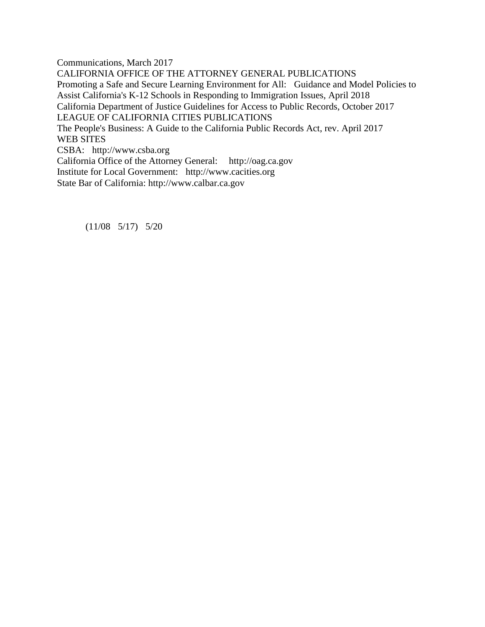Communications, March 2017 CALIFORNIA OFFICE OF THE ATTORNEY GENERAL PUBLICATIONS Promoting a Safe and Secure Learning Environment for All: Guidance and Model Policies to Assist California's K-12 Schools in Responding to Immigration Issues, April 2018 California Department of Justice Guidelines for Access to Public Records, October 2017 LEAGUE OF CALIFORNIA CITIES PUBLICATIONS The People's Business: A Guide to the California Public Records Act, rev. April 2017 WEB SITES CSBA: http://www.csba.org California Office of the Attorney General: http://oag.ca.gov Institute for Local Government: http://www.cacities.org State Bar of California: http://www.calbar.ca.gov

(11/08 5/17) 5/20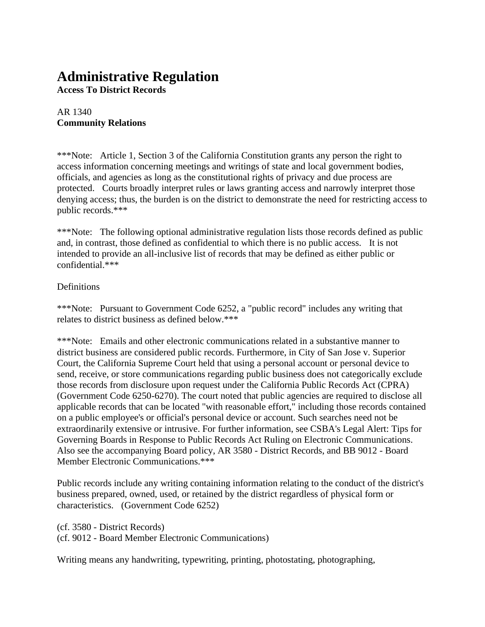# **Administrative Regulation**

**Access To District Records**

#### AR 1340 **Community Relations**

\*\*\*Note: Article 1, Section 3 of the California Constitution grants any person the right to access information concerning meetings and writings of state and local government bodies, officials, and agencies as long as the constitutional rights of privacy and due process are protected. Courts broadly interpret rules or laws granting access and narrowly interpret those denying access; thus, the burden is on the district to demonstrate the need for restricting access to public records.\*\*\*

\*\*\*Note: The following optional administrative regulation lists those records defined as public and, in contrast, those defined as confidential to which there is no public access. It is not intended to provide an all-inclusive list of records that may be defined as either public or confidential.\*\*\*

#### **Definitions**

\*\*\*Note: Pursuant to Government Code 6252, a "public record" includes any writing that relates to district business as defined below.\*\*\*

\*\*\*Note: Emails and other electronic communications related in a substantive manner to district business are considered public records. Furthermore, in City of San Jose v. Superior Court, the California Supreme Court held that using a personal account or personal device to send, receive, or store communications regarding public business does not categorically exclude those records from disclosure upon request under the California Public Records Act (CPRA) (Government Code 6250-6270). The court noted that public agencies are required to disclose all applicable records that can be located "with reasonable effort," including those records contained on a public employee's or official's personal device or account. Such searches need not be extraordinarily extensive or intrusive. For further information, see CSBA's Legal Alert: Tips for Governing Boards in Response to Public Records Act Ruling on Electronic Communications. Also see the accompanying Board policy, AR 3580 - District Records, and BB 9012 - Board Member Electronic Communications.\*\*\*

Public records include any writing containing information relating to the conduct of the district's business prepared, owned, used, or retained by the district regardless of physical form or characteristics. (Government Code 6252)

(cf. 3580 - District Records) (cf. 9012 - Board Member Electronic Communications)

Writing means any handwriting, typewriting, printing, photostating, photographing,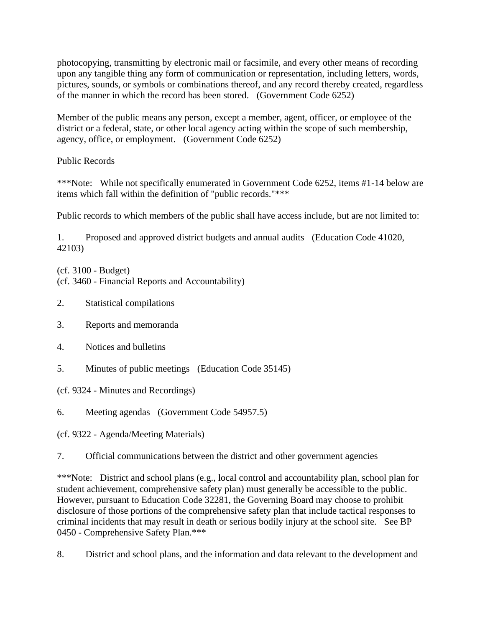photocopying, transmitting by electronic mail or facsimile, and every other means of recording upon any tangible thing any form of communication or representation, including letters, words, pictures, sounds, or symbols or combinations thereof, and any record thereby created, regardless of the manner in which the record has been stored. (Government Code 6252)

Member of the public means any person, except a member, agent, officer, or employee of the district or a federal, state, or other local agency acting within the scope of such membership, agency, office, or employment. (Government Code 6252)

#### Public Records

\*\*\*Note: While not specifically enumerated in Government Code 6252, items #1-14 below are items which fall within the definition of "public records."\*\*\*

Public records to which members of the public shall have access include, but are not limited to:

1. Proposed and approved district budgets and annual audits (Education Code 41020, 42103)

(cf. 3100 - Budget) (cf. 3460 - Financial Reports and Accountability)

- 2. Statistical compilations
- 3. Reports and memoranda
- 4. Notices and bulletins
- 5. Minutes of public meetings (Education Code 35145)

(cf. 9324 - Minutes and Recordings)

6. Meeting agendas (Government Code 54957.5)

(cf. 9322 - Agenda/Meeting Materials)

7. Official communications between the district and other government agencies

\*\*\*Note: District and school plans (e.g., local control and accountability plan, school plan for student achievement, comprehensive safety plan) must generally be accessible to the public. However, pursuant to Education Code 32281, the Governing Board may choose to prohibit disclosure of those portions of the comprehensive safety plan that include tactical responses to criminal incidents that may result in death or serious bodily injury at the school site. See BP 0450 - Comprehensive Safety Plan.\*\*\*

8. District and school plans, and the information and data relevant to the development and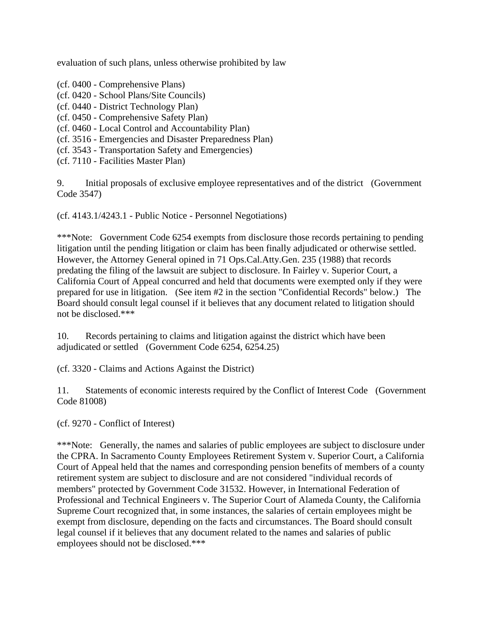evaluation of such plans, unless otherwise prohibited by law

- (cf. 0400 Comprehensive Plans)
- (cf. 0420 School Plans/Site Councils)
- (cf. 0440 District Technology Plan)
- (cf. 0450 Comprehensive Safety Plan)
- (cf. 0460 Local Control and Accountability Plan)
- (cf. 3516 Emergencies and Disaster Preparedness Plan)
- (cf. 3543 Transportation Safety and Emergencies)
- (cf. 7110 Facilities Master Plan)

9. Initial proposals of exclusive employee representatives and of the district (Government Code 3547)

(cf. 4143.1/4243.1 - Public Notice - Personnel Negotiations)

\*\*\*Note: Government Code 6254 exempts from disclosure those records pertaining to pending litigation until the pending litigation or claim has been finally adjudicated or otherwise settled. However, the Attorney General opined in 71 Ops.Cal.Atty.Gen. 235 (1988) that records predating the filing of the lawsuit are subject to disclosure. In Fairley v. Superior Court, a California Court of Appeal concurred and held that documents were exempted only if they were prepared for use in litigation. (See item #2 in the section "Confidential Records" below.) The Board should consult legal counsel if it believes that any document related to litigation should not be disclosed.\*\*\*

10. Records pertaining to claims and litigation against the district which have been adjudicated or settled (Government Code 6254, 6254.25)

(cf. 3320 - Claims and Actions Against the District)

11. Statements of economic interests required by the Conflict of Interest Code (Government Code 81008)

(cf. 9270 - Conflict of Interest)

\*\*\*Note: Generally, the names and salaries of public employees are subject to disclosure under the CPRA. In Sacramento County Employees Retirement System v. Superior Court, a California Court of Appeal held that the names and corresponding pension benefits of members of a county retirement system are subject to disclosure and are not considered "individual records of members" protected by Government Code 31532. However, in International Federation of Professional and Technical Engineers v. The Superior Court of Alameda County, the California Supreme Court recognized that, in some instances, the salaries of certain employees might be exempt from disclosure, depending on the facts and circumstances. The Board should consult legal counsel if it believes that any document related to the names and salaries of public employees should not be disclosed.\*\*\*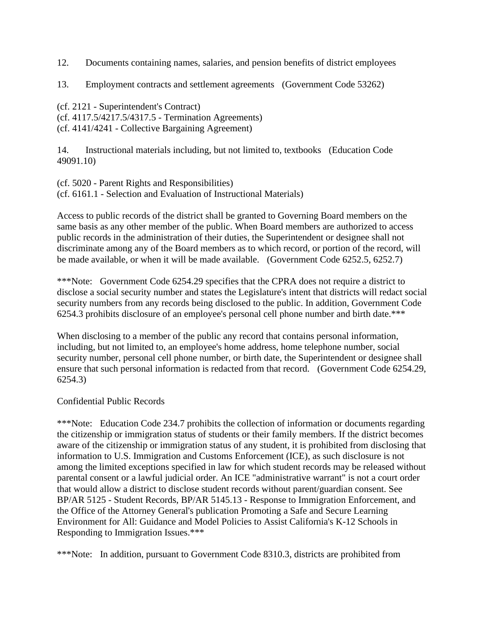12. Documents containing names, salaries, and pension benefits of district employees

13. Employment contracts and settlement agreements (Government Code 53262)

(cf. 2121 - Superintendent's Contract) (cf. 4117.5/4217.5/4317.5 - Termination Agreements) (cf. 4141/4241 - Collective Bargaining Agreement)

14. Instructional materials including, but not limited to, textbooks (Education Code 49091.10)

(cf. 5020 - Parent Rights and Responsibilities) (cf. 6161.1 - Selection and Evaluation of Instructional Materials)

Access to public records of the district shall be granted to Governing Board members on the same basis as any other member of the public. When Board members are authorized to access public records in the administration of their duties, the Superintendent or designee shall not discriminate among any of the Board members as to which record, or portion of the record, will be made available, or when it will be made available. (Government Code 6252.5, 6252.7)

\*\*\*Note: Government Code 6254.29 specifies that the CPRA does not require a district to disclose a social security number and states the Legislature's intent that districts will redact social security numbers from any records being disclosed to the public. In addition, Government Code 6254.3 prohibits disclosure of an employee's personal cell phone number and birth date.\*\*\*

When disclosing to a member of the public any record that contains personal information, including, but not limited to, an employee's home address, home telephone number, social security number, personal cell phone number, or birth date, the Superintendent or designee shall ensure that such personal information is redacted from that record. (Government Code 6254.29, 6254.3)

#### Confidential Public Records

\*\*\*Note: Education Code 234.7 prohibits the collection of information or documents regarding the citizenship or immigration status of students or their family members. If the district becomes aware of the citizenship or immigration status of any student, it is prohibited from disclosing that information to U.S. Immigration and Customs Enforcement (ICE), as such disclosure is not among the limited exceptions specified in law for which student records may be released without parental consent or a lawful judicial order. An ICE "administrative warrant" is not a court order that would allow a district to disclose student records without parent/guardian consent. See BP/AR 5125 - Student Records, BP/AR 5145.13 - Response to Immigration Enforcement, and the Office of the Attorney General's publication Promoting a Safe and Secure Learning Environment for All: Guidance and Model Policies to Assist California's K-12 Schools in Responding to Immigration Issues.\*\*\*

\*\*\*Note: In addition, pursuant to Government Code 8310.3, districts are prohibited from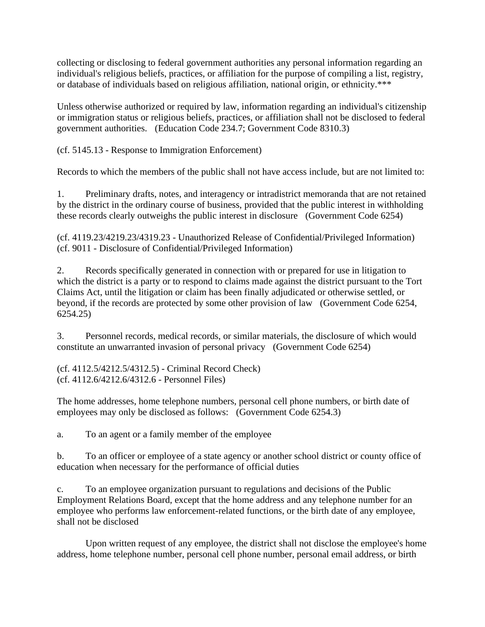collecting or disclosing to federal government authorities any personal information regarding an individual's religious beliefs, practices, or affiliation for the purpose of compiling a list, registry, or database of individuals based on religious affiliation, national origin, or ethnicity.\*\*\*

Unless otherwise authorized or required by law, information regarding an individual's citizenship or immigration status or religious beliefs, practices, or affiliation shall not be disclosed to federal government authorities. (Education Code 234.7; Government Code 8310.3)

(cf. 5145.13 - Response to Immigration Enforcement)

Records to which the members of the public shall not have access include, but are not limited to:

1. Preliminary drafts, notes, and interagency or intradistrict memoranda that are not retained by the district in the ordinary course of business, provided that the public interest in withholding these records clearly outweighs the public interest in disclosure (Government Code 6254)

(cf. 4119.23/4219.23/4319.23 - Unauthorized Release of Confidential/Privileged Information) (cf. 9011 - Disclosure of Confidential/Privileged Information)

2. Records specifically generated in connection with or prepared for use in litigation to which the district is a party or to respond to claims made against the district pursuant to the Tort Claims Act, until the litigation or claim has been finally adjudicated or otherwise settled, or beyond, if the records are protected by some other provision of law (Government Code 6254, 6254.25)

3. Personnel records, medical records, or similar materials, the disclosure of which would constitute an unwarranted invasion of personal privacy (Government Code 6254)

(cf. 4112.5/4212.5/4312.5) - Criminal Record Check) (cf. 4112.6/4212.6/4312.6 - Personnel Files)

The home addresses, home telephone numbers, personal cell phone numbers, or birth date of employees may only be disclosed as follows: (Government Code 6254.3)

a. To an agent or a family member of the employee

b. To an officer or employee of a state agency or another school district or county office of education when necessary for the performance of official duties

c. To an employee organization pursuant to regulations and decisions of the Public Employment Relations Board, except that the home address and any telephone number for an employee who performs law enforcement-related functions, or the birth date of any employee, shall not be disclosed

Upon written request of any employee, the district shall not disclose the employee's home address, home telephone number, personal cell phone number, personal email address, or birth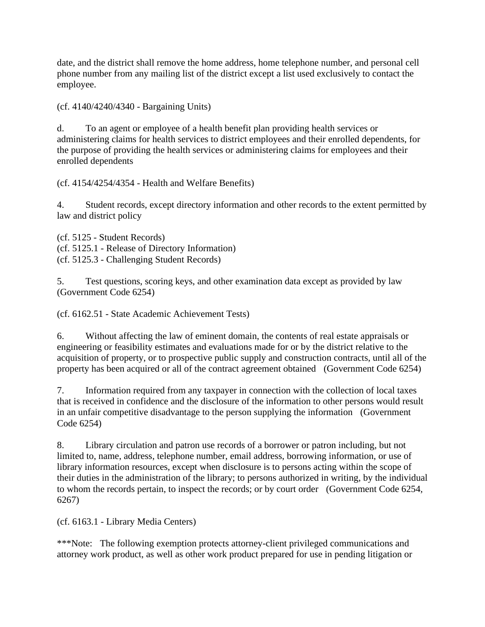date, and the district shall remove the home address, home telephone number, and personal cell phone number from any mailing list of the district except a list used exclusively to contact the employee.

(cf. 4140/4240/4340 - Bargaining Units)

d. To an agent or employee of a health benefit plan providing health services or administering claims for health services to district employees and their enrolled dependents, for the purpose of providing the health services or administering claims for employees and their enrolled dependents

(cf. 4154/4254/4354 - Health and Welfare Benefits)

4. Student records, except directory information and other records to the extent permitted by law and district policy

(cf. 5125 - Student Records) (cf. 5125.1 - Release of Directory Information) (cf. 5125.3 - Challenging Student Records)

5. Test questions, scoring keys, and other examination data except as provided by law (Government Code 6254)

(cf. 6162.51 - State Academic Achievement Tests)

6. Without affecting the law of eminent domain, the contents of real estate appraisals or engineering or feasibility estimates and evaluations made for or by the district relative to the acquisition of property, or to prospective public supply and construction contracts, until all of the property has been acquired or all of the contract agreement obtained (Government Code 6254)

7. Information required from any taxpayer in connection with the collection of local taxes that is received in confidence and the disclosure of the information to other persons would result in an unfair competitive disadvantage to the person supplying the information (Government Code 6254)

8. Library circulation and patron use records of a borrower or patron including, but not limited to, name, address, telephone number, email address, borrowing information, or use of library information resources, except when disclosure is to persons acting within the scope of their duties in the administration of the library; to persons authorized in writing, by the individual to whom the records pertain, to inspect the records; or by court order (Government Code 6254, 6267)

(cf. 6163.1 - Library Media Centers)

\*\*\*Note: The following exemption protects attorney-client privileged communications and attorney work product, as well as other work product prepared for use in pending litigation or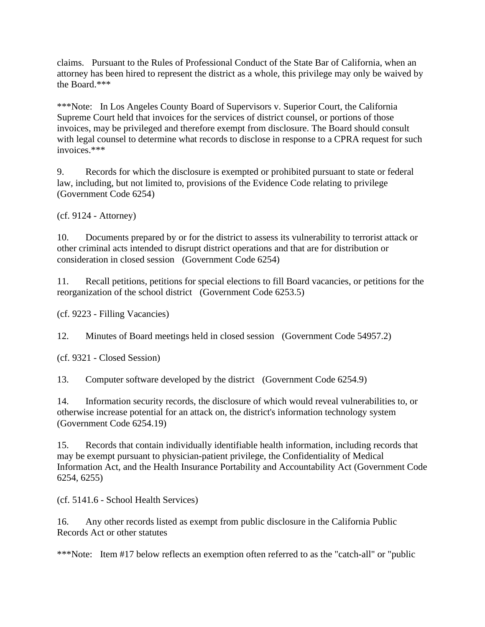claims. Pursuant to the Rules of Professional Conduct of the State Bar of California, when an attorney has been hired to represent the district as a whole, this privilege may only be waived by the Board.\*\*\*

\*\*\*Note: In Los Angeles County Board of Supervisors v. Superior Court, the California Supreme Court held that invoices for the services of district counsel, or portions of those invoices, may be privileged and therefore exempt from disclosure. The Board should consult with legal counsel to determine what records to disclose in response to a CPRA request for such invoices.\*\*\*

9. Records for which the disclosure is exempted or prohibited pursuant to state or federal law, including, but not limited to, provisions of the Evidence Code relating to privilege (Government Code 6254)

(cf. 9124 - Attorney)

10. Documents prepared by or for the district to assess its vulnerability to terrorist attack or other criminal acts intended to disrupt district operations and that are for distribution or consideration in closed session (Government Code 6254)

11. Recall petitions, petitions for special elections to fill Board vacancies, or petitions for the reorganization of the school district (Government Code 6253.5)

(cf. 9223 - Filling Vacancies)

12. Minutes of Board meetings held in closed session (Government Code 54957.2)

(cf. 9321 - Closed Session)

13. Computer software developed by the district (Government Code 6254.9)

14. Information security records, the disclosure of which would reveal vulnerabilities to, or otherwise increase potential for an attack on, the district's information technology system (Government Code 6254.19)

15. Records that contain individually identifiable health information, including records that may be exempt pursuant to physician-patient privilege, the Confidentiality of Medical Information Act, and the Health Insurance Portability and Accountability Act (Government Code 6254, 6255)

(cf. 5141.6 - School Health Services)

16. Any other records listed as exempt from public disclosure in the California Public Records Act or other statutes

\*\*\*Note: Item #17 below reflects an exemption often referred to as the "catch-all" or "public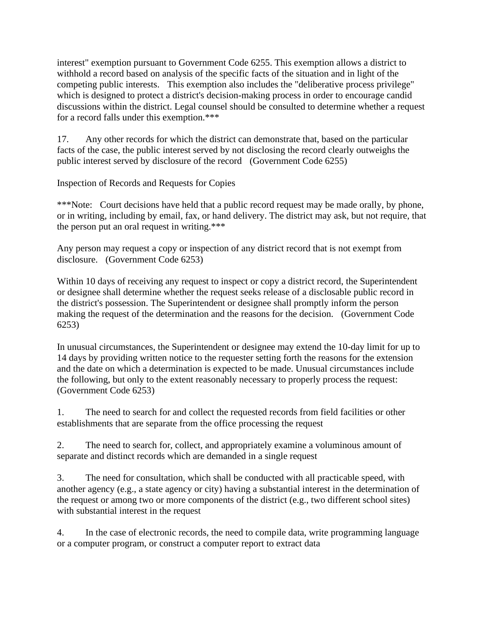interest" exemption pursuant to Government Code 6255. This exemption allows a district to withhold a record based on analysis of the specific facts of the situation and in light of the competing public interests. This exemption also includes the "deliberative process privilege" which is designed to protect a district's decision-making process in order to encourage candid discussions within the district. Legal counsel should be consulted to determine whether a request for a record falls under this exemption.\*\*\*

17. Any other records for which the district can demonstrate that, based on the particular facts of the case, the public interest served by not disclosing the record clearly outweighs the public interest served by disclosure of the record (Government Code 6255)

Inspection of Records and Requests for Copies

\*\*\*Note: Court decisions have held that a public record request may be made orally, by phone, or in writing, including by email, fax, or hand delivery. The district may ask, but not require, that the person put an oral request in writing.\*\*\*

Any person may request a copy or inspection of any district record that is not exempt from disclosure. (Government Code 6253)

Within 10 days of receiving any request to inspect or copy a district record, the Superintendent or designee shall determine whether the request seeks release of a disclosable public record in the district's possession. The Superintendent or designee shall promptly inform the person making the request of the determination and the reasons for the decision. (Government Code 6253)

In unusual circumstances, the Superintendent or designee may extend the 10-day limit for up to 14 days by providing written notice to the requester setting forth the reasons for the extension and the date on which a determination is expected to be made. Unusual circumstances include the following, but only to the extent reasonably necessary to properly process the request: (Government Code 6253)

1. The need to search for and collect the requested records from field facilities or other establishments that are separate from the office processing the request

2. The need to search for, collect, and appropriately examine a voluminous amount of separate and distinct records which are demanded in a single request

3. The need for consultation, which shall be conducted with all practicable speed, with another agency (e.g., a state agency or city) having a substantial interest in the determination of the request or among two or more components of the district (e.g., two different school sites) with substantial interest in the request

4. In the case of electronic records, the need to compile data, write programming language or a computer program, or construct a computer report to extract data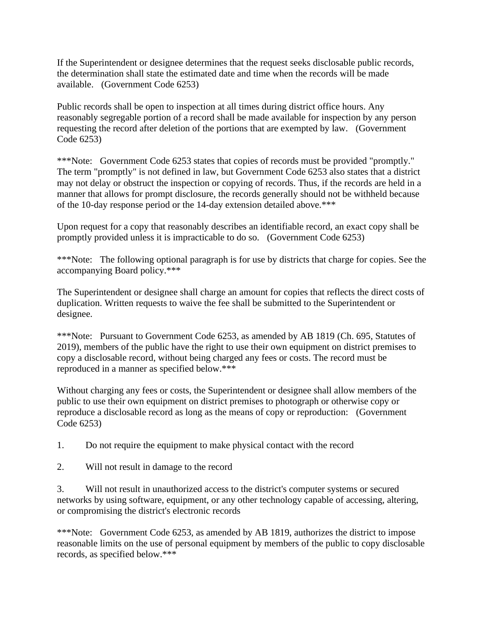If the Superintendent or designee determines that the request seeks disclosable public records, the determination shall state the estimated date and time when the records will be made available. (Government Code 6253)

Public records shall be open to inspection at all times during district office hours. Any reasonably segregable portion of a record shall be made available for inspection by any person requesting the record after deletion of the portions that are exempted by law. (Government Code 6253)

\*\*\*Note: Government Code 6253 states that copies of records must be provided "promptly." The term "promptly" is not defined in law, but Government Code 6253 also states that a district may not delay or obstruct the inspection or copying of records. Thus, if the records are held in a manner that allows for prompt disclosure, the records generally should not be withheld because of the 10-day response period or the 14-day extension detailed above.\*\*\*

Upon request for a copy that reasonably describes an identifiable record, an exact copy shall be promptly provided unless it is impracticable to do so. (Government Code 6253)

\*\*\*Note: The following optional paragraph is for use by districts that charge for copies. See the accompanying Board policy.\*\*\*

The Superintendent or designee shall charge an amount for copies that reflects the direct costs of duplication. Written requests to waive the fee shall be submitted to the Superintendent or designee.

\*\*\*Note: Pursuant to Government Code 6253, as amended by AB 1819 (Ch. 695, Statutes of 2019), members of the public have the right to use their own equipment on district premises to copy a disclosable record, without being charged any fees or costs. The record must be reproduced in a manner as specified below.\*\*\*

Without charging any fees or costs, the Superintendent or designee shall allow members of the public to use their own equipment on district premises to photograph or otherwise copy or reproduce a disclosable record as long as the means of copy or reproduction: (Government Code 6253)

1. Do not require the equipment to make physical contact with the record

2. Will not result in damage to the record

3. Will not result in unauthorized access to the district's computer systems or secured networks by using software, equipment, or any other technology capable of accessing, altering, or compromising the district's electronic records

\*\*\*Note: Government Code 6253, as amended by AB 1819, authorizes the district to impose reasonable limits on the use of personal equipment by members of the public to copy disclosable records, as specified below.\*\*\*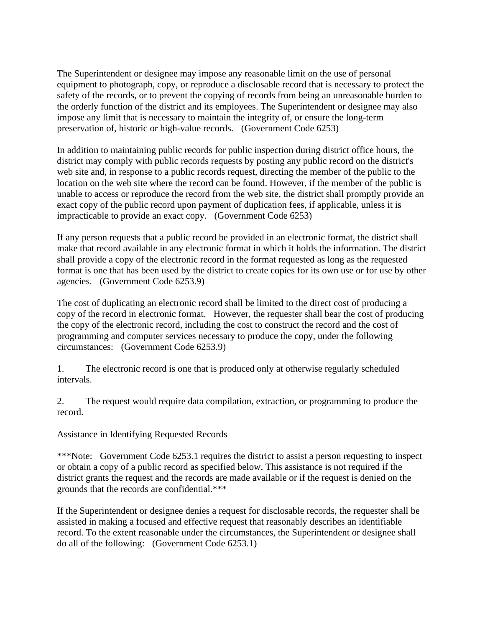The Superintendent or designee may impose any reasonable limit on the use of personal equipment to photograph, copy, or reproduce a disclosable record that is necessary to protect the safety of the records, or to prevent the copying of records from being an unreasonable burden to the orderly function of the district and its employees. The Superintendent or designee may also impose any limit that is necessary to maintain the integrity of, or ensure the long-term preservation of, historic or high-value records. (Government Code 6253)

In addition to maintaining public records for public inspection during district office hours, the district may comply with public records requests by posting any public record on the district's web site and, in response to a public records request, directing the member of the public to the location on the web site where the record can be found. However, if the member of the public is unable to access or reproduce the record from the web site, the district shall promptly provide an exact copy of the public record upon payment of duplication fees, if applicable, unless it is impracticable to provide an exact copy. (Government Code 6253)

If any person requests that a public record be provided in an electronic format, the district shall make that record available in any electronic format in which it holds the information. The district shall provide a copy of the electronic record in the format requested as long as the requested format is one that has been used by the district to create copies for its own use or for use by other agencies. (Government Code 6253.9)

The cost of duplicating an electronic record shall be limited to the direct cost of producing a copy of the record in electronic format. However, the requester shall bear the cost of producing the copy of the electronic record, including the cost to construct the record and the cost of programming and computer services necessary to produce the copy, under the following circumstances: (Government Code 6253.9)

1. The electronic record is one that is produced only at otherwise regularly scheduled intervals.

2. The request would require data compilation, extraction, or programming to produce the record.

Assistance in Identifying Requested Records

\*\*\*Note: Government Code 6253.1 requires the district to assist a person requesting to inspect or obtain a copy of a public record as specified below. This assistance is not required if the district grants the request and the records are made available or if the request is denied on the grounds that the records are confidential.\*\*\*

If the Superintendent or designee denies a request for disclosable records, the requester shall be assisted in making a focused and effective request that reasonably describes an identifiable record. To the extent reasonable under the circumstances, the Superintendent or designee shall do all of the following: (Government Code 6253.1)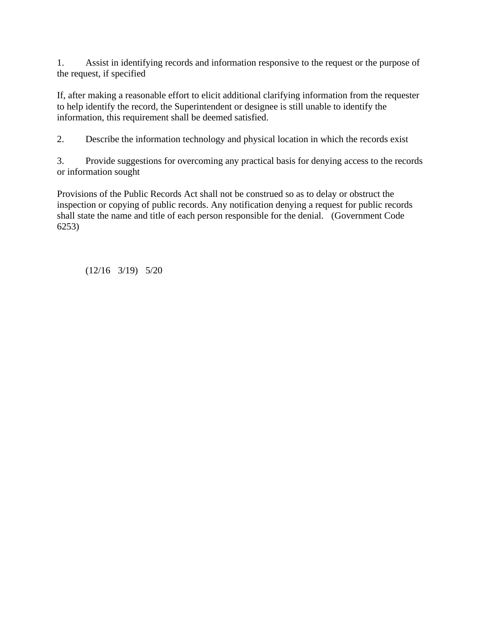1. Assist in identifying records and information responsive to the request or the purpose of the request, if specified

If, after making a reasonable effort to elicit additional clarifying information from the requester to help identify the record, the Superintendent or designee is still unable to identify the information, this requirement shall be deemed satisfied.

2. Describe the information technology and physical location in which the records exist

3. Provide suggestions for overcoming any practical basis for denying access to the records or information sought

Provisions of the Public Records Act shall not be construed so as to delay or obstruct the inspection or copying of public records. Any notification denying a request for public records shall state the name and title of each person responsible for the denial. (Government Code 6253)

(12/16 3/19) 5/20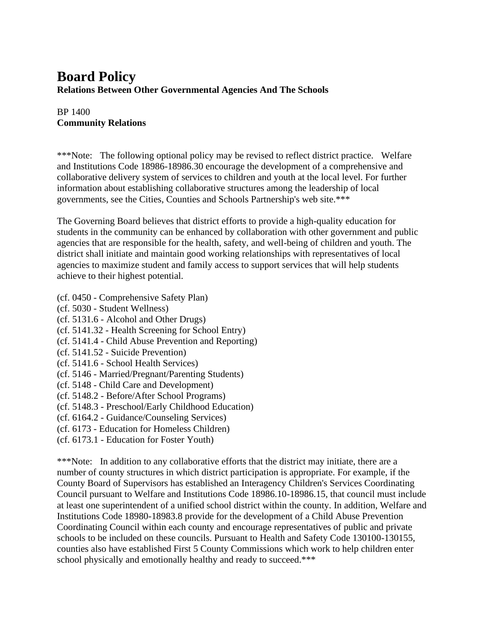### **Board Policy Relations Between Other Governmental Agencies And The Schools**

#### BP 1400 **Community Relations**

\*\*\*Note: The following optional policy may be revised to reflect district practice. Welfare and Institutions Code 18986-18986.30 encourage the development of a comprehensive and collaborative delivery system of services to children and youth at the local level. For further information about establishing collaborative structures among the leadership of local governments, see the Cities, Counties and Schools Partnership's web site.\*\*\*

The Governing Board believes that district efforts to provide a high-quality education for students in the community can be enhanced by collaboration with other government and public agencies that are responsible for the health, safety, and well-being of children and youth. The district shall initiate and maintain good working relationships with representatives of local agencies to maximize student and family access to support services that will help students achieve to their highest potential.

- (cf. 0450 Comprehensive Safety Plan)
- (cf. 5030 Student Wellness)
- (cf. 5131.6 Alcohol and Other Drugs)
- (cf. 5141.32 Health Screening for School Entry)
- (cf. 5141.4 Child Abuse Prevention and Reporting)
- (cf. 5141.52 Suicide Prevention)
- (cf. 5141.6 School Health Services)
- (cf. 5146 Married/Pregnant/Parenting Students)
- (cf. 5148 Child Care and Development)
- (cf. 5148.2 Before/After School Programs)
- (cf. 5148.3 Preschool/Early Childhood Education)
- (cf. 6164.2 Guidance/Counseling Services)
- (cf. 6173 Education for Homeless Children)
- (cf. 6173.1 Education for Foster Youth)

\*\*\*Note: In addition to any collaborative efforts that the district may initiate, there are a number of county structures in which district participation is appropriate. For example, if the County Board of Supervisors has established an Interagency Children's Services Coordinating Council pursuant to Welfare and Institutions Code 18986.10-18986.15, that council must include at least one superintendent of a unified school district within the county. In addition, Welfare and Institutions Code 18980-18983.8 provide for the development of a Child Abuse Prevention Coordinating Council within each county and encourage representatives of public and private schools to be included on these councils. Pursuant to Health and Safety Code 130100-130155, counties also have established First 5 County Commissions which work to help children enter school physically and emotionally healthy and ready to succeed.\*\*\*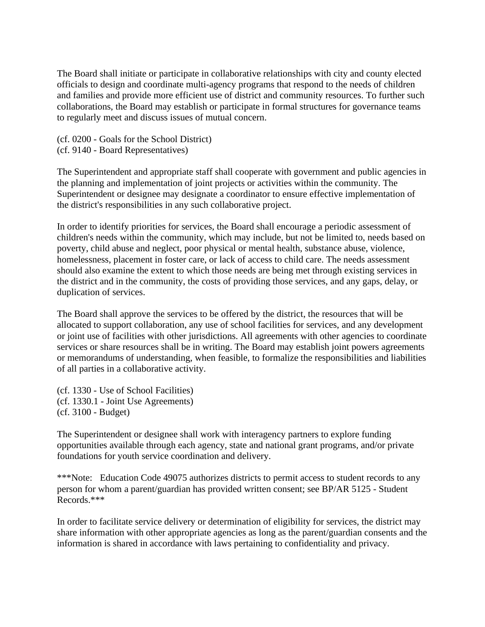The Board shall initiate or participate in collaborative relationships with city and county elected officials to design and coordinate multi-agency programs that respond to the needs of children and families and provide more efficient use of district and community resources. To further such collaborations, the Board may establish or participate in formal structures for governance teams to regularly meet and discuss issues of mutual concern.

(cf. 0200 - Goals for the School District) (cf. 9140 - Board Representatives)

The Superintendent and appropriate staff shall cooperate with government and public agencies in the planning and implementation of joint projects or activities within the community. The Superintendent or designee may designate a coordinator to ensure effective implementation of the district's responsibilities in any such collaborative project.

In order to identify priorities for services, the Board shall encourage a periodic assessment of children's needs within the community, which may include, but not be limited to, needs based on poverty, child abuse and neglect, poor physical or mental health, substance abuse, violence, homelessness, placement in foster care, or lack of access to child care. The needs assessment should also examine the extent to which those needs are being met through existing services in the district and in the community, the costs of providing those services, and any gaps, delay, or duplication of services.

The Board shall approve the services to be offered by the district, the resources that will be allocated to support collaboration, any use of school facilities for services, and any development or joint use of facilities with other jurisdictions. All agreements with other agencies to coordinate services or share resources shall be in writing. The Board may establish joint powers agreements or memorandums of understanding, when feasible, to formalize the responsibilities and liabilities of all parties in a collaborative activity.

(cf. 1330 - Use of School Facilities) (cf. 1330.1 - Joint Use Agreements) (cf. 3100 - Budget)

The Superintendent or designee shall work with interagency partners to explore funding opportunities available through each agency, state and national grant programs, and/or private foundations for youth service coordination and delivery.

\*\*\*Note: Education Code 49075 authorizes districts to permit access to student records to any person for whom a parent/guardian has provided written consent; see BP/AR 5125 - Student Records.\*\*\*

In order to facilitate service delivery or determination of eligibility for services, the district may share information with other appropriate agencies as long as the parent/guardian consents and the information is shared in accordance with laws pertaining to confidentiality and privacy.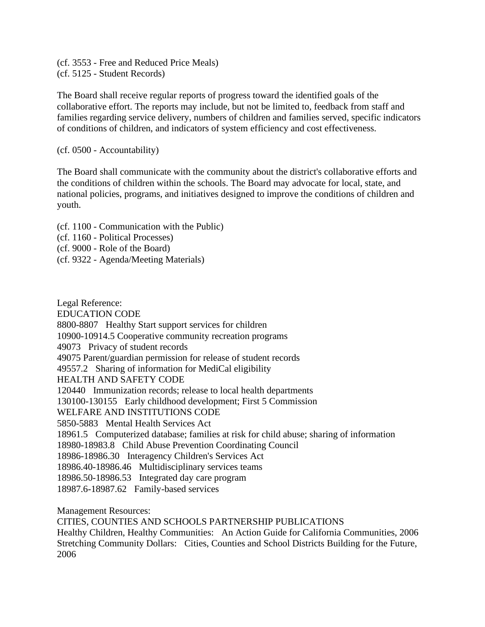(cf. 3553 - Free and Reduced Price Meals) (cf. 5125 - Student Records)

The Board shall receive regular reports of progress toward the identified goals of the collaborative effort. The reports may include, but not be limited to, feedback from staff and families regarding service delivery, numbers of children and families served, specific indicators of conditions of children, and indicators of system efficiency and cost effectiveness.

(cf. 0500 - Accountability)

The Board shall communicate with the community about the district's collaborative efforts and the conditions of children within the schools. The Board may advocate for local, state, and national policies, programs, and initiatives designed to improve the conditions of children and youth.

(cf. 1100 - Communication with the Public)

- (cf. 1160 Political Processes)
- (cf. 9000 Role of the Board)
- (cf. 9322 Agenda/Meeting Materials)

Legal Reference: EDUCATION CODE 8800-8807 Healthy Start support services for children 10900-10914.5 Cooperative community recreation programs 49073 Privacy of student records 49075 Parent/guardian permission for release of student records 49557.2 Sharing of information for MediCal eligibility HEALTH AND SAFETY CODE 120440 Immunization records; release to local health departments 130100-130155 Early childhood development; First 5 Commission WELFARE AND INSTITUTIONS CODE 5850-5883 Mental Health Services Act 18961.5 Computerized database; families at risk for child abuse; sharing of information 18980-18983.8 Child Abuse Prevention Coordinating Council 18986-18986.30 Interagency Children's Services Act 18986.40-18986.46 Multidisciplinary services teams 18986.50-18986.53 Integrated day care program 18987.6-18987.62 Family-based services

Management Resources:

CITIES, COUNTIES AND SCHOOLS PARTNERSHIP PUBLICATIONS

Healthy Children, Healthy Communities: An Action Guide for California Communities, 2006 Stretching Community Dollars: Cities, Counties and School Districts Building for the Future, 2006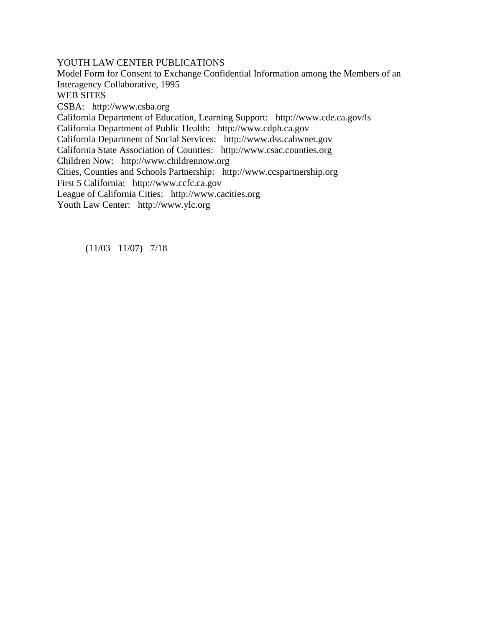YOUTH LAW CENTER PUBLICATIONS

Model Form for Consent to Exchange Confidential Information among the Members of an Interagency Collaborative, 1995 WEB SITES CSBA: http://www.csba.org California Department of Education, Learning Support: http://www.cde.ca.gov/ls California Department of Public Health: http://www.cdph.ca.gov California Department of Social Services: http://www.dss.cahwnet.gov California State Association of Counties: http://www.csac.counties.org Children Now: http://www.childrennow.org Cities, Counties and Schools Partnership: http://www.ccspartnership.org First 5 California: http://www.ccfc.ca.gov League of California Cities: http://www.cacities.org Youth Law Center: http://www.ylc.org

(11/03 11/07) 7/18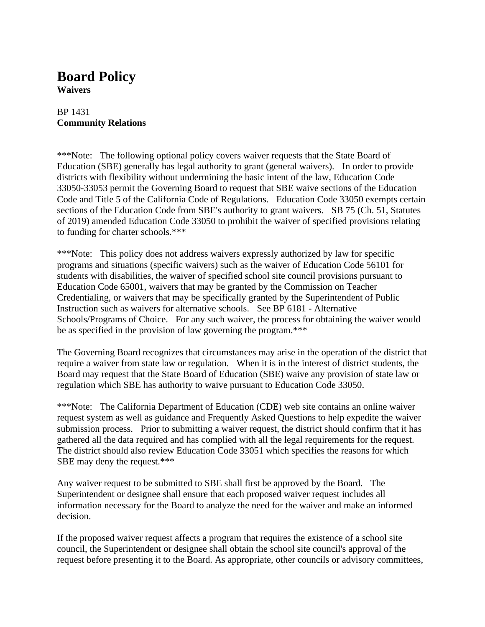# **Board Policy**

**Waivers**

#### BP 1431 **Community Relations**

\*\*\*Note: The following optional policy covers waiver requests that the State Board of Education (SBE) generally has legal authority to grant (general waivers). In order to provide districts with flexibility without undermining the basic intent of the law, Education Code 33050-33053 permit the Governing Board to request that SBE waive sections of the Education Code and Title 5 of the California Code of Regulations. Education Code 33050 exempts certain sections of the Education Code from SBE's authority to grant waivers. SB 75 (Ch. 51, Statutes of 2019) amended Education Code 33050 to prohibit the waiver of specified provisions relating to funding for charter schools.\*\*\*

\*\*\*Note: This policy does not address waivers expressly authorized by law for specific programs and situations (specific waivers) such as the waiver of Education Code 56101 for students with disabilities, the waiver of specified school site council provisions pursuant to Education Code 65001, waivers that may be granted by the Commission on Teacher Credentialing, or waivers that may be specifically granted by the Superintendent of Public Instruction such as waivers for alternative schools. See BP 6181 - Alternative Schools/Programs of Choice. For any such waiver, the process for obtaining the waiver would be as specified in the provision of law governing the program.\*\*\*

The Governing Board recognizes that circumstances may arise in the operation of the district that require a waiver from state law or regulation. When it is in the interest of district students, the Board may request that the State Board of Education (SBE) waive any provision of state law or regulation which SBE has authority to waive pursuant to Education Code 33050.

\*\*\*Note: The California Department of Education (CDE) web site contains an online waiver request system as well as guidance and Frequently Asked Questions to help expedite the waiver submission process. Prior to submitting a waiver request, the district should confirm that it has gathered all the data required and has complied with all the legal requirements for the request. The district should also review Education Code 33051 which specifies the reasons for which SBE may deny the request.\*\*\*

Any waiver request to be submitted to SBE shall first be approved by the Board. The Superintendent or designee shall ensure that each proposed waiver request includes all information necessary for the Board to analyze the need for the waiver and make an informed decision.

If the proposed waiver request affects a program that requires the existence of a school site council, the Superintendent or designee shall obtain the school site council's approval of the request before presenting it to the Board. As appropriate, other councils or advisory committees,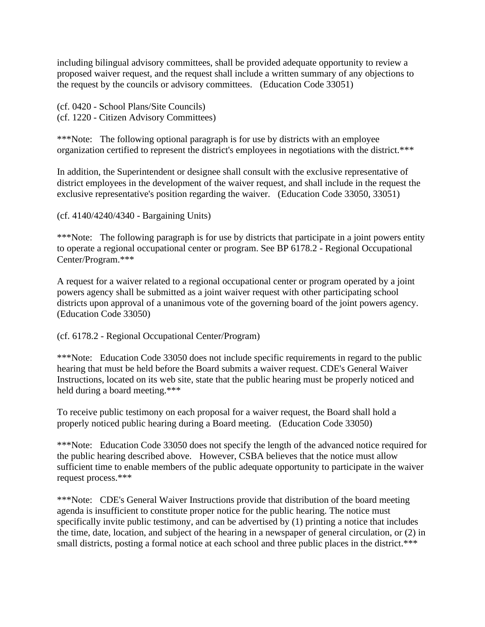including bilingual advisory committees, shall be provided adequate opportunity to review a proposed waiver request, and the request shall include a written summary of any objections to the request by the councils or advisory committees. (Education Code 33051)

(cf. 0420 - School Plans/Site Councils) (cf. 1220 - Citizen Advisory Committees)

\*\*\*Note: The following optional paragraph is for use by districts with an employee organization certified to represent the district's employees in negotiations with the district.\*\*\*

In addition, the Superintendent or designee shall consult with the exclusive representative of district employees in the development of the waiver request, and shall include in the request the exclusive representative's position regarding the waiver. (Education Code 33050, 33051)

(cf. 4140/4240/4340 - Bargaining Units)

\*\*\*Note: The following paragraph is for use by districts that participate in a joint powers entity to operate a regional occupational center or program. See BP 6178.2 - Regional Occupational Center/Program.\*\*\*

A request for a waiver related to a regional occupational center or program operated by a joint powers agency shall be submitted as a joint waiver request with other participating school districts upon approval of a unanimous vote of the governing board of the joint powers agency. (Education Code 33050)

(cf. 6178.2 - Regional Occupational Center/Program)

\*\*\*Note: Education Code 33050 does not include specific requirements in regard to the public hearing that must be held before the Board submits a waiver request. CDE's General Waiver Instructions, located on its web site, state that the public hearing must be properly noticed and held during a board meeting.\*\*\*

To receive public testimony on each proposal for a waiver request, the Board shall hold a properly noticed public hearing during a Board meeting. (Education Code 33050)

\*\*\*Note: Education Code 33050 does not specify the length of the advanced notice required for the public hearing described above. However, CSBA believes that the notice must allow sufficient time to enable members of the public adequate opportunity to participate in the waiver request process.\*\*\*

\*\*\*Note: CDE's General Waiver Instructions provide that distribution of the board meeting agenda is insufficient to constitute proper notice for the public hearing. The notice must specifically invite public testimony, and can be advertised by (1) printing a notice that includes the time, date, location, and subject of the hearing in a newspaper of general circulation, or (2) in small districts, posting a formal notice at each school and three public places in the district.\*\*\*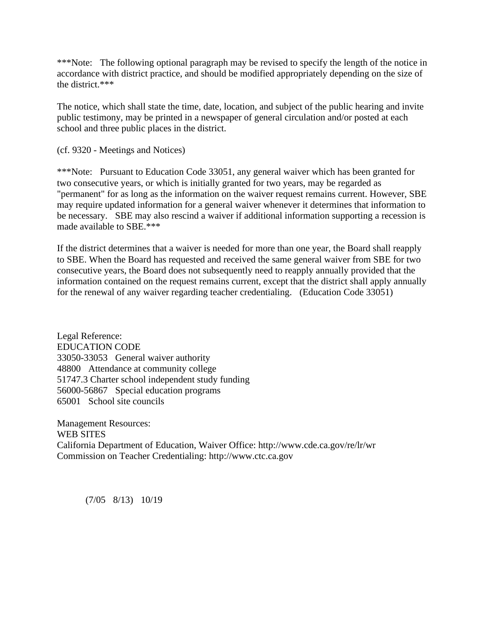\*\*\*Note: The following optional paragraph may be revised to specify the length of the notice in accordance with district practice, and should be modified appropriately depending on the size of the district.\*\*\*

The notice, which shall state the time, date, location, and subject of the public hearing and invite public testimony, may be printed in a newspaper of general circulation and/or posted at each school and three public places in the district.

(cf. 9320 - Meetings and Notices)

\*\*\*Note: Pursuant to Education Code 33051, any general waiver which has been granted for two consecutive years, or which is initially granted for two years, may be regarded as "permanent" for as long as the information on the waiver request remains current. However, SBE may require updated information for a general waiver whenever it determines that information to be necessary. SBE may also rescind a waiver if additional information supporting a recession is made available to SBE.\*\*\*

If the district determines that a waiver is needed for more than one year, the Board shall reapply to SBE. When the Board has requested and received the same general waiver from SBE for two consecutive years, the Board does not subsequently need to reapply annually provided that the information contained on the request remains current, except that the district shall apply annually for the renewal of any waiver regarding teacher credentialing. (Education Code 33051)

Legal Reference: EDUCATION CODE 33050-33053 General waiver authority 48800 Attendance at community college 51747.3 Charter school independent study funding 56000-56867 Special education programs 65001 School site councils

Management Resources: WEB SITES California Department of Education, Waiver Office: http://www.cde.ca.gov/re/lr/wr Commission on Teacher Credentialing: http://www.ctc.ca.gov

(7/05 8/13) 10/19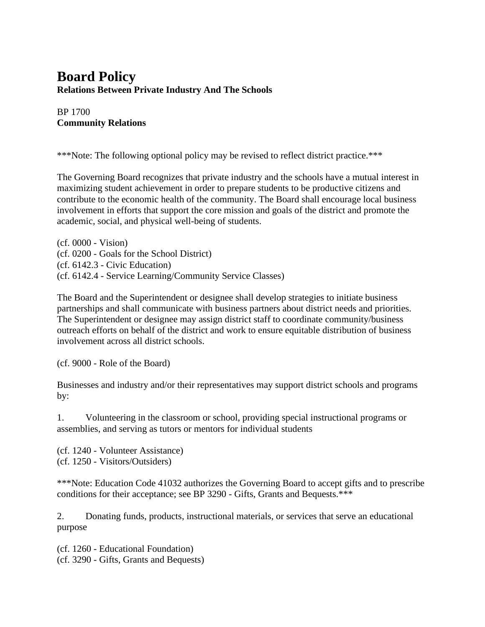## **Board Policy Relations Between Private Industry And The Schools**

BP 1700 **Community Relations**

\*\*\*Note: The following optional policy may be revised to reflect district practice.\*\*\*

The Governing Board recognizes that private industry and the schools have a mutual interest in maximizing student achievement in order to prepare students to be productive citizens and contribute to the economic health of the community. The Board shall encourage local business involvement in efforts that support the core mission and goals of the district and promote the academic, social, and physical well-being of students.

(cf. 0000 - Vision) (cf. 0200 - Goals for the School District) (cf. 6142.3 - Civic Education) (cf. 6142.4 - Service Learning/Community Service Classes)

The Board and the Superintendent or designee shall develop strategies to initiate business partnerships and shall communicate with business partners about district needs and priorities. The Superintendent or designee may assign district staff to coordinate community/business outreach efforts on behalf of the district and work to ensure equitable distribution of business involvement across all district schools.

(cf. 9000 - Role of the Board)

Businesses and industry and/or their representatives may support district schools and programs by:

1. Volunteering in the classroom or school, providing special instructional programs or assemblies, and serving as tutors or mentors for individual students

(cf. 1240 - Volunteer Assistance) (cf. 1250 - Visitors/Outsiders)

\*\*\*Note: Education Code 41032 authorizes the Governing Board to accept gifts and to prescribe conditions for their acceptance; see BP 3290 - Gifts, Grants and Bequests.\*\*\*

2. Donating funds, products, instructional materials, or services that serve an educational purpose

(cf. 1260 - Educational Foundation) (cf. 3290 - Gifts, Grants and Bequests)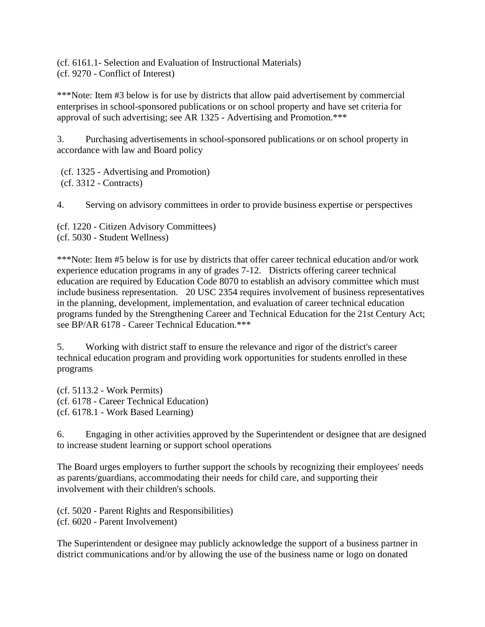(cf. 6161.1- Selection and Evaluation of Instructional Materials) (cf. 9270 - Conflict of Interest)

\*\*\*Note: Item #3 below is for use by districts that allow paid advertisement by commercial enterprises in school-sponsored publications or on school property and have set criteria for approval of such advertising; see AR 1325 - Advertising and Promotion.\*\*\*

3. Purchasing advertisements in school-sponsored publications or on school property in accordance with law and Board policy

(cf. 1325 - Advertising and Promotion) (cf. 3312 - Contracts)

4. Serving on advisory committees in order to provide business expertise or perspectives

(cf. 1220 - Citizen Advisory Committees) (cf. 5030 - Student Wellness)

\*\*\*Note: Item #5 below is for use by districts that offer career technical education and/or work experience education programs in any of grades 7-12. Districts offering career technical education are required by Education Code 8070 to establish an advisory committee which must include business representation. 20 USC 2354 requires involvement of business representatives in the planning, development, implementation, and evaluation of career technical education programs funded by the Strengthening Career and Technical Education for the 21st Century Act; see BP/AR 6178 - Career Technical Education.\*\*\*

5. Working with district staff to ensure the relevance and rigor of the district's career technical education program and providing work opportunities for students enrolled in these programs

(cf. 5113.2 - Work Permits) (cf. 6178 - Career Technical Education) (cf. 6178.1 - Work Based Learning)

6. Engaging in other activities approved by the Superintendent or designee that are designed to increase student learning or support school operations

The Board urges employers to further support the schools by recognizing their employees' needs as parents/guardians, accommodating their needs for child care, and supporting their involvement with their children's schools.

(cf. 5020 - Parent Rights and Responsibilities) (cf. 6020 - Parent Involvement)

The Superintendent or designee may publicly acknowledge the support of a business partner in district communications and/or by allowing the use of the business name or logo on donated